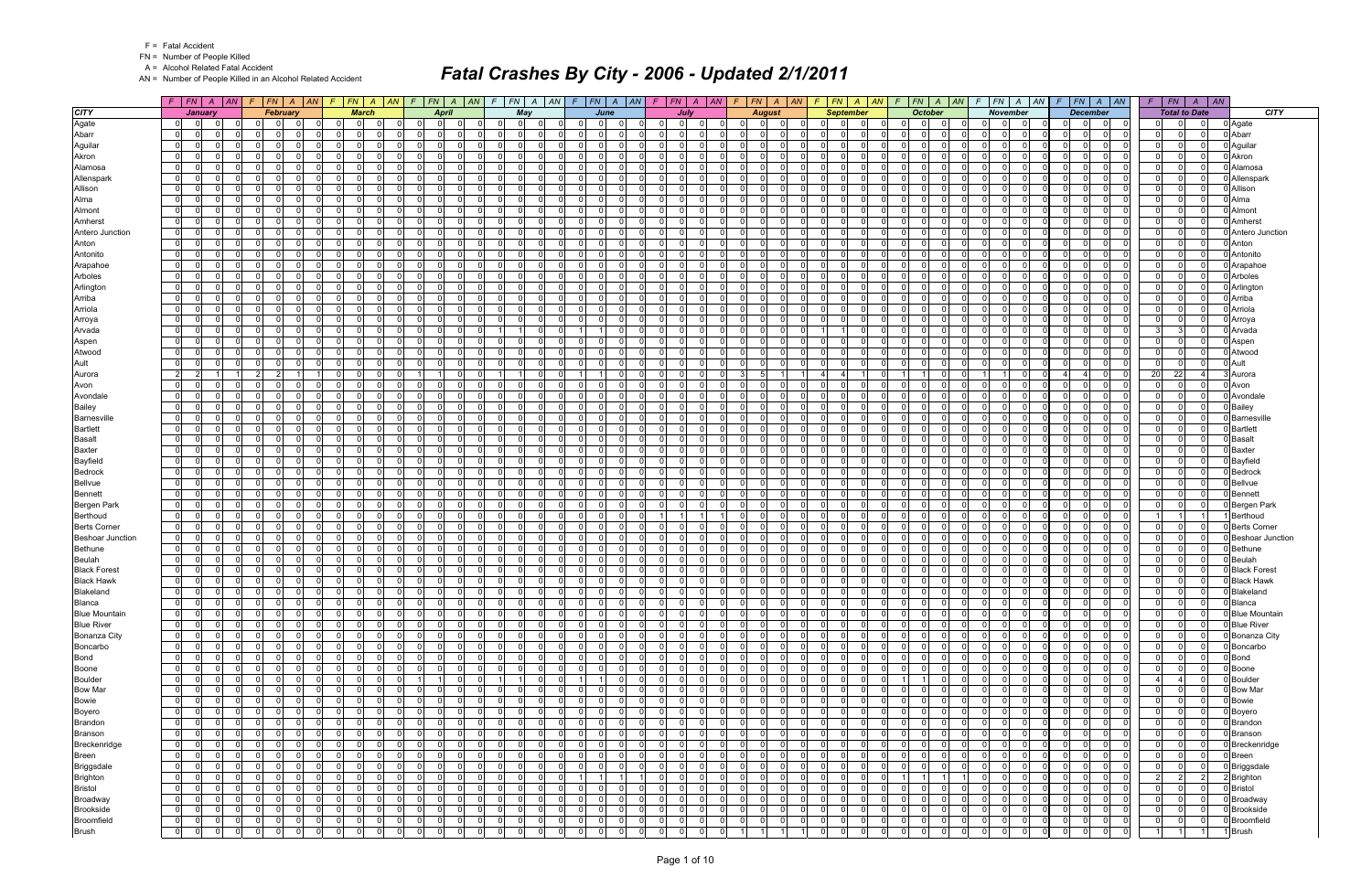|  | <b>Fatal Accident</b> |
|--|-----------------------|
|--|-----------------------|

A = Alcohol Related Fatal Accident

AN = Number of People Killed in an Alcohol Related Accident

|                                       | $F$   $FN$   $A$   $AN$                                                           | $F$   $FN$   $A$   $AN$                                        | $FN \mid A \mid AN$<br>F.                                            | $F$ $FN$ $A$<br> AN <br>F<br>$FN \mid A \mid AN$                                                                                            |                                              | $F$   $FN$   $A$   $AN$ | $F$   $FN$   $A$   $AN$                                              | $F$   $FN$   $A$   $AN$                         | $F$ $ FN $ $A$ $ AN $                              | F N   A   AN<br>$\mathcal{F}$                                           | $F$   $FN$   $A$   $AN$                                                  | $F$   $FN$   $A$   $AN$                                         | $FN \mid A \mid AN$<br>$F \parallel$                                                        |             |
|---------------------------------------|-----------------------------------------------------------------------------------|----------------------------------------------------------------|----------------------------------------------------------------------|---------------------------------------------------------------------------------------------------------------------------------------------|----------------------------------------------|-------------------------|----------------------------------------------------------------------|-------------------------------------------------|----------------------------------------------------|-------------------------------------------------------------------------|--------------------------------------------------------------------------|-----------------------------------------------------------------|---------------------------------------------------------------------------------------------|-------------|
| <b>CITY</b>                           | <b>January</b>                                                                    | <b>February</b>                                                | <b>March</b>                                                         | May<br><b>April</b>                                                                                                                         | June                                         |                         | July                                                                 | <b>August</b>                                   | <b>September</b>                                   | <b>October</b>                                                          | <b>November</b>                                                          | <b>December</b>                                                 | <b>Total to Date</b>                                                                        | <b>CITY</b> |
| Agate                                 | $\overline{0}$<br>-01<br>$\Omega$                                                 | 0 I<br>$\Omega$<br>$\overline{0}$                              | $\overline{0}$<br>$\Omega$<br>-01                                    | $\overline{0}$<br>- O I<br>0 I<br>$\overline{0}$<br>0 I<br>- OI                                                                             | $\overline{0}$<br>$\overline{0}$             | $\Omega$                | $\mathbf{0}$<br>- O I<br>$\Omega$                                    | 0 I<br>-01<br>$\Omega$                          | -01<br>0                                           | 0<br>$\overline{0}$<br>$\Omega$                                         | $\overline{0}$<br>0 I<br>$\Omega$                                        | 0 I<br>$\overline{0}$                                           | 0 Agate<br>$\mathbf 0$<br>$\overline{0}$<br>-0                                              |             |
| Abarr                                 | $\Omega$<br>$\Omega$<br><sup>n</sup>                                              | $\Omega$                                                       | 0                                                                    | $\Omega$<br>- 0<br>$\Omega$<br>$\Omega$                                                                                                     | $\Omega$<br>0                                |                         | $\Omega$                                                             | $\Omega$<br>$\Omega$                            | $\Omega$<br>$\Omega$                               | $\Omega$<br>$\Omega$                                                    | $\Omega$<br>$\Omega$                                                     | $\Omega$<br>0                                                   | 0 Abarr<br>$\mathbf 0$<br>$\Omega$                                                          |             |
| Aguilar                               | $\overline{0}$<br>- O I<br>$\Omega$                                               | $\overline{0}$<br>$\Omega$<br>$\Omega$                         | $\Omega$<br>- 0 l<br>$\Omega$                                        | 0 I<br>- 01<br>-01<br>$\Omega$<br>- Ol<br>$\Omega$                                                                                          | $\Omega$<br>$\Omega$                         | $\Omega$                | -01<br>$\Omega$<br>$\Omega$                                          | $\overline{0}$<br>$\Omega$<br>$\Omega$          | $\overline{0}$<br>$\Omega$                         | $\overline{0}$<br>$\Omega$<br>$\overline{0}$                            | $\Omega$<br>$\Omega$<br>$\Omega$                                         | $\mathbf{0}$<br>$\cap$<br>0 I                                   | $\overline{0}$<br>$\overline{0}$<br>0 Aguilar                                               |             |
| Akron                                 | $\Omega$<br>0<br>$\Omega$                                                         | $\Omega$<br>$\Omega$                                           | $\Omega$<br>$\Omega$                                                 | $\Omega$<br>$\Omega$<br>$\Omega$<br>$\Omega$<br>$\Omega$                                                                                    | $\Omega$<br>$\Omega$                         |                         | $\Omega$<br>$\Omega$                                                 | $\Omega$<br>$\Omega$                            | $\mathbf 0$<br>$\Omega$                            | $\Omega$<br>- Ol                                                        | $\Omega$<br>$\Omega$                                                     | $\Omega$<br>0                                                   | 0 Akron<br>$\mathbf 0$<br>$\overline{0}$                                                    |             |
| Alamosa                               | $\Omega$<br>$\overline{0}$<br>- O I<br>$\Omega$                                   | $\Omega$<br>- 0                                                | $\Omega$<br>$\Omega$<br>$\Omega$<br>n l                              | 0 I<br>$\overline{0}$<br>$\Omega$<br>$\Omega$<br>$\overline{0}$<br>$\Omega$                                                                 | $\Omega$<br>$\Omega$                         |                         | $\Omega$<br>$\Omega$<br>$\Omega$                                     | - O I<br>$\Omega$                               | $\Omega$<br>$\mathbf 0$                            | $\Omega$<br>$\Omega$<br>$\mathbf 0$                                     | $\Omega$<br>$\Omega$<br>$\Omega$<br>$\Omega$                             | $\Omega$<br>$\mathbf 0$                                         | $\Omega$<br>$\overline{0}$<br>0 Alamosa                                                     |             |
| Allenspark                            | $\Omega$<br>$\Omega$<br>$\overline{0}$<br>- O I<br>$\Omega$                       | $\Omega$<br>- 0<br>$\Omega$<br>$\Omega$<br>$\Omega$            | $\Omega$<br>$\Omega$<br>$\Omega$<br>$\Omega$<br>$\Omega$             | 0 I<br>$\Omega$<br>$\Omega$<br>$\Omega$<br>$\Omega$<br> 0 <br>- 01<br>$\Omega$<br>$\overline{0}$<br>$\Omega$                                | $\Omega$<br>$\Omega$<br>$\Omega$<br>$\Omega$ | $\Omega$                | 0I<br>$\Omega$<br>$\Omega$                                           | $\Omega$<br>$\Omega$<br>$\Omega$<br>$\Omega$    | $\overline{0}$<br>$\Omega$<br>$\Omega$<br>$\Omega$ | $\Omega$<br>$\Omega$<br>$\Omega$<br>$\Omega$<br>$\mathbf 0$             | $\Omega$<br>$\Omega$<br>$\Omega$<br>$\Omega$                             | $\Omega$<br>$\Omega$<br>$\mathbf 0$<br>$\Omega$                 | 0 Allenspark<br>$\mathbf 0$<br>$\overline{0}$<br>0 Allison<br>$\mathbf 0$<br>$\overline{0}$ |             |
| Allison<br>Alma                       | $\overline{0}$<br>$\Omega$<br>$\Omega$                                            | $\Omega$<br>$\Omega$                                           | $\Omega$<br>$\Omega$                                                 | $\Omega$<br>$\Omega$<br>$\Omega$<br>$\Omega$<br>$\Omega$                                                                                    | $\Omega$<br><sup>0</sup>                     |                         | $\Omega$<br>$\Omega$                                                 | $\Omega$<br>$\Omega$                            | $\Omega$<br>$\Omega$                               | U<br>$\Omega$<br>$\Omega$                                               | $\Omega$<br>$\Omega$<br>$\Omega$                                         | $\Omega$<br>$\Omega$                                            | $\Omega$<br>$\Omega$<br>0 Alma                                                              |             |
| Almont                                | $\overline{0}$<br>- O I<br>$\Omega$                                               | $\Omega$<br>0                                                  | $\Omega$<br>$\Omega$<br>$\Omega$                                     | 0 I<br>$\overline{0}$<br>$\Omega$<br>$\Omega$<br>$\overline{0}$<br>$\Omega$                                                                 | $\Omega$<br>$\Omega$                         |                         | $\Omega$<br>$\Omega$                                                 | - O I<br>0 I                                    | $\mathbf 0$<br>$\mathbf 0$                         | $\mathbf 0$<br>$\Omega$<br>$\mathbf 0$                                  | $\Omega$<br>$\Omega$<br>$\Omega$                                         | $\mathbf 0$<br>$\Omega$                                         | $\overline{0}$<br>0 Almont<br>$\mathbf 0$                                                   |             |
| Amherst                               | $\Omega$<br>$\Omega$<br>$\Omega$                                                  | $\Omega$<br>$\Omega$                                           | $\Omega$<br>$\Omega$                                                 | $\Omega$<br>$\Omega$<br>$\Omega$<br>$\Omega$<br>- 0                                                                                         | $\Omega$<br>$\Omega$                         |                         | $\Omega$<br>$\Omega$                                                 | $\Omega$<br>$\Omega$                            | $\Omega$<br>$\Omega$                               | $\Omega$<br>$\Omega$                                                    | $\Omega$<br>$\Omega$                                                     | $\Omega$<br>$\Omega$                                            | $\Omega$<br>0 Amherst<br>$\Omega$                                                           |             |
| Antero Junction                       | $\Omega$<br>- O I<br>$\Omega$                                                     | $\Omega$<br>$\Omega$                                           | $\Omega$<br>$\Omega$<br>$\Omega$                                     | 0 I<br>$\overline{0}$<br>$\Omega$<br>$\overline{0}$<br>$\Omega$<br>n.                                                                       | $\Omega$<br>$\Omega$                         | $\cap$                  | $\Omega$<br>$\Omega$                                                 | - O I<br>$\Omega$                               | $\Omega$<br>$\mathbf 0$                            | $\Omega$<br>$\Omega$<br>$\mathbf 0$                                     | $\Omega$<br>$\Omega$<br>$\Omega$                                         | $\mathbf 0$<br>$\Omega$                                         | $\mathbf 0$<br>0 Antero Junction<br>$\overline{0}$                                          |             |
| Anton                                 | $\mathbf 0$<br>$\Omega$<br>$\Omega$                                               | 0<br>$\Omega$                                                  | $\Omega$                                                             | $\Omega$<br>$\Omega$<br>$\Omega$<br>$\Omega$                                                                                                | $\Omega$<br>$\Omega$                         |                         | $\Omega$<br>$\Omega$                                                 | $\Omega$<br>$\Omega$                            | $\Omega$<br>$\Omega$                               | $\Omega$<br>$\Omega$                                                    | $\Omega$<br>$\Omega$                                                     | $\Omega$<br>$\Omega$                                            | $\mathbf 0$<br>$\Omega$<br>Anton                                                            |             |
| Antonito                              | $\mathbf 0$<br>$\Omega$<br>$\Omega$                                               | $\Omega$<br>- 0                                                | - Ol<br>$\Omega$                                                     | - Ol<br>$\Omega$<br>$\Omega$<br>$\overline{0}$<br>$\Omega$<br>ΩI                                                                            | $\Omega$<br>$\Omega$                         |                         | $\Omega$<br>$\Omega$                                                 | $\Omega$<br>$\Omega$                            | $\Omega$<br>$\Omega$                               | $\Omega$<br>$\mathbf 0$                                                 | $\Omega$<br>$\Omega$                                                     | $\Omega$<br>.0                                                  | $\mathbf 0$<br>0 Antonito<br>$\Omega$                                                       |             |
| Arapahoe                              | $\overline{0}$<br>$\Omega$<br>- O I                                               | $\Omega$<br>- 0                                                | - 0 l<br>$\Omega$<br>$\Omega$                                        | -01<br>0 I<br>$\Omega$<br>- Ol<br>$\overline{0}$<br>$\Omega$                                                                                | - 01<br>$\overline{0}$                       | $\Omega$                | $\Omega$<br>$\Omega$<br>$\Omega$                                     | - O I<br>$\Omega$                               | $\overline{0}$<br>$\Omega$                         | - Ol<br>$\Omega$<br>$\mathbf 0$                                         | $\Omega$<br>$\Omega$<br>$\Omega$                                         | $\Omega$<br>$\mathbf 0$<br>$\Omega$                             | $\mathbf 0$<br>$\overline{0}$<br>0 Arapahoe                                                 |             |
| Arboles                               | $\Omega$<br>$\Omega$<br>$\Omega$                                                  | $\Omega$<br>$\Omega$<br>- 0                                    | $\Omega$<br>$\Omega$<br>$\Omega$                                     | $\Omega$<br>- 0<br>$\Omega$<br>$\Omega$<br>- 0                                                                                              | $\Omega$<br>$\Omega$                         |                         | $\Omega$<br>$\Omega$                                                 | $\Omega$<br>$\Omega$                            | $\Omega$<br>0                                      | $\Omega$<br>$\mathbf 0$                                                 | $\Omega$<br>$\Omega$                                                     | $\Omega$<br>0                                                   | 0 Arboles<br>$\mathbf 0$<br>$\Omega$                                                        |             |
| Arlington                             | $\overline{0}$<br>$\Omega$<br>- O I                                               | $\Omega$<br>$\Omega$<br>$\Omega$                               | $\Omega$<br>$\Omega$<br>$\Omega$                                     | 0 I<br>$\Omega$<br>$\Omega$<br>n l<br>$\Omega$<br>$\Omega$                                                                                  | $\Omega$<br>$\Omega$                         | $\cap$                  | $\Omega$<br>$\Omega$<br>$\Omega$                                     | $\overline{0}$<br>$\Omega$<br>$\Omega$          | $\Omega$<br>$\Omega$                               | $\Omega$<br>$\overline{0}$<br>- 01                                      | $\Omega$<br>$\Omega$<br>$\Omega$                                         | $\Omega$<br>$\Omega$<br>0 I                                     | $\overline{0}$<br>$\overline{0}$<br>0 Arlington<br>$\Omega$                                 |             |
| Arriba                                | $\mathbf 0$<br>$\Omega$<br>- O I                                                  | $\Omega$<br>- 0                                                | $\Omega$<br>$\Omega$<br>0                                            | $\overline{0}$<br>$\Omega$<br>$\Omega$<br>$\overline{0}$<br>$\Omega$<br>-0                                                                  | $\Omega$<br>$\Omega$                         |                         | $\Omega$<br>$\Omega$                                                 | $\Omega$<br>$\Omega$                            | $\mathbf 0$<br>$\Omega$                            | $\mathbf{0}$<br>$\mathbf 0$<br>0                                        | $\Omega$<br>$\Omega$<br><sup>0</sup>                                     | $\Omega$<br>.0                                                  | 0 Arriba<br>$\mathbf 0$<br>$\overline{0}$                                                   |             |
| Arriola                               | $\Omega$<br>$\Omega$<br>- O I<br>$\Omega$                                         | $\Omega$<br>- 0<br>$\Omega$<br>- 0                             | $\Omega$<br>$\Omega$<br>$\Omega$<br>$\Omega$<br>$\Omega$<br>$\Omega$ | 0 I<br>$\Omega$<br>$\Omega$<br>$\Omega$<br>$\Omega$<br>$\Omega$<br>$\Omega$<br>$\Omega$<br>$\Omega$                                         | $\Omega$<br>$\Omega$<br>$\Omega$<br>$\Omega$ | $\cap$<br>$\cap$        | $\Omega$<br>$\Omega$<br>$\Omega$<br>$\Omega$<br>$\Omega$<br>$\Omega$ | $\Omega$<br>$\Omega$<br>$\Omega$<br>$\Omega$    | $\Omega$<br>$\Omega$                               | $\Omega$<br>$\Omega$<br>$\Omega$<br>$\Omega$<br>$\Omega$                | $\Omega$<br>$\Omega$<br>$\Omega$<br>$\Omega$<br>$\Omega$<br><sup>n</sup> | $\Omega$<br>$\Omega$<br>$\Omega$<br>$\Omega$                    | $\mathbf 0$<br>$\Omega$<br>0 Arriola                                                        |             |
| Arroya                                | $\overline{0}$<br>$\Omega$<br>$\Omega$<br>$\Omega$<br>$\Omega$                    | $\Omega$<br>$\Omega$<br>- 0                                    | $\Omega$<br>$\Omega$<br>$\Omega$                                     | 0 I<br>$\Omega$<br>$\Omega$<br>$\Omega$<br>- 0                                                                                              |                                              |                         | $\Omega$<br>$\Omega$                                                 | $\Omega$<br>$\Omega$                            | - O I<br>$\Omega$<br>- Ol                          | $\mathbf 0$<br>$\Omega$<br>$\Omega$                                     | $\Omega$<br>$\Omega$<br>$\Omega$                                         | $\mathbf 0$<br>$\Omega$<br>$\cap$<br>$\Omega$                   | $\mathbf 0$<br>$\overline{0}$<br>0 Arroya<br>$\mathbf{3}$<br>3 <sup>l</sup><br>0 Arvada     |             |
| Arvada<br>Aspen                       | $\overline{0}$<br>$\Omega$<br>$\Omega$                                            | $\Omega$<br>$\Omega$<br>- 0                                    | $\Omega$<br>$\Omega$<br>$\Omega$                                     | 0 I<br>$\Omega$<br>$\Omega$<br>$\Omega$<br>$\overline{0}$<br>-0                                                                             | $\Omega$<br>$\Omega$                         | $\Omega$                | $\Omega$<br>$\Omega$                                                 | - O I<br>$\Omega$                               | $\mathbf 0$<br>$\mathbf 0$                         | $\Omega$<br>$\Omega$<br>$\mathbf 0$                                     | $\Omega$<br>0<br>$\Omega$                                                | $\Omega$<br>$\mathbf 0$                                         | $\overline{0}$<br>$\mathbf 0$<br>0 Aspen                                                    |             |
| Atwood                                | $\Omega$<br>$\Omega$<br>- O I                                                     | $\Omega$<br>$\Omega$<br>$\Omega$                               | $\Omega$<br>$\Omega$<br>$\Omega$                                     | 0 I<br>-01<br>$\Omega$<br>$\Omega$<br>- Ol<br>$\Omega$                                                                                      | $\Omega$<br>$\Omega$                         |                         | $\Omega$<br>$\Omega$                                                 | - O I<br>$\Omega$                               | $\Omega$<br>$\Omega$                               | $\Omega$<br>$\Omega$<br>$\Omega$                                        | $\Omega$<br>$\Omega$<br>$\Omega$                                         | $\Omega$<br>$\mathbf 0$                                         | $\Omega$<br>$\overline{0}$<br>0 Atwood                                                      |             |
| Ault                                  | $\Omega$<br>- 01<br>$\Omega$                                                      | $\Omega$<br>- 0                                                | $\Omega$<br>$\Omega$<br>$\Omega$                                     | $\Omega$<br>$\Omega$<br>$\Omega$<br>$\Omega$<br>$\Omega$                                                                                    | $\Omega$<br>$\Omega$                         |                         | $\Omega$<br>$\Omega$                                                 | $\Omega$<br>$\Omega$                            | $\Omega$<br>$\Omega$                               | $\Omega$<br>$\Omega$<br>$\mathbf 0$                                     | $\Omega$<br>$\Omega$                                                     | $\Omega$<br>$\mathbf 0$                                         | $\mathbf 0$<br>0 Ault<br>$\mathbf{0}$                                                       |             |
| Aurora                                | $\overline{2}$<br>$\overline{2}$                                                  | $\overline{2}$<br>2                                            | $\overline{0}$<br>- 0 l<br>$\Omega$                                  | $\Omega$<br>$\Omega$<br>$\blacktriangleleft$<br>$\vert$ 1                                                                                   |                                              | $\Omega$                | $\Omega$<br>$\Omega$                                                 | -31<br>51                                       | $\overline{a}$                                     | $\Omega$                                                                | $\Omega$                                                                 | $\Omega$<br>4                                                   | 20<br>22<br><b>Aurora</b>                                                                   |             |
| Avon                                  | $\Omega$<br>$\overline{0}$<br>$\Omega$                                            | $\Omega$<br>- 0                                                | $\Omega$<br>$\Omega$<br>$\Omega$                                     | $\Omega$<br>$\Omega$<br>$\Omega$<br>$\Omega$<br>$\Omega$<br>-0                                                                              | $\Omega$<br>$\Omega$                         |                         | 0<br>$\Omega$                                                        | $\Omega$<br>$\Omega$                            | $\mathbf 0$<br>$\Omega$                            | $\mathbf{0}$<br>$\mathbf 0$                                             | $\mathbf 0$<br>$\Omega$<br>$\Omega$                                      | $\Omega$<br>.0                                                  | $\Omega$<br>$\mathbf 0$<br>0 Avon                                                           |             |
| Avondale                              | $\overline{0}$<br>- O I<br>$\Omega$                                               | 0 I<br>$\Omega$<br>- 0                                         | $\Omega$<br>$\mathbf 0$<br>$\Omega$                                  | 0 I<br>$\overline{0}$<br>$\Omega$<br>- Ol<br>$\overline{0}$<br>$\Omega$                                                                     | $\overline{0}$<br>$\Omega$                   |                         | 01<br>$\Omega$<br>$\Omega$                                           | - O I<br>$\Omega$                               | $\Omega$<br>$\mathbf 0$                            | $\Omega$<br>$\Omega$<br>0 I                                             | $\Omega$<br>$\Omega$<br>$\Omega$                                         | $\Omega$<br>$\mathbf 0$<br>$\Omega$                             | $\mathbf 0$<br>$\overline{0}$<br>0 Avondale                                                 |             |
| <b>Bailey</b>                         | $\Omega$<br>$\Omega$<br>$\Omega$                                                  | $\Omega$<br>- 0                                                | $\Omega$<br>$\Omega$<br>$\Omega$                                     | $\Omega$<br>$\Omega$<br>$\Omega$<br>- 0<br>$\Omega$                                                                                         | $\Omega$<br>$\Omega$                         |                         | $\Omega$<br>$\Omega$                                                 | - O I<br>$\Omega$                               | - O I<br>$\Omega$                                  | $\Omega$<br>$\Omega$                                                    | $\Omega$<br>$\Omega$                                                     | $\Omega$<br>$\Omega$                                            | 0 Bailey<br>$\mathbf 0$<br>$\overline{0}$                                                   |             |
| <b>Barnesville</b>                    | $\overline{0}$<br>$\Omega$<br>$\Omega$                                            | $\Omega$<br>- 0                                                | $\Omega$<br>$\Omega$<br>$\Omega$                                     | 0 I<br>- 0<br>$\Omega$<br>$\overline{0}$<br>$\Omega$                                                                                        | $\Omega$<br>$\Omega$                         |                         | $\Omega$<br>$\Omega$                                                 | $\Omega$<br>$\Omega$                            | $\Omega$<br>$\Omega$                               | $\Omega$<br>$\Omega$<br>$\mathbf 0$                                     | $\Omega$<br>$\Omega$                                                     | $\Omega$<br>$\Omega$                                            | $\Omega$<br>$\overline{0}$<br>0 Barnesville                                                 |             |
| <b>Bartlett</b>                       | $\mathbf 0$<br>$\Omega$<br>$\Omega$                                               | $\Omega$<br>$\Omega$                                           | $\Omega$<br>$\Omega$<br>$\Omega$                                     | $\Omega$<br>$\Omega$<br>$\Omega$<br>$\Omega$<br>$\Omega$                                                                                    | $\Omega$<br>$\Omega$                         |                         | $\Omega$<br>$\Omega$                                                 | $\Omega$<br>$\Omega$                            | $\Omega$<br>$\Omega$                               | <sup>0</sup><br>$\Omega$<br>$\Omega$                                    | $\Omega$<br>$\Omega$<br>$\Omega$                                         | $\Omega$<br>0                                                   | $\mathbf 0$<br>$\Omega$<br>0 Bartlett                                                       |             |
| <b>Basalt</b>                         | $\overline{0}$<br>$\Omega$<br>- O I                                               | $\Omega$<br>0                                                  | $\Omega$                                                             | - O I<br>$\overline{0}$<br>$\Omega$<br>$\overline{0}$<br>$\Omega$<br>$\Omega$                                                               | $\Omega$<br>$\Omega$                         |                         | $\Omega$<br>$\Omega$                                                 | - O I<br>$\Omega$                               | $\Omega$<br>$\Omega$                               | $\Omega$<br>$\mathbf 0$                                                 | $\Omega$<br>$\Omega$                                                     | $\Omega$<br>.0                                                  | $\mathbf 0$<br>$\overline{0}$<br>0 Basalt                                                   |             |
| <b>Baxter</b>                         | $\Omega$<br>$\Omega$<br>$\Omega$                                                  | $\Omega$<br>$\Omega$                                           | $\Omega$<br>$\Omega$<br>$\Omega$                                     | $\Omega$<br>$\Omega$<br>$\Omega$<br>$\Omega$<br>- 0<br>n l                                                                                  | $\Omega$<br>$\Omega$<br>$\Omega$             | $\Omega$                | $\Omega$<br>$\Omega$<br>$\Omega$<br>$\Omega$                         | $\Omega$<br>$\Omega$                            | $\Omega$<br>0                                      | $\Omega$<br>$\Omega$<br>$\Omega$                                        | $\Omega$<br>$\Omega$<br>$\Omega$                                         | $\Omega$<br>$\Omega$                                            | $\mathbf 0$<br>$\Omega$<br>0 Baxter                                                         |             |
| Bayfield<br><b>Bedrock</b>            | $\mathbf 0$<br>- O I<br>$\Omega$<br>$\Omega$<br>$\mathbf 0$<br>$\Omega$           | $\Omega$<br>$\Omega$<br>$\Omega$<br>$\Omega$<br>$\Omega$       | $\Omega$<br>$\Omega$<br>$\Omega$<br>$\Omega$                         | 0 I<br>$\overline{0}$<br>$\Omega$<br>$\Omega$<br>$\Omega$<br>$\Omega$<br>$\Omega$<br>$\Omega$<br>$\Omega$<br><sup>0</sup><br>-0             | $\Omega$<br>$\Omega$<br>$\Omega$             |                         | $\Omega$<br>$\Omega$<br>$\Omega$                                     | $\mathbf 0$<br>$\Omega$<br>$\Omega$<br>$\Omega$ | $\Omega$<br>$\Omega$<br>$\mathbf 0$<br>$\Omega$    | $\Omega$<br>$\overline{0}$<br>$\mathbf 0$<br>$\Omega$                   | $\Omega$<br>$\Omega$<br>$\Omega$<br>$\Omega$                             | $\Omega$<br>$\Omega$<br>$\Omega$<br>$\Omega$                    | 0 Bayfield<br>$\mathbf 0$<br>$\overline{0}$<br>0 Bedrock<br>$\mathbf 0$<br>$\overline{0}$   |             |
| <b>Bellvue</b>                        | $\mathbf 0$<br>$\Omega$<br>- O I                                                  | $\Omega$<br>$\Omega$                                           | $\Omega$<br>n l<br>$\Omega$                                          | $\Omega$<br>-01<br>$\Omega$<br>$\Omega$<br>$\overline{0}$<br>$\Omega$                                                                       | $\Omega$<br>$\Omega$                         |                         | $\Omega$<br>$\Omega$                                                 | $\Omega$<br>$\Omega$                            | $\Omega$<br>$\mathbf 0$                            | $\Omega$<br>$\Omega$<br>$\Omega$                                        | $\Omega$<br>$\Omega$<br><sup>0</sup>                                     | $\Omega$<br>$\Omega$                                            | 0 Bellvue<br>$\Omega$<br>$\overline{0}$                                                     |             |
| <b>Bennett</b>                        | $\mathbf 0$<br>$\Omega$<br>$\Omega$                                               | $\Omega$<br>- 0                                                | n l<br>$\Omega$<br>$\Omega$                                          | 0 I<br>$\Omega$<br>$\Omega$<br>$\Omega$<br>$\Omega$                                                                                         | $\Omega$<br>$\Omega$                         | $\Omega$                | $\Omega$<br>$\Omega$<br>$\Omega$                                     | - O I<br>$\Omega$                               | $\overline{0}$<br>0                                | $\Omega$<br>$\Omega$<br>$\Omega$                                        | $\Omega$<br>$\Omega$<br>$\Omega$                                         | $\Omega$<br>0                                                   | $\mathbf 0$<br>$\overline{0}$<br>0 Bennett                                                  |             |
| Bergen Park                           | $\overline{0}$<br>- O I<br>$\Omega$                                               | $\Omega$<br>$\Omega$<br>$\Omega$                               | $\Omega$<br>$\Omega$<br>$\Omega$                                     | 0 I<br>$\overline{0}$<br>$\Omega$<br>$\overline{0}$<br>$\Omega$                                                                             | $\Omega$<br>$\Omega$                         |                         | $\Omega$<br>$\Omega$<br>$\Omega$                                     | $\Omega$<br>$\Omega$                            | $\Omega$<br>$\Omega$                               | $\Omega$<br>$\mathbf 0$                                                 | $\Omega$<br>$\Omega$                                                     | $\Omega$<br>$\mathbf 0$<br>$\Omega$                             | $\mathbf 0$<br>$\overline{0}$<br>0 Bergen Park                                              |             |
| Berthoud                              | $\mathbf 0$<br>$\Omega$<br>$\Omega$                                               | $\Omega$<br>$\Omega$                                           | $\Omega$<br>$\Omega$<br>$\Omega$                                     | $\Omega$<br>$\Omega$<br>$\Omega$<br>$\Omega$<br>$\Omega$                                                                                    | $\Omega$<br>$\Omega$                         | $\Omega$                |                                                                      | $\Omega$<br>$\Omega$                            | $\Omega$<br>$\Omega$                               | $\Omega$<br>$\Omega$<br>$\Omega$                                        | $\Omega$<br>$\Omega$<br>$\Omega$                                         | $\Omega$<br>- Ol                                                | Berthoud                                                                                    |             |
| <b>Berts Corner</b>                   | $\mathbf 0$<br>$\Omega$<br>0 I                                                    | 0<br>$\Omega$<br>0                                             | 0<br>0l<br>$\Omega$                                                  | 01<br> 0 <br> 0 <br>$\Omega$<br>.0<br>0                                                                                                     | 0<br>01                                      |                         | $\mathbf{0}$<br>0<br>0                                               | 0 <br>$\Omega$                                  | $\mathbf 0$<br>$\mathbf 0$                         | $\mathbf 0$<br>0<br>$\mathbf 0$                                         | 0<br>$\mathbf{0}$<br>0                                                   | $\mathbf{0}$<br>$\Omega$<br>$\mathbf 0$                         | 0 Berts Corner<br>0<br>$\overline{0}$                                                       |             |
| <b>Beshoar Junction</b>               | $\Omega$<br>$\Omega$<br>- O I                                                     | $\Omega$<br>$\Omega$                                           | $\Omega$<br>n l                                                      | $\Omega$<br>$\Omega$<br>$\Omega$<br>$\Omega$<br>$\Omega$                                                                                    | $\Omega$<br>$\Omega$                         |                         | $\Omega$<br>$\Omega$                                                 | $\Omega$<br>$\Omega$                            | $\Omega$<br>- Ol                                   | $\Omega$<br>- Ol                                                        | $\Omega$<br>$\Omega$                                                     | $\Omega$<br>- Ol                                                | 0 Beshoar Junction<br>$\mathbf 0$<br>$\Omega$                                               |             |
| <b>Bethune</b>                        | $\overline{0}$<br>- O I<br>$\Omega$                                               | $\Omega$<br>$\Omega$                                           | $\Omega$<br>$\Omega$<br>$\Omega$                                     | 0 I<br>- 01<br>$\Omega$<br>$\Omega$<br>$\Omega$<br>n.                                                                                       | $\Omega$<br>$\Omega$                         | $\Omega$                | $\Omega$<br>$\Omega$<br>$\Omega$                                     | - O I<br>$\Omega$                               | - O I<br>$\Omega$                                  | $\Omega$<br>$\Omega$<br>$\mathbf 0$                                     | $\Omega$<br>$\Omega$<br>$\Omega$                                         | $\mathbf 0$<br>$\Omega$<br>$\Omega$                             | 0 Bethune<br>$\mathbf 0$<br>$\overline{0}$                                                  |             |
| <b>Beulah</b>                         | $\mathbf 0$<br>$\Omega$<br>- O I                                                  | $\Omega$<br>$\Omega$<br>$\Omega$                               | $\Omega$<br>$\Omega$<br>$\Omega$                                     | 0 I<br>-01<br>$\Omega$<br>-01<br>- Ol<br>$\Omega$                                                                                           | $\Omega$<br>$\Omega$                         | $\Omega$                | $\Omega$<br>$\Omega$<br>$\Omega$                                     | - O I<br>$\Omega$                               | $\Omega$<br>$\Omega$                               | $\Omega$<br>$\Omega$<br>$\Omega$                                        | $\Omega$<br>$\Omega$<br>$\Omega$                                         | $\Omega$<br>$\Omega$<br>$\mathbf 0$                             | 0 Beulah<br>$\Omega$<br>$\overline{0}$                                                      |             |
| <b>Black Forest</b>                   | $\overline{0}$<br>$\Omega$<br>$\Omega$                                            | $\Omega$<br>$\Omega$                                           | $\Omega$                                                             | $\Omega$<br>$\Omega$<br>$\Omega$<br>$\Omega$<br>$\Omega$                                                                                    | $\Omega$<br>$\Omega$                         |                         | $\Omega$<br>$\Omega$                                                 | $\Omega$<br>$\Omega$                            | $\Omega$<br>$\Omega$                               | $\Omega$<br>$\Omega$<br>$\Omega$                                        | $\Omega$<br>$\Omega$<br><sup>n</sup>                                     | $\Omega$<br>.0                                                  | <b>Black Forest</b><br>$\Omega$<br>$\Omega$                                                 |             |
| <b>Black Hawk</b>                     | $\Omega$<br>$\overline{0}$<br>- O I                                               | $\Omega$<br>$\Omega$<br>$\overline{0}$                         | - 0 l<br>$\Omega$<br>$\Omega$                                        | 0 I<br> 0 <br>$\Omega$<br>$\Omega$<br>$\overline{0}$<br>$\Omega$                                                                            | - 01<br>$\Omega$                             | $\Omega$                | $\Omega$<br>$\Omega$<br>$\Omega$                                     | - O I<br>0 I                                    | $\mathbf 0$<br>$\mathbf 0$                         | $\mathbf 0$<br>$\Omega$<br>$\mathbf 0$                                  | $\overline{0}$<br>$\Omega$<br>$\Omega$                                   | $\Omega$<br>$\Omega$<br>0 I                                     | $\mathbf 0$<br>$\overline{0}$<br>0 Black Hawk<br>$\Omega$                                   |             |
| Blakeland                             | $\overline{0}$<br>0 I<br>$\mathbf 0$<br>$\Omega$                                  | $\Omega$<br>$\Omega$<br>- 0<br>$\Omega$                        | $\Omega$<br>$\Omega$<br>$\Omega$                                     | 0 I<br> 0 <br>$\Omega$<br>$\Omega$<br>$\overline{0}$<br>$\Omega$<br>$\Omega$                                                                | $\Omega$<br>$\Omega$<br>$\Omega$             |                         | $\Omega$<br>$\Omega$<br>$\Omega$                                     | $\overline{0}$<br>$\Omega$                      | $\mathbf 0$<br>0                                   | $\Omega$<br>$\Omega$<br>$\mathbf 0$                                     | $\Omega$<br>$\Omega$<br>$\Omega$                                         | $\Omega$<br>$\mathbf 0$<br>$\Omega$                             | 0 Blakeland<br>$\mathbf 0$<br>$\Omega$                                                      |             |
| <b>Blanca</b><br><b>Blue Mountain</b> | $\mathbf 0$<br>$\overline{0}$<br>$\mathbf 0$<br>$\Omega$<br>$\overline{0}$        | $\overline{0}$<br>0<br>- 0 l<br>$\Omega$<br>$\Omega$           | 0<br>$\overline{0}$<br> 0 <br>0<br>$\mathbf 0$                       | $\Omega$<br>$\Omega$<br>01<br> 0 <br> 0 <br>$\Omega$<br>$\Omega$<br> 0 <br>$\Omega$                                                         | 0<br>$\mathbf 0$<br>$\overline{0}$           |                         | $\Omega$<br>$\Omega$                                                 | $\Omega$<br>$\Omega$                            | $\overline{0}$<br>$\Omega$                         | $\overline{0}$<br> 0 <br>$\mathbf 0$<br> 0                              | 0<br>$\Omega$<br>$\mathbf 0$<br>$\Omega$<br>$\Omega$                     | .0<br>$\Omega$<br>$\overline{0}$<br> 0                          | $\mathbf{0}$<br>0 Blanca<br>0<br>0 Blue Mountain<br>$\overline{0}$<br>$\mathbf 0$           |             |
| <b>Blue River</b>                     | $\overline{0}$<br>$\mathbf{0}$<br>0 I                                             | $\overline{0}$<br>$\overline{0}$<br>$\overline{0}$             | $\Omega$<br> 0 <br>$\mathbf 0$                                       | $\overline{0}$<br> 0 <br>$\overline{0}$<br> 0 <br>$\mathbf{0}$<br>$\overline{0}$                                                            | 0 <br> 0                                     | $\Omega$                | $\overline{0}$<br>$\Omega$<br> 0                                     | $\overline{0}$<br>$\overline{0}$<br>$\Omega$    | $\mathbf 0$<br>- 0 l                               | $\Omega$<br>$\overline{0}$<br>$\overline{0}$                            | $\overline{0}$<br>- 0 l<br>$\overline{0}$                                | $\Omega$<br> 0 <br>0 I                                          | 0 Blue River<br>$\mathbf 0$<br> 0                                                           |             |
| Bonanza City                          | $\overline{0}$<br>01<br>$\mathbf 0$                                               | 0 <br>$\mathbf 0$<br>$\overline{0}$                            | 0 <br>$\overline{0}$<br>$\mathbf 0$                                  | $\overline{0}$<br>$\overline{0}$<br>- O I<br>$\overline{0}$<br>- 01<br>$\mathbf 0$                                                          | 0 <br>$\mathbf 0$                            | - 01                    | $\mathbf{0}$<br>$\overline{0}$<br>0                                  | - O I<br>0 I                                    | $\mathbf 0$<br>$\mathbf 0$                         | $\overline{0}$<br>$\Omega$<br>$\mathbf 0$                               | $\overline{0}$<br>$\mathbf 0$<br>$\Omega$                                | $\Omega$<br>01<br>$\mathbf 0$                                   | 0 Bonanza City<br>$\overline{0}$<br> 0                                                      |             |
| Boncarbo                              | $\mathbf 0$<br>$\overline{0}$<br>- O I                                            | $\Omega$<br>- 0 l<br>-01                                       | $\Omega$<br>$\Omega$<br>$\overline{0}$                               | 0 I<br> 0 <br>$\Omega$<br>-01<br>$\Omega$<br>$\Omega$                                                                                       | 0 <br>$\Omega$                               | $\Omega$                | $\overline{0}$<br>$\Omega$<br>$\Omega$                               | $\overline{0}$<br>$\Omega$<br>$\Omega$          | $\mathbf 0$<br>- 0 l                               | $\Omega$<br>$\overline{0}$<br>$\overline{0}$                            | 0 <br>$\Omega$<br>$\Omega$                                               | $\Omega$<br>$\mathbf{0}$<br>0 I                                 | $\overline{0}$<br>0 Boncarbo<br> 0                                                          |             |
| <b>Bond</b>                           | $\mathbf 0$<br>$\overline{0}$<br>01                                               | 0 <br>$\overline{0}$<br>$\overline{0}$                         | $\mathbf 0$<br>$\overline{0}$<br>$\mathbf 0$                         | $\overline{0}$<br> 0 <br>$\mathbf 0$<br>$\overline{0}$<br> 0 <br>$\mathbf 0$                                                                | $\overline{0}$<br> 0                         | $\overline{0}$          | $\overline{0}$<br>$\Omega$<br> 0                                     | $\mathbf 0$<br>0 I<br>$\Omega$                  | $\mathbf 0$<br> 0                                  | $\overline{0}$<br>$\overline{0}$<br>$\overline{0}$                      | 0 <br> 0 <br> 0                                                          | $\Omega$<br> 0 <br>01                                           | 0 Bond<br> 0 <br>$\overline{0}$                                                             |             |
| Boone                                 | $\overline{0}$<br>$\mathbf{0}$<br>01                                              | $\overline{0}$<br>- 0 l<br>$\overline{0}$                      | $\mathbf 0$<br>$\overline{0}$<br>$\mathbf 0$                         | $\overline{0}$<br>$\overline{0}$<br>$\Omega$<br>$\overline{0}$<br> 0 <br>$\overline{0}$                                                     | 0 <br>$\overline{0}$                         | $\overline{0}$          | $\overline{0}$<br> 0 <br>$\Omega$                                    | $\mathbf 0$<br>$\overline{0}$                   | $\mathbf 0$<br>- 0 l                               | $\Omega$<br>$\overline{0}$<br>$\overline{0}$                            | $\overline{0}$<br> 0 <br> 0                                              | $\Omega$<br> 0 <br>01                                           | $\mathbf 0$<br>0 Boone<br>$\overline{0}$<br>$\Omega$                                        |             |
| <b>Boulder</b>                        | $\overline{0}$<br>$\Omega$<br>$\Omega$                                            | $\Omega$<br>$\Omega$<br>- 0                                    | $\Omega$<br>$\Omega$<br>0                                            | $\Omega$<br>11<br>11<br>-11<br>$\Omega$                                                                                                     | $\overline{1}$<br>-11                        | $\Omega$                | $\Omega$<br>0<br>$\Omega$                                            | -01<br>$\Omega$                                 | $\mathbf 0$<br>$\mathbf 0$                         | $\overline{1}$<br>$\mathbf 0$                                           | $\overline{0}$<br>$\Omega$<br>0                                          | $\mathbf{0}$<br>.0                                              | 0 Boulder<br>$\vert$ 4<br>4 <sup>1</sup>                                                    |             |
| <b>Bow Mar</b>                        | $\overline{0}$<br>0 I<br>$\mathbf{0}$                                             | $\overline{0}$<br>$\overline{0}$<br>$\mathbf 0$                | $\Omega$<br> 0 <br>- O I                                             | $\overline{0}$<br>$\overline{0}$<br>$\Omega$<br>$\overline{0}$<br>$\overline{0}$<br>- O I                                                   | 0 <br>$\mathbf 0$                            | $\Omega$                | $\overline{0}$<br>$\Omega$<br>$\Omega$                               | - O I<br>0 I<br>$\Omega$                        | $\mathbf 0$<br>$\mathbf 0$                         | $\Omega$<br>$\overline{0}$<br>$\overline{0}$                            | 0 <br>0 I<br>$\Omega$                                                    | $\Omega$<br>0 I<br>$\overline{0}$                               | 0 Bow Mar<br>$\mathbf 0$<br>$\overline{0}$                                                  |             |
| <b>Bowie</b>                          | $\mathbf 0$<br>$\Omega$<br>$\Omega$                                               | $\Omega$<br>$\Omega$<br>$\Omega$                               | $\mathbf 0$<br>$\Omega$                                              | 0 <br> 0 <br>$\Omega$<br>$\Omega$<br>-01<br>$\Omega$                                                                                        | $\mathbf 0$<br>$\overline{0}$                | $\Omega$                | $\mathbf{0}$<br>$\overline{0}$                                       | $\mathbf 0$<br>$\Omega$                         | $\mathbf 0$<br>$\Omega$                            | $\mathbf 0$<br>$\Omega$<br>- 0 l                                        | $\mathbf 0$<br>$\Omega$<br>$\Omega$                                      | $\overline{0}$<br>$\Omega$                                      | $\mathbf 0$<br>$\overline{0}$<br>0 Bowie                                                    |             |
| Boyero                                | $\overline{0}$<br> 0 <br>01                                                       | $\overline{0}$<br>- 0 l<br>$\overline{0}$                      | $\Omega$<br>$\overline{0}$<br>$\mathbf 0$                            | $\overline{0}$<br> 0 <br>$\overline{0}$<br> 0 <br> 0 <br>$\overline{0}$                                                                     | 0 <br> 0                                     | $\overline{0}$          | 0 <br> 0 <br>$\Omega$                                                | $\overline{0}$<br>$\mathbf 0$<br>$\Omega$       | $\mathbf 0$<br> 0                                  | $\Omega$<br>$\overline{0}$<br>$\overline{0}$                            | $\overline{0}$<br>- 0 l<br> 0                                            | $\Omega$<br> 0 <br>01                                           | $\mathbf 0$<br> 0 <br>0 Boyero                                                              |             |
| <b>Brandon</b>                        | $\overline{0}$<br>$\overline{0}$<br>- O I                                         | $\overline{0}$<br>$\Omega$<br>-01<br>$\Omega$                  | $\mathbf 0$<br>$\overline{0}$<br>$\mathbf 0$<br>$\Omega$<br>$\Omega$ | $\overline{0}$<br> 0 <br>-ol<br>$\mathbf 0$<br>$\Omega$<br>$\mathbf 0$                                                                      | 0 <br>$\overline{0}$<br>$\Omega$             | $\Omega$                | $\mathbf{0}$<br>$\Omega$<br>$\Omega$                                 | $\mathbf 0$<br>$\Omega$                         | $\mathbf 0$<br>- 0 l                               | 0 <br>$\Omega$<br> 0 <br>$\Omega$                                       | $\Omega$<br>$\overline{0}$<br>$\mathbf 0$<br>$\Omega$                    | $\Omega$<br>0 I<br>$\overline{0}$<br>$\Omega$                   | $\mathbf 0$<br>$\overline{0}$<br>0 Brandon                                                  |             |
| Branson<br>Breckenridge               | $\mathbf 0$<br>$\mathbf{0}$<br>- O I<br>$\mathbf 0$<br>$\Omega$<br>$\overline{0}$ | $\mathbf 0$<br>$\Omega$<br>$\overline{0}$<br>- 0 l<br>$\Omega$ | - O I<br>$\Omega$<br> 0 <br>$\mathbf 0$                              | $\overline{0}$<br>$\overline{0}$<br>$\overline{0}$<br>-01<br>$\overline{0}$<br>$\Omega$<br> 0 <br> 0 <br>$\Omega$<br>n l<br>-01<br>$\Omega$ | $\Omega$<br> 0 <br>$\overline{0}$            | $\Omega$<br>$\Omega$    | $\overline{0}$<br>$\Omega$<br>$\Omega$<br>$\mathbf{0}$<br>$\Omega$   | $\overline{0}$<br>0 I<br>$\Omega$<br>$\Omega$   | $\mathbf 0$<br>$\mathbf 0$<br>$\mathbf 0$<br>- 0 l | $\overline{0}$<br>$\overline{0}$<br>$\overline{0}$<br>$\Omega$<br>- 0 l | 0 <br>$\Omega$<br>$\Omega$<br>$\mathbf 0$<br>$\Omega$                    | $\mathbf{0}$<br>$\mathbf 0$<br>$\overline{0}$<br>$\overline{0}$ | 0 Branson<br>$\overline{0}$<br> 0 <br> 0 <br>$\overline{0}$<br>0 Breckenridge               |             |
| <b>Breen</b>                          | $\mathbf 0$<br>- 0 l<br>$\overline{0}$                                            | $\overline{0}$<br>$\Omega$<br>$\Omega$                         | 0 <br>$\overline{0}$<br>$\Omega$                                     | $\overline{0}$<br> 0 <br>$\Omega$<br> 0 <br>$\overline{0}$<br>$\mathbf 0$                                                                   | $\mathbf 0$<br> 0                            | $\Omega$                | $\overline{0}$<br>$\Omega$<br>$\overline{0}$                         | $\mathbf 0$<br>$\Omega$                         | $\mathbf 0$<br>$\mathbf 0$                         | $\mathbf 0$<br>$\overline{0}$<br>$\Omega$                               | $\Omega$<br>$\overline{0}$<br>$\mathbf 0$                                | 0 <br>$\Omega$<br>01                                            | $\mathbf 0$<br> 0 <br>0 Breen                                                               |             |
| Briggsdale                            | $\mathbf 0$<br>$\overline{0}$<br>- O I                                            | $\overline{0}$<br>$\Omega$<br>$\Omega$                         | $\Omega$<br> 0 <br>$\mathbf 0$                                       | $\overline{0}$<br>$\overline{0}$<br>$\mathbf 0$<br>n l<br> 0 <br>$\mathbf 0$                                                                | ol<br> 0                                     | $\Omega$                | $\overline{0}$<br>$\Omega$<br> 0                                     | $\overline{0}$<br>0 I                           | $\mathbf 0$<br>- 0 l                               | $\Omega$<br>$\mathbf 0$<br>- 0 l                                        | $\overline{0}$<br>$\Omega$<br>$\overline{0}$                             | $\Omega$<br>$\overline{0}$<br>$\mathbf 0$                       | $\overline{0}$<br>$\overline{0}$<br>0 Briggsdale                                            |             |
| Brighton                              | $\overline{0}$<br>$\mathbf{0}$<br>0 I                                             | $\overline{0}$<br>-01<br>$\mathbf 0$                           | - Ol<br> 0 <br>- O I                                                 | $\overline{0}$<br>$\overline{0}$<br>$\overline{0}$<br>0 I<br>$\overline{0}$<br>$\mathbf 0$                                                  | 1<br>$\overline{1}$                          |                         | 0 <br>$\overline{0}$<br>$\Omega$                                     | $\overline{0}$<br>0 I<br>$\Omega$               | $\mathbf 0$<br>$\mathbf 0$                         | $\overline{1}$<br>11                                                    | 0 <br>$\overline{0}$<br>- 0 l                                            | $\Omega$<br>$\mathbf{0}$<br>0 I                                 | $\vert$ 2<br>$\vert$ 2<br>2 Brighton<br>-21                                                 |             |
| <b>Bristol</b>                        | $\mathbf 0$<br>$\overline{0}$<br>$\overline{0}$                                   | 0 <br>$\mathbf 0$<br>$\Omega$                                  | $\mathbf 0$<br> 0 <br>$\mathbf 0$                                    | 0 <br> 0 <br>$\mathbf 0$<br>$\Omega$<br> 0 <br>$\mathbf 0$                                                                                  | 0 <br>$\overline{0}$                         | $\overline{0}$          | $\overline{0}$<br>$\overline{0}$                                     | $\mathbf 0$<br>$\overline{0}$                   | $\mathbf 0$<br> 0                                  | $\overline{0}$<br> 0 <br>0                                              | $\mathbf 0$<br>$\mathbf 0$<br>$\Omega$                                   | $\Omega$<br> 0 <br>01                                           | 0 <br>$\overline{0}$<br>0 Bristol                                                           |             |
| Broadway                              | $\overline{0}$<br>$\overline{0}$<br>$\Omega$                                      | 0 <br>$\mathbf 0$<br>$\Omega$                                  | $\mathbf 0$<br>$\overline{0}$<br>$\mathbf 0$                         | $\overline{0}$<br> 0 <br> 0 <br>$\overline{0}$<br>$\mathbf 0$<br>$\mathbf 0$                                                                | 0 <br> 0                                     | $\overline{0}$          | $\overline{0}$<br>$\Omega$<br>$\overline{0}$                         | $\mathbf 0$<br>0 I<br>$\Omega$                  | $\mathbf 0$<br> 0                                  | $\overline{0}$<br>$\Omega$<br>$\mathbf 0$                               | 0 <br> 0 <br>$\overline{0}$                                              | $\Omega$<br>01<br>$\mathbf 0$                                   | $\overline{0}$<br> 0 <br>0 Broadway                                                         |             |
| Brookside                             | $\overline{0}$<br>$\Omega$<br>- O I                                               | 0 I<br>$\Omega$<br>$\Omega$                                    | $\Omega$<br>$\overline{0}$<br>$\Omega$                               | $\overline{0}$<br> 0 <br>$\Omega$<br>-01<br>$\overline{0}$<br>$\Omega$                                                                      | 0 <br> 0                                     | $\Omega$                | $\overline{0}$<br>$\Omega$<br>$\overline{0}$                         | - O I<br>0 I                                    | $\mathbf 0$<br>$\mathbf 0$                         | $\mathbf 0$<br>$\Omega$<br>$\mathbf 0$                                  | $\Omega$<br>$\overline{0}$<br> 0                                         | $\mathbf{0}$<br>0 I<br>$\Omega$                                 | 0 Brookside<br>$\mathbf 0$<br> 0                                                            |             |
| Broomfield                            | $\overline{0}$<br>$\overline{0}$<br>$\mathbf 0$                                   | 0 <br> 0 <br>$\overline{0}$                                    | $\overline{0}$<br> 0 <br>$\mathbf 0$                                 | $\overline{0}$<br>$\overline{0}$<br>$\mathbf 0$<br>01<br> 0 <br>$\mathbf 0$                                                                 | 0 <br>$\mathbf 0$                            | $\mathbf 0$<br>$\Omega$ | 0 <br>$\mathbf 0$<br>$\overline{0}$                                  | $\mathbf 0$<br> 0 <br>$\mathbf 0$               | $\mathbf 0$<br> 0                                  | 0 <br>$\overline{0}$<br>$\mathbf 0$                                     | $\mathbf 0$<br> 0 <br>01                                                 | $\overline{0}$<br>01<br>$\mathbf 0$                             | 0 Broomfield<br>$\overline{0}$<br> 0                                                        |             |
| <b>Brush</b>                          | $\overline{0}$<br>$\overline{0}$<br>$\overline{0}$                                | 0 <br>$\overline{0}$<br> 0                                     | 0 <br>$\overline{0}$<br>$\mathbf 0$                                  | $\overline{0}$<br>$\overline{0}$<br>$\overline{0}$<br> 0 <br> 0 <br>$\overline{0}$                                                          | 0 <br> 0                                     | $\mathbf 0$<br>$\Omega$ | $\overline{0}$<br> 0 <br>$\overline{0}$                              | 1<br>$\vert$ 1                                  | 0 <br>$\overline{0}$<br>$\mathbf 0$                | $\overline{0}$<br>$\overline{0}$<br>$\mathbf{0}$                        | 0 <br>$\overline{0}$<br> 0                                               | $\overline{0}$<br>$\overline{0}$<br> 0                          | 1 Brush<br>1<br>1<br>$\overline{1}$                                                         |             |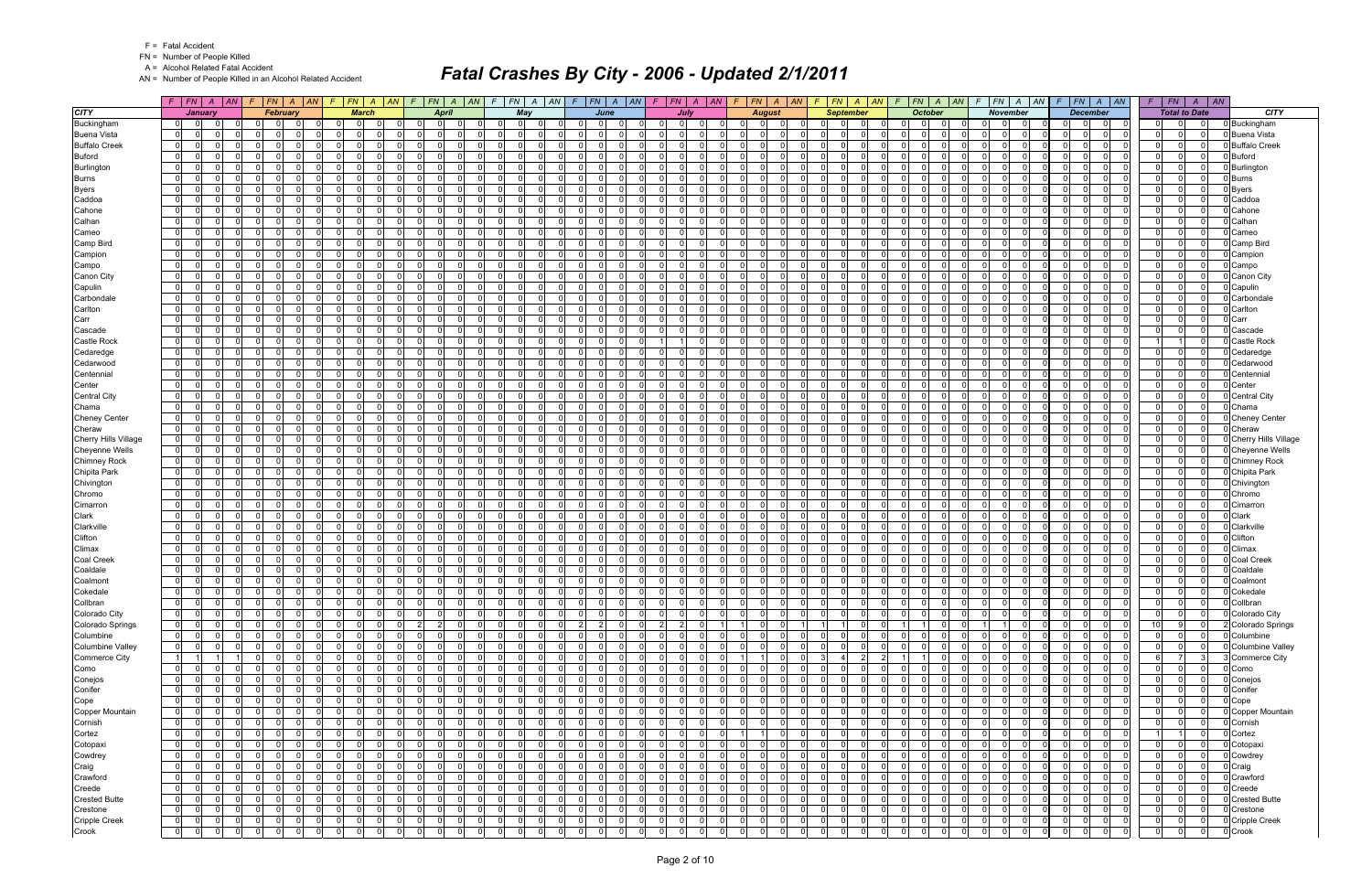|  | <b>Fatal Accident</b> |
|--|-----------------------|
|--|-----------------------|

A = Alcohol Related Fatal Accident

AN = Number of People Killed in an Alcohol Related Accident

| May<br>July<br><b>Total to Date</b><br><b>February</b><br><b>March</b><br><b>April</b><br>June<br><b>October</b><br><b>November</b><br><b>December</b><br>January<br><b>August</b><br><b>September</b><br>0 Buckingham<br>Buckingham<br>$\overline{0}$<br>$\overline{0}$<br>$\mathbf{0}$<br>$\overline{0}$<br>$\mathbf{0}$<br>- O I<br>$\Omega$<br>$\mathbf 0$<br>$\Omega$<br>$\mathbf 0$<br>$\overline{0}$<br>- O I<br>$\overline{0}$<br>$\Omega$<br>- O I<br>$\Omega$<br>$\Omega$<br>0 I<br>$\mathbf 0$<br>$\overline{0}$<br>$\Omega$<br>$\mathbf 0$<br>$\Omega$<br>- O I<br>- O I<br>$\Omega$<br>$\Omega$<br>$\Omega$<br>0 I<br>0 I<br>$\overline{0}$<br>0 I<br>$\Omega$<br>0 I<br>- 0<br>$\Omega$<br>0 I<br>$\Omega$<br>0<br><b>Buena Vista</b><br>-ol<br> 0 <br><b>Buena Vista</b><br>$\Omega$<br>$\Omega$<br>- 0 l<br>$\Omega$<br>$\Omega$<br>$\Omega$<br>0<br>$\Omega$<br>$\Omega$<br>$\Omega$<br>$\Omega$<br>$\Omega$<br>$\Omega$<br>$\Omega$<br><sup>n</sup><br>$\Omega$<br>$\Omega$<br>$\Omega$<br>- 0<br>$\Omega$<br><sup>n</sup><br><sup>n</sup><br>$\Omega$<br>$\Omega$<br><b>Buffalo Creek</b><br>$\overline{0}$<br><b>Buffalo Creek</b><br>$\mathbf 0$<br>n l<br>$\Omega$<br>$\Omega$<br>n l<br>0 I<br>$\Omega$<br>$\Omega$<br>$\mathbf{0}$<br>$\Omega$<br>$\Omega$<br>$\Omega$<br>$\Omega$<br>0 I<br>$\Omega$<br>-01<br>$\Omega$<br>$\Omega$<br>$\Omega$<br>$\Omega$<br>$\Omega$<br>n l<br>$\Omega$<br>- O I<br>$\Omega$<br>$\Omega$<br>$\overline{0}$<br>$\overline{0}$<br>$\Omega$<br>$\Omega$<br>$\Omega$<br>$\Omega$<br><sup>n</sup><br>$\Omega$<br>- 0<br> 0 <br> 0 <br>$\Omega$<br>0 Buford<br><b>Buford</b><br>$\mathbf 0$<br>n l<br>$\Omega$<br>$\Omega$<br>$\Omega$<br>$\Omega$<br>$\Omega$<br>$\Omega$<br>$\Omega$<br>$\Omega$<br>$\Omega$<br>$\Omega$<br>$\Omega$<br>$\Omega$<br>$\Omega$<br>$\Omega$<br>$\Omega$<br>$\Omega$<br>n l<br>$\Omega$<br>$\Omega$<br>$\Omega$<br>$\Omega$<br>$\Omega$<br>$\Omega$<br>$\Omega$<br>$\Omega$<br>- 0<br>$\Omega$<br> 0 <br>Burlington<br>$\overline{0}$<br>n l<br>$\Omega$<br>$\Omega$<br>$\Omega$<br>$\Omega$<br>$\overline{0}$<br>- 0 l<br>$\Omega$<br>- 0 l<br>$\Omega$<br>$\Omega$<br>$\Omega$<br>n l<br>$\Omega$<br>- 0 l<br>$\Omega$<br>-01<br>$\Omega$<br>$\Omega$<br>$\Omega$<br>$\Omega$<br>$\Omega$<br>$\Omega$<br>0 Burlington<br>$\Omega$<br>$\Omega$<br>$\Omega$<br>$\Omega$<br>$\Omega$<br>$\Omega$<br>$\Omega$<br>- 0<br>-ol<br>$\Omega$<br> 0 <br>$\Omega$<br>$\overline{0}$<br>n l<br>$\Omega$<br>$\Omega$<br>n l<br>- Ol<br>$\Omega$<br>$\Omega$<br>$\Omega$<br>$\Omega$<br>$\Omega$<br>$\Omega$<br>$\Omega$<br>$\Omega$<br>- 0 l<br>$\Omega$<br>$\Omega$<br>$\Omega$<br>$\Omega$<br>n l<br>$\Omega$<br>$\Omega$<br>$\Omega$<br>$\Omega$<br>$\Omega$<br>$\Omega$<br>$\Omega$<br>0 Burns<br><b>Burns</b><br>- 0<br>$\Omega$<br>$\overline{0}$<br>$\overline{0}$<br>$\Omega$<br>$\Omega$<br>$\Omega$<br>$\Omega$<br>- 0 l<br>$\Omega$<br>n l<br>- 0 l<br> 0 <br>$\Omega$<br>$\Omega$<br>$\Omega$<br>0 Byers<br><b>Byers</b><br>$\Omega$<br>$\Omega$<br>$\Omega$<br>0<br>$\overline{0}$<br>$\Omega$<br>$\Omega$<br>$\Omega$<br>$\Omega$<br>$\Omega$<br>$\Omega$<br>$\Omega$<br>$\Omega$<br>$\Omega$<br>$\Omega$<br>$\Omega$<br>- Ol<br>$\Omega$<br> 0 <br>$\mathbf 0$<br>$\Omega$<br>$\Omega$<br>$\Omega$<br>$\Omega$<br>$\Omega$<br>$\Omega$<br>$\Omega$<br>$\Omega$<br>$\Omega$<br>n<br>-ol<br>$\Omega$<br>$\Omega$<br>$\Omega$<br>$\Omega$<br>Caddoa<br>$\Omega$<br>$\Omega$<br>$\Omega$<br>$\Omega$<br>$\Omega$<br>$\Omega$<br>$\Omega$<br>$\Omega$<br>$\Omega$<br>$\Omega$<br>$\Omega$<br>$\Omega$<br>$\Omega$<br>$\Omega$<br>0 Caddoa<br>$\Omega$<br>0 Cahone<br>Cahone<br>$\Omega$<br>-01<br>$\overline{0}$<br>- 0 l<br>$\Omega$<br>- 0 l<br>$\Omega$<br>$\Omega$<br>$\Omega$<br>$\Omega$<br>$\Omega$<br>$\Omega$<br> 0 <br>$\Omega$<br>$\Omega$<br>$\mathbf 0$<br>$\Omega$<br>n l<br> 0 <br>$\Omega$<br>- O I<br>$\Omega$<br>- Ol<br>$\Omega$<br>$\Omega$<br>$\Omega$<br>$\Omega$<br>$\Omega$<br> 0 <br>0 I<br>- O I<br>$\Omega$<br>- 0<br>$\Omega$<br>$\Omega$<br>n<br>-ol<br>$\Omega$<br>$\Omega$<br>$\Omega$<br> 0 <br>0 Calhan<br>Calhan<br>$\Omega$<br>$\Omega$<br>$\Omega$<br>$\Omega$<br>$\Omega$<br>$\Omega$<br>$\Omega$<br>$\Omega$<br>- 0 l<br>$\Omega$<br>$\Omega$<br>$\Omega$<br>$\Omega$<br>$\Omega$<br>$\Omega$<br>$\Omega$<br>$\Omega$<br>$\Omega$<br>$\Omega$<br>$\Omega$<br>$\Omega$<br>$\Omega$<br>$\Omega$<br>$\Omega$<br>$\overline{0}$<br>Cameo<br>$\overline{0}$<br>$\Omega$<br>$\Omega$<br>0 I<br>- 0 l<br>$\Omega$<br>n l<br>0 I<br>-01<br>$\Omega$<br>$\Omega$<br>$\Omega$<br>0 Cameo<br>- O I<br>$\Omega$<br>$\mathbf 0$<br>$\Omega$<br>$\Omega$<br>$\Omega$<br>$\Omega$<br>$\Omega$<br>$\Omega$<br>$\Omega$<br>$\Omega$<br>$\Omega$<br>$\Omega$<br>$\Omega$<br>$\Omega$<br>$\Omega$<br>$\Omega$<br>$\Omega$<br>- Ol<br>$\Omega$<br>- 0<br>$\Omega$<br>$\Omega$<br>$\Omega$<br>$\Omega$<br>n<br> 0 <br>$\Omega$<br>$\Omega$<br> 0 <br>$\Omega$<br>Camp Bird<br>Camp Bird<br>$\Omega$<br>$\Omega$<br>$\Omega$<br>$\Omega$<br>$\Omega$<br>$\Omega$<br>$\Omega$<br>$\Omega$<br>$\Omega$<br>$\Omega$<br>$\Omega$<br>$\Omega$<br>$\Omega$<br>$\Omega$<br>$\Omega$<br>$\Omega$<br>$\Omega$<br>$\Omega$<br>$\Omega$<br> 0 <br>$\mathbf 0$<br>$\Omega$<br>$\Omega$<br>$\Omega$<br>$\Omega$<br>$\Omega$<br>$\Omega$<br>$\Omega$<br>0 Campion<br>Campion<br><sup>0</sup><br>$\Omega$<br>0<br>$\Omega$<br>$\Omega$<br>$\mathbf 0$<br>$\Omega$<br>$\Omega$<br>$\Omega$<br>$\Omega$<br>$\mathbf 0$<br>$\Omega$<br>$\Omega$<br>$\Omega$<br>$\Omega$<br>$\Omega$<br><sup>0</sup><br>$\Omega$<br>$\Omega$<br>$\Omega$<br>-ol<br> 0 <br>$\overline{0}$<br>n l<br>$\Omega$<br>$\Omega$<br>$\Omega$<br>$\Omega$<br>$\overline{0}$<br>$\Omega$<br>$\Omega$<br>- 0 l<br>$\Omega$<br>$\Omega$<br>$\overline{0}$<br>$\Omega$<br>$\Omega$<br><sup>0</sup><br>- 0 l<br>$\Omega$<br>$\overline{0}$<br>$\mathbf 0$<br>$\Omega$<br>$\Omega$<br>n l<br>$\Omega$<br>0 Campo<br>Campo<br>- O I<br>$\Omega$<br>$\Omega$<br>$\Omega$<br>- O I<br>$\Omega$<br>$\Omega$<br>Canon City<br>-ol<br> 0 <br>0 Canon City<br>$\Omega$<br>$\Omega$<br>$\Omega$<br>$\Omega$<br>n l<br>- 0 l<br>$\Omega$<br>$\Omega$<br>$\Omega$<br>$\Omega$<br>0<br>$\Omega$<br>$\Omega$<br>$\Omega$<br>0<br>$\Omega$<br>$\Omega$<br>$\Omega$<br>$\Omega$<br>$\Omega$<br>$\Omega$<br>$\Omega$<br>$\Omega$<br>$\Omega$<br>$\Omega$<br>$\Omega$<br>0<br>$\Omega$<br>$\Omega$<br>$\Omega$<br>$\Omega$<br> 0 <br>$\Omega$<br>$\overline{0}$<br>Capulin<br>$\overline{0}$<br>nl<br>$\Omega$<br>$\Omega$<br>n l<br>$\Omega$<br>0 I<br>$\Omega$<br>$\Omega$<br>$\Omega$<br>$\Omega$<br>$\Omega$<br>$\Omega$<br>n l<br>0 I<br>$\Omega$<br><sup>0</sup><br>0 I<br>$\Omega$<br>$\Omega$<br>$\Omega$<br>$\Omega$<br>$\Omega$<br>$\Omega$<br>$\overline{0}$<br>$\Omega$<br>nl<br>$\Omega$<br>0 Capulin<br>- O I<br>$\cap$<br>$\cap$<br>$\Omega$<br>$\Omega$<br> 0 <br> 0 <br>Carbondale<br>$\Omega$<br>- 0 l<br>$\Omega$<br>$\Omega$<br>$\Omega$<br>$\Omega$<br>0 Carbondale<br>$\mathbf 0$<br>0<br>$\Omega$<br>$\Omega$<br>$\Omega$<br>0<br>$\Omega$<br>$\Omega$<br>$\Omega$<br>$\Omega$<br>$\Omega$<br>$\Omega$<br>$\Omega$<br>$\Omega$<br>$\Omega$<br>$\Omega$<br>$\Omega$<br>0<br>$\Omega$<br>$\Omega$<br>$\Omega$<br>$\Omega$<br>$\Omega$<br>- 0<br>$\Omega$<br>-ol<br>$\Omega$<br> 0 <br>Carlton<br>$\overline{0}$<br>n l<br>$\Omega$<br>$\Omega$<br>n l<br>$\Omega$<br>0 I<br>$\Omega$<br>$\Omega$<br>- 0 l<br>$\Omega$<br>$\Omega$<br>$\Omega$<br>n l<br>$\Omega$<br>$\Omega$<br>- 0 l<br>$\Omega$<br>$\Omega$<br>$\Omega$<br>$\Omega$<br>$\Omega$<br>$\Omega$<br>n l<br>$\Omega$<br>$\Omega$<br>0 Carlton<br>$\Omega$<br>$\Omega$<br>$\Omega$<br> 0 <br>$\overline{0}$<br>$\Omega$<br>$\Omega$<br>$\Omega$<br>- 0 l<br> 0 <br>$\Omega$<br>$\Omega$<br>$\Omega$<br>0 Carr<br>Carr<br>$\Omega$<br>$\Omega$<br>$\Omega$<br>$\Omega$<br>$\Omega$<br>$\Omega$<br>$\Omega$<br>$\Omega$<br>$\mathbf 0$<br>$\Omega$<br>$\Omega$<br>$\Omega$<br>$\Omega$<br>$\Omega$<br>$\Omega$<br>$\Omega$<br>$\Omega$<br>$\Omega$<br>$\Omega$<br>- Ol<br>$\Omega$<br>- 0<br>$\Omega$<br>$\Omega$<br>$\mathbf 0$<br>$\Omega$<br>-ol<br>$\overline{0}$<br>nl<br>$\Omega$<br>$\Omega$<br>$\Omega$<br>$\Omega$<br>$\Omega$<br>$\Omega$<br>$\Omega$<br>$\Omega$<br>$\Omega$<br>$\Omega$<br>$\Omega$<br>nl<br>$\Omega$<br>$\Omega$<br>$\Omega$<br>$\Omega$<br>$\Omega$<br>$\Omega$<br>$\Omega$<br>$\Omega$<br>n l<br>$\Omega$<br>0 Cascade<br>Cascade<br>$\Omega$<br>$\Omega$<br>$\Omega$<br>$\Omega$<br>$\Omega$<br>$\Omega$<br>- 0<br>Castle Rock<br>$\Omega$<br>$\mathbf 0$<br>n l<br>$\Omega$<br>$\Omega$<br>$\Omega$<br>$\Omega$<br>- 0 l<br>$\Omega$<br>- 0 l<br> 0 <br>$\mathbf 0$<br>$\Omega$<br>$\Omega$<br>0 Castle Rock<br>$\Omega$<br>$\Omega$<br>$\Omega$<br>$\Omega$<br>$\Omega$<br>$\Omega$<br>$\Omega$<br>$\Omega$<br>$\Omega$<br>$\Omega$<br>$\Omega$<br>$\Omega$<br>ŋ<br>$\Omega$<br>$\Omega$<br>$1 \vert$<br>- 0<br>-ol<br>$\Omega$<br>$\overline{0}$<br>Cedaredge<br>$\mathbf 0$<br>n l<br>$\Omega$<br>$\Omega$<br>n l<br>$\Omega$<br>$\overline{0}$<br>- 0 l<br>$\Omega$<br>- 0 l<br>$\Omega$<br>$\Omega$<br>$\Omega$<br>$\Omega$<br>$\Omega$<br>$\Omega$<br>$\Omega$<br>- 0 l<br>$\Omega$<br>$\Omega$<br>$\Omega$<br>$\Omega$<br>$\Omega$<br>$\Omega$<br>n l<br>$\Omega$<br>$\Omega$<br>0 Cedaredge<br>- O I<br>$\Omega$<br>$\Omega$<br>Cedarwood<br> 0 <br>$\Omega$<br>$\Omega$<br> 0 <br>0 Cedarwood<br>- O I<br>0<br>$\Omega$<br>$\Omega$<br>0<br>$\Omega$<br>$\Omega$<br>$\Omega$<br>$\Omega$<br>$\mathbf 0$<br>$\Omega$<br>$\Omega$<br>$\Omega$<br>$\Omega$<br>$\Omega$<br>$\mathbf 0$<br>$\Omega$<br>$\Omega$<br>$\Omega$<br>$\Omega$<br>$\Omega$<br>$\Omega$<br>$\Omega$<br>- 0<br>- 0<br>$\Omega$<br>$\Omega$<br>$\Omega$<br>$\Omega$<br>$\overline{0}$<br>$\Omega$<br>0l<br>$\Omega$<br>-ol<br>$\Omega$<br>$\Omega$<br>$\overline{0}$<br>Centennial<br>- Ol<br>nl<br>$\Omega$<br>$\Omega$<br>n l<br>$\Omega$<br>$\Omega$<br>$\Omega$<br>$\Omega$<br>$\Omega$<br>$\Omega$<br>$\Omega$<br>n l<br>$\Omega$<br>$\Omega$<br>0 I<br>$\Omega$<br>$\Omega$<br>$\Omega$<br>$\Omega$<br>$\Omega$<br>$\Omega$<br>$\Omega$<br>nl<br>$\Omega$<br>$\Omega$<br>0 Centennial<br>$\Omega$<br> 0 <br> 0 <br>Center<br>$\mathbf 0$<br>$\Omega$<br>$\Omega$<br>$\Omega$<br>$\Omega$<br>$\mathbf 0$<br>$\mathbf 0$<br>$\Omega$<br>$\Omega$<br>0 Center<br>$\Omega$<br>$\Omega$<br>$\Omega$<br>$\Omega$<br>0<br>$\Omega$<br>$\Omega$<br>$\Omega$<br>$\mathbf 0$<br>$\Omega$<br>$\Omega$<br>$\Omega$<br>$\Omega$<br>$\Omega$<br>$\mathbf 0$<br>$\Omega$<br>$\Omega$<br>$\mathbf 0$<br>$\Omega$<br>- 0<br>$\Omega$<br>$\Omega$<br> 0 <br><b>Central City</b><br>$\overline{0}$<br>0 I<br>$\Omega$<br>$\Omega$<br>$\Omega$<br> 0 <br>$\Omega$<br>$\Omega$<br>$\Omega$<br>$\Omega$<br>0 Central City<br>- O I<br>- Ol<br>$\Omega$<br>$\Omega$<br>$\Omega$<br>$\Omega$<br>$\Omega$<br>$\mathbf 0$<br>$\mathbf 0$<br>$\Omega$<br>$\Omega$<br>$\Omega$<br>$\Omega$<br>$\Omega$<br>$\mathbf 0$<br>$\Omega$<br>$\Omega$<br>$\Omega$<br>- O I<br>$\Omega$<br>- Ol<br>$\Omega$<br>-ol<br> 0 <br>Chama<br>$\overline{0}$<br>$\Omega$<br>$\Omega$<br>$\Omega$<br>$\Omega$<br>$\Omega$<br>- 0 l<br>$\Omega$<br>$\Omega$<br>$\Omega$<br>$\Omega$<br>0 Chama<br>$\Omega$<br>$\Omega$<br>$\Omega$<br>$\Omega$<br>$\Omega$<br>$\Omega$<br>$\Omega$<br>$\Omega$<br>$\Omega$<br>$\Omega$<br>$\Omega$<br>$\Omega$<br>$\Omega$<br>$\Omega$<br>$\Omega$<br>$\Omega$<br>$\Omega$<br>$\Omega$<br>$\Omega$<br>- 0<br>$\overline{0}$<br><b>Cheney Center</b><br>$\overline{0}$<br>$\Omega$<br>$\Omega$<br>$\Omega$<br>$\Omega$<br>- 0 l<br>$\Omega$<br>$\Omega$<br>$\Omega$<br>- 0 l<br>$\Omega$<br> 0 <br>$\Omega$<br>$\Omega$<br>$\Omega$<br>$\Omega$<br>0 Cheney Center<br>$\Omega$<br>$\Omega$<br>$\Omega$<br>$\Omega$<br>0<br>$\Omega$<br>$\Omega$<br>$\Omega$<br>$\Omega$<br>$\Omega$<br>$\Omega$<br>$\Omega$<br>$\Omega$<br>$\Omega$<br>$\Omega$<br> 0 <br>Cheraw<br>$\mathbf 0$<br>n<br>$\Omega$<br>$\Omega$<br>$\Omega$<br>$\Omega$<br>n<br>-ol<br>-ol<br>$\Omega$<br>$\Omega$<br>$\Omega$<br>0 Cheraw<br>$\Omega$<br>$\Omega$<br>$\Omega$<br>$\Omega$<br>$\Omega$<br>$\Omega$<br>$\Omega$<br>$\Omega$<br>$\Omega$<br>$\Omega$<br>$\Omega$<br>$\Omega$<br>$\Omega$<br>$\Omega$<br>$\Omega$<br>$\Omega$<br>$\Omega$<br>$\Omega$<br>$\Omega$<br><b>Cherry Hills Village</b><br> 0 <br>$\Omega$<br>$\Omega$<br>$\Omega$<br>$\Omega$<br>$\Omega$<br>$\Omega$<br>- 0 l<br>$\Omega$<br>$\Omega$<br>$\Omega$<br>$\Omega$<br>$\Omega$<br>- 0 l<br>$\Omega$<br> 0 <br>$\Omega$<br>$\Omega$<br>$\Omega$<br>$\Omega$<br>$\Omega$<br>0 Cherry Hills Village<br>- O I<br>$\Omega$<br>$\Omega$<br>$\Omega$<br>$\Omega$<br>$\Omega$<br>$\Omega$<br>0<br>- 0<br>$\Omega$<br><b>Cheyenne Wells</b><br>n<br>$\Omega$<br> 0 <br>$\Omega$<br> 0 <br>0 Cheyenne Wells<br>$\Omega$<br>$\Omega$<br>$\Omega$<br>$\Omega$<br>$\Omega$<br>$\Omega$<br>$\Omega$<br>$\Omega$<br>n l<br>$\Omega$<br>- 0 l<br>$\Omega$<br>$\Omega$<br>$\Omega$<br>$\Omega$<br>$\Omega$<br>$\Omega$<br>$\Omega$<br>$\Omega$<br>$\Omega$<br>$\Omega$<br>$\Omega$<br>$\Omega$<br><sup>0</sup><br>$\Omega$<br>$\Omega$<br>$\Omega$<br>-ol<br>$\overline{0}$<br><b>Chimney Rock</b><br>$\overline{0}$<br>n l<br>$\Omega$<br>$\Omega$<br>$\Omega$<br>0 I<br>$\Omega$<br>$\Omega$<br>- 0 l<br>$\Omega$<br>$\Omega$<br>n l<br>$\Omega$<br>0 I<br>$\Omega$<br>$\Omega$<br>$\Omega$<br>$\Omega$<br>$\Omega$<br>$\Omega$<br>0 Chimney Rock<br>- O I<br>$\Omega$<br>$\overline{0}$<br>$\Omega$<br>$\Omega$<br>$\Omega$<br>$\Omega$<br>$\Omega$<br>n<br>$\Omega$<br>$\Omega$<br>- Ol<br>- 0<br>Chipita Park<br> 0 <br>$\Omega$<br> 0 <br>$\Omega$<br>0 Chipita Park<br>$\mathbf 0$<br>n l<br>$\Omega$<br>$\Omega$<br>$\Omega$<br>$\Omega$<br>$\Omega$<br>$\Omega$<br>$\Omega$<br>- 0 l<br>$\Omega$<br>$\Omega$<br>$\Omega$<br>$\Omega$<br>$\Omega$<br>$\Omega$<br>$\Omega$<br>$\Omega$<br>$\Omega$<br>$\mathbf 0$<br>n l<br>$\Omega$<br>$\Omega$<br>$\Omega$<br>$\Omega$<br>$\Omega$<br>$\Omega$<br>$\Omega$<br>Chivington<br>-ol<br> 0 <br>0 Chivington<br>$\overline{0}$<br>$\Omega$<br>$\Omega$<br>$\Omega$<br>$\Omega$<br>$\Omega$<br>$\Omega$<br>$\Omega$<br>$\Omega$<br>- 0 l<br>$\Omega$<br>$\Omega$<br>$\Omega$<br>n l<br>$\Omega$<br>$\Omega$<br>- 0 l<br>$\Omega$<br>$\Omega$<br>$\Omega$<br>$\Omega$<br>$\Omega$<br>$\Omega$<br>$\Omega$<br>$\Omega$<br>$\Omega$<br>$\Omega$<br>$\Omega$<br>$\Omega$<br>$\Omega$<br>$\Omega$<br>-ol<br> 0 <br>$\Omega$<br>$\overline{0}$<br>n l<br>$\Omega$<br>$\Omega$<br>n l<br>- Ol<br>$\Omega$<br>$\Omega$<br>$\Omega$<br>$\Omega$<br>$\Omega$<br>$\Omega$<br>- 0 l<br>$\Omega$<br>$\Omega$<br>$\Omega$<br>$\Omega$<br>$\Omega$<br>n l<br>0 Chromo<br>Chromo<br>$\Omega$<br>$\Omega$<br>$\Omega$<br>$\Omega$<br>$\Omega$<br>$\Omega$<br>- 0<br>$\Omega$<br>$\Omega$<br> 0 <br>0 Cimarron<br>Cimarron<br>$\overline{0}$<br>$\Omega$<br>$\Omega$<br>$\Omega$<br>$\Omega$<br>$\Omega$<br>- 0 l<br>$\Omega$<br>n l<br>- 0 l<br>$\Omega$<br> 0 <br>$\Omega$<br>$\Omega$<br>$\Omega$<br>$\Omega$<br>$\Omega$<br>$\Omega$<br>$\Omega$<br>$\mathbf 0$<br>0<br>$\overline{0}$<br>$\Omega$<br>$\Omega$<br>$\Omega$<br>$\Omega$<br>$\Omega$<br>$\Omega$<br>$\Omega$<br>$\Omega$<br>$\Omega$<br>$\Omega$<br>- Ol<br> 0 <br>Clark<br>$\mathbf 0$<br>nl<br>$\Omega$<br>$\Omega$<br>$\Omega$<br>$\Omega$<br>$\Omega$<br>$\Omega$<br>n<br>-ol<br>$\Omega$<br>-ol<br>$\Omega$<br>$\Omega$<br>$\Omega$<br>$\Omega$<br>0 Clark<br>$\Omega$<br>$\Omega$<br>$\Omega$<br>$\Omega$<br>$\Omega$<br>$\Omega$<br>$\Omega$<br>$\Omega$<br>$\Omega$<br>$\Omega$<br>$\Omega$<br>$\Omega$<br>$\Omega$<br>$\Omega$<br>$\Omega$<br>$\Omega$<br>Clarkville<br> 0 <br>$\overline{0}$<br> 0 <br>0 Clarkville<br>$\mathbf 0$<br>$\Omega$<br>$\mathbf{0}$<br>$\Omega$<br>$\overline{0}$<br>0<br>$\overline{0}$<br>0<br>$\Omega$<br> 0 <br>0<br>0<br>$\mathbf{0}$<br>0l<br>$\Omega$<br>01<br> 0 <br>$\Omega$<br>$\Omega$<br>$\mathbf 0$<br>$\mathbf 0$<br>$\mathbf 0$<br>$\Omega$<br>$\Omega$<br>$\Omega$<br>- 0<br>$\Omega$<br>$\Omega$<br>$\Omega$<br>$\Omega$<br>Clifton<br>$\Omega$<br>-ol<br> 0 <br>0 Clifton<br>$\overline{0}$<br>$\Omega$<br>$\Omega$<br>$\Omega$<br>$\Omega$<br>$\Omega$<br>$\Omega$<br>$\Omega$<br>$\Omega$<br>$\Omega$<br>$\Omega$<br>$\Omega$<br>n l<br>$\Omega$<br>$\Omega$<br>$\Omega$<br>$\Omega$<br>$\Omega$<br>$\Omega$<br>$\Omega$<br>$\Omega$<br>$\Omega$<br>$\Omega$<br>$\Omega$<br>$\Omega$<br>$\Omega$<br>$\Omega$<br>$\Omega$<br>$\Omega$<br>-ol<br> 0 <br>Climax<br>$\overline{0}$<br>$\Omega$<br>$\Omega$<br>$\Omega$<br>$\Omega$<br>- 0 l<br>$\Omega$<br>$\Omega$<br>$\Omega$<br>0 Climax<br>$\Omega$<br>$\Omega$<br>$\Omega$<br>$\Omega$<br>$\Omega$<br>$\Omega$<br>$\Omega$<br>$\Omega$<br>$\mathbf 0$<br>$\Omega$<br>$\Omega$<br>$\Omega$<br>$\Omega$<br>$\Omega$<br>$\Omega$<br>$\Omega$<br>$\Omega$<br>$\Omega$<br>$\Omega$<br>$\Omega$<br>$\Omega$<br>- 0<br>$\Omega$<br><b>Coal Creek</b><br>$\overline{0}$<br>$\Omega$<br>$\overline{0}$<br> 0 <br>$\Omega$<br> 0 <br>0 Coal Creek<br>$\overline{0}$<br>n l<br>$\Omega$<br>$\Omega$<br>$\Omega$<br>-01<br>- 0 l<br>$\Omega$<br>$\mathbf{0}$<br>$\Omega$<br>$\Omega$<br>$\Omega$<br>$\Omega$<br>$\Omega$<br>- 0 l<br>$\Omega$<br>$\Omega$<br>$\Omega$<br>$\Omega$<br>$\Omega$<br>$\Omega$<br>$\Omega$<br>n l<br>$\Omega$<br>$\Omega$<br>$\Omega$<br>$\Omega$<br>$\Omega$<br>- 0<br> 0 <br>Coaldale<br>$\Omega$<br>$\Omega$<br>$\Omega$<br>-ol<br>$\Omega$<br>$\overline{0}$<br>$\Omega$<br>$\Omega$<br>$\Omega$<br>$\Omega$<br>$\Omega$<br>$\Omega$<br>$\Omega$<br>$\Omega$<br>$\Omega$<br>$\Omega$<br>- 0 l<br>$\Omega$<br>$\Omega$<br>$\Omega$<br>$\Omega$<br>$\Omega$<br>$\Omega$<br>0 Coaldale<br>$\Omega$<br>$\Omega$<br>0<br>$\Omega$<br>$\Omega$<br>$\Omega$<br>$\Omega$<br>$\Omega$<br> 0 <br> 0 <br>Coalmont<br>n l<br>$\Omega$<br>$\Omega$<br>$\Omega$<br>-01<br>$\overline{0}$<br> 0 <br>$\Omega$<br>- 0 l<br>$\Omega$<br>$\mathbf 0$<br>$\overline{0}$<br>$\Omega$<br>$\Omega$<br>$\Omega$<br>$\Omega$<br> 0 <br>$\Omega$<br>$\overline{0}$<br>$\Omega$<br>$\mathbf 0$<br>$\mathbf 0$<br>n l<br>$\Omega$<br>0 Coalmont<br>$\overline{0}$<br>$\mathbf 0$<br>$\Omega$<br>0 I<br>- O I<br>0 I<br>0<br>$\Omega$<br>ol<br>$\overline{0}$<br>$\Omega$<br>$\Omega$<br>-ol<br>$\Omega$<br>$\Omega$<br>$\Omega$<br> 0 <br>0 Cokedale<br>Cokedale<br>$\Omega$<br>$\Omega$<br>$\Omega$<br>$\Omega$<br>$\Omega$<br>- 0 l<br>$\Omega$<br>$\Omega$<br>$\Omega$<br>$\Omega$<br>$\Omega$<br>- O I<br>$\Omega$<br>$\Omega$<br>$\Omega$<br>$\Omega$<br>$\Omega$<br>$\Omega$<br>$\Omega$<br>$\Omega$<br>$\Omega$<br>Collbran<br>$\mathbf 0$<br>$\overline{0}$<br>$\overline{0}$<br>$\Omega$<br>0<br>$\overline{0}$<br>0<br>$\Omega$<br>$\Omega$<br>$\Omega$<br>$\Omega$<br>$\mathbf 0$<br>$\mathbf 0$<br>$\Omega$<br>0 Collbran<br>$\Omega$<br>01<br>0<br>$\Omega$<br>0<br>0<br>$\Omega$<br>$\overline{0}$<br>0 Colorado City<br>Colorado City<br> 0 <br>$\overline{0}$<br> 0 <br>$\Omega$<br> 0 <br> 0 <br>$\overline{0}$<br> 0 <br>$\Omega$<br> 0 <br>$\mathbf 0$<br> 0 <br>$\Omega$<br>$\mathbf 0$<br> 0 <br>$\mathbf 0$<br>$\mathbf 0$<br>$\overline{0}$<br>$\overline{0}$<br>$\Omega$<br>$\Omega$<br>0<br>$\mathbf 0$<br>$\Omega$<br>$\Omega$<br>$\Omega$<br>$\overline{0}$<br>$\Omega$<br>$\Omega$<br>$\Omega$<br>Colorado Springs<br>$\overline{0}$<br>$\overline{2}$<br>$\vert$ 2<br>$\overline{2}$<br>$\overline{2}$<br>$\overline{2}$<br>10 <sup>1</sup><br>9 <sup>1</sup><br>2 Colorado Springs<br>$\overline{0}$<br>$\overline{0}$<br>$\Omega$<br>$\Omega$<br>0 I<br> 0 <br>$\mathbf 0$<br> 0 <br> 0 <br>$\overline{0}$<br>$\vert$ 2<br>$\Omega$<br>$\mathbf{0}$<br>$\Omega$<br>11<br>$\overline{0}$<br>11<br>$\overline{1}$<br>$\mathbf 0$<br>$\overline{0}$<br>0 I<br>$\Omega$<br>- O I<br>$\mathbf 0$<br>$1 \vert$<br>0 I<br>Columbine<br> 0 <br>0 Columbine<br>$\overline{0}$<br>- 0 l<br>$\overline{0}$<br>$\mathbf 0$<br> 0 <br> 0 <br>$\overline{0}$<br>$\mathbf 0$<br> 0 <br>$\mathbf 0$<br>$\mathbf 0$<br>$\overline{0}$<br> 0 <br>$\overline{0}$<br> 0 <br>$\overline{0}$<br>$\mathbf 0$<br>- O I<br>$\mathbf 0$<br> 0 <br>- O I<br>0<br>$\overline{0}$<br>$\overline{0}$<br>$\Omega$<br>0 I<br>$\mathbf 0$<br>$\mathbf 0$<br>- O I<br>0 I<br>0l<br>$\Omega$<br>- 0<br>$\Omega$<br>0 Columbine Valley<br><b>Columbine Valley</b><br>$\mathbf 0$<br>$\Omega$<br> 0 <br>$\mathbf 0$<br>-ol<br> 0 <br>$\overline{0}$<br>$\overline{0}$<br>$\overline{0}$<br>0 I<br>$\Omega$<br>$\Omega$<br>- 0 l<br>$\Omega$<br>-01<br>0 I<br>$\overline{0}$<br>$\mathbf 0$<br>$\mathbf 0$<br> 0 <br>$\Omega$<br> 0 <br>$\Omega$<br>$\Omega$<br>$\overline{0}$<br>$\Omega$<br>$\Omega$<br>$\mathbf 0$<br>$\Omega$<br>$\mathbf 0$<br>$\Omega$<br>0 I<br>$\Omega$<br>$\Omega$<br>- 0<br>$6 \mid$<br>$\overline{0}$<br> 0 <br>$\overline{0}$<br> 3 <br>3 Commerce City<br><b>Commerce City</b><br>$\overline{0}$<br>$\mathbf 0$<br> 0 <br>$\overline{0}$<br>$\mathbf 0$<br>$\mathbf 0$<br> 0 <br> 0 <br> 0 <br>$\vert$ 2<br>$\overline{0}$<br>$\overline{0}$<br>$\Omega$<br>$\overline{1}$<br>- O I<br> 0 <br> 0 <br>$\mathbf 0$<br>0<br>11<br>$\Omega$<br>$\mathbf 0$<br>0 I<br><b>71</b><br>-3<br>$1 \vert$<br>$\Omega$<br> 0 <br>$\overline{0}$<br> 0 <br>$\mathbf 0$<br> 0 <br>$\overline{0}$<br>$\mathbf 0$<br>Como<br>$\overline{0}$<br> 0 <br>$\overline{0}$<br>$\Omega$<br>$\mathbf 0$<br> 0 <br> 0 <br>$\overline{0}$<br>$\mathbf 0$<br> 0 <br>$\overline{0}$<br>$\overline{0}$<br> 0 <br>$\overline{0}$<br>$\overline{0}$<br>$\overline{0}$<br>$\overline{0}$<br>$\overline{0}$<br>$\mathbf 0$<br>$\overline{0}$<br>$\mathbf 0$<br>$\overline{0}$<br> 0 <br>$\overline{0}$<br>01<br>$\mathbf 0$<br>$\Omega$<br>$\Omega$<br>$\Omega$<br>0 I<br>0 Como<br> 0 <br>$\Omega$<br> 0 <br>0 Conejos<br>$\overline{0}$<br> 0 <br>$\mathbf 0$<br>$\Omega$<br>$\Omega$<br>- 0 l<br>$\Omega$<br>Conejos<br>$\Omega$<br>$\Omega$<br>$\Omega$<br>0<br>0<br> 0 <br>0<br>$\mathbf{0}$<br>$\Omega$<br>$\Omega$<br>$\Omega$<br>$\mathbf{0}$<br>$\Omega$<br>$\Omega$<br>$\Omega$<br>$\Omega$<br>$\mathbf{0}$<br>-01<br>0<br>0I<br>$\Omega$<br>$\Omega$<br>Conifer<br>$\overline{0}$<br>0 Conifer<br>$\overline{0}$<br>$\overline{0}$<br>$\Omega$<br>0 I<br>$\overline{0}$<br>$\overline{0}$<br> 0 <br>$\overline{0}$<br>$\mathbf 0$<br>0 I<br>$\overline{0}$<br> 0 <br>$\overline{0}$<br>$\Omega$<br>$\mathbf 0$<br>- O I<br>$\mathbf 0$<br>$\mathbf 0$<br>0l<br> 0 <br>$\mathbf 0$<br>- O I<br>$\Omega$<br>$\Omega$<br>$\overline{0}$<br>$\Omega$<br>0 I<br>$\Omega$<br>- O I<br>0 I<br>$\Omega$<br>$\Omega$<br>- 0<br>$\Omega$<br>- 0<br>$\mathbf 0$<br>$\Omega$<br>$\Omega$<br> 0 <br>$\mathbf 0$<br>$\Omega$<br> 0 <br>$\overline{0}$<br>$\mathbf 0$<br>$\mathbf 0$<br> 0 <br>0 Cope<br>n l<br>$\Omega$<br>$\Omega$<br>0<br>$\Omega$<br> 0 <br>$\mathbf 0$<br>$\overline{0}$<br>$\Omega$<br>$\Omega$<br>$\Omega$<br>$\overline{0}$<br>$\Omega$<br>$\Omega$<br>$\Omega$<br>$\Omega$<br>$\Omega$<br>$\Omega$<br>Cope<br>$\Omega$<br>$\Omega$<br> 0 <br>$\overline{0}$<br>$\overline{0}$<br>Copper Mountain<br>$\overline{0}$<br>- 0 l<br>$\overline{0}$<br>$\Omega$<br>$\overline{0}$<br> 0 <br>$\overline{0}$<br>$\overline{0}$<br>$\mathbf 0$<br> 0 <br> 0 <br> 0 <br>$\overline{0}$<br>$\overline{0}$<br>$\overline{0}$<br>$\overline{0}$<br>$\overline{0}$<br>$\mathbf{0}$<br>$\overline{0}$<br>$\mathbf 0$<br>$\overline{0}$<br>$\overline{0}$<br>$\overline{0}$<br>0 I<br>$\Omega$<br>0 Copper Mountain<br>$\overline{0}$<br>$\Omega$<br>$\mathbf 0$<br>$\mathbf 0$<br>$\Omega$<br>$\Omega$<br>0 I<br>$\Omega$<br>- 0<br>Cornish<br>$\overline{0}$<br> 0 <br>$\mathbf 0$<br> 0 <br> 0 <br>$\mathbf 0$<br>$\overline{0}$<br> 0 <br> 0 <br> 0 <br>$\overline{0}$<br>$\mathbf 0$<br>$\mathbf 0$<br>$\mathbf 0$<br> 0 <br>$\Omega$<br>$\overline{0}$<br>$\Omega$<br>- 0 l<br>$\mathbf 0$<br> 0 <br> 0 <br> 0 <br>$\Omega$<br>$\Omega$<br>$\overline{0}$<br>$\overline{0}$<br>$\overline{0}$<br>$\overline{0}$<br> 0 <br>$\Omega$<br>0 Cornish<br>- O I<br>0<br>$\Omega$<br>$\Omega$<br>$\Omega$<br> 0 <br>0 Cortez<br>Cortez<br>$\overline{0}$<br>$\Omega$<br>$\Omega$<br> 0 <br> 0 <br>$\overline{0}$<br>$\overline{0}$<br> 0 <br>$\overline{0}$<br>$\mathbf 0$<br>$\Omega$<br>$\Omega$<br>$\Omega$<br>$\Omega$<br>$\mathbf 0$<br>$\overline{0}$<br>$1 \vert$<br>- O I<br>$\Omega$<br>$\Omega$<br>$\mathbf 0$<br>$\Omega$<br>$\mathbf 0$<br>- O I<br>$\Omega$<br>$\Omega$<br>0 I<br>$\Omega$<br>$\Omega$<br>$\overline{0}$<br>- 0<br>$\mathbf 0$<br>$\overline{0}$<br>$\Omega$<br> 0 <br> 0 <br>$\Omega$<br> 0 <br>$\mathbf 0$<br>$\mathbf 0$<br> 0 <br> 0 <br> 0 <br>$\Omega$<br>$\mathbf 0$<br>$\mathbf 0$<br>$\overline{0}$<br>0 Cotopaxi<br>Cotopaxi<br>$\Omega$<br>$\Omega$<br>$\Omega$<br> 0 <br> 0 <br>$\overline{0}$<br>$\Omega$<br>$\Omega$<br>$\Omega$<br>$\overline{0}$<br>$\Omega$<br>$\Omega$<br>$\Omega$<br>$\Omega$<br>$\Omega$<br>$\Omega$<br>$\Omega$<br> 0 <br>$\overline{0}$<br>$\mathbf 0$<br>$\Omega$<br> 0 <br> 0 <br> 0 <br>$\overline{0}$<br>$\mathbf 0$<br> 0 <br>$\mathbf 0$<br>$\mathbf 0$<br> 0 <br>$\Omega$<br>$\Omega$<br> 0 <br> 0 <br>$\Omega$<br>$\overline{0}$<br>$\mathbf 0$<br>$\mathbf 0$<br>$\mathbf 0$<br>$\Omega$<br>$\Omega$<br>0 Cowdrey<br>Cowdrey<br>- O I<br>$\mathbf{0}$<br>$\mathbf 0$<br>$\Omega$<br>- O I<br>0 I<br>- O I<br>0 I<br>- 0<br> 0 <br>$\mathbf 0$<br>$\overline{0}$<br>$\mathbf 0$<br> 0 <br>$\mathbf 0$<br>$\Omega$<br>$\Omega$<br> 0 <br>$\overline{0}$<br>$\mathbf 0$<br>$\mathbf 0$<br>Craig<br>$\Omega$<br>$\Omega$<br> 0 <br> 0 <br> 0 <br>$\mathbf 0$<br>$\overline{0}$<br>$\Omega$<br>$\Omega$<br>$\Omega$<br> 0 <br>$\overline{0}$<br>$\overline{0}$<br>$\mathbf 0$<br>$\overline{0}$<br>$\Omega$<br>$\Omega$<br>0 Craig<br>$\Omega$<br>$\Omega$<br>$\Omega$<br>$\Omega$<br>$\Omega$<br>$\overline{0}$<br>$\mathbf 0$<br> 0 <br>$\overline{0}$<br>$\overline{0}$<br>$\overline{0}$<br>$\overline{0}$<br>Crawford<br>- 0 l<br>$\mathbf 0$<br>- 0 l<br> 0 <br>0 I<br>$\overline{0}$<br>$\mathbf 0$<br> 0 <br>$\overline{0}$<br>$\overline{0}$<br>$\overline{0}$<br>0 I<br>-01<br>$\Omega$<br>$\mathbf{0}$<br>$\Omega$<br>$\overline{0}$<br>$\overline{0}$<br>$\Omega$<br>$\overline{0}$<br>$\overline{0}$<br>0 I<br>$\Omega$<br>0 Crawford<br>- O I<br>$\Omega$<br> 0 <br>$\Omega$<br>$\Omega$<br>$\Omega$<br>0 I<br>$\cap$<br>$\mathbf 0$<br> 0 <br> 0 <br>$\mathbf 0$<br> 0 <br> 0 <br> 0 <br>$\overline{0}$<br>$\mathbf 0$<br> 0 <br>0 Creede<br>Creede<br>$\mathbf 0$<br>$\Omega$<br>$\mathbf 0$<br> 0 <br> 0 <br> 0 <br>$\mathbf 0$<br>$\mathbf 0$<br>$\overline{0}$<br>$\mathbf 0$<br>$\mathbf 0$<br> 0 <br>$\overline{0}$<br>$\Omega$<br>$\mathbf 0$<br>$\mathbf 0$<br>$\mathbf 0$<br> 0 <br>$\Omega$<br>- O I<br>$\Omega$<br>$\mathbf 0$<br>$\Omega$<br><b>Crested Butte</b><br>$\mathbf 0$<br> 0 <br> 0 <br>$\overline{0}$<br> 0 <br>0 Crested Butte<br>$\Omega$<br>$\overline{0}$<br>$\mathbf 0$<br> 0 <br> 0 <br> 0 <br> 0 <br> 0 <br>$\overline{0}$<br> 0 <br> 0 <br>$\overline{0}$<br>$\overline{0}$<br>$\mathbf 0$<br>$\overline{0}$<br>$\overline{0}$<br>$\mathbf 0$<br>- O I<br>$\Omega$<br>$\mathbf 0$<br> 0 <br>01<br>$\Omega$<br>$\mathbf 0$<br>0<br>$\Omega$<br>0 I<br>$\Omega$<br>0 I<br>0l<br>$\overline{0}$<br> 0 <br> 0 <br>0 Crestone<br>$\overline{0}$<br>$\Omega$<br>$\mathbf 0$<br> 0 <br>$\overline{0}$<br>$\overline{0}$<br>$\overline{0}$<br> 0 <br> 0 <br> 0 <br>$\overline{0}$<br> 0 <br>$\Omega$<br>$\overline{0}$<br>$\overline{0}$<br>$\overline{0}$<br>$\mathbf 0$<br>$\overline{0}$<br>$\mathbf 0$<br>0 I<br>$\Omega$<br>Crestone<br>- O I<br>0 I<br>$\mathbf 0$<br> 0 <br>$\Omega$<br>$\Omega$<br>$\Omega$<br>0 I<br>$\mathbf 0$<br>0 I<br>0<br>- 0<br>Cripple Creek<br> 0 <br>$\overline{0}$<br> 0 <br>0 Cripple Creek<br>$\overline{0}$<br>$\overline{0}$<br>$\overline{0}$<br> 0 <br> 0 <br> 0 <br>$\overline{0}$<br>$\overline{0}$<br> 0 <br>$\mathbf 0$<br>$\mathbf 0$<br>$\overline{0}$<br>0l<br> 0 <br> 0 <br> 0 <br>$\overline{0}$<br>$\Omega$<br>$\mathbf 0$<br>$\mathbf 0$<br>$\mathbf 0$<br>$\overline{0}$<br> 0 <br>0<br> 0 <br>$\mathbf 0$<br>$\mathbf 0$<br>$\mathbf 0$<br> 0 <br>$\overline{0}$<br>- 0<br>0 I<br>$\mathbf 0$<br>- 0<br>$\Omega$<br>$\overline{0}$<br>$\overline{0}$<br> 0 <br> 0 <br> 0 <br> 0 <br>$\overline{0}$<br>Crook<br>$\overline{0}$<br>$\overline{0}$<br>$\overline{0}$<br>$\overline{0}$<br>$\overline{0}$<br> 0 <br> 0 <br>$\overline{0}$<br> 0 <br>$\mathbf 0$<br>$\overline{0}$<br> 0 <br>$\overline{0}$<br>$\overline{0}$<br> 0 <br>$\overline{0}$<br>$\overline{0}$<br>$\mathbf 0$<br> 0 <br>$\mathbf 0$<br>$\mathbf 0$<br>$\mathbf 0$<br>$\overline{0}$<br>$\overline{0}$<br>$\overline{0}$<br>$\overline{0}$<br>0 Crook<br>$\overline{0}$<br> 0 <br> 0 <br> 0 <br>$\mathbf 0$<br>$\Omega$ |             | $F$   $FN$   $A$   $AN$ | $FN \mid A \mid AN$<br>F. | $F N$ $A$ $AN$<br>F. | $\sqrt{F}$ | FN A<br> AN <br>$\mathcal{F}$ | $FN \mid A \mid AN$ | $F$   $FN$   $A$   $AN$  <br> FN <br>$\sqrt{F}$ | $A \parallel AN$<br>$FN \mid A$<br> AN<br>F. | $FN \mid A \mid AN$<br>F. | $FN \mid A \mid AN$<br>F. | FN A AN<br>$F$ $FN$ $A$ $AN$<br>$\sqrt{ }$ | $F$   $FN$   $A$   $AN$ |             |
|---------------------------------------------------------------------------------------------------------------------------------------------------------------------------------------------------------------------------------------------------------------------------------------------------------------------------------------------------------------------------------------------------------------------------------------------------------------------------------------------------------------------------------------------------------------------------------------------------------------------------------------------------------------------------------------------------------------------------------------------------------------------------------------------------------------------------------------------------------------------------------------------------------------------------------------------------------------------------------------------------------------------------------------------------------------------------------------------------------------------------------------------------------------------------------------------------------------------------------------------------------------------------------------------------------------------------------------------------------------------------------------------------------------------------------------------------------------------------------------------------------------------------------------------------------------------------------------------------------------------------------------------------------------------------------------------------------------------------------------------------------------------------------------------------------------------------------------------------------------------------------------------------------------------------------------------------------------------------------------------------------------------------------------------------------------------------------------------------------------------------------------------------------------------------------------------------------------------------------------------------------------------------------------------------------------------------------------------------------------------------------------------------------------------------------------------------------------------------------------------------------------------------------------------------------------------------------------------------------------------------------------------------------------------------------------------------------------------------------------------------------------------------------------------------------------------------------------------------------------------------------------------------------------------------------------------------------------------------------------------------------------------------------------------------------------------------------------------------------------------------------------------------------------------------------------------------------------------------------------------------------------------------------------------------------------------------------------------------------------------------------------------------------------------------------------------------------------------------------------------------------------------------------------------------------------------------------------------------------------------------------------------------------------------------------------------------------------------------------------------------------------------------------------------------------------------------------------------------------------------------------------------------------------------------------------------------------------------------------------------------------------------------------------------------------------------------------------------------------------------------------------------------------------------------------------------------------------------------------------------------------------------------------------------------------------------------------------------------------------------------------------------------------------------------------------------------------------------------------------------------------------------------------------------------------------------------------------------------------------------------------------------------------------------------------------------------------------------------------------------------------------------------------------------------------------------------------------------------------------------------------------------------------------------------------------------------------------------------------------------------------------------------------------------------------------------------------------------------------------------------------------------------------------------------------------------------------------------------------------------------------------------------------------------------------------------------------------------------------------------------------------------------------------------------------------------------------------------------------------------------------------------------------------------------------------------------------------------------------------------------------------------------------------------------------------------------------------------------------------------------------------------------------------------------------------------------------------------------------------------------------------------------------------------------------------------------------------------------------------------------------------------------------------------------------------------------------------------------------------------------------------------------------------------------------------------------------------------------------------------------------------------------------------------------------------------------------------------------------------------------------------------------------------------------------------------------------------------------------------------------------------------------------------------------------------------------------------------------------------------------------------------------------------------------------------------------------------------------------------------------------------------------------------------------------------------------------------------------------------------------------------------------------------------------------------------------------------------------------------------------------------------------------------------------------------------------------------------------------------------------------------------------------------------------------------------------------------------------------------------------------------------------------------------------------------------------------------------------------------------------------------------------------------------------------------------------------------------------------------------------------------------------------------------------------------------------------------------------------------------------------------------------------------------------------------------------------------------------------------------------------------------------------------------------------------------------------------------------------------------------------------------------------------------------------------------------------------------------------------------------------------------------------------------------------------------------------------------------------------------------------------------------------------------------------------------------------------------------------------------------------------------------------------------------------------------------------------------------------------------------------------------------------------------------------------------------------------------------------------------------------------------------------------------------------------------------------------------------------------------------------------------------------------------------------------------------------------------------------------------------------------------------------------------------------------------------------------------------------------------------------------------------------------------------------------------------------------------------------------------------------------------------------------------------------------------------------------------------------------------------------------------------------------------------------------------------------------------------------------------------------------------------------------------------------------------------------------------------------------------------------------------------------------------------------------------------------------------------------------------------------------------------------------------------------------------------------------------------------------------------------------------------------------------------------------------------------------------------------------------------------------------------------------------------------------------------------------------------------------------------------------------------------------------------------------------------------------------------------------------------------------------------------------------------------------------------------------------------------------------------------------------------------------------------------------------------------------------------------------------------------------------------------------------------------------------------------------------------------------------------------------------------------------------------------------------------------------------------------------------------------------------------------------------------------------------------------------------------------------------------------------------------------------------------------------------------------------------------------------------------------------------------------------------------------------------------------------------------------------------------------------------------------------------------------------------------------------------------------------------------------------------------------------------------------------------------------------------------------------------------------------------------------------------------------------------------------------------------------------------------------------------------------------------------------------------------------------------------------------------------------------------------------------------------------------------------------------------------------------------------------------------------------------------------------------------------------------------------------------------------------------------------------------------------------------------------------------------------------------------------------------------------------------------------------------------------------------------------------------------------------------------------------------------------------------------------------------------------------------------------------------------------------------------------------------------------------------------------------------------------------------------------------------------------------------------------------------------------------------------------------------------------------------------------------------------------------------------------------------------------------------------------------------------------------------------------------------------------------------------------------------------------------------------------------------------------------------------------------------------------------------------------------------------------------------------------------------------------------------------------------------------------------------------------------------------------------------------------------------------------------------------------------------------------------------------------------------------------------------------------------------------------------------------------------------------------------------------------------------------------------------------------------------------------------------------------------------------------------------------------------------------------------------------------------------------------------------------------------------------------------------------------------------------------------------------------------------------------------------------------------------------------------------------------------------------------------------------------------------------------------------------------------------------------------------------------------------------------------------------------------------------------------------------------------------------------------------------------------------------------------------------------------------------------------------------------------------------------------------------------------------------------------------------------------------------------------------------------------------------------------------------------------------------------------------------------------------------------------------------------------------------------------------------------------------------------------------------------------------------------------------------------------------------------------------------------------------------------------------------------------------------------------------------------------------------------------------------------------------------------------------------------------------------------------------------------------------------------------------------------------------------------------------------------------------------------------------------------------------------------------------------------------------------------------------------------------------------------------------------------------------------------------------------------------------------------------------------------------------------------------------------------------------------------------------------------------------------------------------------------------------------------------------------------------------------------------------------------------------------------------------------------------------------------------------------------------------------------------------------------------------------------------------------------------------------------------------------------------------------------------------------------------------------------------------------------------------------------------------------------------------------------------------------------------------------------------------------------------------------------------------------------------------------------------------------------------------------------------------------------------------------------------------------------------------------------------------------------------------------------------------------------------------------------------------------------------------------------------------------------------------------------------------------------------------------------------------------------------------------------------------------------------------------------------------------------------------------------------------------------------------------------------------------------------------------------------------------------------------------------------------------------------------------------------------------------------------------------------------------------------------------------------------------------------------------------------------------------------------------------------------------------------------------------------------------------------------------------------------------------------------------------------------------------------------------------------------------------------------------------------------------------------------------------------------------------------------------------------------------------------------------------------------------------------------------------------------------------------------------------------------------------------------------------------------------------------------------------------------------------------------------------------------------------------------------------------------------------------------------------------------------------------------------------------------------------------------------------------------------------------------------------------------------------------------------------------------------------------------------------------------------------------------------------------------------------------------------------------------------------------------------------------------------------------------------------------------------------------------------------------------------------------------------------------------------------------------------------------------------------------------------------------------------------------------------------------------------------------------------------------------------------------------------------------------------------------------------------------------------------------------------------------------------------------------------------------------------------------------------------------------------------------------------------------------------------------------------------------------------------------------------------------------------------------------------------------------------------------------------------------------------------------------------------------------------------------------------------------------------------------------------------------------------------------------------------------------------------------------------------------------------------------------------------------------------------------------------------------------------------------------------------------------------------------------------------------------------------------------------------------------------------------------------------------------------------------------------------------------------------------------------------------------------------------------------------------------------------------------------------------------------------------------------------------------------------------------------------------------------------------------------------------------------------------------------------------------------------------------------------------------------------------------------------------------------------------------------------------------------------------------------------------------------------------------------------------------------------------------------------------------------------------------------------------------------------------------------------------------------------------------------------------------------------------------------------------------------------------------------------------------------------------------------------------------------------------------------------------------------------------------------------------------------------------------------------------------------------------------------------------------------------------------------------------------------------------------------------------------------------------------------------------------------------------------------------------------------------------------------------------------------------------------------------------------------------------------------------------------------------------------------------------------------------------------------------------------------------------------------------------------------------------------------------------------------------------------------------------------------------------------------------------------------------------------------------------------------------------------------------------------------------------------------------------------------------------------------------------------------------------------------------------------------------------------------------------------------------------------------------------------------------------------------------------------------------------------------------------------------------------------------------------------------------------------------------------------------------------------------------------------------------------------------------------------------------------------------------------------------------------------------------------------------------------------------------------------------------------------------------------------------------------------------------------------------------------------------------------------------------------------------------------------------------------------------------------------------------------------------------------------------------------------------------------------------------------------------------------------------------------------------------------------------------------------------------------------------------------------------------------------------------------------------------------------------------------------------------------------------------------------------------------------------------------------------------------------------------------------------------------------------------------------------------------------------------------------------------------------------------------------------------------------------------------------------------------------------------------------------------------------------------------------------------------------------------------------------------------------------------------------------------------------------------------------------------------------------------------------------------------------------------------------------------------------------------------------------------------------------------------------------------------------------------------------------------------------------------------------------------------------------------------------------------------------------------------------------------------------------------------------------------------------------------------------------------------------------------------------------------------------------------------------------------------------------------------------------------------------------------------------------------------------------------------------------------------------------------------------------------------------------------------------------------------------------------------------------------------------------------------------------------------------------------------------------------------------------------------------------------------------------------------------------------------------------------------------------------------------------------------------------------------------------------------------------------------------------------------------------------------------------------------------------------------------------------------------------------------------------------------------------------------------------------------------------------------------------------------------------------------------------------------------------------------------------------------------------------------------------------------------------------------------------------------------------------------------------------------------------------------------------------------------------------------------------------------------------------------------------------------------------------------------------------------------------------------------------------------------------------------------------------------------------------------------------------------------------------------------------------------------------------------------------------------------------------------------------------------------------------------------------------------------------------------------------------------------------------------------------------------------------------------------------------------------------------------------------------------------------------------------------------------------------------------------------------------------------------------------------------------------------------------------------------------------------------------------------------------------------------------------------------------------------------------------------------------------------------------------------------------------------------------------------------------------------------------------------------------------------------------------------------------------------------------------------------------------------------------------------------------------------------------------------------------------------------------------------------------------------------------------------------------------------------------------------------------------------------------------------------------------------------------------------------------------------------------------------------------------------------------------------------------------------------------------------------------------------------------------------------------------------------------------------------------------------------------------------------------------------------------------------------------------------------------------------------------------------------------------------------------------------------------------------------------------------------------------------------------------------------------------------------------------------------------------------------------------------------------------------------------------------------------------------------------------------------------------------------------------------------------------------------------------------------------------------------------------------------------------------------------------------------------------------------------------------------------------------------------------------------------------------------------------------------------------------------------------------------------------------------------------------------------------------------------------------------------------------------------------------------------------------------------------------------------------------------------------------------------------------------------------------------------------------------------------------------------------------------------------------------------------------------------------------------------------------------------------------------------------------------------------------------------------------------------------------------------------------------------------------------------------------------------------------------------------------------------------------------------------------------------------------------------------------------------------------------------------------------------------------------------------------------------|-------------|-------------------------|---------------------------|----------------------|------------|-------------------------------|---------------------|-------------------------------------------------|----------------------------------------------|---------------------------|---------------------------|--------------------------------------------|-------------------------|-------------|
|                                                                                                                                                                                                                                                                                                                                                                                                                                                                                                                                                                                                                                                                                                                                                                                                                                                                                                                                                                                                                                                                                                                                                                                                                                                                                                                                                                                                                                                                                                                                                                                                                                                                                                                                                                                                                                                                                                                                                                                                                                                                                                                                                                                                                                                                                                                                                                                                                                                                                                                                                                                                                                                                                                                                                                                                                                                                                                                                                                                                                                                                                                                                                                                                                                                                                                                                                                                                                                                                                                                                                                                                                                                                                                                                                                                                                                                                                                                                                                                                                                                                                                                                                                                                                                                                                                                                                                                                                                                                                                                                                                                                                                                                                                                                                                                                                                                                                                                                                                                                                                                                                                                                                                                                                                                                                                                                                                                                                                                                                                                                                                                                                                                                                                                                                                                                                                                                                                                                                                                                                                                                                                                                                                                                                                                                                                                                                                                                                                                                                                                                                                                                                                                                                                                                                                                                                                                                                                                                                                                                                                                                                                                                                                                                                                                                                                                                                                                                                                                                                                                                                                                                                                                                                                                                                                                                                                                                                                                                                                                                                                                                                                                                                                                                                                                                                                                                                                                                                                                                                                                                                                                                                                                                                                                                                                                                                                                                                                                                                                                                                                                                                                                                                                                                                                                                                                                                                                                                                                                                                                                                                                                                                                                                                                                                                                                                                                                                                                                                                                                                                                                                                                                                                                                                                                                                                                                                                                                                                                                                                                                                                                                                                                                                                                                                                                                                                                                                                                                                                                                                                                                                                                                                                                                                                                                                                                                                                                                                                                                                                                                                                                                                                                                                                                                                                                                                                                                                                                                                                                                                                                                                                                                                                                                                                                                                                                                                                                                                                                                                                                                                                                                                                                                                                                                                                                                                                                                                                                                                                                                                                                                                                                                                                                                                                                                                                                                                                                                                                                                                                                                                                                                                                                                                                                                                                                                                                                                                                                                                                                                                                                                                                                                                                                                                                                                                                                                                                                                                                                                                                                                                                                                                                                                                                                                                                                                                                                                                                                                                                                                                                                                                                                                                                                                                                                                                                                                                                                                                                                                                                                                                                                                                                                                                                                                                                                                                                                                                                                                                                                                                                                                                                                                                                                                                                                                                                                                                                                                                                                                                                                                                                                                                                                                                                                                                                                                                                                                                                                                                                                                                                                                                                                                                                                                                                                                                                                                                                                                                                                                                                                                                                                                                                                                                                                                                                                                                                                                                                                                                                                                                                                                                                                                                                                                                                                                                                                                                                                                                                                                                                                                                                                                                                                                                                                                                                                                                                                                                                                                                                                                                                                                                                                                                                                                                                                                                                                                                                                                                                                                                                                                                                                                                                                                                                                                                                                                                                                                                                                                                                                                                                                                                                                                                                                                                                                                                                                                                                                                                                                                                                                                                                                                                                                                                                                                                                                                                                                                                                                                                                                                                                                                                                                                                                                                                                                                                                                                                                                                                                                                                                                                                                                                                                                                                                                                                                                                                                                                                                                                                                                                                                                                                                                                                                                                                                                                                                                                                                                                                                                                                                                                                                                                                                                                                                                                                                                                                                                                                                                                                                                                                                                                                                                                                                                                                                                                                                                                                                                                                                                                                                                                                                                                                                                                                                                                                                                                                                                                                                                                                                                                                                                                                                                                                                                                                                                                                                                                                                                                                                                                                                                                                                                                                                                                                                                                                                                                                                                                                                                                                                                                                                                                                                                                                                                                                                                                                                                                                                                                                                                                                                                                                                                                                                                                                                                                                                                                                                                                                                                                                                                                                                                                                                                                                                                                                                                                                                                                                                                                                                                                                                                                                                                                                                                                                                                                                                                                                                                                                                                                                                                                                                                                                                                                                                                                                                                                                                                                                                                                                                                                                                                                                                                                                                                                                                                                                                                                                                                                                                                                                                                                                                                                                                                                                                                                                                                                                                                                                                                                                                                                                                                                                                                                                                                                                                                                                                                                                                                                                                                         | <b>CITY</b> |                         |                           |                      |            |                               |                     |                                                 |                                              |                           |                           |                                            |                         | <b>CITY</b> |
|                                                                                                                                                                                                                                                                                                                                                                                                                                                                                                                                                                                                                                                                                                                                                                                                                                                                                                                                                                                                                                                                                                                                                                                                                                                                                                                                                                                                                                                                                                                                                                                                                                                                                                                                                                                                                                                                                                                                                                                                                                                                                                                                                                                                                                                                                                                                                                                                                                                                                                                                                                                                                                                                                                                                                                                                                                                                                                                                                                                                                                                                                                                                                                                                                                                                                                                                                                                                                                                                                                                                                                                                                                                                                                                                                                                                                                                                                                                                                                                                                                                                                                                                                                                                                                                                                                                                                                                                                                                                                                                                                                                                                                                                                                                                                                                                                                                                                                                                                                                                                                                                                                                                                                                                                                                                                                                                                                                                                                                                                                                                                                                                                                                                                                                                                                                                                                                                                                                                                                                                                                                                                                                                                                                                                                                                                                                                                                                                                                                                                                                                                                                                                                                                                                                                                                                                                                                                                                                                                                                                                                                                                                                                                                                                                                                                                                                                                                                                                                                                                                                                                                                                                                                                                                                                                                                                                                                                                                                                                                                                                                                                                                                                                                                                                                                                                                                                                                                                                                                                                                                                                                                                                                                                                                                                                                                                                                                                                                                                                                                                                                                                                                                                                                                                                                                                                                                                                                                                                                                                                                                                                                                                                                                                                                                                                                                                                                                                                                                                                                                                                                                                                                                                                                                                                                                                                                                                                                                                                                                                                                                                                                                                                                                                                                                                                                                                                                                                                                                                                                                                                                                                                                                                                                                                                                                                                                                                                                                                                                                                                                                                                                                                                                                                                                                                                                                                                                                                                                                                                                                                                                                                                                                                                                                                                                                                                                                                                                                                                                                                                                                                                                                                                                                                                                                                                                                                                                                                                                                                                                                                                                                                                                                                                                                                                                                                                                                                                                                                                                                                                                                                                                                                                                                                                                                                                                                                                                                                                                                                                                                                                                                                                                                                                                                                                                                                                                                                                                                                                                                                                                                                                                                                                                                                                                                                                                                                                                                                                                                                                                                                                                                                                                                                                                                                                                                                                                                                                                                                                                                                                                                                                                                                                                                                                                                                                                                                                                                                                                                                                                                                                                                                                                                                                                                                                                                                                                                                                                                                                                                                                                                                                                                                                                                                                                                                                                                                                                                                                                                                                                                                                                                                                                                                                                                                                                                                                                                                                                                                                                                                                                                                                                                                                                                                                                                                                                                                                                                                                                                                                                                                                                                                                                                                                                                                                                                                                                                                                                                                                                                                                                                                                                                                                                                                                                                                                                                                                                                                                                                                                                                                                                                                                                                                                                                                                                                                                                                                                                                                                                                                                                                                                                                                                                                                                                                                                                                                                                                                                                                                                                                                                                                                                                                                                                                                                                                                                                                                                                                                                                                                                                                                                                                                                                                                                                                                                                                                                                                                                                                                                                                                                                                                                                                                                                                                                                                                                                                                                                                                                                                                                                                                                                                                                                                                                                                                                                                                                                                                                                                                                                                                                                                                                                                                                                                                                                                                                                                                                                                                                                                                                                                                                                                                                                                                                                                                                                                                                                                                                                                                                                                                                                                                                                                                                                                                                                                                                                                                                                                                                                                                                                                                                                                                                                                                                                                                                                                                                                                                                                                                                                                                                                                                                                                                                                                                                                                                                                                                                                                                                                                                                                                                                                                                                                                                                                                                                                                                                                                                                                                                                                                                                                                                                                                                                                                                                                                                                                                                                                                                                                                                                                                                                                                                                                                                                                                                                                                                                                                                                                                                                                                                                                                                                                                                                                                                                                                                                                                                                                                                                                                                                                                                                                                                                                                                                                                                                                                                                                                                                                                                                                                                                                                                                                                                                                                                                                                                                                                                                                                                                                                                                                                                                                                                                                                                                                                                                                                                                                                                                                                                                                                                                                                                                                                                                                                                                                                                                                                                                                                                                                                                                                                                                                                                                                                                                                                                                                                                                                                                                                         |             |                         |                           |                      |            |                               |                     |                                                 |                                              |                           |                           |                                            |                         |             |
|                                                                                                                                                                                                                                                                                                                                                                                                                                                                                                                                                                                                                                                                                                                                                                                                                                                                                                                                                                                                                                                                                                                                                                                                                                                                                                                                                                                                                                                                                                                                                                                                                                                                                                                                                                                                                                                                                                                                                                                                                                                                                                                                                                                                                                                                                                                                                                                                                                                                                                                                                                                                                                                                                                                                                                                                                                                                                                                                                                                                                                                                                                                                                                                                                                                                                                                                                                                                                                                                                                                                                                                                                                                                                                                                                                                                                                                                                                                                                                                                                                                                                                                                                                                                                                                                                                                                                                                                                                                                                                                                                                                                                                                                                                                                                                                                                                                                                                                                                                                                                                                                                                                                                                                                                                                                                                                                                                                                                                                                                                                                                                                                                                                                                                                                                                                                                                                                                                                                                                                                                                                                                                                                                                                                                                                                                                                                                                                                                                                                                                                                                                                                                                                                                                                                                                                                                                                                                                                                                                                                                                                                                                                                                                                                                                                                                                                                                                                                                                                                                                                                                                                                                                                                                                                                                                                                                                                                                                                                                                                                                                                                                                                                                                                                                                                                                                                                                                                                                                                                                                                                                                                                                                                                                                                                                                                                                                                                                                                                                                                                                                                                                                                                                                                                                                                                                                                                                                                                                                                                                                                                                                                                                                                                                                                                                                                                                                                                                                                                                                                                                                                                                                                                                                                                                                                                                                                                                                                                                                                                                                                                                                                                                                                                                                                                                                                                                                                                                                                                                                                                                                                                                                                                                                                                                                                                                                                                                                                                                                                                                                                                                                                                                                                                                                                                                                                                                                                                                                                                                                                                                                                                                                                                                                                                                                                                                                                                                                                                                                                                                                                                                                                                                                                                                                                                                                                                                                                                                                                                                                                                                                                                                                                                                                                                                                                                                                                                                                                                                                                                                                                                                                                                                                                                                                                                                                                                                                                                                                                                                                                                                                                                                                                                                                                                                                                                                                                                                                                                                                                                                                                                                                                                                                                                                                                                                                                                                                                                                                                                                                                                                                                                                                                                                                                                                                                                                                                                                                                                                                                                                                                                                                                                                                                                                                                                                                                                                                                                                                                                                                                                                                                                                                                                                                                                                                                                                                                                                                                                                                                                                                                                                                                                                                                                                                                                                                                                                                                                                                                                                                                                                                                                                                                                                                                                                                                                                                                                                                                                                                                                                                                                                                                                                                                                                                                                                                                                                                                                                                                                                                                                                                                                                                                                                                                                                                                                                                                                                                                                                                                                                                                                                                                                                                                                                                                                                                                                                                                                                                                                                                                                                                                                                                                                                                                                                                                                                                                                                                                                                                                                                                                                                                                                                                                                                                                                                                                                                                                                                                                                                                                                                                                                                                                                                                                                                                                                                                                                                                                                                                                                                                                                                                                                                                                                                                                                                                                                                                                                                                                                                                                                                                                                                                                                                                                                                                                                                                                                                                                                                                                                                                                                                                                                                                                                                                                                                                                                                                                                                                                                                                                                                                                                                                                                                                                                                                                                                                                                                                                                                                                                                                                                                                                                                                                                                                                                                                                                                                                                                                                                                                                                                                                                                                                                                                                                                                                                                                                                                                                                                                                                                                                                                                                                                                                                                                                                                                                                                                                                                                                                                                                                                                                                                                                                                                                                                                                                                                                                                                                                                                                                                                                                                                                                                                                                                                                                                                                                                                                                                                                                                                                                                                                                                                                                                                                                                                                                                                                                                                                                                                                                                                                                                                                                                                                                                                                                                                                                                                                                                                                                                                                                                                                                                                                                                                                                                                                                                                                                                                                                                                                                                                                                                                                                                                                                                                                                                                                                                                                                                                                                                                                                                                                                                                                                                                                                                                                                                                                                                                                                                                                                                                                                                                                                                                                                                                                                                                                                                                                                                                                                                                                                                                                                                                                                                                                                                                                                                                                                                                                                                                                                                                                                                                                                                                                                                                                                                                                                                                                                                                         |             |                         |                           |                      |            |                               |                     |                                                 |                                              |                           |                           |                                            |                         |             |
|                                                                                                                                                                                                                                                                                                                                                                                                                                                                                                                                                                                                                                                                                                                                                                                                                                                                                                                                                                                                                                                                                                                                                                                                                                                                                                                                                                                                                                                                                                                                                                                                                                                                                                                                                                                                                                                                                                                                                                                                                                                                                                                                                                                                                                                                                                                                                                                                                                                                                                                                                                                                                                                                                                                                                                                                                                                                                                                                                                                                                                                                                                                                                                                                                                                                                                                                                                                                                                                                                                                                                                                                                                                                                                                                                                                                                                                                                                                                                                                                                                                                                                                                                                                                                                                                                                                                                                                                                                                                                                                                                                                                                                                                                                                                                                                                                                                                                                                                                                                                                                                                                                                                                                                                                                                                                                                                                                                                                                                                                                                                                                                                                                                                                                                                                                                                                                                                                                                                                                                                                                                                                                                                                                                                                                                                                                                                                                                                                                                                                                                                                                                                                                                                                                                                                                                                                                                                                                                                                                                                                                                                                                                                                                                                                                                                                                                                                                                                                                                                                                                                                                                                                                                                                                                                                                                                                                                                                                                                                                                                                                                                                                                                                                                                                                                                                                                                                                                                                                                                                                                                                                                                                                                                                                                                                                                                                                                                                                                                                                                                                                                                                                                                                                                                                                                                                                                                                                                                                                                                                                                                                                                                                                                                                                                                                                                                                                                                                                                                                                                                                                                                                                                                                                                                                                                                                                                                                                                                                                                                                                                                                                                                                                                                                                                                                                                                                                                                                                                                                                                                                                                                                                                                                                                                                                                                                                                                                                                                                                                                                                                                                                                                                                                                                                                                                                                                                                                                                                                                                                                                                                                                                                                                                                                                                                                                                                                                                                                                                                                                                                                                                                                                                                                                                                                                                                                                                                                                                                                                                                                                                                                                                                                                                                                                                                                                                                                                                                                                                                                                                                                                                                                                                                                                                                                                                                                                                                                                                                                                                                                                                                                                                                                                                                                                                                                                                                                                                                                                                                                                                                                                                                                                                                                                                                                                                                                                                                                                                                                                                                                                                                                                                                                                                                                                                                                                                                                                                                                                                                                                                                                                                                                                                                                                                                                                                                                                                                                                                                                                                                                                                                                                                                                                                                                                                                                                                                                                                                                                                                                                                                                                                                                                                                                                                                                                                                                                                                                                                                                                                                                                                                                                                                                                                                                                                                                                                                                                                                                                                                                                                                                                                                                                                                                                                                                                                                                                                                                                                                                                                                                                                                                                                                                                                                                                                                                                                                                                                                                                                                                                                                                                                                                                                                                                                                                                                                                                                                                                                                                                                                                                                                                                                                                                                                                                                                                                                                                                                                                                                                                                                                                                                                                                                                                                                                                                                                                                                                                                                                                                                                                                                                                                                                                                                                                                                                                                                                                                                                                                                                                                                                                                                                                                                                                                                                                                                                                                                                                                                                                                                                                                                                                                                                                                                                                                                                                                                                                                                                                                                                                                                                                                                                                                                                                                                                                                                                                                                                                                                                                                                                                                                                                                                                                                                                                                                                                                                                                                                                                                                                                                                                                                                                                                                                                                                                                                                                                                                                                                                                                                                                                                                                                                                                                                                                                                                                                                                                                                                                                                                                                                                                                                                                                                                                                                                                                                                                                                                                                                                                                                                                                                                                                                                                                                                                                                                                                                                                                                                                                                                                                                                                                                                                                                                                                                                                                                                                                                                                                                                                                                                                                                                                                                                                                                                                                                                                                                                                                                                                                                                                                                                                                                                                                                                                                                                                                                                                                                                                                                                                                                                                                                                                                                                                                                                                                                                                                                                                                                                                                                                                                                                                                                                                                                                                                                                                                                                                                                                                                                                                                                                                                                                                                                                                                                                                                                                                                                                                                                                                                                                                                                                                                                                                                                                                                                                                                                                                                                                                                                                                                                                                                                                                                                                                                                                                                                                                                                                                                                                                                                                                                                                                                                                                                                                                                                                                                                                                                                                                                                                                         |             |                         |                           |                      |            |                               |                     |                                                 |                                              |                           |                           |                                            |                         |             |
|                                                                                                                                                                                                                                                                                                                                                                                                                                                                                                                                                                                                                                                                                                                                                                                                                                                                                                                                                                                                                                                                                                                                                                                                                                                                                                                                                                                                                                                                                                                                                                                                                                                                                                                                                                                                                                                                                                                                                                                                                                                                                                                                                                                                                                                                                                                                                                                                                                                                                                                                                                                                                                                                                                                                                                                                                                                                                                                                                                                                                                                                                                                                                                                                                                                                                                                                                                                                                                                                                                                                                                                                                                                                                                                                                                                                                                                                                                                                                                                                                                                                                                                                                                                                                                                                                                                                                                                                                                                                                                                                                                                                                                                                                                                                                                                                                                                                                                                                                                                                                                                                                                                                                                                                                                                                                                                                                                                                                                                                                                                                                                                                                                                                                                                                                                                                                                                                                                                                                                                                                                                                                                                                                                                                                                                                                                                                                                                                                                                                                                                                                                                                                                                                                                                                                                                                                                                                                                                                                                                                                                                                                                                                                                                                                                                                                                                                                                                                                                                                                                                                                                                                                                                                                                                                                                                                                                                                                                                                                                                                                                                                                                                                                                                                                                                                                                                                                                                                                                                                                                                                                                                                                                                                                                                                                                                                                                                                                                                                                                                                                                                                                                                                                                                                                                                                                                                                                                                                                                                                                                                                                                                                                                                                                                                                                                                                                                                                                                                                                                                                                                                                                                                                                                                                                                                                                                                                                                                                                                                                                                                                                                                                                                                                                                                                                                                                                                                                                                                                                                                                                                                                                                                                                                                                                                                                                                                                                                                                                                                                                                                                                                                                                                                                                                                                                                                                                                                                                                                                                                                                                                                                                                                                                                                                                                                                                                                                                                                                                                                                                                                                                                                                                                                                                                                                                                                                                                                                                                                                                                                                                                                                                                                                                                                                                                                                                                                                                                                                                                                                                                                                                                                                                                                                                                                                                                                                                                                                                                                                                                                                                                                                                                                                                                                                                                                                                                                                                                                                                                                                                                                                                                                                                                                                                                                                                                                                                                                                                                                                                                                                                                                                                                                                                                                                                                                                                                                                                                                                                                                                                                                                                                                                                                                                                                                                                                                                                                                                                                                                                                                                                                                                                                                                                                                                                                                                                                                                                                                                                                                                                                                                                                                                                                                                                                                                                                                                                                                                                                                                                                                                                                                                                                                                                                                                                                                                                                                                                                                                                                                                                                                                                                                                                                                                                                                                                                                                                                                                                                                                                                                                                                                                                                                                                                                                                                                                                                                                                                                                                                                                                                                                                                                                                                                                                                                                                                                                                                                                                                                                                                                                                                                                                                                                                                                                                                                                                                                                                                                                                                                                                                                                                                                                                                                                                                                                                                                                                                                                                                                                                                                                                                                                                                                                                                                                                                                                                                                                                                                                                                                                                                                                                                                                                                                                                                                                                                                                                                                                                                                                                                                                                                                                                                                                                                                                                                                                                                                                                                                                                                                                                                                                                                                                                                                                                                                                                                                                                                                                                                                                                                                                                                                                                                                                                                                                                                                                                                                                                                                                                                                                                                                                                                                                                                                                                                                                                                                                                                                                                                                                                                                                                                                                                                                                                                                                                                                                                                                                                                                                                                                                                                                                                                                                                                                                                                                                                                                                                                                                                                                                                                                                                                                                                                                                                                                                                                                                                                                                                                                                                                                                                                                                                                                                                                                                                                                                                                                                                                                                                                                                                                                                                                                                                                                                                                                                                                                                                                                                                                                                                                                                                                                                                                                                                                                                                                                                                                                                                                                                                                                                                                                                                                                                                                                                                                                                                                                                                                                                                                                                                                                                                                                                                                                                                                                                                                                                                                                                                                                                                                                                                                                                                                                                                                                                                                                                                                                                                                                                                                                                                                                                                                                                                                                                                                                                                                                                                                                                                                                                                                                                                                                                                                                                                                                                                                                                                                                                                                                                                                                                                                                                                                                                                                                                                                                                                                                                                                                                                                                                                                         |             |                         |                           |                      |            |                               |                     |                                                 |                                              |                           |                           |                                            |                         |             |
|                                                                                                                                                                                                                                                                                                                                                                                                                                                                                                                                                                                                                                                                                                                                                                                                                                                                                                                                                                                                                                                                                                                                                                                                                                                                                                                                                                                                                                                                                                                                                                                                                                                                                                                                                                                                                                                                                                                                                                                                                                                                                                                                                                                                                                                                                                                                                                                                                                                                                                                                                                                                                                                                                                                                                                                                                                                                                                                                                                                                                                                                                                                                                                                                                                                                                                                                                                                                                                                                                                                                                                                                                                                                                                                                                                                                                                                                                                                                                                                                                                                                                                                                                                                                                                                                                                                                                                                                                                                                                                                                                                                                                                                                                                                                                                                                                                                                                                                                                                                                                                                                                                                                                                                                                                                                                                                                                                                                                                                                                                                                                                                                                                                                                                                                                                                                                                                                                                                                                                                                                                                                                                                                                                                                                                                                                                                                                                                                                                                                                                                                                                                                                                                                                                                                                                                                                                                                                                                                                                                                                                                                                                                                                                                                                                                                                                                                                                                                                                                                                                                                                                                                                                                                                                                                                                                                                                                                                                                                                                                                                                                                                                                                                                                                                                                                                                                                                                                                                                                                                                                                                                                                                                                                                                                                                                                                                                                                                                                                                                                                                                                                                                                                                                                                                                                                                                                                                                                                                                                                                                                                                                                                                                                                                                                                                                                                                                                                                                                                                                                                                                                                                                                                                                                                                                                                                                                                                                                                                                                                                                                                                                                                                                                                                                                                                                                                                                                                                                                                                                                                                                                                                                                                                                                                                                                                                                                                                                                                                                                                                                                                                                                                                                                                                                                                                                                                                                                                                                                                                                                                                                                                                                                                                                                                                                                                                                                                                                                                                                                                                                                                                                                                                                                                                                                                                                                                                                                                                                                                                                                                                                                                                                                                                                                                                                                                                                                                                                                                                                                                                                                                                                                                                                                                                                                                                                                                                                                                                                                                                                                                                                                                                                                                                                                                                                                                                                                                                                                                                                                                                                                                                                                                                                                                                                                                                                                                                                                                                                                                                                                                                                                                                                                                                                                                                                                                                                                                                                                                                                                                                                                                                                                                                                                                                                                                                                                                                                                                                                                                                                                                                                                                                                                                                                                                                                                                                                                                                                                                                                                                                                                                                                                                                                                                                                                                                                                                                                                                                                                                                                                                                                                                                                                                                                                                                                                                                                                                                                                                                                                                                                                                                                                                                                                                                                                                                                                                                                                                                                                                                                                                                                                                                                                                                                                                                                                                                                                                                                                                                                                                                                                                                                                                                                                                                                                                                                                                                                                                                                                                                                                                                                                                                                                                                                                                                                                                                                                                                                                                                                                                                                                                                                                                                                                                                                                                                                                                                                                                                                                                                                                                                                                                                                                                                                                                                                                                                                                                                                                                                                                                                                                                                                                                                                                                                                                                                                                                                                                                                                                                                                                                                                                                                                                                                                                                                                                                                                                                                                                                                                                                                                                                                                                                                                                                                                                                                                                                                                                                                                                                                                                                                                                                                                                                                                                                                                                                                                                                                                                                                                                                                                                                                                                                                                                                                                                                                                                                                                                                                                                                                                                                                                                                                                                                                                                                                                                                                                                                                                                                                                                                                                                                                                                                                                                                                                                                                                                                                                                                                                                                                                                                                                                                                                                                                                                                                                                                                                                                                                                                                                                                                                                                                                                                                                                                                                                                                                                                                                                                                                                                                                                                                                                                                                                                                                                                                                                                                                                                                                                                                                                                                                                                                                                                                                                                                                                                                                                                                                                                                                                                                                                                                                                                                                                                                                                                                                                                                                                                                                                                                                                                                                                                                                                                                                                                                                                                                                                                                                                                                                                                                                                                                                                                                                                                                                                                                                                                                                                                                                                                                                                                                                                                                                                                                                                                                                                                                                                                                                                                                                                                                                                                                                                                                                                                                                                                                                                                                                                                                                                                                                                                                                                                                                                                                                                                                                                                                                                                                                                                                                         |             |                         |                           |                      |            |                               |                     |                                                 |                                              |                           |                           |                                            |                         |             |
|                                                                                                                                                                                                                                                                                                                                                                                                                                                                                                                                                                                                                                                                                                                                                                                                                                                                                                                                                                                                                                                                                                                                                                                                                                                                                                                                                                                                                                                                                                                                                                                                                                                                                                                                                                                                                                                                                                                                                                                                                                                                                                                                                                                                                                                                                                                                                                                                                                                                                                                                                                                                                                                                                                                                                                                                                                                                                                                                                                                                                                                                                                                                                                                                                                                                                                                                                                                                                                                                                                                                                                                                                                                                                                                                                                                                                                                                                                                                                                                                                                                                                                                                                                                                                                                                                                                                                                                                                                                                                                                                                                                                                                                                                                                                                                                                                                                                                                                                                                                                                                                                                                                                                                                                                                                                                                                                                                                                                                                                                                                                                                                                                                                                                                                                                                                                                                                                                                                                                                                                                                                                                                                                                                                                                                                                                                                                                                                                                                                                                                                                                                                                                                                                                                                                                                                                                                                                                                                                                                                                                                                                                                                                                                                                                                                                                                                                                                                                                                                                                                                                                                                                                                                                                                                                                                                                                                                                                                                                                                                                                                                                                                                                                                                                                                                                                                                                                                                                                                                                                                                                                                                                                                                                                                                                                                                                                                                                                                                                                                                                                                                                                                                                                                                                                                                                                                                                                                                                                                                                                                                                                                                                                                                                                                                                                                                                                                                                                                                                                                                                                                                                                                                                                                                                                                                                                                                                                                                                                                                                                                                                                                                                                                                                                                                                                                                                                                                                                                                                                                                                                                                                                                                                                                                                                                                                                                                                                                                                                                                                                                                                                                                                                                                                                                                                                                                                                                                                                                                                                                                                                                                                                                                                                                                                                                                                                                                                                                                                                                                                                                                                                                                                                                                                                                                                                                                                                                                                                                                                                                                                                                                                                                                                                                                                                                                                                                                                                                                                                                                                                                                                                                                                                                                                                                                                                                                                                                                                                                                                                                                                                                                                                                                                                                                                                                                                                                                                                                                                                                                                                                                                                                                                                                                                                                                                                                                                                                                                                                                                                                                                                                                                                                                                                                                                                                                                                                                                                                                                                                                                                                                                                                                                                                                                                                                                                                                                                                                                                                                                                                                                                                                                                                                                                                                                                                                                                                                                                                                                                                                                                                                                                                                                                                                                                                                                                                                                                                                                                                                                                                                                                                                                                                                                                                                                                                                                                                                                                                                                                                                                                                                                                                                                                                                                                                                                                                                                                                                                                                                                                                                                                                                                                                                                                                                                                                                                                                                                                                                                                                                                                                                                                                                                                                                                                                                                                                                                                                                                                                                                                                                                                                                                                                                                                                                                                                                                                                                                                                                                                                                                                                                                                                                                                                                                                                                                                                                                                                                                                                                                                                                                                                                                                                                                                                                                                                                                                                                                                                                                                                                                                                                                                                                                                                                                                                                                                                                                                                                                                                                                                                                                                                                                                                                                                                                                                                                                                                                                                                                                                                                                                                                                                                                                                                                                                                                                                                                                                                                                                                                                                                                                                                                                                                                                                                                                                                                                                                                                                                                                                                                                                                                                                                                                                                                                                                                                                                                                                                                                                                                                                                                                                                                                                                                                                                                                                                                                                                                                                                                                                                                                                                                                                                                                                                                                                                                                                                                                                                                                                                                                                                                                                                                                                                                                                                                                                                                                                                                                                                                                                                                                                                                                                                                                                                                                                                                                                                                                                                                                                                                                                                                                                                                                                                                                                                                                                                                                                                                                                                                                                                                                                                                                                                                                                                                                                                                                                                                                                                                                                                                                                                                                                                                                                                                                                                                                                                                                                                                                                                                                                                                                                                                                                                                                                                                                                                                                                                                                                                                                                                                                                                                                                                                                                                                                                                                                                                                                                                                                                                                                                                                                                                                                                                                                                                                                                                                                                                                                                                                                                                                                                                                                                                                                                                                                                                                                                                                                                                                                                                                                                                                                                                                                                                                                                                                                                                                                                                                                                                                                                                         |             |                         |                           |                      |            |                               |                     |                                                 |                                              |                           |                           |                                            |                         |             |
|                                                                                                                                                                                                                                                                                                                                                                                                                                                                                                                                                                                                                                                                                                                                                                                                                                                                                                                                                                                                                                                                                                                                                                                                                                                                                                                                                                                                                                                                                                                                                                                                                                                                                                                                                                                                                                                                                                                                                                                                                                                                                                                                                                                                                                                                                                                                                                                                                                                                                                                                                                                                                                                                                                                                                                                                                                                                                                                                                                                                                                                                                                                                                                                                                                                                                                                                                                                                                                                                                                                                                                                                                                                                                                                                                                                                                                                                                                                                                                                                                                                                                                                                                                                                                                                                                                                                                                                                                                                                                                                                                                                                                                                                                                                                                                                                                                                                                                                                                                                                                                                                                                                                                                                                                                                                                                                                                                                                                                                                                                                                                                                                                                                                                                                                                                                                                                                                                                                                                                                                                                                                                                                                                                                                                                                                                                                                                                                                                                                                                                                                                                                                                                                                                                                                                                                                                                                                                                                                                                                                                                                                                                                                                                                                                                                                                                                                                                                                                                                                                                                                                                                                                                                                                                                                                                                                                                                                                                                                                                                                                                                                                                                                                                                                                                                                                                                                                                                                                                                                                                                                                                                                                                                                                                                                                                                                                                                                                                                                                                                                                                                                                                                                                                                                                                                                                                                                                                                                                                                                                                                                                                                                                                                                                                                                                                                                                                                                                                                                                                                                                                                                                                                                                                                                                                                                                                                                                                                                                                                                                                                                                                                                                                                                                                                                                                                                                                                                                                                                                                                                                                                                                                                                                                                                                                                                                                                                                                                                                                                                                                                                                                                                                                                                                                                                                                                                                                                                                                                                                                                                                                                                                                                                                                                                                                                                                                                                                                                                                                                                                                                                                                                                                                                                                                                                                                                                                                                                                                                                                                                                                                                                                                                                                                                                                                                                                                                                                                                                                                                                                                                                                                                                                                                                                                                                                                                                                                                                                                                                                                                                                                                                                                                                                                                                                                                                                                                                                                                                                                                                                                                                                                                                                                                                                                                                                                                                                                                                                                                                                                                                                                                                                                                                                                                                                                                                                                                                                                                                                                                                                                                                                                                                                                                                                                                                                                                                                                                                                                                                                                                                                                                                                                                                                                                                                                                                                                                                                                                                                                                                                                                                                                                                                                                                                                                                                                                                                                                                                                                                                                                                                                                                                                                                                                                                                                                                                                                                                                                                                                                                                                                                                                                                                                                                                                                                                                                                                                                                                                                                                                                                                                                                                                                                                                                                                                                                                                                                                                                                                                                                                                                                                                                                                                                                                                                                                                                                                                                                                                                                                                                                                                                                                                                                                                                                                                                                                                                                                                                                                                                                                                                                                                                                                                                                                                                                                                                                                                                                                                                                                                                                                                                                                                                                                                                                                                                                                                                                                                                                                                                                                                                                                                                                                                                                                                                                                                                                                                                                                                                                                                                                                                                                                                                                                                                                                                                                                                                                                                                                                                                                                                                                                                                                                                                                                                                                                                                                                                                                                                                                                                                                                                                                                                                                                                                                                                                                                                                                                                                                                                                                                                                                                                                                                                                                                                                                                                                                                                                                                                                                                                                                                                                                                                                                                                                                                                                                                                                                                                                                                                                                                                                                                                                                                                                                                                                                                                                                                                                                                                                                                                                                                                                                                                                                                                                                                                                                                                                                                                                                                                                                                                                                                                                                                                                                                                                                                                                                                                                                                                                                                                                                                                                                                                                                                                                                                                                                                                                                                                                                                                                                                                                                                                                                                                                                                                                                                                                                                                                                                                                                                                                                                                                                                                                                                                                                                                                                                                                                                                                                                                                                                                                                                                                                                                                                                                                                                                                                                                                                                                                                                                                                                                                                                                                                                                                                                                                                                                                                                                                                                                                                                                                                                                                                                                                                                                                                                                                                                                                                                                                                                                                                                                                                                                                                                                                                                                                                                                                                                                                                                                                                                                                                                                                                                                                                                                                                                                                                                                                                                                         |             |                         |                           |                      |            |                               |                     |                                                 |                                              |                           |                           |                                            |                         |             |
|                                                                                                                                                                                                                                                                                                                                                                                                                                                                                                                                                                                                                                                                                                                                                                                                                                                                                                                                                                                                                                                                                                                                                                                                                                                                                                                                                                                                                                                                                                                                                                                                                                                                                                                                                                                                                                                                                                                                                                                                                                                                                                                                                                                                                                                                                                                                                                                                                                                                                                                                                                                                                                                                                                                                                                                                                                                                                                                                                                                                                                                                                                                                                                                                                                                                                                                                                                                                                                                                                                                                                                                                                                                                                                                                                                                                                                                                                                                                                                                                                                                                                                                                                                                                                                                                                                                                                                                                                                                                                                                                                                                                                                                                                                                                                                                                                                                                                                                                                                                                                                                                                                                                                                                                                                                                                                                                                                                                                                                                                                                                                                                                                                                                                                                                                                                                                                                                                                                                                                                                                                                                                                                                                                                                                                                                                                                                                                                                                                                                                                                                                                                                                                                                                                                                                                                                                                                                                                                                                                                                                                                                                                                                                                                                                                                                                                                                                                                                                                                                                                                                                                                                                                                                                                                                                                                                                                                                                                                                                                                                                                                                                                                                                                                                                                                                                                                                                                                                                                                                                                                                                                                                                                                                                                                                                                                                                                                                                                                                                                                                                                                                                                                                                                                                                                                                                                                                                                                                                                                                                                                                                                                                                                                                                                                                                                                                                                                                                                                                                                                                                                                                                                                                                                                                                                                                                                                                                                                                                                                                                                                                                                                                                                                                                                                                                                                                                                                                                                                                                                                                                                                                                                                                                                                                                                                                                                                                                                                                                                                                                                                                                                                                                                                                                                                                                                                                                                                                                                                                                                                                                                                                                                                                                                                                                                                                                                                                                                                                                                                                                                                                                                                                                                                                                                                                                                                                                                                                                                                                                                                                                                                                                                                                                                                                                                                                                                                                                                                                                                                                                                                                                                                                                                                                                                                                                                                                                                                                                                                                                                                                                                                                                                                                                                                                                                                                                                                                                                                                                                                                                                                                                                                                                                                                                                                                                                                                                                                                                                                                                                                                                                                                                                                                                                                                                                                                                                                                                                                                                                                                                                                                                                                                                                                                                                                                                                                                                                                                                                                                                                                                                                                                                                                                                                                                                                                                                                                                                                                                                                                                                                                                                                                                                                                                                                                                                                                                                                                                                                                                                                                                                                                                                                                                                                                                                                                                                                                                                                                                                                                                                                                                                                                                                                                                                                                                                                                                                                                                                                                                                                                                                                                                                                                                                                                                                                                                                                                                                                                                                                                                                                                                                                                                                                                                                                                                                                                                                                                                                                                                                                                                                                                                                                                                                                                                                                                                                                                                                                                                                                                                                                                                                                                                                                                                                                                                                                                                                                                                                                                                                                                                                                                                                                                                                                                                                                                                                                                                                                                                                                                                                                                                                                                                                                                                                                                                                                                                                                                                                                                                                                                                                                                                                                                                                                                                                                                                                                                                                                                                                                                                                                                                                                                                                                                                                                                                                                                                                                                                                                                                                                                                                                                                                                                                                                                                                                                                                                                                                                                                                                                                                                                                                                                                                                                                                                                                                                                                                                                                                                                                                                                                                                                                                                                                                                                                                                                                                                                                                                                                                                                                                                                                                                                                                                                                                                                                                                                                                                                                                                                                                                                                                                                                                                                                                                                                                                                                                                                                                                                                                                                                                                                                                                                                                                                                                                                                                                                                                                                                                                                                                                                                                                                                                                                                                                                                                                                                                                                                                                                                                                                                                                                                                                                                                                                                                                                                                                                                                                                                                                                                                                                                                                                                                                                                                                                                                                                                                                                                                                                                                                                                                                                                                                                                                                                                                                                                                                                                                                                                                                                                                                                                                                                                                                                                                                                                                                                                                                                                                                                                                                                                                                                                                                                                                                                                                                                                                                                                                                                                                                                                                                                                                                                                                                                                                                                                                                                                                                                                                                                                                                                                                                                                                                                                                                                                                                                                                                                                                                                                                                         |             |                         |                           |                      |            |                               |                     |                                                 |                                              |                           |                           |                                            |                         |             |
|                                                                                                                                                                                                                                                                                                                                                                                                                                                                                                                                                                                                                                                                                                                                                                                                                                                                                                                                                                                                                                                                                                                                                                                                                                                                                                                                                                                                                                                                                                                                                                                                                                                                                                                                                                                                                                                                                                                                                                                                                                                                                                                                                                                                                                                                                                                                                                                                                                                                                                                                                                                                                                                                                                                                                                                                                                                                                                                                                                                                                                                                                                                                                                                                                                                                                                                                                                                                                                                                                                                                                                                                                                                                                                                                                                                                                                                                                                                                                                                                                                                                                                                                                                                                                                                                                                                                                                                                                                                                                                                                                                                                                                                                                                                                                                                                                                                                                                                                                                                                                                                                                                                                                                                                                                                                                                                                                                                                                                                                                                                                                                                                                                                                                                                                                                                                                                                                                                                                                                                                                                                                                                                                                                                                                                                                                                                                                                                                                                                                                                                                                                                                                                                                                                                                                                                                                                                                                                                                                                                                                                                                                                                                                                                                                                                                                                                                                                                                                                                                                                                                                                                                                                                                                                                                                                                                                                                                                                                                                                                                                                                                                                                                                                                                                                                                                                                                                                                                                                                                                                                                                                                                                                                                                                                                                                                                                                                                                                                                                                                                                                                                                                                                                                                                                                                                                                                                                                                                                                                                                                                                                                                                                                                                                                                                                                                                                                                                                                                                                                                                                                                                                                                                                                                                                                                                                                                                                                                                                                                                                                                                                                                                                                                                                                                                                                                                                                                                                                                                                                                                                                                                                                                                                                                                                                                                                                                                                                                                                                                                                                                                                                                                                                                                                                                                                                                                                                                                                                                                                                                                                                                                                                                                                                                                                                                                                                                                                                                                                                                                                                                                                                                                                                                                                                                                                                                                                                                                                                                                                                                                                                                                                                                                                                                                                                                                                                                                                                                                                                                                                                                                                                                                                                                                                                                                                                                                                                                                                                                                                                                                                                                                                                                                                                                                                                                                                                                                                                                                                                                                                                                                                                                                                                                                                                                                                                                                                                                                                                                                                                                                                                                                                                                                                                                                                                                                                                                                                                                                                                                                                                                                                                                                                                                                                                                                                                                                                                                                                                                                                                                                                                                                                                                                                                                                                                                                                                                                                                                                                                                                                                                                                                                                                                                                                                                                                                                                                                                                                                                                                                                                                                                                                                                                                                                                                                                                                                                                                                                                                                                                                                                                                                                                                                                                                                                                                                                                                                                                                                                                                                                                                                                                                                                                                                                                                                                                                                                                                                                                                                                                                                                                                                                                                                                                                                                                                                                                                                                                                                                                                                                                                                                                                                                                                                                                                                                                                                                                                                                                                                                                                                                                                                                                                                                                                                                                                                                                                                                                                                                                                                                                                                                                                                                                                                                                                                                                                                                                                                                                                                                                                                                                                                                                                                                                                                                                                                                                                                                                                                                                                                                                                                                                                                                                                                                                                                                                                                                                                                                                                                                                                                                                                                                                                                                                                                                                                                                                                                                                                                                                                                                                                                                                                                                                                                                                                                                                                                                                                                                                                                                                                                                                                                                                                                                                                                                                                                                                                                                                                                                                                                                                                                                                                                                                                                                                                                                                                                                                                                                                                                                                                                                                                                                                                                                                                                                                                                                                                                                                                                                                                                                                                                                                                                                                                                                                                                                                                                                                                                                                                                                                                                                                                                                                                                                                                                                                                                                                                                                                                                                                                                                                                                                                                                                                                                                                                                                                                                                                                                                                                                                                                                                                                                                                                                                                                                                                                                                                                                                                                                                                                                                                                                                                                                                                                                                                                                                                                                                                                                                                                                                                                                                                                                                                                                                                                                                                                                                                                                                                                                                                                                                                                                                                                                                                                                                                                                                                                                                                                                                                                                                                                                                                                                                                                                                                                                                                                                                                                                                                                                                                                                                                                                                                                                                                                                                                                                                                                                                                                                                                                                                                                                                                                                                                                                                                                                                                                                                                                                                                                                         |             |                         |                           |                      |            |                               |                     |                                                 |                                              |                           |                           |                                            |                         |             |
|                                                                                                                                                                                                                                                                                                                                                                                                                                                                                                                                                                                                                                                                                                                                                                                                                                                                                                                                                                                                                                                                                                                                                                                                                                                                                                                                                                                                                                                                                                                                                                                                                                                                                                                                                                                                                                                                                                                                                                                                                                                                                                                                                                                                                                                                                                                                                                                                                                                                                                                                                                                                                                                                                                                                                                                                                                                                                                                                                                                                                                                                                                                                                                                                                                                                                                                                                                                                                                                                                                                                                                                                                                                                                                                                                                                                                                                                                                                                                                                                                                                                                                                                                                                                                                                                                                                                                                                                                                                                                                                                                                                                                                                                                                                                                                                                                                                                                                                                                                                                                                                                                                                                                                                                                                                                                                                                                                                                                                                                                                                                                                                                                                                                                                                                                                                                                                                                                                                                                                                                                                                                                                                                                                                                                                                                                                                                                                                                                                                                                                                                                                                                                                                                                                                                                                                                                                                                                                                                                                                                                                                                                                                                                                                                                                                                                                                                                                                                                                                                                                                                                                                                                                                                                                                                                                                                                                                                                                                                                                                                                                                                                                                                                                                                                                                                                                                                                                                                                                                                                                                                                                                                                                                                                                                                                                                                                                                                                                                                                                                                                                                                                                                                                                                                                                                                                                                                                                                                                                                                                                                                                                                                                                                                                                                                                                                                                                                                                                                                                                                                                                                                                                                                                                                                                                                                                                                                                                                                                                                                                                                                                                                                                                                                                                                                                                                                                                                                                                                                                                                                                                                                                                                                                                                                                                                                                                                                                                                                                                                                                                                                                                                                                                                                                                                                                                                                                                                                                                                                                                                                                                                                                                                                                                                                                                                                                                                                                                                                                                                                                                                                                                                                                                                                                                                                                                                                                                                                                                                                                                                                                                                                                                                                                                                                                                                                                                                                                                                                                                                                                                                                                                                                                                                                                                                                                                                                                                                                                                                                                                                                                                                                                                                                                                                                                                                                                                                                                                                                                                                                                                                                                                                                                                                                                                                                                                                                                                                                                                                                                                                                                                                                                                                                                                                                                                                                                                                                                                                                                                                                                                                                                                                                                                                                                                                                                                                                                                                                                                                                                                                                                                                                                                                                                                                                                                                                                                                                                                                                                                                                                                                                                                                                                                                                                                                                                                                                                                                                                                                                                                                                                                                                                                                                                                                                                                                                                                                                                                                                                                                                                                                                                                                                                                                                                                                                                                                                                                                                                                                                                                                                                                                                                                                                                                                                                                                                                                                                                                                                                                                                                                                                                                                                                                                                                                                                                                                                                                                                                                                                                                                                                                                                                                                                                                                                                                                                                                                                                                                                                                                                                                                                                                                                                                                                                                                                                                                                                                                                                                                                                                                                                                                                                                                                                                                                                                                                                                                                                                                                                                                                                                                                                                                                                                                                                                                                                                                                                                                                                                                                                                                                                                                                                                                                                                                                                                                                                                                                                                                                                                                                                                                                                                                                                                                                                                                                                                                                                                                                                                                                                                                                                                                                                                                                                                                                                                                                                                                                                                                                                                                                                                                                                                                                                                                                                                                                                                                                                                                                                                                                                                                                                                                                                                                                                                                                                                                                                                                                                                                                                                                                                                                                                                                                                                                                                                                                                                                                                                                                                                                                                                                                                                                                                                                                                                                                                                                                                                                                                                                                                                                                                                                                                                                                                                                                                                                                                                                                                                                                                                                                                                                                                                                                                                                                                                                                                                                                                                                                                                                                                                                                                                                                                                                                                                                                                                                                                                                                                                                                                                                                                                                                                                                                                                                                                                                                                                                                                                                                                                                                                                                                                                                                                                                                                                                                                                                                                                                                                                                                                                                                                                                                                                                                                                                                                                                                                                                                                                                                                                                                                                                                                                                                                                                                                                                                                                                                                                                                                                                                                                                                                                                                                                                                                                                                                                                                                                                                                                                                                                                                                                                                                                                                                                                                                                                                                                                                                                                                                                                                                                         |             |                         |                           |                      |            |                               |                     |                                                 |                                              |                           |                           |                                            |                         |             |
|                                                                                                                                                                                                                                                                                                                                                                                                                                                                                                                                                                                                                                                                                                                                                                                                                                                                                                                                                                                                                                                                                                                                                                                                                                                                                                                                                                                                                                                                                                                                                                                                                                                                                                                                                                                                                                                                                                                                                                                                                                                                                                                                                                                                                                                                                                                                                                                                                                                                                                                                                                                                                                                                                                                                                                                                                                                                                                                                                                                                                                                                                                                                                                                                                                                                                                                                                                                                                                                                                                                                                                                                                                                                                                                                                                                                                                                                                                                                                                                                                                                                                                                                                                                                                                                                                                                                                                                                                                                                                                                                                                                                                                                                                                                                                                                                                                                                                                                                                                                                                                                                                                                                                                                                                                                                                                                                                                                                                                                                                                                                                                                                                                                                                                                                                                                                                                                                                                                                                                                                                                                                                                                                                                                                                                                                                                                                                                                                                                                                                                                                                                                                                                                                                                                                                                                                                                                                                                                                                                                                                                                                                                                                                                                                                                                                                                                                                                                                                                                                                                                                                                                                                                                                                                                                                                                                                                                                                                                                                                                                                                                                                                                                                                                                                                                                                                                                                                                                                                                                                                                                                                                                                                                                                                                                                                                                                                                                                                                                                                                                                                                                                                                                                                                                                                                                                                                                                                                                                                                                                                                                                                                                                                                                                                                                                                                                                                                                                                                                                                                                                                                                                                                                                                                                                                                                                                                                                                                                                                                                                                                                                                                                                                                                                                                                                                                                                                                                                                                                                                                                                                                                                                                                                                                                                                                                                                                                                                                                                                                                                                                                                                                                                                                                                                                                                                                                                                                                                                                                                                                                                                                                                                                                                                                                                                                                                                                                                                                                                                                                                                                                                                                                                                                                                                                                                                                                                                                                                                                                                                                                                                                                                                                                                                                                                                                                                                                                                                                                                                                                                                                                                                                                                                                                                                                                                                                                                                                                                                                                                                                                                                                                                                                                                                                                                                                                                                                                                                                                                                                                                                                                                                                                                                                                                                                                                                                                                                                                                                                                                                                                                                                                                                                                                                                                                                                                                                                                                                                                                                                                                                                                                                                                                                                                                                                                                                                                                                                                                                                                                                                                                                                                                                                                                                                                                                                                                                                                                                                                                                                                                                                                                                                                                                                                                                                                                                                                                                                                                                                                                                                                                                                                                                                                                                                                                                                                                                                                                                                                                                                                                                                                                                                                                                                                                                                                                                                                                                                                                                                                                                                                                                                                                                                                                                                                                                                                                                                                                                                                                                                                                                                                                                                                                                                                                                                                                                                                                                                                                                                                                                                                                                                                                                                                                                                                                                                                                                                                                                                                                                                                                                                                                                                                                                                                                                                                                                                                                                                                                                                                                                                                                                                                                                                                                                                                                                                                                                                                                                                                                                                                                                                                                                                                                                                                                                                                                                                                                                                                                                                                                                                                                                                                                                                                                                                                                                                                                                                                                                                                                                                                                                                                                                                                                                                                                                                                                                                                                                                                                                                                                                                                                                                                                                                                                                                                                                                                                                                                                                                                                                                                                                                                                                                                                                                                                                                                                                                                                                                                                                                                                                                                                                                                                                                                                                                                                                                                                                                                                                                                                                                                                                                                                                                                                                                                                                                                                                                                                                                                                                                                                                                                                                                                                                                                                                                                                                                                                                                                                                                                                                                                                                                                                                                                                                                                                                                                                                                                                                                                                                                                                                                                                                                                                                                                                                                                                                                                                                                                                                                                                                                                                                                                                                                                                                                                                                                                                                                                                                                                                                                                                                                                                                                                                                                                                                                                                                                                                                                                                                                                                                                                                                                                                                                                                                                                                                                                                                                                                                                                                                                                                                                                                                                                                                                                                                                                                                                                                                                                                                                                                                                                                                                                                                                                                                                                                                                                                                                                                                                                                                                                                                                                                                                                                                                                                                                                                                                                                                                                                                                                                                                                                                                                                                                                                                                                                                                                                                                                                                                                                                         |             |                         |                           |                      |            |                               |                     |                                                 |                                              |                           |                           |                                            |                         |             |
|                                                                                                                                                                                                                                                                                                                                                                                                                                                                                                                                                                                                                                                                                                                                                                                                                                                                                                                                                                                                                                                                                                                                                                                                                                                                                                                                                                                                                                                                                                                                                                                                                                                                                                                                                                                                                                                                                                                                                                                                                                                                                                                                                                                                                                                                                                                                                                                                                                                                                                                                                                                                                                                                                                                                                                                                                                                                                                                                                                                                                                                                                                                                                                                                                                                                                                                                                                                                                                                                                                                                                                                                                                                                                                                                                                                                                                                                                                                                                                                                                                                                                                                                                                                                                                                                                                                                                                                                                                                                                                                                                                                                                                                                                                                                                                                                                                                                                                                                                                                                                                                                                                                                                                                                                                                                                                                                                                                                                                                                                                                                                                                                                                                                                                                                                                                                                                                                                                                                                                                                                                                                                                                                                                                                                                                                                                                                                                                                                                                                                                                                                                                                                                                                                                                                                                                                                                                                                                                                                                                                                                                                                                                                                                                                                                                                                                                                                                                                                                                                                                                                                                                                                                                                                                                                                                                                                                                                                                                                                                                                                                                                                                                                                                                                                                                                                                                                                                                                                                                                                                                                                                                                                                                                                                                                                                                                                                                                                                                                                                                                                                                                                                                                                                                                                                                                                                                                                                                                                                                                                                                                                                                                                                                                                                                                                                                                                                                                                                                                                                                                                                                                                                                                                                                                                                                                                                                                                                                                                                                                                                                                                                                                                                                                                                                                                                                                                                                                                                                                                                                                                                                                                                                                                                                                                                                                                                                                                                                                                                                                                                                                                                                                                                                                                                                                                                                                                                                                                                                                                                                                                                                                                                                                                                                                                                                                                                                                                                                                                                                                                                                                                                                                                                                                                                                                                                                                                                                                                                                                                                                                                                                                                                                                                                                                                                                                                                                                                                                                                                                                                                                                                                                                                                                                                                                                                                                                                                                                                                                                                                                                                                                                                                                                                                                                                                                                                                                                                                                                                                                                                                                                                                                                                                                                                                                                                                                                                                                                                                                                                                                                                                                                                                                                                                                                                                                                                                                                                                                                                                                                                                                                                                                                                                                                                                                                                                                                                                                                                                                                                                                                                                                                                                                                                                                                                                                                                                                                                                                                                                                                                                                                                                                                                                                                                                                                                                                                                                                                                                                                                                                                                                                                                                                                                                                                                                                                                                                                                                                                                                                                                                                                                                                                                                                                                                                                                                                                                                                                                                                                                                                                                                                                                                                                                                                                                                                                                                                                                                                                                                                                                                                                                                                                                                                                                                                                                                                                                                                                                                                                                                                                                                                                                                                                                                                                                                                                                                                                                                                                                                                                                                                                                                                                                                                                                                                                                                                                                                                                                                                                                                                                                                                                                                                                                                                                                                                                                                                                                                                                                                                                                                                                                                                                                                                                                                                                                                                                                                                                                                                                                                                                                                                                                                                                                                                                                                                                                                                                                                                                                                                                                                                                                                                                                                                                                                                                                                                                                                                                                                                                                                                                                                                                                                                                                                                                                                                                                                                                                                                                                                                                                                                                                                                                                                                                                                                                                                                                                                                                                                                                                                                                                                                                                                                                                                                                                                                                                                                                                                                                                                                                                                                                                                                                                                                                                                                                                                                                                                                                                                                                                                                                                                                                                                                                                                                                                                                                                                                                                                                                                                                                                                                                                                                                                                                                                                                                                                                                                                                                                                                                                                                                                                                                                                                                                                                                                                                                                                                                                                                                                                                                                                                                                                                                                                                                                                                                                                                                                                                                                                                                                                                                                                                                                                                                                                                                                                                                                                                                                                                                                                                                                                                                                                                                                                                                                                                                                                                                                                                                                                                                                                                                                                                                                                                                                                                                                                                                                                                                                                                                                                                                                                                                                                                                                                                                                                                                                                                                                                                                                                                                                                                                                                                                                                                                                                                                                                                                                                                                                                                                                                                                                                                                                                                                                                                                                                                                                                                                                                                                                                         |             |                         |                           |                      |            |                               |                     |                                                 |                                              |                           |                           |                                            |                         |             |
|                                                                                                                                                                                                                                                                                                                                                                                                                                                                                                                                                                                                                                                                                                                                                                                                                                                                                                                                                                                                                                                                                                                                                                                                                                                                                                                                                                                                                                                                                                                                                                                                                                                                                                                                                                                                                                                                                                                                                                                                                                                                                                                                                                                                                                                                                                                                                                                                                                                                                                                                                                                                                                                                                                                                                                                                                                                                                                                                                                                                                                                                                                                                                                                                                                                                                                                                                                                                                                                                                                                                                                                                                                                                                                                                                                                                                                                                                                                                                                                                                                                                                                                                                                                                                                                                                                                                                                                                                                                                                                                                                                                                                                                                                                                                                                                                                                                                                                                                                                                                                                                                                                                                                                                                                                                                                                                                                                                                                                                                                                                                                                                                                                                                                                                                                                                                                                                                                                                                                                                                                                                                                                                                                                                                                                                                                                                                                                                                                                                                                                                                                                                                                                                                                                                                                                                                                                                                                                                                                                                                                                                                                                                                                                                                                                                                                                                                                                                                                                                                                                                                                                                                                                                                                                                                                                                                                                                                                                                                                                                                                                                                                                                                                                                                                                                                                                                                                                                                                                                                                                                                                                                                                                                                                                                                                                                                                                                                                                                                                                                                                                                                                                                                                                                                                                                                                                                                                                                                                                                                                                                                                                                                                                                                                                                                                                                                                                                                                                                                                                                                                                                                                                                                                                                                                                                                                                                                                                                                                                                                                                                                                                                                                                                                                                                                                                                                                                                                                                                                                                                                                                                                                                                                                                                                                                                                                                                                                                                                                                                                                                                                                                                                                                                                                                                                                                                                                                                                                                                                                                                                                                                                                                                                                                                                                                                                                                                                                                                                                                                                                                                                                                                                                                                                                                                                                                                                                                                                                                                                                                                                                                                                                                                                                                                                                                                                                                                                                                                                                                                                                                                                                                                                                                                                                                                                                                                                                                                                                                                                                                                                                                                                                                                                                                                                                                                                                                                                                                                                                                                                                                                                                                                                                                                                                                                                                                                                                                                                                                                                                                                                                                                                                                                                                                                                                                                                                                                                                                                                                                                                                                                                                                                                                                                                                                                                                                                                                                                                                                                                                                                                                                                                                                                                                                                                                                                                                                                                                                                                                                                                                                                                                                                                                                                                                                                                                                                                                                                                                                                                                                                                                                                                                                                                                                                                                                                                                                                                                                                                                                                                                                                                                                                                                                                                                                                                                                                                                                                                                                                                                                                                                                                                                                                                                                                                                                                                                                                                                                                                                                                                                                                                                                                                                                                                                                                                                                                                                                                                                                                                                                                                                                                                                                                                                                                                                                                                                                                                                                                                                                                                                                                                                                                                                                                                                                                                                                                                                                                                                                                                                                                                                                                                                                                                                                                                                                                                                                                                                                                                                                                                                                                                                                                                                                                                                                                                                                                                                                                                                                                                                                                                                                                                                                                                                                                                                                                                                                                                                                                                                                                                                                                                                                                                                                                                                                                                                                                                                                                                                                                                                                                                                                                                                                                                                                                                                                                                                                                                                                                                                                                                                                                                                                                                                                                                                                                                                                                                                                                                                                                                                                                                                                                                                                                                                                                                                                                                                                                                                                                                                                                                                                                                                                                                                                                                                                                                                                                                                                                                                                                                                                                                                                                                                                                                                                                                                                                                                                                                                                                                                                                                                                                                                                                                                                                                                                                                                                                                                                                                                                                                                                                                                                                                                                                                                                                                                                                                                                                                                                                                                                                                                                                                                                                                                                                                                                                                                                                                                                                                                                                                                                                                                                                                                                                                                                                                                                                                                                                                                                                                                                                                                                                                                                                                                                                                                                                                                                                                                                                                                                                                                                                                                                                                                                                                                                                                                                                                                                                                                                                                                                                                                                                                                                                                                                                                                                                                                                                                                                                                                                                                                                                                                                                                                                                                                                                                                                                                                                                                                                                                                                                                                                                                                                                                                                                                                                                                                                                                                                                                                                         |             |                         |                           |                      |            |                               |                     |                                                 |                                              |                           |                           |                                            |                         |             |
|                                                                                                                                                                                                                                                                                                                                                                                                                                                                                                                                                                                                                                                                                                                                                                                                                                                                                                                                                                                                                                                                                                                                                                                                                                                                                                                                                                                                                                                                                                                                                                                                                                                                                                                                                                                                                                                                                                                                                                                                                                                                                                                                                                                                                                                                                                                                                                                                                                                                                                                                                                                                                                                                                                                                                                                                                                                                                                                                                                                                                                                                                                                                                                                                                                                                                                                                                                                                                                                                                                                                                                                                                                                                                                                                                                                                                                                                                                                                                                                                                                                                                                                                                                                                                                                                                                                                                                                                                                                                                                                                                                                                                                                                                                                                                                                                                                                                                                                                                                                                                                                                                                                                                                                                                                                                                                                                                                                                                                                                                                                                                                                                                                                                                                                                                                                                                                                                                                                                                                                                                                                                                                                                                                                                                                                                                                                                                                                                                                                                                                                                                                                                                                                                                                                                                                                                                                                                                                                                                                                                                                                                                                                                                                                                                                                                                                                                                                                                                                                                                                                                                                                                                                                                                                                                                                                                                                                                                                                                                                                                                                                                                                                                                                                                                                                                                                                                                                                                                                                                                                                                                                                                                                                                                                                                                                                                                                                                                                                                                                                                                                                                                                                                                                                                                                                                                                                                                                                                                                                                                                                                                                                                                                                                                                                                                                                                                                                                                                                                                                                                                                                                                                                                                                                                                                                                                                                                                                                                                                                                                                                                                                                                                                                                                                                                                                                                                                                                                                                                                                                                                                                                                                                                                                                                                                                                                                                                                                                                                                                                                                                                                                                                                                                                                                                                                                                                                                                                                                                                                                                                                                                                                                                                                                                                                                                                                                                                                                                                                                                                                                                                                                                                                                                                                                                                                                                                                                                                                                                                                                                                                                                                                                                                                                                                                                                                                                                                                                                                                                                                                                                                                                                                                                                                                                                                                                                                                                                                                                                                                                                                                                                                                                                                                                                                                                                                                                                                                                                                                                                                                                                                                                                                                                                                                                                                                                                                                                                                                                                                                                                                                                                                                                                                                                                                                                                                                                                                                                                                                                                                                                                                                                                                                                                                                                                                                                                                                                                                                                                                                                                                                                                                                                                                                                                                                                                                                                                                                                                                                                                                                                                                                                                                                                                                                                                                                                                                                                                                                                                                                                                                                                                                                                                                                                                                                                                                                                                                                                                                                                                                                                                                                                                                                                                                                                                                                                                                                                                                                                                                                                                                                                                                                                                                                                                                                                                                                                                                                                                                                                                                                                                                                                                                                                                                                                                                                                                                                                                                                                                                                                                                                                                                                                                                                                                                                                                                                                                                                                                                                                                                                                                                                                                                                                                                                                                                                                                                                                                                                                                                                                                                                                                                                                                                                                                                                                                                                                                                                                                                                                                                                                                                                                                                                                                                                                                                                                                                                                                                                                                                                                                                                                                                                                                                                                                                                                                                                                                                                                                                                                                                                                                                                                                                                                                                                                                                                                                                                                                                                                                                                                                                                                                                                                                                                                                                                                                                                                                                                                                                                                                                                                                                                                                                                                                                                                                                                                                                                                                                                                                                                                                                                                                                                                                                                                                                                                                                                                                                                                                                                                                                                                                                                                                                                                                                                                                                                                                                                                                                                                                                                                                                                                                                                                                                                                                                                                                                                                                                                                                                                                                                                                                                                                                                                                                                                                                                                                                                                                                                                                                                                                                                                                                                                                                                                                                                                                                                                                                                                                                                                                                                                                                                                                                                                                                                                                                                                                                                                                                                                                                                                                                                                                                                                                                                                                                                                                                                                                                                                                                                                                                                                                                                                                                                                                                                                                                                                                                                                                                                                                                                                                                                                                                                                                                                                                                                                                                                                                                                                                                                                                                                                                                                                                                                                                                                                                                                                                                                                                                                                                                                                                                                                                                                                                                                                                                                                                                                                                                                                                                                                                                                                                                                                                                                                                                                                                                                                                                                                                                                                                         |             |                         |                           |                      |            |                               |                     |                                                 |                                              |                           |                           |                                            |                         |             |
|                                                                                                                                                                                                                                                                                                                                                                                                                                                                                                                                                                                                                                                                                                                                                                                                                                                                                                                                                                                                                                                                                                                                                                                                                                                                                                                                                                                                                                                                                                                                                                                                                                                                                                                                                                                                                                                                                                                                                                                                                                                                                                                                                                                                                                                                                                                                                                                                                                                                                                                                                                                                                                                                                                                                                                                                                                                                                                                                                                                                                                                                                                                                                                                                                                                                                                                                                                                                                                                                                                                                                                                                                                                                                                                                                                                                                                                                                                                                                                                                                                                                                                                                                                                                                                                                                                                                                                                                                                                                                                                                                                                                                                                                                                                                                                                                                                                                                                                                                                                                                                                                                                                                                                                                                                                                                                                                                                                                                                                                                                                                                                                                                                                                                                                                                                                                                                                                                                                                                                                                                                                                                                                                                                                                                                                                                                                                                                                                                                                                                                                                                                                                                                                                                                                                                                                                                                                                                                                                                                                                                                                                                                                                                                                                                                                                                                                                                                                                                                                                                                                                                                                                                                                                                                                                                                                                                                                                                                                                                                                                                                                                                                                                                                                                                                                                                                                                                                                                                                                                                                                                                                                                                                                                                                                                                                                                                                                                                                                                                                                                                                                                                                                                                                                                                                                                                                                                                                                                                                                                                                                                                                                                                                                                                                                                                                                                                                                                                                                                                                                                                                                                                                                                                                                                                                                                                                                                                                                                                                                                                                                                                                                                                                                                                                                                                                                                                                                                                                                                                                                                                                                                                                                                                                                                                                                                                                                                                                                                                                                                                                                                                                                                                                                                                                                                                                                                                                                                                                                                                                                                                                                                                                                                                                                                                                                                                                                                                                                                                                                                                                                                                                                                                                                                                                                                                                                                                                                                                                                                                                                                                                                                                                                                                                                                                                                                                                                                                                                                                                                                                                                                                                                                                                                                                                                                                                                                                                                                                                                                                                                                                                                                                                                                                                                                                                                                                                                                                                                                                                                                                                                                                                                                                                                                                                                                                                                                                                                                                                                                                                                                                                                                                                                                                                                                                                                                                                                                                                                                                                                                                                                                                                                                                                                                                                                                                                                                                                                                                                                                                                                                                                                                                                                                                                                                                                                                                                                                                                                                                                                                                                                                                                                                                                                                                                                                                                                                                                                                                                                                                                                                                                                                                                                                                                                                                                                                                                                                                                                                                                                                                                                                                                                                                                                                                                                                                                                                                                                                                                                                                                                                                                                                                                                                                                                                                                                                                                                                                                                                                                                                                                                                                                                                                                                                                                                                                                                                                                                                                                                                                                                                                                                                                                                                                                                                                                                                                                                                                                                                                                                                                                                                                                                                                                                                                                                                                                                                                                                                                                                                                                                                                                                                                                                                                                                                                                                                                                                                                                                                                                                                                                                                                                                                                                                                                                                                                                                                                                                                                                                                                                                                                                                                                                                                                                                                                                                                                                                                                                                                                                                                                                                                                                                                                                                                                                                                                                                                                                                                                                                                                                                                                                                                                                                                                                                                                                                                                                                                                                                                                                                                                                                                                                                                                                                                                                                                                                                                                                                                                                                                                                                                                                                                                                                                                                                                                                                                                                                                                                                                                                                                                                                                                                                                                                                                                                                                                                                                                                                                                                                                                                                                                                                                                                                                                                                                                                                                                                                                                                                                                                                                                                                                                                                                                                                                                                                                                                                                                                                                                                                                                                                                                                                                                                                                                                                                                                                                                                                                                                                                                                                                                                                                                                                                                                                                                                                                                                                                                                                                                                                                                                                                                                                                                                                                                                                                                                                                                                                                                                                                                                                                                                                                                                                                                                                                                                                                                                                                                                                                                                                                                                                                                                                                                                                                                                                                                                                                                                                                                                                                                                                                                                                                                                                                                                                                                                                                                                                                                                                                                                                                                                                                                                                                                                                                                                                                                                                                                                                                                                                                                                                                                                                                                                                                                                                                                                                                                                                                                                                                                                         |             |                         |                           |                      |            |                               |                     |                                                 |                                              |                           |                           |                                            |                         |             |
|                                                                                                                                                                                                                                                                                                                                                                                                                                                                                                                                                                                                                                                                                                                                                                                                                                                                                                                                                                                                                                                                                                                                                                                                                                                                                                                                                                                                                                                                                                                                                                                                                                                                                                                                                                                                                                                                                                                                                                                                                                                                                                                                                                                                                                                                                                                                                                                                                                                                                                                                                                                                                                                                                                                                                                                                                                                                                                                                                                                                                                                                                                                                                                                                                                                                                                                                                                                                                                                                                                                                                                                                                                                                                                                                                                                                                                                                                                                                                                                                                                                                                                                                                                                                                                                                                                                                                                                                                                                                                                                                                                                                                                                                                                                                                                                                                                                                                                                                                                                                                                                                                                                                                                                                                                                                                                                                                                                                                                                                                                                                                                                                                                                                                                                                                                                                                                                                                                                                                                                                                                                                                                                                                                                                                                                                                                                                                                                                                                                                                                                                                                                                                                                                                                                                                                                                                                                                                                                                                                                                                                                                                                                                                                                                                                                                                                                                                                                                                                                                                                                                                                                                                                                                                                                                                                                                                                                                                                                                                                                                                                                                                                                                                                                                                                                                                                                                                                                                                                                                                                                                                                                                                                                                                                                                                                                                                                                                                                                                                                                                                                                                                                                                                                                                                                                                                                                                                                                                                                                                                                                                                                                                                                                                                                                                                                                                                                                                                                                                                                                                                                                                                                                                                                                                                                                                                                                                                                                                                                                                                                                                                                                                                                                                                                                                                                                                                                                                                                                                                                                                                                                                                                                                                                                                                                                                                                                                                                                                                                                                                                                                                                                                                                                                                                                                                                                                                                                                                                                                                                                                                                                                                                                                                                                                                                                                                                                                                                                                                                                                                                                                                                                                                                                                                                                                                                                                                                                                                                                                                                                                                                                                                                                                                                                                                                                                                                                                                                                                                                                                                                                                                                                                                                                                                                                                                                                                                                                                                                                                                                                                                                                                                                                                                                                                                                                                                                                                                                                                                                                                                                                                                                                                                                                                                                                                                                                                                                                                                                                                                                                                                                                                                                                                                                                                                                                                                                                                                                                                                                                                                                                                                                                                                                                                                                                                                                                                                                                                                                                                                                                                                                                                                                                                                                                                                                                                                                                                                                                                                                                                                                                                                                                                                                                                                                                                                                                                                                                                                                                                                                                                                                                                                                                                                                                                                                                                                                                                                                                                                                                                                                                                                                                                                                                                                                                                                                                                                                                                                                                                                                                                                                                                                                                                                                                                                                                                                                                                                                                                                                                                                                                                                                                                                                                                                                                                                                                                                                                                                                                                                                                                                                                                                                                                                                                                                                                                                                                                                                                                                                                                                                                                                                                                                                                                                                                                                                                                                                                                                                                                                                                                                                                                                                                                                                                                                                                                                                                                                                                                                                                                                                                                                                                                                                                                                                                                                                                                                                                                                                                                                                                                                                                                                                                                                                                                                                                                                                                                                                                                                                                                                                                                                                                                                                                                                                                                                                                                                                                                                                                                                                                                                                                                                                                                                                                                                                                                                                                                                                                                                                                                                                                                                                                                                                                                                                                                                                                                                                                                                                                                                                                                                                                                                                                                                                                                                                                                                                                                                                                                                                                                                                                                                                                                                                                                                                                                                                                                                                                                                                                                                                                                                                                                                                                                                                                                                                                                                                                                                                                                                                                                                                                                                                                                                                                                                                                                                                                                                                                                                                                                                                                                                                                                                                                                                                                                                                                                                                                                                                                                                                                                                                                                                                                                                                                                                                                                                                                                                                                                                                                                                                                                                                                                                                                                                                                                                                                                                                                                                                                                                                                                                                                                                                                                                                                                                                                                                                                                                                                                                                                                                                                                                                                                                                                                                                                                                                                                                                                                                                                                                                                                                                                                                                                                                                                                                                                                                                                                                                                                                                                                                                                                                                                                                                                                                                                                                                                                                                                                                                                                                                                                                                                                                                                                                                                                                                                                                                                                                                                                                                         |             |                         |                           |                      |            |                               |                     |                                                 |                                              |                           |                           |                                            |                         |             |
|                                                                                                                                                                                                                                                                                                                                                                                                                                                                                                                                                                                                                                                                                                                                                                                                                                                                                                                                                                                                                                                                                                                                                                                                                                                                                                                                                                                                                                                                                                                                                                                                                                                                                                                                                                                                                                                                                                                                                                                                                                                                                                                                                                                                                                                                                                                                                                                                                                                                                                                                                                                                                                                                                                                                                                                                                                                                                                                                                                                                                                                                                                                                                                                                                                                                                                                                                                                                                                                                                                                                                                                                                                                                                                                                                                                                                                                                                                                                                                                                                                                                                                                                                                                                                                                                                                                                                                                                                                                                                                                                                                                                                                                                                                                                                                                                                                                                                                                                                                                                                                                                                                                                                                                                                                                                                                                                                                                                                                                                                                                                                                                                                                                                                                                                                                                                                                                                                                                                                                                                                                                                                                                                                                                                                                                                                                                                                                                                                                                                                                                                                                                                                                                                                                                                                                                                                                                                                                                                                                                                                                                                                                                                                                                                                                                                                                                                                                                                                                                                                                                                                                                                                                                                                                                                                                                                                                                                                                                                                                                                                                                                                                                                                                                                                                                                                                                                                                                                                                                                                                                                                                                                                                                                                                                                                                                                                                                                                                                                                                                                                                                                                                                                                                                                                                                                                                                                                                                                                                                                                                                                                                                                                                                                                                                                                                                                                                                                                                                                                                                                                                                                                                                                                                                                                                                                                                                                                                                                                                                                                                                                                                                                                                                                                                                                                                                                                                                                                                                                                                                                                                                                                                                                                                                                                                                                                                                                                                                                                                                                                                                                                                                                                                                                                                                                                                                                                                                                                                                                                                                                                                                                                                                                                                                                                                                                                                                                                                                                                                                                                                                                                                                                                                                                                                                                                                                                                                                                                                                                                                                                                                                                                                                                                                                                                                                                                                                                                                                                                                                                                                                                                                                                                                                                                                                                                                                                                                                                                                                                                                                                                                                                                                                                                                                                                                                                                                                                                                                                                                                                                                                                                                                                                                                                                                                                                                                                                                                                                                                                                                                                                                                                                                                                                                                                                                                                                                                                                                                                                                                                                                                                                                                                                                                                                                                                                                                                                                                                                                                                                                                                                                                                                                                                                                                                                                                                                                                                                                                                                                                                                                                                                                                                                                                                                                                                                                                                                                                                                                                                                                                                                                                                                                                                                                                                                                                                                                                                                                                                                                                                                                                                                                                                                                                                                                                                                                                                                                                                                                                                                                                                                                                                                                                                                                                                                                                                                                                                                                                                                                                                                                                                                                                                                                                                                                                                                                                                                                                                                                                                                                                                                                                                                                                                                                                                                                                                                                                                                                                                                                                                                                                                                                                                                                                                                                                                                                                                                                                                                                                                                                                                                                                                                                                                                                                                                                                                                                                                                                                                                                                                                                                                                                                                                                                                                                                                                                                                                                                                                                                                                                                                                                                                                                                                                                                                                                                                                                                                                                                                                                                                                                                                                                                                                                                                                                                                                                                                                                                                                                                                                                                                                                                                                                                                                                                                                                                                                                                                                                                                                                                                                                                                                                                                                                                                                                                                                                                                                                                                                                                                                                                                                                                                                                                                                                                                                                                                                                                                                                                                                                                                                                                                                                                                                                                                                                                                                                                                                                                                                                                                                                                                                                                                                                                                                                                                                                                                                                                                                                                                                                                                                                                                                                                                                                                                                                                                                                                                                                                                                                                                                                                                                                                                                                                                                                                                                                                                                                                                                                                                                                                                                                                                                                                                                                                                                                                                                                                                                                                                                                                                                                                                                                                                                                                                                                                                                                                                                                                                                                                                                                                                                                                                                                                                                                                                                                                                                                                                                                                                                                                                                                                                                                                                                                                                                                                                                                                                                                                                                                                                                                                                                                                                                                                                                                                                                                                                                                                                                                                                                                                                                                                                                                                                                                                                                                                                                                                                                                                                                                                                                                                                                                                                                                                                                                                                                                                                                                                                                                                                                                         |             |                         |                           |                      |            |                               |                     |                                                 |                                              |                           |                           |                                            |                         |             |
|                                                                                                                                                                                                                                                                                                                                                                                                                                                                                                                                                                                                                                                                                                                                                                                                                                                                                                                                                                                                                                                                                                                                                                                                                                                                                                                                                                                                                                                                                                                                                                                                                                                                                                                                                                                                                                                                                                                                                                                                                                                                                                                                                                                                                                                                                                                                                                                                                                                                                                                                                                                                                                                                                                                                                                                                                                                                                                                                                                                                                                                                                                                                                                                                                                                                                                                                                                                                                                                                                                                                                                                                                                                                                                                                                                                                                                                                                                                                                                                                                                                                                                                                                                                                                                                                                                                                                                                                                                                                                                                                                                                                                                                                                                                                                                                                                                                                                                                                                                                                                                                                                                                                                                                                                                                                                                                                                                                                                                                                                                                                                                                                                                                                                                                                                                                                                                                                                                                                                                                                                                                                                                                                                                                                                                                                                                                                                                                                                                                                                                                                                                                                                                                                                                                                                                                                                                                                                                                                                                                                                                                                                                                                                                                                                                                                                                                                                                                                                                                                                                                                                                                                                                                                                                                                                                                                                                                                                                                                                                                                                                                                                                                                                                                                                                                                                                                                                                                                                                                                                                                                                                                                                                                                                                                                                                                                                                                                                                                                                                                                                                                                                                                                                                                                                                                                                                                                                                                                                                                                                                                                                                                                                                                                                                                                                                                                                                                                                                                                                                                                                                                                                                                                                                                                                                                                                                                                                                                                                                                                                                                                                                                                                                                                                                                                                                                                                                                                                                                                                                                                                                                                                                                                                                                                                                                                                                                                                                                                                                                                                                                                                                                                                                                                                                                                                                                                                                                                                                                                                                                                                                                                                                                                                                                                                                                                                                                                                                                                                                                                                                                                                                                                                                                                                                                                                                                                                                                                                                                                                                                                                                                                                                                                                                                                                                                                                                                                                                                                                                                                                                                                                                                                                                                                                                                                                                                                                                                                                                                                                                                                                                                                                                                                                                                                                                                                                                                                                                                                                                                                                                                                                                                                                                                                                                                                                                                                                                                                                                                                                                                                                                                                                                                                                                                                                                                                                                                                                                                                                                                                                                                                                                                                                                                                                                                                                                                                                                                                                                                                                                                                                                                                                                                                                                                                                                                                                                                                                                                                                                                                                                                                                                                                                                                                                                                                                                                                                                                                                                                                                                                                                                                                                                                                                                                                                                                                                                                                                                                                                                                                                                                                                                                                                                                                                                                                                                                                                                                                                                                                                                                                                                                                                                                                                                                                                                                                                                                                                                                                                                                                                                                                                                                                                                                                                                                                                                                                                                                                                                                                                                                                                                                                                                                                                                                                                                                                                                                                                                                                                                                                                                                                                                                                                                                                                                                                                                                                                                                                                                                                                                                                                                                                                                                                                                                                                                                                                                                                                                                                                                                                                                                                                                                                                                                                                                                                                                                                                                                                                                                                                                                                                                                                                                                                                                                                                                                                                                                                                                                                                                                                                                                                                                                                                                                                                                                                                                                                                                                                                                                                                                                                                                                                                                                                                                                                                                                                                                                                                                                                                                                                                                                                                                                                                                                                                                                                                                                                                                                                                                                                                                                                                                                                                                                                                                                                                                                                                                                                                                                                                                                                                                                                                                                                                                                                                                                                                                                                                                                                                                                                                                                                                                                                                                                                                                                                                                                                                                                                                                                                                                                                                                                                                                                                                                                                                                                                                                                                                                                                                                                                                                                                                                                                                                                                                                                                                                                                                                                                                                                                                                                                                                                                                                                                                                                                                                                                                                                                                                                                                                                                                                                                                                                                                                                                                                                                                                                                                                                                                                                                                                                                                                                                                                                                                                                                                                                                                                                                                                                                                                                                                                                                                                                                                                                                                                                                                                                                                                                                                                                                                                                                                                                                                                                                                                                                                                                                                                                                                                                                                                                                                                                                                                                                                                                                                                                                                                                                                                                                                                                                                                                                                                                                                                                                                                                                                                                                                                                                                                                                                                         |             |                         |                           |                      |            |                               |                     |                                                 |                                              |                           |                           |                                            |                         |             |
|                                                                                                                                                                                                                                                                                                                                                                                                                                                                                                                                                                                                                                                                                                                                                                                                                                                                                                                                                                                                                                                                                                                                                                                                                                                                                                                                                                                                                                                                                                                                                                                                                                                                                                                                                                                                                                                                                                                                                                                                                                                                                                                                                                                                                                                                                                                                                                                                                                                                                                                                                                                                                                                                                                                                                                                                                                                                                                                                                                                                                                                                                                                                                                                                                                                                                                                                                                                                                                                                                                                                                                                                                                                                                                                                                                                                                                                                                                                                                                                                                                                                                                                                                                                                                                                                                                                                                                                                                                                                                                                                                                                                                                                                                                                                                                                                                                                                                                                                                                                                                                                                                                                                                                                                                                                                                                                                                                                                                                                                                                                                                                                                                                                                                                                                                                                                                                                                                                                                                                                                                                                                                                                                                                                                                                                                                                                                                                                                                                                                                                                                                                                                                                                                                                                                                                                                                                                                                                                                                                                                                                                                                                                                                                                                                                                                                                                                                                                                                                                                                                                                                                                                                                                                                                                                                                                                                                                                                                                                                                                                                                                                                                                                                                                                                                                                                                                                                                                                                                                                                                                                                                                                                                                                                                                                                                                                                                                                                                                                                                                                                                                                                                                                                                                                                                                                                                                                                                                                                                                                                                                                                                                                                                                                                                                                                                                                                                                                                                                                                                                                                                                                                                                                                                                                                                                                                                                                                                                                                                                                                                                                                                                                                                                                                                                                                                                                                                                                                                                                                                                                                                                                                                                                                                                                                                                                                                                                                                                                                                                                                                                                                                                                                                                                                                                                                                                                                                                                                                                                                                                                                                                                                                                                                                                                                                                                                                                                                                                                                                                                                                                                                                                                                                                                                                                                                                                                                                                                                                                                                                                                                                                                                                                                                                                                                                                                                                                                                                                                                                                                                                                                                                                                                                                                                                                                                                                                                                                                                                                                                                                                                                                                                                                                                                                                                                                                                                                                                                                                                                                                                                                                                                                                                                                                                                                                                                                                                                                                                                                                                                                                                                                                                                                                                                                                                                                                                                                                                                                                                                                                                                                                                                                                                                                                                                                                                                                                                                                                                                                                                                                                                                                                                                                                                                                                                                                                                                                                                                                                                                                                                                                                                                                                                                                                                                                                                                                                                                                                                                                                                                                                                                                                                                                                                                                                                                                                                                                                                                                                                                                                                                                                                                                                                                                                                                                                                                                                                                                                                                                                                                                                                                                                                                                                                                                                                                                                                                                                                                                                                                                                                                                                                                                                                                                                                                                                                                                                                                                                                                                                                                                                                                                                                                                                                                                                                                                                                                                                                                                                                                                                                                                                                                                                                                                                                                                                                                                                                                                                                                                                                                                                                                                                                                                                                                                                                                                                                                                                                                                                                                                                                                                                                                                                                                                                                                                                                                                                                                                                                                                                                                                                                                                                                                                                                                                                                                                                                                                                                                                                                                                                                                                                                                                                                                                                                                                                                                                                                                                                                                                                                                                                                                                                                                                                                                                                                                                                                                                                                                                                                                                                                                                                                                                                                                                                                                                                                                                                                                                                                                                                                                                                                                                                                                                                                                                                                                                                                                                                                                                                                                                                                                                                                                                                                                                                                                                                                                                                                                                                                                                                                                                                                                                                                                                                                                                                                                                                                                                                                                                                                                                                                                                                                                                                                                                                                                                                                                                                                                                                                                                                                                                                                                                                                                                                                                                                                                                                                                                                                                                                                                                                                                                                                                                                                                                                                                                                                                                                                                                                                                                                                                                                                                                                                                                                                                                                                                                                                                                                                                                                                                                                                                                                                                                                                                                                                                                                                                                                                                                                                                                                                                                                                                                                                                                                                                                                                                                                                                                                                                                                                                                                                                                                                                                                                                                                                                                                                                                                                                                                                                                                                                                                                                                                                                                                                                                                                                                                                                                                                                                                                                                                                                                                                                                                                                                                                                                                                                                                                                                                                                         |             |                         |                           |                      |            |                               |                     |                                                 |                                              |                           |                           |                                            |                         |             |
|                                                                                                                                                                                                                                                                                                                                                                                                                                                                                                                                                                                                                                                                                                                                                                                                                                                                                                                                                                                                                                                                                                                                                                                                                                                                                                                                                                                                                                                                                                                                                                                                                                                                                                                                                                                                                                                                                                                                                                                                                                                                                                                                                                                                                                                                                                                                                                                                                                                                                                                                                                                                                                                                                                                                                                                                                                                                                                                                                                                                                                                                                                                                                                                                                                                                                                                                                                                                                                                                                                                                                                                                                                                                                                                                                                                                                                                                                                                                                                                                                                                                                                                                                                                                                                                                                                                                                                                                                                                                                                                                                                                                                                                                                                                                                                                                                                                                                                                                                                                                                                                                                                                                                                                                                                                                                                                                                                                                                                                                                                                                                                                                                                                                                                                                                                                                                                                                                                                                                                                                                                                                                                                                                                                                                                                                                                                                                                                                                                                                                                                                                                                                                                                                                                                                                                                                                                                                                                                                                                                                                                                                                                                                                                                                                                                                                                                                                                                                                                                                                                                                                                                                                                                                                                                                                                                                                                                                                                                                                                                                                                                                                                                                                                                                                                                                                                                                                                                                                                                                                                                                                                                                                                                                                                                                                                                                                                                                                                                                                                                                                                                                                                                                                                                                                                                                                                                                                                                                                                                                                                                                                                                                                                                                                                                                                                                                                                                                                                                                                                                                                                                                                                                                                                                                                                                                                                                                                                                                                                                                                                                                                                                                                                                                                                                                                                                                                                                                                                                                                                                                                                                                                                                                                                                                                                                                                                                                                                                                                                                                                                                                                                                                                                                                                                                                                                                                                                                                                                                                                                                                                                                                                                                                                                                                                                                                                                                                                                                                                                                                                                                                                                                                                                                                                                                                                                                                                                                                                                                                                                                                                                                                                                                                                                                                                                                                                                                                                                                                                                                                                                                                                                                                                                                                                                                                                                                                                                                                                                                                                                                                                                                                                                                                                                                                                                                                                                                                                                                                                                                                                                                                                                                                                                                                                                                                                                                                                                                                                                                                                                                                                                                                                                                                                                                                                                                                                                                                                                                                                                                                                                                                                                                                                                                                                                                                                                                                                                                                                                                                                                                                                                                                                                                                                                                                                                                                                                                                                                                                                                                                                                                                                                                                                                                                                                                                                                                                                                                                                                                                                                                                                                                                                                                                                                                                                                                                                                                                                                                                                                                                                                                                                                                                                                                                                                                                                                                                                                                                                                                                                                                                                                                                                                                                                                                                                                                                                                                                                                                                                                                                                                                                                                                                                                                                                                                                                                                                                                                                                                                                                                                                                                                                                                                                                                                                                                                                                                                                                                                                                                                                                                                                                                                                                                                                                                                                                                                                                                                                                                                                                                                                                                                                                                                                                                                                                                                                                                                                                                                                                                                                                                                                                                                                                                                                                                                                                                                                                                                                                                                                                                                                                                                                                                                                                                                                                                                                                                                                                                                                                                                                                                                                                                                                                                                                                                                                                                                                                                                                                                                                                                                                                                                                                                                                                                                                                                                                                                                                                                                                                                                                                                                                                                                                                                                                                                                                                                                                                                                                                                                                                                                                                                                                                                                                                                                                                                                                                                                                                                                                                                                                                                                                                                                                                                                                                                                                                                                                                                                                                                                                                                                                                                                                                                                                                                                                                                                                                                                                                                                                                                                                                                                                                                                                                                                                                                                                                                                                                                                                                                                                                                                                                                                                                                                                                                                                                                                                                                                                                                                                                                                                                                                                                                                                                                                                                                                                                                                                                                                                                                                                                                                                                                                                                                                                                                                                                                                                                                                                                                                                                                                                                                                                                                                                                                                                                                                                                                                                                                                                                                                                                                                                                                                                                                                                                                                                                                                                                                                                                                                                                                                                                                                                                                                                                                                                                                                                                                                                                                                                                                                                                                                                                                                                                                                                                                                                                                                                                                                                                                                                                                                                                                                                                                                                                                                                                                                                                                                                                                                                                                         |             |                         |                           |                      |            |                               |                     |                                                 |                                              |                           |                           |                                            |                         |             |
|                                                                                                                                                                                                                                                                                                                                                                                                                                                                                                                                                                                                                                                                                                                                                                                                                                                                                                                                                                                                                                                                                                                                                                                                                                                                                                                                                                                                                                                                                                                                                                                                                                                                                                                                                                                                                                                                                                                                                                                                                                                                                                                                                                                                                                                                                                                                                                                                                                                                                                                                                                                                                                                                                                                                                                                                                                                                                                                                                                                                                                                                                                                                                                                                                                                                                                                                                                                                                                                                                                                                                                                                                                                                                                                                                                                                                                                                                                                                                                                                                                                                                                                                                                                                                                                                                                                                                                                                                                                                                                                                                                                                                                                                                                                                                                                                                                                                                                                                                                                                                                                                                                                                                                                                                                                                                                                                                                                                                                                                                                                                                                                                                                                                                                                                                                                                                                                                                                                                                                                                                                                                                                                                                                                                                                                                                                                                                                                                                                                                                                                                                                                                                                                                                                                                                                                                                                                                                                                                                                                                                                                                                                                                                                                                                                                                                                                                                                                                                                                                                                                                                                                                                                                                                                                                                                                                                                                                                                                                                                                                                                                                                                                                                                                                                                                                                                                                                                                                                                                                                                                                                                                                                                                                                                                                                                                                                                                                                                                                                                                                                                                                                                                                                                                                                                                                                                                                                                                                                                                                                                                                                                                                                                                                                                                                                                                                                                                                                                                                                                                                                                                                                                                                                                                                                                                                                                                                                                                                                                                                                                                                                                                                                                                                                                                                                                                                                                                                                                                                                                                                                                                                                                                                                                                                                                                                                                                                                                                                                                                                                                                                                                                                                                                                                                                                                                                                                                                                                                                                                                                                                                                                                                                                                                                                                                                                                                                                                                                                                                                                                                                                                                                                                                                                                                                                                                                                                                                                                                                                                                                                                                                                                                                                                                                                                                                                                                                                                                                                                                                                                                                                                                                                                                                                                                                                                                                                                                                                                                                                                                                                                                                                                                                                                                                                                                                                                                                                                                                                                                                                                                                                                                                                                                                                                                                                                                                                                                                                                                                                                                                                                                                                                                                                                                                                                                                                                                                                                                                                                                                                                                                                                                                                                                                                                                                                                                                                                                                                                                                                                                                                                                                                                                                                                                                                                                                                                                                                                                                                                                                                                                                                                                                                                                                                                                                                                                                                                                                                                                                                                                                                                                                                                                                                                                                                                                                                                                                                                                                                                                                                                                                                                                                                                                                                                                                                                                                                                                                                                                                                                                                                                                                                                                                                                                                                                                                                                                                                                                                                                                                                                                                                                                                                                                                                                                                                                                                                                                                                                                                                                                                                                                                                                                                                                                                                                                                                                                                                                                                                                                                                                                                                                                                                                                                                                                                                                                                                                                                                                                                                                                                                                                                                                                                                                                                                                                                                                                                                                                                                                                                                                                                                                                                                                                                                                                                                                                                                                                                                                                                                                                                                                                                                                                                                                                                                                                                                                                                                                                                                                                                                                                                                                                                                                                                                                                                                                                                                                                                                                                                                                                                                                                                                                                                                                                                                                                                                                                                                                                                                                                                                                                                                                                                                                                                                                                                                                                                                                                                                                                                                                                                                                                                                                                                                                                                                                                                                                                                                                                                                                                                                                                                                                                                                                                                                                                                                                                                                                                                                                                                                                                                                                                                                                                                                                                                                                                                                                                                                                                                                                                                                                                                                                                                                                                                                                                                                                                                                                                                                                                                                                                                                                                                                                                                                                                                                                                                                                                                                                                                                                                                                                                                                                                                                                                                                                                                                                                                                                                                                                                                                                                                                                                                                                                                                                                                                                                                                                                                                                                                                                                                                                                                                                                                                                                                                                                                                                                                                                                                                                                                                                                                                                                                                                                                                                                                                                                                                                                                                                                                                                                                                                                                                                                                                                                                                                                                                                                                                                                                                                                                                                                                                                                                                                                                                                                                                                                                                                                                                                                                                                                                                                                                                                                                                                                                                                                                                                                                                                                                                                                         |             |                         |                           |                      |            |                               |                     |                                                 |                                              |                           |                           |                                            |                         |             |
|                                                                                                                                                                                                                                                                                                                                                                                                                                                                                                                                                                                                                                                                                                                                                                                                                                                                                                                                                                                                                                                                                                                                                                                                                                                                                                                                                                                                                                                                                                                                                                                                                                                                                                                                                                                                                                                                                                                                                                                                                                                                                                                                                                                                                                                                                                                                                                                                                                                                                                                                                                                                                                                                                                                                                                                                                                                                                                                                                                                                                                                                                                                                                                                                                                                                                                                                                                                                                                                                                                                                                                                                                                                                                                                                                                                                                                                                                                                                                                                                                                                                                                                                                                                                                                                                                                                                                                                                                                                                                                                                                                                                                                                                                                                                                                                                                                                                                                                                                                                                                                                                                                                                                                                                                                                                                                                                                                                                                                                                                                                                                                                                                                                                                                                                                                                                                                                                                                                                                                                                                                                                                                                                                                                                                                                                                                                                                                                                                                                                                                                                                                                                                                                                                                                                                                                                                                                                                                                                                                                                                                                                                                                                                                                                                                                                                                                                                                                                                                                                                                                                                                                                                                                                                                                                                                                                                                                                                                                                                                                                                                                                                                                                                                                                                                                                                                                                                                                                                                                                                                                                                                                                                                                                                                                                                                                                                                                                                                                                                                                                                                                                                                                                                                                                                                                                                                                                                                                                                                                                                                                                                                                                                                                                                                                                                                                                                                                                                                                                                                                                                                                                                                                                                                                                                                                                                                                                                                                                                                                                                                                                                                                                                                                                                                                                                                                                                                                                                                                                                                                                                                                                                                                                                                                                                                                                                                                                                                                                                                                                                                                                                                                                                                                                                                                                                                                                                                                                                                                                                                                                                                                                                                                                                                                                                                                                                                                                                                                                                                                                                                                                                                                                                                                                                                                                                                                                                                                                                                                                                                                                                                                                                                                                                                                                                                                                                                                                                                                                                                                                                                                                                                                                                                                                                                                                                                                                                                                                                                                                                                                                                                                                                                                                                                                                                                                                                                                                                                                                                                                                                                                                                                                                                                                                                                                                                                                                                                                                                                                                                                                                                                                                                                                                                                                                                                                                                                                                                                                                                                                                                                                                                                                                                                                                                                                                                                                                                                                                                                                                                                                                                                                                                                                                                                                                                                                                                                                                                                                                                                                                                                                                                                                                                                                                                                                                                                                                                                                                                                                                                                                                                                                                                                                                                                                                                                                                                                                                                                                                                                                                                                                                                                                                                                                                                                                                                                                                                                                                                                                                                                                                                                                                                                                                                                                                                                                                                                                                                                                                                                                                                                                                                                                                                                                                                                                                                                                                                                                                                                                                                                                                                                                                                                                                                                                                                                                                                                                                                                                                                                                                                                                                                                                                                                                                                                                                                                                                                                                                                                                                                                                                                                                                                                                                                                                                                                                                                                                                                                                                                                                                                                                                                                                                                                                                                                                                                                                                                                                                                                                                                                                                                                                                                                                                                                                                                                                                                                                                                                                                                                                                                                                                                                                                                                                                                                                                                                                                                                                                                                                                                                                                                                                                                                                                                                                                                                                                                                                                                                                                                                                                                                                                                                                                                                                                                                                                                                                                                                                                                                                                                                                                                                                                                                                                                                                                                                                                                                                                                                                                                                                                                                                                                                                                                                                                                                                                                                                                                                                                                                                                                                                                                                                                                                                                                                                                                                                                                                                                                                                                                                                                                                                                                                                                                                                                                                                                                                                                                                                                                                                                                                                                                                                                                                                                                                                                                                                                                                                                                                                                                                                                                                                                                                                                                                                                                                                                                                                                                                                                                                                                                                                                                                                                                                                                                                                                                                                                                                                                                                                                                                                                                                                                                                                                                                                                                                                                                                                                                                                                                                                                                                                                                                                                                                                                                                                                                                                                                                                                                                                                                                                                                                                                                                                                                                                                                                                                                                                                                                                                                                                                                                                                                                                                                                                                                                                                                                                                                                                                                                                                                                                                                                                                                                                                                                                                                                                                                                                                                                                                                                         |             |                         |                           |                      |            |                               |                     |                                                 |                                              |                           |                           |                                            |                         |             |
|                                                                                                                                                                                                                                                                                                                                                                                                                                                                                                                                                                                                                                                                                                                                                                                                                                                                                                                                                                                                                                                                                                                                                                                                                                                                                                                                                                                                                                                                                                                                                                                                                                                                                                                                                                                                                                                                                                                                                                                                                                                                                                                                                                                                                                                                                                                                                                                                                                                                                                                                                                                                                                                                                                                                                                                                                                                                                                                                                                                                                                                                                                                                                                                                                                                                                                                                                                                                                                                                                                                                                                                                                                                                                                                                                                                                                                                                                                                                                                                                                                                                                                                                                                                                                                                                                                                                                                                                                                                                                                                                                                                                                                                                                                                                                                                                                                                                                                                                                                                                                                                                                                                                                                                                                                                                                                                                                                                                                                                                                                                                                                                                                                                                                                                                                                                                                                                                                                                                                                                                                                                                                                                                                                                                                                                                                                                                                                                                                                                                                                                                                                                                                                                                                                                                                                                                                                                                                                                                                                                                                                                                                                                                                                                                                                                                                                                                                                                                                                                                                                                                                                                                                                                                                                                                                                                                                                                                                                                                                                                                                                                                                                                                                                                                                                                                                                                                                                                                                                                                                                                                                                                                                                                                                                                                                                                                                                                                                                                                                                                                                                                                                                                                                                                                                                                                                                                                                                                                                                                                                                                                                                                                                                                                                                                                                                                                                                                                                                                                                                                                                                                                                                                                                                                                                                                                                                                                                                                                                                                                                                                                                                                                                                                                                                                                                                                                                                                                                                                                                                                                                                                                                                                                                                                                                                                                                                                                                                                                                                                                                                                                                                                                                                                                                                                                                                                                                                                                                                                                                                                                                                                                                                                                                                                                                                                                                                                                                                                                                                                                                                                                                                                                                                                                                                                                                                                                                                                                                                                                                                                                                                                                                                                                                                                                                                                                                                                                                                                                                                                                                                                                                                                                                                                                                                                                                                                                                                                                                                                                                                                                                                                                                                                                                                                                                                                                                                                                                                                                                                                                                                                                                                                                                                                                                                                                                                                                                                                                                                                                                                                                                                                                                                                                                                                                                                                                                                                                                                                                                                                                                                                                                                                                                                                                                                                                                                                                                                                                                                                                                                                                                                                                                                                                                                                                                                                                                                                                                                                                                                                                                                                                                                                                                                                                                                                                                                                                                                                                                                                                                                                                                                                                                                                                                                                                                                                                                                                                                                                                                                                                                                                                                                                                                                                                                                                                                                                                                                                                                                                                                                                                                                                                                                                                                                                                                                                                                                                                                                                                                                                                                                                                                                                                                                                                                                                                                                                                                                                                                                                                                                                                                                                                                                                                                                                                                                                                                                                                                                                                                                                                                                                                                                                                                                                                                                                                                                                                                                                                                                                                                                                                                                                                                                                                                                                                                                                                                                                                                                                                                                                                                                                                                                                                                                                                                                                                                                                                                                                                                                                                                                                                                                                                                                                                                                                                                                                                                                                                                                                                                                                                                                                                                                                                                                                                                                                                                                                                                                                                                                                                                                                                                                                                                                                                                                                                                                                                                                                                                                                                                                                                                                                                                                                                                                                                                                                                                                                                                                                                                                                                                                                                                                                                                                                                                                                                                                                                                                                                                                                                                                                                                                                                                                                                                                                                                                                                                                                                                                                                                                                                                                                                                                                                                                                                                                                                                                                                                                                                                                                                                                                                                                                                                                                                                                                                                                                                                                                                                                                                                                                                                                                                                                                                                                                                                                                                                                                                                                                                                                                                                                                                                                                                                                                                                                                                                                                                                                                                                                                                                                                                                                                                                                                                                                                                                                                                                                                                                                                                                                                                                                                                                                                                                                                                                                                                                                                                                                                                                                                                                                                                                                                                                                                                                                                                                                                                                                                                                                                                                                                                                                                                                                                                                                                                                                                                                                                                                                                                                                                                                                                                                                                                                                                                                                                                                                                                                                                                                                                                                                                                                                                                                                                                                                                                                                                                                                                                                                                                                                                                                                         |             |                         |                           |                      |            |                               |                     |                                                 |                                              |                           |                           |                                            |                         |             |
|                                                                                                                                                                                                                                                                                                                                                                                                                                                                                                                                                                                                                                                                                                                                                                                                                                                                                                                                                                                                                                                                                                                                                                                                                                                                                                                                                                                                                                                                                                                                                                                                                                                                                                                                                                                                                                                                                                                                                                                                                                                                                                                                                                                                                                                                                                                                                                                                                                                                                                                                                                                                                                                                                                                                                                                                                                                                                                                                                                                                                                                                                                                                                                                                                                                                                                                                                                                                                                                                                                                                                                                                                                                                                                                                                                                                                                                                                                                                                                                                                                                                                                                                                                                                                                                                                                                                                                                                                                                                                                                                                                                                                                                                                                                                                                                                                                                                                                                                                                                                                                                                                                                                                                                                                                                                                                                                                                                                                                                                                                                                                                                                                                                                                                                                                                                                                                                                                                                                                                                                                                                                                                                                                                                                                                                                                                                                                                                                                                                                                                                                                                                                                                                                                                                                                                                                                                                                                                                                                                                                                                                                                                                                                                                                                                                                                                                                                                                                                                                                                                                                                                                                                                                                                                                                                                                                                                                                                                                                                                                                                                                                                                                                                                                                                                                                                                                                                                                                                                                                                                                                                                                                                                                                                                                                                                                                                                                                                                                                                                                                                                                                                                                                                                                                                                                                                                                                                                                                                                                                                                                                                                                                                                                                                                                                                                                                                                                                                                                                                                                                                                                                                                                                                                                                                                                                                                                                                                                                                                                                                                                                                                                                                                                                                                                                                                                                                                                                                                                                                                                                                                                                                                                                                                                                                                                                                                                                                                                                                                                                                                                                                                                                                                                                                                                                                                                                                                                                                                                                                                                                                                                                                                                                                                                                                                                                                                                                                                                                                                                                                                                                                                                                                                                                                                                                                                                                                                                                                                                                                                                                                                                                                                                                                                                                                                                                                                                                                                                                                                                                                                                                                                                                                                                                                                                                                                                                                                                                                                                                                                                                                                                                                                                                                                                                                                                                                                                                                                                                                                                                                                                                                                                                                                                                                                                                                                                                                                                                                                                                                                                                                                                                                                                                                                                                                                                                                                                                                                                                                                                                                                                                                                                                                                                                                                                                                                                                                                                                                                                                                                                                                                                                                                                                                                                                                                                                                                                                                                                                                                                                                                                                                                                                                                                                                                                                                                                                                                                                                                                                                                                                                                                                                                                                                                                                                                                                                                                                                                                                                                                                                                                                                                                                                                                                                                                                                                                                                                                                                                                                                                                                                                                                                                                                                                                                                                                                                                                                                                                                                                                                                                                                                                                                                                                                                                                                                                                                                                                                                                                                                                                                                                                                                                                                                                                                                                                                                                                                                                                                                                                                                                                                                                                                                                                                                                                                                                                                                                                                                                                                                                                                                                                                                                                                                                                                                                                                                                                                                                                                                                                                                                                                                                                                                                                                                                                                                                                                                                                                                                                                                                                                                                                                                                                                                                                                                                                                                                                                                                                                                                                                                                                                                                                                                                                                                                                                                                                                                                                                                                                                                                                                                                                                                                                                                                                                                                                                                                                                                                                                                                                                                                                                                                                                                                                                                                                                                                                                                                                                                                                                                                                                                                                                                                                                                                                                                                                                                                                                                                                                                                                                                                                                                                                                                                                                                                                                                                                                                                                                                                                                                                                                                                                                                                                                                                                                                                                                                                                                                                                                                                                                                                                                                                                                                                                                                                                                                                                                                                                                                                                                                                                                                                                                                                                                                                                                                                                                                                                                                                                                                                                                                                                                                                                                                                                                                                                                                                                                                                                                                                                                                                                                                                                                                                                                                                                                                                                                                                                                                                                                                                                                                                                                                                                                                                                                                                                                                                                                                                                                                                                                                                                                                                                                                                                                                                                                                                                                                                                                                                                                                                                                                                                                                                                                                                                                                                                                                                                                                                                                                                                                                                                                                                                                                                                                                                                                                                                                                                                                                                                                                                                                                                                                                                                                                                                                                                                                                                                                                                                                                                         |             |                         |                           |                      |            |                               |                     |                                                 |                                              |                           |                           |                                            |                         |             |
|                                                                                                                                                                                                                                                                                                                                                                                                                                                                                                                                                                                                                                                                                                                                                                                                                                                                                                                                                                                                                                                                                                                                                                                                                                                                                                                                                                                                                                                                                                                                                                                                                                                                                                                                                                                                                                                                                                                                                                                                                                                                                                                                                                                                                                                                                                                                                                                                                                                                                                                                                                                                                                                                                                                                                                                                                                                                                                                                                                                                                                                                                                                                                                                                                                                                                                                                                                                                                                                                                                                                                                                                                                                                                                                                                                                                                                                                                                                                                                                                                                                                                                                                                                                                                                                                                                                                                                                                                                                                                                                                                                                                                                                                                                                                                                                                                                                                                                                                                                                                                                                                                                                                                                                                                                                                                                                                                                                                                                                                                                                                                                                                                                                                                                                                                                                                                                                                                                                                                                                                                                                                                                                                                                                                                                                                                                                                                                                                                                                                                                                                                                                                                                                                                                                                                                                                                                                                                                                                                                                                                                                                                                                                                                                                                                                                                                                                                                                                                                                                                                                                                                                                                                                                                                                                                                                                                                                                                                                                                                                                                                                                                                                                                                                                                                                                                                                                                                                                                                                                                                                                                                                                                                                                                                                                                                                                                                                                                                                                                                                                                                                                                                                                                                                                                                                                                                                                                                                                                                                                                                                                                                                                                                                                                                                                                                                                                                                                                                                                                                                                                                                                                                                                                                                                                                                                                                                                                                                                                                                                                                                                                                                                                                                                                                                                                                                                                                                                                                                                                                                                                                                                                                                                                                                                                                                                                                                                                                                                                                                                                                                                                                                                                                                                                                                                                                                                                                                                                                                                                                                                                                                                                                                                                                                                                                                                                                                                                                                                                                                                                                                                                                                                                                                                                                                                                                                                                                                                                                                                                                                                                                                                                                                                                                                                                                                                                                                                                                                                                                                                                                                                                                                                                                                                                                                                                                                                                                                                                                                                                                                                                                                                                                                                                                                                                                                                                                                                                                                                                                                                                                                                                                                                                                                                                                                                                                                                                                                                                                                                                                                                                                                                                                                                                                                                                                                                                                                                                                                                                                                                                                                                                                                                                                                                                                                                                                                                                                                                                                                                                                                                                                                                                                                                                                                                                                                                                                                                                                                                                                                                                                                                                                                                                                                                                                                                                                                                                                                                                                                                                                                                                                                                                                                                                                                                                                                                                                                                                                                                                                                                                                                                                                                                                                                                                                                                                                                                                                                                                                                                                                                                                                                                                                                                                                                                                                                                                                                                                                                                                                                                                                                                                                                                                                                                                                                                                                                                                                                                                                                                                                                                                                                                                                                                                                                                                                                                                                                                                                                                                                                                                                                                                                                                                                                                                                                                                                                                                                                                                                                                                                                                                                                                                                                                                                                                                                                                                                                                                                                                                                                                                                                                                                                                                                                                                                                                                                                                                                                                                                                                                                                                                                                                                                                                                                                                                                                                                                                                                                                                                                                                                                                                                                                                                                                                                                                                                                                                                                                                                                                                                                                                                                                                                                                                                                                                                                                                                                                                                                                                                                                                                                                                                                                                                                                                                                                                                                                                                                                                                                                                                                                                                                                                                                                                                                                                                                                                                                                                                                                                                                                                                                                                                                                                                                                                                                                                                                                                                                                                                                                                                                                                                                                                                                                                                                                                                                                                                                                                                                                                                                                                                                                                                                                                                                                                                                                                                                                                                                                                                                                                                                                                                                                                                                                                                                                                                                                                                                                                                                                                                                                                                                                                                                                                                                                                                                                                                                                                                                                                                                                                                                                                                                                                                                                                                                                                                                                                                                                                                                                                                                                                                                                                                                                                                                                                                                                                                                                                                                                                                                                                                                                                                                                                                                                                                                                                                                                                                                                                                                                                                                                                                                                                                                                                                                                                                                                                                                                                                                                                                                                                                                                                                                                                                                                                                                                                                                                                                                                                                                                                                                                                                                                                                                                                                                                                                                                                                                                                                                                                                                         |             |                         |                           |                      |            |                               |                     |                                                 |                                              |                           |                           |                                            |                         |             |
|                                                                                                                                                                                                                                                                                                                                                                                                                                                                                                                                                                                                                                                                                                                                                                                                                                                                                                                                                                                                                                                                                                                                                                                                                                                                                                                                                                                                                                                                                                                                                                                                                                                                                                                                                                                                                                                                                                                                                                                                                                                                                                                                                                                                                                                                                                                                                                                                                                                                                                                                                                                                                                                                                                                                                                                                                                                                                                                                                                                                                                                                                                                                                                                                                                                                                                                                                                                                                                                                                                                                                                                                                                                                                                                                                                                                                                                                                                                                                                                                                                                                                                                                                                                                                                                                                                                                                                                                                                                                                                                                                                                                                                                                                                                                                                                                                                                                                                                                                                                                                                                                                                                                                                                                                                                                                                                                                                                                                                                                                                                                                                                                                                                                                                                                                                                                                                                                                                                                                                                                                                                                                                                                                                                                                                                                                                                                                                                                                                                                                                                                                                                                                                                                                                                                                                                                                                                                                                                                                                                                                                                                                                                                                                                                                                                                                                                                                                                                                                                                                                                                                                                                                                                                                                                                                                                                                                                                                                                                                                                                                                                                                                                                                                                                                                                                                                                                                                                                                                                                                                                                                                                                                                                                                                                                                                                                                                                                                                                                                                                                                                                                                                                                                                                                                                                                                                                                                                                                                                                                                                                                                                                                                                                                                                                                                                                                                                                                                                                                                                                                                                                                                                                                                                                                                                                                                                                                                                                                                                                                                                                                                                                                                                                                                                                                                                                                                                                                                                                                                                                                                                                                                                                                                                                                                                                                                                                                                                                                                                                                                                                                                                                                                                                                                                                                                                                                                                                                                                                                                                                                                                                                                                                                                                                                                                                                                                                                                                                                                                                                                                                                                                                                                                                                                                                                                                                                                                                                                                                                                                                                                                                                                                                                                                                                                                                                                                                                                                                                                                                                                                                                                                                                                                                                                                                                                                                                                                                                                                                                                                                                                                                                                                                                                                                                                                                                                                                                                                                                                                                                                                                                                                                                                                                                                                                                                                                                                                                                                                                                                                                                                                                                                                                                                                                                                                                                                                                                                                                                                                                                                                                                                                                                                                                                                                                                                                                                                                                                                                                                                                                                                                                                                                                                                                                                                                                                                                                                                                                                                                                                                                                                                                                                                                                                                                                                                                                                                                                                                                                                                                                                                                                                                                                                                                                                                                                                                                                                                                                                                                                                                                                                                                                                                                                                                                                                                                                                                                                                                                                                                                                                                                                                                                                                                                                                                                                                                                                                                                                                                                                                                                                                                                                                                                                                                                                                                                                                                                                                                                                                                                                                                                                                                                                                                                                                                                                                                                                                                                                                                                                                                                                                                                                                                                                                                                                                                                                                                                                                                                                                                                                                                                                                                                                                                                                                                                                                                                                                                                                                                                                                                                                                                                                                                                                                                                                                                                                                                                                                                                                                                                                                                                                                                                                                                                                                                                                                                                                                                                                                                                                                                                                                                                                                                                                                                                                                                                                                                                                                                                                                                                                                                                                                                                                                                                                                                                                                                                                                                                                                                                                                                                                                                                                                                                                                                                                                                                                                                                                                                                                                                                                                                                                                                                                                                                                                                                                                                                                                                                                                                                                                                                                                                                                                                                                                                                                                                                                                                                                                                                                                                                                                                                                                                                                                                                                                                                                                                                                                                                                                                                                                                                                                                                                                                                                                                                                                                                                                                                                                                                                                                                                                                                                                                                                                                                                                                                                                                                                                                                                                                                                                                                                                                                                                                                                                                                                                                                                                                                                                                                                                                                                                                                                                                                                                                                                                                                                                                                                                                                                                                                                                                                                                                                                                                                                                                                                                                                                                                                                                                                                                                                                                                                                                                                                                                                                                                                                                                                                                                                                                                                                                                                                                                                                                                                                                                                                                                                                                                                                                                                                                                                                                                                                                                                                                                                                                                                                                                                                                                                                                                                                                                                                                                                                                                                                                                                                                                                                                                                                                                                         |             |                         |                           |                      |            |                               |                     |                                                 |                                              |                           |                           |                                            |                         |             |
|                                                                                                                                                                                                                                                                                                                                                                                                                                                                                                                                                                                                                                                                                                                                                                                                                                                                                                                                                                                                                                                                                                                                                                                                                                                                                                                                                                                                                                                                                                                                                                                                                                                                                                                                                                                                                                                                                                                                                                                                                                                                                                                                                                                                                                                                                                                                                                                                                                                                                                                                                                                                                                                                                                                                                                                                                                                                                                                                                                                                                                                                                                                                                                                                                                                                                                                                                                                                                                                                                                                                                                                                                                                                                                                                                                                                                                                                                                                                                                                                                                                                                                                                                                                                                                                                                                                                                                                                                                                                                                                                                                                                                                                                                                                                                                                                                                                                                                                                                                                                                                                                                                                                                                                                                                                                                                                                                                                                                                                                                                                                                                                                                                                                                                                                                                                                                                                                                                                                                                                                                                                                                                                                                                                                                                                                                                                                                                                                                                                                                                                                                                                                                                                                                                                                                                                                                                                                                                                                                                                                                                                                                                                                                                                                                                                                                                                                                                                                                                                                                                                                                                                                                                                                                                                                                                                                                                                                                                                                                                                                                                                                                                                                                                                                                                                                                                                                                                                                                                                                                                                                                                                                                                                                                                                                                                                                                                                                                                                                                                                                                                                                                                                                                                                                                                                                                                                                                                                                                                                                                                                                                                                                                                                                                                                                                                                                                                                                                                                                                                                                                                                                                                                                                                                                                                                                                                                                                                                                                                                                                                                                                                                                                                                                                                                                                                                                                                                                                                                                                                                                                                                                                                                                                                                                                                                                                                                                                                                                                                                                                                                                                                                                                                                                                                                                                                                                                                                                                                                                                                                                                                                                                                                                                                                                                                                                                                                                                                                                                                                                                                                                                                                                                                                                                                                                                                                                                                                                                                                                                                                                                                                                                                                                                                                                                                                                                                                                                                                                                                                                                                                                                                                                                                                                                                                                                                                                                                                                                                                                                                                                                                                                                                                                                                                                                                                                                                                                                                                                                                                                                                                                                                                                                                                                                                                                                                                                                                                                                                                                                                                                                                                                                                                                                                                                                                                                                                                                                                                                                                                                                                                                                                                                                                                                                                                                                                                                                                                                                                                                                                                                                                                                                                                                                                                                                                                                                                                                                                                                                                                                                                                                                                                                                                                                                                                                                                                                                                                                                                                                                                                                                                                                                                                                                                                                                                                                                                                                                                                                                                                                                                                                                                                                                                                                                                                                                                                                                                                                                                                                                                                                                                                                                                                                                                                                                                                                                                                                                                                                                                                                                                                                                                                                                                                                                                                                                                                                                                                                                                                                                                                                                                                                                                                                                                                                                                                                                                                                                                                                                                                                                                                                                                                                                                                                                                                                                                                                                                                                                                                                                                                                                                                                                                                                                                                                                                                                                                                                                                                                                                                                                                                                                                                                                                                                                                                                                                                                                                                                                                                                                                                                                                                                                                                                                                                                                                                                                                                                                                                                                                                                                                                                                                                                                                                                                                                                                                                                                                                                                                                                                                                                                                                                                                                                                                                                                                                                                                                                                                                                                                                                                                                                                                                                                                                                                                                                                                                                                                                                                                                                                                                                                                                                                                                                                                                                                                                                                                                                                                                                                                                                                                                                                                                                                                                                                                                                                                                                                                                                                                                                                                                                                                                                                                                                                                                                                                                                                                                                                                                                                                                                                                                                                                                                                                                                                                                                                                                                                                                                                                                                                                                                                                                                                                                                                                                                                                                                                                                                                                                                                                                                                                                                                                                                                                                                                                                                                                                                                                                                                                                                                                                                                                                                                                                                                                                                                                                                                                                                                                                                                                                                                                                                                                                                                                                                                                                                                                                                                                                                                                                                                                                                                                                                                                                                                                                                                                                                                                                                                                                                                                                                                                                                                                                                                                                                                                                                                                                                                                                                                                                                                                                                                                                                                                                                                                                                                                                                                                                                                                                                                                                                                                                                                                                                                                                                                                                                                                                                                                                                                                         |             |                         |                           |                      |            |                               |                     |                                                 |                                              |                           |                           |                                            |                         |             |
|                                                                                                                                                                                                                                                                                                                                                                                                                                                                                                                                                                                                                                                                                                                                                                                                                                                                                                                                                                                                                                                                                                                                                                                                                                                                                                                                                                                                                                                                                                                                                                                                                                                                                                                                                                                                                                                                                                                                                                                                                                                                                                                                                                                                                                                                                                                                                                                                                                                                                                                                                                                                                                                                                                                                                                                                                                                                                                                                                                                                                                                                                                                                                                                                                                                                                                                                                                                                                                                                                                                                                                                                                                                                                                                                                                                                                                                                                                                                                                                                                                                                                                                                                                                                                                                                                                                                                                                                                                                                                                                                                                                                                                                                                                                                                                                                                                                                                                                                                                                                                                                                                                                                                                                                                                                                                                                                                                                                                                                                                                                                                                                                                                                                                                                                                                                                                                                                                                                                                                                                                                                                                                                                                                                                                                                                                                                                                                                                                                                                                                                                                                                                                                                                                                                                                                                                                                                                                                                                                                                                                                                                                                                                                                                                                                                                                                                                                                                                                                                                                                                                                                                                                                                                                                                                                                                                                                                                                                                                                                                                                                                                                                                                                                                                                                                                                                                                                                                                                                                                                                                                                                                                                                                                                                                                                                                                                                                                                                                                                                                                                                                                                                                                                                                                                                                                                                                                                                                                                                                                                                                                                                                                                                                                                                                                                                                                                                                                                                                                                                                                                                                                                                                                                                                                                                                                                                                                                                                                                                                                                                                                                                                                                                                                                                                                                                                                                                                                                                                                                                                                                                                                                                                                                                                                                                                                                                                                                                                                                                                                                                                                                                                                                                                                                                                                                                                                                                                                                                                                                                                                                                                                                                                                                                                                                                                                                                                                                                                                                                                                                                                                                                                                                                                                                                                                                                                                                                                                                                                                                                                                                                                                                                                                                                                                                                                                                                                                                                                                                                                                                                                                                                                                                                                                                                                                                                                                                                                                                                                                                                                                                                                                                                                                                                                                                                                                                                                                                                                                                                                                                                                                                                                                                                                                                                                                                                                                                                                                                                                                                                                                                                                                                                                                                                                                                                                                                                                                                                                                                                                                                                                                                                                                                                                                                                                                                                                                                                                                                                                                                                                                                                                                                                                                                                                                                                                                                                                                                                                                                                                                                                                                                                                                                                                                                                                                                                                                                                                                                                                                                                                                                                                                                                                                                                                                                                                                                                                                                                                                                                                                                                                                                                                                                                                                                                                                                                                                                                                                                                                                                                                                                                                                                                                                                                                                                                                                                                                                                                                                                                                                                                                                                                                                                                                                                                                                                                                                                                                                                                                                                                                                                                                                                                                                                                                                                                                                                                                                                                                                                                                                                                                                                                                                                                                                                                                                                                                                                                                                                                                                                                                                                                                                                                                                                                                                                                                                                                                                                                                                                                                                                                                                                                                                                                                                                                                                                                                                                                                                                                                                                                                                                                                                                                                                                                                                                                                                                                                                                                                                                                                                                                                                                                                                                                                                                                                                                                                                                                                                                                                                                                                                                                                                                                                                                                                                                                                                                                                                                                                                                                                                                                                                                                                                                                                                                                                                                                                                                                                                                                                                                                                                                                                                                                                                                                                                                                                                                                                                                                                                                                                                                                                                                                                                                                                                                                                                                                                                                                                                                                                                                                                                                                                                                                                                                                                                                                                                                                                                                                                                                                                                                                                                                                                                                                                                                                                                                                                                                                                                                                                                                                                                                                                                                                                                                                                                                                                                                                                                                                                                                                                                                                                                                                                                                                                                                                                                                                                                                                                                                                                                                                                                                                                                                                                                                                                                                                                                                                                                                                                                                                                                                                                                                                                                                                                                                                                                                                                                                                                                                                                                                                                                                                                                                                                                                                                                                                                                                                                                                                                                                                                                                                                                                                                                                                                                                                                                                                                                                                                                                                                                                                                                                                                                                                                                                                                                                                                                                                                                                                                                                                                                                                                                                                                                                                                                                                                                                                                                                                                                                                         |             |                         |                           |                      |            |                               |                     |                                                 |                                              |                           |                           |                                            |                         |             |
|                                                                                                                                                                                                                                                                                                                                                                                                                                                                                                                                                                                                                                                                                                                                                                                                                                                                                                                                                                                                                                                                                                                                                                                                                                                                                                                                                                                                                                                                                                                                                                                                                                                                                                                                                                                                                                                                                                                                                                                                                                                                                                                                                                                                                                                                                                                                                                                                                                                                                                                                                                                                                                                                                                                                                                                                                                                                                                                                                                                                                                                                                                                                                                                                                                                                                                                                                                                                                                                                                                                                                                                                                                                                                                                                                                                                                                                                                                                                                                                                                                                                                                                                                                                                                                                                                                                                                                                                                                                                                                                                                                                                                                                                                                                                                                                                                                                                                                                                                                                                                                                                                                                                                                                                                                                                                                                                                                                                                                                                                                                                                                                                                                                                                                                                                                                                                                                                                                                                                                                                                                                                                                                                                                                                                                                                                                                                                                                                                                                                                                                                                                                                                                                                                                                                                                                                                                                                                                                                                                                                                                                                                                                                                                                                                                                                                                                                                                                                                                                                                                                                                                                                                                                                                                                                                                                                                                                                                                                                                                                                                                                                                                                                                                                                                                                                                                                                                                                                                                                                                                                                                                                                                                                                                                                                                                                                                                                                                                                                                                                                                                                                                                                                                                                                                                                                                                                                                                                                                                                                                                                                                                                                                                                                                                                                                                                                                                                                                                                                                                                                                                                                                                                                                                                                                                                                                                                                                                                                                                                                                                                                                                                                                                                                                                                                                                                                                                                                                                                                                                                                                                                                                                                                                                                                                                                                                                                                                                                                                                                                                                                                                                                                                                                                                                                                                                                                                                                                                                                                                                                                                                                                                                                                                                                                                                                                                                                                                                                                                                                                                                                                                                                                                                                                                                                                                                                                                                                                                                                                                                                                                                                                                                                                                                                                                                                                                                                                                                                                                                                                                                                                                                                                                                                                                                                                                                                                                                                                                                                                                                                                                                                                                                                                                                                                                                                                                                                                                                                                                                                                                                                                                                                                                                                                                                                                                                                                                                                                                                                                                                                                                                                                                                                                                                                                                                                                                                                                                                                                                                                                                                                                                                                                                                                                                                                                                                                                                                                                                                                                                                                                                                                                                                                                                                                                                                                                                                                                                                                                                                                                                                                                                                                                                                                                                                                                                                                                                                                                                                                                                                                                                                                                                                                                                                                                                                                                                                                                                                                                                                                                                                                                                                                                                                                                                                                                                                                                                                                                                                                                                                                                                                                                                                                                                                                                                                                                                                                                                                                                                                                                                                                                                                                                                                                                                                                                                                                                                                                                                                                                                                                                                                                                                                                                                                                                                                                                                                                                                                                                                                                                                                                                                                                                                                                                                                                                                                                                                                                                                                                                                                                                                                                                                                                                                                                                                                                                                                                                                                                                                                                                                                                                                                                                                                                                                                                                                                                                                                                                                                                                                                                                                                                                                                                                                                                                                                                                                                                                                                                                                                                                                                                                                                                                                                                                                                                                                                                                                                                                                                                                                                                                                                                                                                                                                                                                                                                                                                                                                                                                                                                                                                                                                                                                                                                                                                                                                                                                                                                                                                                                                                                                                                                                                                                                                                                                                                                                                                                                                                                                                                                                                                                                                                                                                                                                                                                                                                                                                                                                                                                                                                                                                                                                                                                                                                                                                                                                                                                                                                                                                                                                                                                                                                                                                                                                                                                                                                                                                                                                                                                                                                                                                                                                                                                                                                                                                                                                                                                                                                                                                                                                                                                                                                                                                                                                                                                                                                                                                                                                                                                                                                                                                                                                                                                                                                                                                                                                                                                                                                                                                                                                                                                                                                                                                                                                                                                                                                                                                                                                                                                                                                                                                                                                                                                                                                                                                                                                                                                                                                                                                                                                                                                                                                                                                                                                                                                                                                                                                                                                                                                                                                                                                                                                                                                                                                                                                                                                                                                                                                                                                                                                                                                                                                                                                                                                                                                                                                                                                                                                                                         |             |                         |                           |                      |            |                               |                     |                                                 |                                              |                           |                           |                                            |                         |             |
|                                                                                                                                                                                                                                                                                                                                                                                                                                                                                                                                                                                                                                                                                                                                                                                                                                                                                                                                                                                                                                                                                                                                                                                                                                                                                                                                                                                                                                                                                                                                                                                                                                                                                                                                                                                                                                                                                                                                                                                                                                                                                                                                                                                                                                                                                                                                                                                                                                                                                                                                                                                                                                                                                                                                                                                                                                                                                                                                                                                                                                                                                                                                                                                                                                                                                                                                                                                                                                                                                                                                                                                                                                                                                                                                                                                                                                                                                                                                                                                                                                                                                                                                                                                                                                                                                                                                                                                                                                                                                                                                                                                                                                                                                                                                                                                                                                                                                                                                                                                                                                                                                                                                                                                                                                                                                                                                                                                                                                                                                                                                                                                                                                                                                                                                                                                                                                                                                                                                                                                                                                                                                                                                                                                                                                                                                                                                                                                                                                                                                                                                                                                                                                                                                                                                                                                                                                                                                                                                                                                                                                                                                                                                                                                                                                                                                                                                                                                                                                                                                                                                                                                                                                                                                                                                                                                                                                                                                                                                                                                                                                                                                                                                                                                                                                                                                                                                                                                                                                                                                                                                                                                                                                                                                                                                                                                                                                                                                                                                                                                                                                                                                                                                                                                                                                                                                                                                                                                                                                                                                                                                                                                                                                                                                                                                                                                                                                                                                                                                                                                                                                                                                                                                                                                                                                                                                                                                                                                                                                                                                                                                                                                                                                                                                                                                                                                                                                                                                                                                                                                                                                                                                                                                                                                                                                                                                                                                                                                                                                                                                                                                                                                                                                                                                                                                                                                                                                                                                                                                                                                                                                                                                                                                                                                                                                                                                                                                                                                                                                                                                                                                                                                                                                                                                                                                                                                                                                                                                                                                                                                                                                                                                                                                                                                                                                                                                                                                                                                                                                                                                                                                                                                                                                                                                                                                                                                                                                                                                                                                                                                                                                                                                                                                                                                                                                                                                                                                                                                                                                                                                                                                                                                                                                                                                                                                                                                                                                                                                                                                                                                                                                                                                                                                                                                                                                                                                                                                                                                                                                                                                                                                                                                                                                                                                                                                                                                                                                                                                                                                                                                                                                                                                                                                                                                                                                                                                                                                                                                                                                                                                                                                                                                                                                                                                                                                                                                                                                                                                                                                                                                                                                                                                                                                                                                                                                                                                                                                                                                                                                                                                                                                                                                                                                                                                                                                                                                                                                                                                                                                                                                                                                                                                                                                                                                                                                                                                                                                                                                                                                                                                                                                                                                                                                                                                                                                                                                                                                                                                                                                                                                                                                                                                                                                                                                                                                                                                                                                                                                                                                                                                                                                                                                                                                                                                                                                                                                                                                                                                                                                                                                                                                                                                                                                                                                                                                                                                                                                                                                                                                                                                                                                                                                                                                                                                                                                                                                                                                                                                                                                                                                                                                                                                                                                                                                                                                                                                                                                                                                                                                                                                                                                                                                                                                                                                                                                                                                                                                                                                                                                                                                                                                                                                                                                                                                                                                                                                                                                                                                                                                                                                                                                                                                                                                                                                                                                                                                                                                                                                                                                                                                                                                                                                                                                                                                                                                                                                                                                                                                                                                                                                                                                                                                                                                                                                                                                                                                                                                                                                                                                                                                                                                                                                                                                                                                                                                                                                                                                                                                                                                                                                                                                                                                                                                                                                                                                                                                                                                                                                                                                                                                                                                                                                                                                                                                                                                                                                                                                                                                                                                                                                                                                                                                                                                                                                                                                                                                                                                                                                                                                                                                                                                                                                                                                                                                                                                                                                                                                                                                                                                                                                                                                                                                                                                                                                                                                                                                                                                                                                                                                                                                                                                                                                                                                                                                                                                                                                                                                                                                                                                                                                                                                                                                                                                                                                                                                                                                                                                                                                                                                                                                                                                                                                                                                                                                                                                                                                                                                                                                                                                                                                                                                                                                                                                                                                                                                                                                                                                                                                                         |             |                         |                           |                      |            |                               |                     |                                                 |                                              |                           |                           |                                            |                         |             |
|                                                                                                                                                                                                                                                                                                                                                                                                                                                                                                                                                                                                                                                                                                                                                                                                                                                                                                                                                                                                                                                                                                                                                                                                                                                                                                                                                                                                                                                                                                                                                                                                                                                                                                                                                                                                                                                                                                                                                                                                                                                                                                                                                                                                                                                                                                                                                                                                                                                                                                                                                                                                                                                                                                                                                                                                                                                                                                                                                                                                                                                                                                                                                                                                                                                                                                                                                                                                                                                                                                                                                                                                                                                                                                                                                                                                                                                                                                                                                                                                                                                                                                                                                                                                                                                                                                                                                                                                                                                                                                                                                                                                                                                                                                                                                                                                                                                                                                                                                                                                                                                                                                                                                                                                                                                                                                                                                                                                                                                                                                                                                                                                                                                                                                                                                                                                                                                                                                                                                                                                                                                                                                                                                                                                                                                                                                                                                                                                                                                                                                                                                                                                                                                                                                                                                                                                                                                                                                                                                                                                                                                                                                                                                                                                                                                                                                                                                                                                                                                                                                                                                                                                                                                                                                                                                                                                                                                                                                                                                                                                                                                                                                                                                                                                                                                                                                                                                                                                                                                                                                                                                                                                                                                                                                                                                                                                                                                                                                                                                                                                                                                                                                                                                                                                                                                                                                                                                                                                                                                                                                                                                                                                                                                                                                                                                                                                                                                                                                                                                                                                                                                                                                                                                                                                                                                                                                                                                                                                                                                                                                                                                                                                                                                                                                                                                                                                                                                                                                                                                                                                                                                                                                                                                                                                                                                                                                                                                                                                                                                                                                                                                                                                                                                                                                                                                                                                                                                                                                                                                                                                                                                                                                                                                                                                                                                                                                                                                                                                                                                                                                                                                                                                                                                                                                                                                                                                                                                                                                                                                                                                                                                                                                                                                                                                                                                                                                                                                                                                                                                                                                                                                                                                                                                                                                                                                                                                                                                                                                                                                                                                                                                                                                                                                                                                                                                                                                                                                                                                                                                                                                                                                                                                                                                                                                                                                                                                                                                                                                                                                                                                                                                                                                                                                                                                                                                                                                                                                                                                                                                                                                                                                                                                                                                                                                                                                                                                                                                                                                                                                                                                                                                                                                                                                                                                                                                                                                                                                                                                                                                                                                                                                                                                                                                                                                                                                                                                                                                                                                                                                                                                                                                                                                                                                                                                                                                                                                                                                                                                                                                                                                                                                                                                                                                                                                                                                                                                                                                                                                                                                                                                                                                                                                                                                                                                                                                                                                                                                                                                                                                                                                                                                                                                                                                                                                                                                                                                                                                                                                                                                                                                                                                                                                                                                                                                                                                                                                                                                                                                                                                                                                                                                                                                                                                                                                                                                                                                                                                                                                                                                                                                                                                                                                                                                                                                                                                                                                                                                                                                                                                                                                                                                                                                                                                                                                                                                                                                                                                                                                                                                                                                                                                                                                                                                                                                                                                                                                                                                                                                                                                                                                                                                                                                                                                                                                                                                                                                                                                                                                                                                                                                                                                                                                                                                                                                                                                                                                                                                                                                                                                                                                                                                                                                                                                                                                                                                                                                                                                                                                                                                                                                                                                                                                                                                                                                                                                                                                                                                                                                                                                                                                                                                                                                                                                                                                                                                                                                                                                                                                                                                                                                                                                                                                                                                                                                                                                                                                                                                                                                                                                                                                                                                                                                                                                                                                                                                                                                                                                                                                                                                                                                                                                                                                                                                                                                                                                                                                                                                                                                                                                                                                                                                                                                                                                                                                                                                                                                                                                                                                                                                                                                                                                                                                                                                                                                                                                                                                                                                                                                                                                                                                                                                                                                                                                                                                                                                                                                                                                                                                                                                                                                                                                                                                                                                                                                                                                                                                                                                                                                                                                                                                                                                                                                                                                                                                                                                                                                                                                                                                                                                                                                                                                                                                                                                                                                                                                                                                                                                                                                                                                                                                                                                                                                                                                                                                                                                                                                                                                                                                         |             |                         |                           |                      |            |                               |                     |                                                 |                                              |                           |                           |                                            |                         |             |
|                                                                                                                                                                                                                                                                                                                                                                                                                                                                                                                                                                                                                                                                                                                                                                                                                                                                                                                                                                                                                                                                                                                                                                                                                                                                                                                                                                                                                                                                                                                                                                                                                                                                                                                                                                                                                                                                                                                                                                                                                                                                                                                                                                                                                                                                                                                                                                                                                                                                                                                                                                                                                                                                                                                                                                                                                                                                                                                                                                                                                                                                                                                                                                                                                                                                                                                                                                                                                                                                                                                                                                                                                                                                                                                                                                                                                                                                                                                                                                                                                                                                                                                                                                                                                                                                                                                                                                                                                                                                                                                                                                                                                                                                                                                                                                                                                                                                                                                                                                                                                                                                                                                                                                                                                                                                                                                                                                                                                                                                                                                                                                                                                                                                                                                                                                                                                                                                                                                                                                                                                                                                                                                                                                                                                                                                                                                                                                                                                                                                                                                                                                                                                                                                                                                                                                                                                                                                                                                                                                                                                                                                                                                                                                                                                                                                                                                                                                                                                                                                                                                                                                                                                                                                                                                                                                                                                                                                                                                                                                                                                                                                                                                                                                                                                                                                                                                                                                                                                                                                                                                                                                                                                                                                                                                                                                                                                                                                                                                                                                                                                                                                                                                                                                                                                                                                                                                                                                                                                                                                                                                                                                                                                                                                                                                                                                                                                                                                                                                                                                                                                                                                                                                                                                                                                                                                                                                                                                                                                                                                                                                                                                                                                                                                                                                                                                                                                                                                                                                                                                                                                                                                                                                                                                                                                                                                                                                                                                                                                                                                                                                                                                                                                                                                                                                                                                                                                                                                                                                                                                                                                                                                                                                                                                                                                                                                                                                                                                                                                                                                                                                                                                                                                                                                                                                                                                                                                                                                                                                                                                                                                                                                                                                                                                                                                                                                                                                                                                                                                                                                                                                                                                                                                                                                                                                                                                                                                                                                                                                                                                                                                                                                                                                                                                                                                                                                                                                                                                                                                                                                                                                                                                                                                                                                                                                                                                                                                                                                                                                                                                                                                                                                                                                                                                                                                                                                                                                                                                                                                                                                                                                                                                                                                                                                                                                                                                                                                                                                                                                                                                                                                                                                                                                                                                                                                                                                                                                                                                                                                                                                                                                                                                                                                                                                                                                                                                                                                                                                                                                                                                                                                                                                                                                                                                                                                                                                                                                                                                                                                                                                                                                                                                                                                                                                                                                                                                                                                                                                                                                                                                                                                                                                                                                                                                                                                                                                                                                                                                                                                                                                                                                                                                                                                                                                                                                                                                                                                                                                                                                                                                                                                                                                                                                                                                                                                                                                                                                                                                                                                                                                                                                                                                                                                                                                                                                                                                                                                                                                                                                                                                                                                                                                                                                                                                                                                                                                                                                                                                                                                                                                                                                                                                                                                                                                                                                                                                                                                                                                                                                                                                                                                                                                                                                                                                                                                                                                                                                                                                                                                                                                                                                                                                                                                                                                                                                                                                                                                                                                                                                                                                                                                                                                                                                                                                                                                                                                                                                                                                                                                                                                                                                                                                                                                                                                                                                                                                                                                                                                                                                                                                                                                                                                                                                                                                                                                                                                                                                                                                                                                                                                                                                                                                                                                                                                                                                                                                                                                                                                                                                                                                                                                                                                                                                                                                                                                                                                                                                                                                                                                                                                                                                                                                                                                                                                                                                                                                                                                                                                                                                                                                                                                                                                                                                                                                                                                                                                                                                                                                                                                                                                                                                                                                                                                                                                                                                                                                                                                                                                                                                                                                                                                                                                                                                                                                                                                                                                                                                                                                                                                                                                                                                                                                                                                                                                                                                                                                                                                                                                                                                                                                                                                                                                                                                                                                                                                                                                                                                                                                                                                                                                                                                                                                                                                                                                                                                                                                                                                                                                                                                                                                                                                                                                                                                                                                                                                                                                                                                                                                                                                                                                                                                                                                                                                                                                                                                                                                                                                                                                                                         |             |                         |                           |                      |            |                               |                     |                                                 |                                              |                           |                           |                                            |                         |             |
|                                                                                                                                                                                                                                                                                                                                                                                                                                                                                                                                                                                                                                                                                                                                                                                                                                                                                                                                                                                                                                                                                                                                                                                                                                                                                                                                                                                                                                                                                                                                                                                                                                                                                                                                                                                                                                                                                                                                                                                                                                                                                                                                                                                                                                                                                                                                                                                                                                                                                                                                                                                                                                                                                                                                                                                                                                                                                                                                                                                                                                                                                                                                                                                                                                                                                                                                                                                                                                                                                                                                                                                                                                                                                                                                                                                                                                                                                                                                                                                                                                                                                                                                                                                                                                                                                                                                                                                                                                                                                                                                                                                                                                                                                                                                                                                                                                                                                                                                                                                                                                                                                                                                                                                                                                                                                                                                                                                                                                                                                                                                                                                                                                                                                                                                                                                                                                                                                                                                                                                                                                                                                                                                                                                                                                                                                                                                                                                                                                                                                                                                                                                                                                                                                                                                                                                                                                                                                                                                                                                                                                                                                                                                                                                                                                                                                                                                                                                                                                                                                                                                                                                                                                                                                                                                                                                                                                                                                                                                                                                                                                                                                                                                                                                                                                                                                                                                                                                                                                                                                                                                                                                                                                                                                                                                                                                                                                                                                                                                                                                                                                                                                                                                                                                                                                                                                                                                                                                                                                                                                                                                                                                                                                                                                                                                                                                                                                                                                                                                                                                                                                                                                                                                                                                                                                                                                                                                                                                                                                                                                                                                                                                                                                                                                                                                                                                                                                                                                                                                                                                                                                                                                                                                                                                                                                                                                                                                                                                                                                                                                                                                                                                                                                                                                                                                                                                                                                                                                                                                                                                                                                                                                                                                                                                                                                                                                                                                                                                                                                                                                                                                                                                                                                                                                                                                                                                                                                                                                                                                                                                                                                                                                                                                                                                                                                                                                                                                                                                                                                                                                                                                                                                                                                                                                                                                                                                                                                                                                                                                                                                                                                                                                                                                                                                                                                                                                                                                                                                                                                                                                                                                                                                                                                                                                                                                                                                                                                                                                                                                                                                                                                                                                                                                                                                                                                                                                                                                                                                                                                                                                                                                                                                                                                                                                                                                                                                                                                                                                                                                                                                                                                                                                                                                                                                                                                                                                                                                                                                                                                                                                                                                                                                                                                                                                                                                                                                                                                                                                                                                                                                                                                                                                                                                                                                                                                                                                                                                                                                                                                                                                                                                                                                                                                                                                                                                                                                                                                                                                                                                                                                                                                                                                                                                                                                                                                                                                                                                                                                                                                                                                                                                                                                                                                                                                                                                                                                                                                                                                                                                                                                                                                                                                                                                                                                                                                                                                                                                                                                                                                                                                                                                                                                                                                                                                                                                                                                                                                                                                                                                                                                                                                                                                                                                                                                                                                                                                                                                                                                                                                                                                                                                                                                                                                                                                                                                                                                                                                                                                                                                                                                                                                                                                                                                                                                                                                                                                                                                                                                                                                                                                                                                                                                                                                                                                                                                                                                                                                                                                                                                                                                                                                                                                                                                                                                                                                                                                                                                                                                                                                                                                                                                                                                                                                                                                                                                                                                                                                                                                                                                                                                                                                                                                                                                                                                                                                                                                                                                                                                                                                                                                                                                                                                                                                                                                                                                                                                                                                                                                                                                                                                                                                                                                                                                                                                                                                                                                                                                                                                                                                                                                                                                                                                                                                                                                                                                                                                                                                                                                                                                                                                                                                                                                                                                                                                                                                                                                                                                                                                                                                                                                                                                                                                                                                                                                                                                                                                                                                                                                                                                                                                                                                                                                                                                                                                                                                                                                                                                                                                                                                                                                                                                                                                                                                                                                                                                                                                                                                                                                                                                                                                                                                                                                                                                                                                                                                                                                                                                                                                                                                                                                                                                                                                                                                                                                                                                                                                                                                                                                                                                                                                                                                                                                                                                                                                                                                                                                                                                                                                                                                                                                                                                                                                                                                                                                                                                                                                                                                                                                                         |             |                         |                           |                      |            |                               |                     |                                                 |                                              |                           |                           |                                            |                         |             |
|                                                                                                                                                                                                                                                                                                                                                                                                                                                                                                                                                                                                                                                                                                                                                                                                                                                                                                                                                                                                                                                                                                                                                                                                                                                                                                                                                                                                                                                                                                                                                                                                                                                                                                                                                                                                                                                                                                                                                                                                                                                                                                                                                                                                                                                                                                                                                                                                                                                                                                                                                                                                                                                                                                                                                                                                                                                                                                                                                                                                                                                                                                                                                                                                                                                                                                                                                                                                                                                                                                                                                                                                                                                                                                                                                                                                                                                                                                                                                                                                                                                                                                                                                                                                                                                                                                                                                                                                                                                                                                                                                                                                                                                                                                                                                                                                                                                                                                                                                                                                                                                                                                                                                                                                                                                                                                                                                                                                                                                                                                                                                                                                                                                                                                                                                                                                                                                                                                                                                                                                                                                                                                                                                                                                                                                                                                                                                                                                                                                                                                                                                                                                                                                                                                                                                                                                                                                                                                                                                                                                                                                                                                                                                                                                                                                                                                                                                                                                                                                                                                                                                                                                                                                                                                                                                                                                                                                                                                                                                                                                                                                                                                                                                                                                                                                                                                                                                                                                                                                                                                                                                                                                                                                                                                                                                                                                                                                                                                                                                                                                                                                                                                                                                                                                                                                                                                                                                                                                                                                                                                                                                                                                                                                                                                                                                                                                                                                                                                                                                                                                                                                                                                                                                                                                                                                                                                                                                                                                                                                                                                                                                                                                                                                                                                                                                                                                                                                                                                                                                                                                                                                                                                                                                                                                                                                                                                                                                                                                                                                                                                                                                                                                                                                                                                                                                                                                                                                                                                                                                                                                                                                                                                                                                                                                                                                                                                                                                                                                                                                                                                                                                                                                                                                                                                                                                                                                                                                                                                                                                                                                                                                                                                                                                                                                                                                                                                                                                                                                                                                                                                                                                                                                                                                                                                                                                                                                                                                                                                                                                                                                                                                                                                                                                                                                                                                                                                                                                                                                                                                                                                                                                                                                                                                                                                                                                                                                                                                                                                                                                                                                                                                                                                                                                                                                                                                                                                                                                                                                                                                                                                                                                                                                                                                                                                                                                                                                                                                                                                                                                                                                                                                                                                                                                                                                                                                                                                                                                                                                                                                                                                                                                                                                                                                                                                                                                                                                                                                                                                                                                                                                                                                                                                                                                                                                                                                                                                                                                                                                                                                                                                                                                                                                                                                                                                                                                                                                                                                                                                                                                                                                                                                                                                                                                                                                                                                                                                                                                                                                                                                                                                                                                                                                                                                                                                                                                                                                                                                                                                                                                                                                                                                                                                                                                                                                                                                                                                                                                                                                                                                                                                                                                                                                                                                                                                                                                                                                                                                                                                                                                                                                                                                                                                                                                                                                                                                                                                                                                                                                                                                                                                                                                                                                                                                                                                                                                                                                                                                                                                                                                                                                                                                                                                                                                                                                                                                                                                                                                                                                                                                                                                                                                                                                                                                                                                                                                                                                                                                                                                                                                                                                                                                                                                                                                                                                                                                                                                                                                                                                                                                                                                                                                                                                                                                                                                                                                                                                                                                                                                                                                                                                                                                                                                                                                                                                                                                                                                                                                                                                                                                                                                                                                                                                                                                                                                                                                                                                                                                                                                                                                                                                                                                                                                                                                                                                                                                                                                                                                                                                                                                                                                                                                                                                                                                                                                                                                                                                                                                                                                                                                                                                                                                                                                                                                                                                                                                                                                                                                                                                                                                                                                                                                                                                                                                                                                                                                                                                                                                                                                                                                                                                                                                                                                                                                                                                                                                                                                                                                                                                                                                                                                                                                                                                                                                                                                                                                                                                                                                                                                                                                                                                                                                                                                                                                                                                                                                                                                                                                                                                                                                                                                                                                                                                                                                                                                                                                                                                                                                                                                                                                                                                                                                                                                                                                                                                                                                                                                                                                                                                                                                                                                                                                                                                                                                                                                                                                                                                                                                                                                         |             |                         |                           |                      |            |                               |                     |                                                 |                                              |                           |                           |                                            |                         |             |
|                                                                                                                                                                                                                                                                                                                                                                                                                                                                                                                                                                                                                                                                                                                                                                                                                                                                                                                                                                                                                                                                                                                                                                                                                                                                                                                                                                                                                                                                                                                                                                                                                                                                                                                                                                                                                                                                                                                                                                                                                                                                                                                                                                                                                                                                                                                                                                                                                                                                                                                                                                                                                                                                                                                                                                                                                                                                                                                                                                                                                                                                                                                                                                                                                                                                                                                                                                                                                                                                                                                                                                                                                                                                                                                                                                                                                                                                                                                                                                                                                                                                                                                                                                                                                                                                                                                                                                                                                                                                                                                                                                                                                                                                                                                                                                                                                                                                                                                                                                                                                                                                                                                                                                                                                                                                                                                                                                                                                                                                                                                                                                                                                                                                                                                                                                                                                                                                                                                                                                                                                                                                                                                                                                                                                                                                                                                                                                                                                                                                                                                                                                                                                                                                                                                                                                                                                                                                                                                                                                                                                                                                                                                                                                                                                                                                                                                                                                                                                                                                                                                                                                                                                                                                                                                                                                                                                                                                                                                                                                                                                                                                                                                                                                                                                                                                                                                                                                                                                                                                                                                                                                                                                                                                                                                                                                                                                                                                                                                                                                                                                                                                                                                                                                                                                                                                                                                                                                                                                                                                                                                                                                                                                                                                                                                                                                                                                                                                                                                                                                                                                                                                                                                                                                                                                                                                                                                                                                                                                                                                                                                                                                                                                                                                                                                                                                                                                                                                                                                                                                                                                                                                                                                                                                                                                                                                                                                                                                                                                                                                                                                                                                                                                                                                                                                                                                                                                                                                                                                                                                                                                                                                                                                                                                                                                                                                                                                                                                                                                                                                                                                                                                                                                                                                                                                                                                                                                                                                                                                                                                                                                                                                                                                                                                                                                                                                                                                                                                                                                                                                                                                                                                                                                                                                                                                                                                                                                                                                                                                                                                                                                                                                                                                                                                                                                                                                                                                                                                                                                                                                                                                                                                                                                                                                                                                                                                                                                                                                                                                                                                                                                                                                                                                                                                                                                                                                                                                                                                                                                                                                                                                                                                                                                                                                                                                                                                                                                                                                                                                                                                                                                                                                                                                                                                                                                                                                                                                                                                                                                                                                                                                                                                                                                                                                                                                                                                                                                                                                                                                                                                                                                                                                                                                                                                                                                                                                                                                                                                                                                                                                                                                                                                                                                                                                                                                                                                                                                                                                                                                                                                                                                                                                                                                                                                                                                                                                                                                                                                                                                                                                                                                                                                                                                                                                                                                                                                                                                                                                                                                                                                                                                                                                                                                                                                                                                                                                                                                                                                                                                                                                                                                                                                                                                                                                                                                                                                                                                                                                                                                                                                                                                                                                                                                                                                                                                                                                                                                                                                                                                                                                                                                                                                                                                                                                                                                                                                                                                                                                                                                                                                                                                                                                                                                                                                                                                                                                                                                                                                                                                                                                                                                                                                                                                                                                                                                                                                                                                                                                                                                                                                                                                                                                                                                                                                                                                                                                                                                                                                                                                                                                                                                                                                                                                                                                                                                                                                                                                                                                                                                                                                                                                                                                                                                                                                                                                                                                                                                                                                                                                                                                                                                                                                                                                                                                                                                                                                                                                                                                                                                                                                                                                                                                                                                                                                                                                                                                                                                                                                                                                                                                                                                                                                                                                                                                                                                                                                                                                                                                                                                                                                                                                                                                                                                                                                                                                                                                                                                                                                                                                                                                                                                                                                                                                                                                                                                                                                                                                                                                                                                                                                                                                                                                                                                                                                                                                                                                                                                                                                                                                                                                                                                                                                                                                                                                                                                                                                                                                                                                                                                                                                                                                                                                                                                                                                                                                                                                                                                                                                                                                                                                                                                                                                                                                                                                                                                                                                                                                                                                                                                                                                                                                                                                                                                                                                                                                                                                                                                                                                                                                                                                                                                                                                                                                                                                                                                                                                                                                                                                                                         |             |                         |                           |                      |            |                               |                     |                                                 |                                              |                           |                           |                                            |                         |             |
|                                                                                                                                                                                                                                                                                                                                                                                                                                                                                                                                                                                                                                                                                                                                                                                                                                                                                                                                                                                                                                                                                                                                                                                                                                                                                                                                                                                                                                                                                                                                                                                                                                                                                                                                                                                                                                                                                                                                                                                                                                                                                                                                                                                                                                                                                                                                                                                                                                                                                                                                                                                                                                                                                                                                                                                                                                                                                                                                                                                                                                                                                                                                                                                                                                                                                                                                                                                                                                                                                                                                                                                                                                                                                                                                                                                                                                                                                                                                                                                                                                                                                                                                                                                                                                                                                                                                                                                                                                                                                                                                                                                                                                                                                                                                                                                                                                                                                                                                                                                                                                                                                                                                                                                                                                                                                                                                                                                                                                                                                                                                                                                                                                                                                                                                                                                                                                                                                                                                                                                                                                                                                                                                                                                                                                                                                                                                                                                                                                                                                                                                                                                                                                                                                                                                                                                                                                                                                                                                                                                                                                                                                                                                                                                                                                                                                                                                                                                                                                                                                                                                                                                                                                                                                                                                                                                                                                                                                                                                                                                                                                                                                                                                                                                                                                                                                                                                                                                                                                                                                                                                                                                                                                                                                                                                                                                                                                                                                                                                                                                                                                                                                                                                                                                                                                                                                                                                                                                                                                                                                                                                                                                                                                                                                                                                                                                                                                                                                                                                                                                                                                                                                                                                                                                                                                                                                                                                                                                                                                                                                                                                                                                                                                                                                                                                                                                                                                                                                                                                                                                                                                                                                                                                                                                                                                                                                                                                                                                                                                                                                                                                                                                                                                                                                                                                                                                                                                                                                                                                                                                                                                                                                                                                                                                                                                                                                                                                                                                                                                                                                                                                                                                                                                                                                                                                                                                                                                                                                                                                                                                                                                                                                                                                                                                                                                                                                                                                                                                                                                                                                                                                                                                                                                                                                                                                                                                                                                                                                                                                                                                                                                                                                                                                                                                                                                                                                                                                                                                                                                                                                                                                                                                                                                                                                                                                                                                                                                                                                                                                                                                                                                                                                                                                                                                                                                                                                                                                                                                                                                                                                                                                                                                                                                                                                                                                                                                                                                                                                                                                                                                                                                                                                                                                                                                                                                                                                                                                                                                                                                                                                                                                                                                                                                                                                                                                                                                                                                                                                                                                                                                                                                                                                                                                                                                                                                                                                                                                                                                                                                                                                                                                                                                                                                                                                                                                                                                                                                                                                                                                                                                                                                                                                                                                                                                                                                                                                                                                                                                                                                                                                                                                                                                                                                                                                                                                                                                                                                                                                                                                                                                                                                                                                                                                                                                                                                                                                                                                                                                                                                                                                                                                                                                                                                                                                                                                                                                                                                                                                                                                                                                                                                                                                                                                                                                                                                                                                                                                                                                                                                                                                                                                                                                                                                                                                                                                                                                                                                                                                                                                                                                                                                                                                                                                                                                                                                                                                                                                                                                                                                                                                                                                                                                                                                                                                                                                                                                                                                                                                                                                                                                                                                                                                                                                                                                                                                                                                                                                                                                                                                                                                                                                                                                                                                                                                                                                                                                                                                                                                                                                                                                                                                                                                                                                                                                                                                                                                                                                                                                                                                                                                                                                                                                                                                                                                                                                                                                                                                                                                                                                                                                                                                                                                                                                                                                                                                                                                                                                                                                                                                                                                                                                                                                                                                                                                                                                                                                                                                                                                                                                                                                                                                                                                                                                                                                                                                                                                                                                                                                                                                                                                                                                                                                                                                                                                                                                                                                                                                                                                                                                                                                                                                                                                                                                                                                                                                                                                                                                                                                                                                                                                                                                                                                                                                                                                                                                                                                                                                                                                                                                                                                                                                                                                                                                                                                                                                                                                                                                                                                                                                                                                                                                                                                                                                                                                                                                                                                                                                                                                                                                                                                                                                                                                                                                                                                                                                                                                                                                                                                                                                                                                                                                                                                                                                                                                                                                                                                                                                                                                                         |             |                         |                           |                      |            |                               |                     |                                                 |                                              |                           |                           |                                            |                         |             |
|                                                                                                                                                                                                                                                                                                                                                                                                                                                                                                                                                                                                                                                                                                                                                                                                                                                                                                                                                                                                                                                                                                                                                                                                                                                                                                                                                                                                                                                                                                                                                                                                                                                                                                                                                                                                                                                                                                                                                                                                                                                                                                                                                                                                                                                                                                                                                                                                                                                                                                                                                                                                                                                                                                                                                                                                                                                                                                                                                                                                                                                                                                                                                                                                                                                                                                                                                                                                                                                                                                                                                                                                                                                                                                                                                                                                                                                                                                                                                                                                                                                                                                                                                                                                                                                                                                                                                                                                                                                                                                                                                                                                                                                                                                                                                                                                                                                                                                                                                                                                                                                                                                                                                                                                                                                                                                                                                                                                                                                                                                                                                                                                                                                                                                                                                                                                                                                                                                                                                                                                                                                                                                                                                                                                                                                                                                                                                                                                                                                                                                                                                                                                                                                                                                                                                                                                                                                                                                                                                                                                                                                                                                                                                                                                                                                                                                                                                                                                                                                                                                                                                                                                                                                                                                                                                                                                                                                                                                                                                                                                                                                                                                                                                                                                                                                                                                                                                                                                                                                                                                                                                                                                                                                                                                                                                                                                                                                                                                                                                                                                                                                                                                                                                                                                                                                                                                                                                                                                                                                                                                                                                                                                                                                                                                                                                                                                                                                                                                                                                                                                                                                                                                                                                                                                                                                                                                                                                                                                                                                                                                                                                                                                                                                                                                                                                                                                                                                                                                                                                                                                                                                                                                                                                                                                                                                                                                                                                                                                                                                                                                                                                                                                                                                                                                                                                                                                                                                                                                                                                                                                                                                                                                                                                                                                                                                                                                                                                                                                                                                                                                                                                                                                                                                                                                                                                                                                                                                                                                                                                                                                                                                                                                                                                                                                                                                                                                                                                                                                                                                                                                                                                                                                                                                                                                                                                                                                                                                                                                                                                                                                                                                                                                                                                                                                                                                                                                                                                                                                                                                                                                                                                                                                                                                                                                                                                                                                                                                                                                                                                                                                                                                                                                                                                                                                                                                                                                                                                                                                                                                                                                                                                                                                                                                                                                                                                                                                                                                                                                                                                                                                                                                                                                                                                                                                                                                                                                                                                                                                                                                                                                                                                                                                                                                                                                                                                                                                                                                                                                                                                                                                                                                                                                                                                                                                                                                                                                                                                                                                                                                                                                                                                                                                                                                                                                                                                                                                                                                                                                                                                                                                                                                                                                                                                                                                                                                                                                                                                                                                                                                                                                                                                                                                                                                                                                                                                                                                                                                                                                                                                                                                                                                                                                                                                                                                                                                                                                                                                                                                                                                                                                                                                                                                                                                                                                                                                                                                                                                                                                                                                                                                                                                                                                                                                                                                                                                                                                                                                                                                                                                                                                                                                                                                                                                                                                                                                                                                                                                                                                                                                                                                                                                                                                                                                                                                                                                                                                                                                                                                                                                                                                                                                                                                                                                                                                                                                                                                                                                                                                                                                                                                                                                                                                                                                                                                                                                                                                                                                                                                                                                                                                                                                                                                                                                                                                                                                                                                                                                                                                                                                                                                                                                                                                                                                                                                                                                                                                                                                                                                                                                                                                                                                                                                                                                                                                                                                                                                                                                                                                                                                                                                                                                                                                                                                                                                                                                                                                                                                                                                                                                                                                                                                                                                                                                                                                                                                                                                                                                                                                                                                                                                                                                                                                                                                                                                                                                                                                                                                                                                                                                                                                                                                                                                                                                                                                                                                                                                                                                                                                                                                                                                                                                                                                                                                                                                                                                                                                                                                                                                                                                                                                                                                                                                                                                                                                                                                                                                                                                                                                                                                                                                                                                                                                                                                                                                                                                                                                                                                                                                                                                                                                                                                                                                                                                                                                                                                                                                                                                                                                                                                                                                                                                                                                                                                                                                                                                                                                                                                                                                                                                                                                                                                                                                                                                                                                                                                                                                                                                                                                         |             |                         |                           |                      |            |                               |                     |                                                 |                                              |                           |                           |                                            |                         |             |
|                                                                                                                                                                                                                                                                                                                                                                                                                                                                                                                                                                                                                                                                                                                                                                                                                                                                                                                                                                                                                                                                                                                                                                                                                                                                                                                                                                                                                                                                                                                                                                                                                                                                                                                                                                                                                                                                                                                                                                                                                                                                                                                                                                                                                                                                                                                                                                                                                                                                                                                                                                                                                                                                                                                                                                                                                                                                                                                                                                                                                                                                                                                                                                                                                                                                                                                                                                                                                                                                                                                                                                                                                                                                                                                                                                                                                                                                                                                                                                                                                                                                                                                                                                                                                                                                                                                                                                                                                                                                                                                                                                                                                                                                                                                                                                                                                                                                                                                                                                                                                                                                                                                                                                                                                                                                                                                                                                                                                                                                                                                                                                                                                                                                                                                                                                                                                                                                                                                                                                                                                                                                                                                                                                                                                                                                                                                                                                                                                                                                                                                                                                                                                                                                                                                                                                                                                                                                                                                                                                                                                                                                                                                                                                                                                                                                                                                                                                                                                                                                                                                                                                                                                                                                                                                                                                                                                                                                                                                                                                                                                                                                                                                                                                                                                                                                                                                                                                                                                                                                                                                                                                                                                                                                                                                                                                                                                                                                                                                                                                                                                                                                                                                                                                                                                                                                                                                                                                                                                                                                                                                                                                                                                                                                                                                                                                                                                                                                                                                                                                                                                                                                                                                                                                                                                                                                                                                                                                                                                                                                                                                                                                                                                                                                                                                                                                                                                                                                                                                                                                                                                                                                                                                                                                                                                                                                                                                                                                                                                                                                                                                                                                                                                                                                                                                                                                                                                                                                                                                                                                                                                                                                                                                                                                                                                                                                                                                                                                                                                                                                                                                                                                                                                                                                                                                                                                                                                                                                                                                                                                                                                                                                                                                                                                                                                                                                                                                                                                                                                                                                                                                                                                                                                                                                                                                                                                                                                                                                                                                                                                                                                                                                                                                                                                                                                                                                                                                                                                                                                                                                                                                                                                                                                                                                                                                                                                                                                                                                                                                                                                                                                                                                                                                                                                                                                                                                                                                                                                                                                                                                                                                                                                                                                                                                                                                                                                                                                                                                                                                                                                                                                                                                                                                                                                                                                                                                                                                                                                                                                                                                                                                                                                                                                                                                                                                                                                                                                                                                                                                                                                                                                                                                                                                                                                                                                                                                                                                                                                                                                                                                                                                                                                                                                                                                                                                                                                                                                                                                                                                                                                                                                                                                                                                                                                                                                                                                                                                                                                                                                                                                                                                                                                                                                                                                                                                                                                                                                                                                                                                                                                                                                                                                                                                                                                                                                                                                                                                                                                                                                                                                                                                                                                                                                                                                                                                                                                                                                                                                                                                                                                                                                                                                                                                                                                                                                                                                                                                                                                                                                                                                                                                                                                                                                                                                                                                                                                                                                                                                                                                                                                                                                                                                                                                                                                                                                                                                                                                                                                                                                                                                                                                                                                                                                                                                                                                                                                                                                                                                                                                                                                                                                                                                                                                                                                                                                                                                                                                                                                                                                                                                                                                                                                                                                                                                                                                                                                                                                                                                                                                                                                                                                                                                                                                                                                                                                                                                                                                                                                                                                                                                                                                                                                                                                                                                                                                                                                                                                                                                                                                                                                                                                                                                                                                                                                                                                                                                                                                                                                                                                                                                                                                                                                                                                                                                                                                                                                                                                                                                                                                                                                                                                                                                                                                                                                                                                                                                                                                                                                                                                                                                                                                                                                                                                                                                                                                                                                                                                                                                                                                                                                                                                                                                                                                                                                                                                                                                                                                                                                                                                                                                                                                                                                                                                                                                                                                                                                                                                                                                                                                                                                                                                                                                                                                                                                                                                                                                                                                                                                                                                                                                                                                                                                                                                                                                                                                                                                                                                                                                                                                                                                                                                                                                                                                                                                                                                                                                                                                                                                                                                                                                                                                                                                                                                                                                                                                                                                                                                                                                                                         |             |                         |                           |                      |            |                               |                     |                                                 |                                              |                           |                           |                                            |                         |             |
|                                                                                                                                                                                                                                                                                                                                                                                                                                                                                                                                                                                                                                                                                                                                                                                                                                                                                                                                                                                                                                                                                                                                                                                                                                                                                                                                                                                                                                                                                                                                                                                                                                                                                                                                                                                                                                                                                                                                                                                                                                                                                                                                                                                                                                                                                                                                                                                                                                                                                                                                                                                                                                                                                                                                                                                                                                                                                                                                                                                                                                                                                                                                                                                                                                                                                                                                                                                                                                                                                                                                                                                                                                                                                                                                                                                                                                                                                                                                                                                                                                                                                                                                                                                                                                                                                                                                                                                                                                                                                                                                                                                                                                                                                                                                                                                                                                                                                                                                                                                                                                                                                                                                                                                                                                                                                                                                                                                                                                                                                                                                                                                                                                                                                                                                                                                                                                                                                                                                                                                                                                                                                                                                                                                                                                                                                                                                                                                                                                                                                                                                                                                                                                                                                                                                                                                                                                                                                                                                                                                                                                                                                                                                                                                                                                                                                                                                                                                                                                                                                                                                                                                                                                                                                                                                                                                                                                                                                                                                                                                                                                                                                                                                                                                                                                                                                                                                                                                                                                                                                                                                                                                                                                                                                                                                                                                                                                                                                                                                                                                                                                                                                                                                                                                                                                                                                                                                                                                                                                                                                                                                                                                                                                                                                                                                                                                                                                                                                                                                                                                                                                                                                                                                                                                                                                                                                                                                                                                                                                                                                                                                                                                                                                                                                                                                                                                                                                                                                                                                                                                                                                                                                                                                                                                                                                                                                                                                                                                                                                                                                                                                                                                                                                                                                                                                                                                                                                                                                                                                                                                                                                                                                                                                                                                                                                                                                                                                                                                                                                                                                                                                                                                                                                                                                                                                                                                                                                                                                                                                                                                                                                                                                                                                                                                                                                                                                                                                                                                                                                                                                                                                                                                                                                                                                                                                                                                                                                                                                                                                                                                                                                                                                                                                                                                                                                                                                                                                                                                                                                                                                                                                                                                                                                                                                                                                                                                                                                                                                                                                                                                                                                                                                                                                                                                                                                                                                                                                                                                                                                                                                                                                                                                                                                                                                                                                                                                                                                                                                                                                                                                                                                                                                                                                                                                                                                                                                                                                                                                                                                                                                                                                                                                                                                                                                                                                                                                                                                                                                                                                                                                                                                                                                                                                                                                                                                                                                                                                                                                                                                                                                                                                                                                                                                                                                                                                                                                                                                                                                                                                                                                                                                                                                                                                                                                                                                                                                                                                                                                                                                                                                                                                                                                                                                                                                                                                                                                                                                                                                                                                                                                                                                                                                                                                                                                                                                                                                                                                                                                                                                                                                                                                                                                                                                                                                                                                                                                                                                                                                                                                                                                                                                                                                                                                                                                                                                                                                                                                                                                                                                                                                                                                                                                                                                                                                                                                                                                                                                                                                                                                                                                                                                                                                                                                                                                                                                                                                                                                                                                                                                                                                                                                                                                                                                                                                                                                                                                                                                                                                                                                                                                                                                                                                                                                                                                                                                                                                                                                                                                                                                                                                                                                                                                                                                                                                                                                                                                                                                                                                                                                                                                                                                                                                                                                                                                                                                                                                                                                                                                                                                                                                                                                                                                                                                                                                                                                                                                                                                                                                                                                                                                                                                                                                                                                                                                                                                                                                                                                                                                                                                                                                                                                                                                                                                                                                                                                                                                                                                                                                                                                                                                                                                                                                                                                                                                                                                                                                                                                                                                                                                                                                                                                                                                                                                                                                                                                                                                                                                                                                                                                                                                                                                                                                                                                                                                                                                                                                                                                                                                                                                                                                                                                                                                                                                                                                                                                                                                                                                                                                                                                                                                                                                                                                                                                                                                                                                                                                                                                                                                                                                                                                                                                                                                                                                                                                                                                                                                                                                                                                                                                                                                                                                                                                                                                                                                                                                                                                                                                                                                                                                                                                                                                                                                                                                                                                                                                                                                                                                                                                                         |             |                         |                           |                      |            |                               |                     |                                                 |                                              |                           |                           |                                            |                         |             |
|                                                                                                                                                                                                                                                                                                                                                                                                                                                                                                                                                                                                                                                                                                                                                                                                                                                                                                                                                                                                                                                                                                                                                                                                                                                                                                                                                                                                                                                                                                                                                                                                                                                                                                                                                                                                                                                                                                                                                                                                                                                                                                                                                                                                                                                                                                                                                                                                                                                                                                                                                                                                                                                                                                                                                                                                                                                                                                                                                                                                                                                                                                                                                                                                                                                                                                                                                                                                                                                                                                                                                                                                                                                                                                                                                                                                                                                                                                                                                                                                                                                                                                                                                                                                                                                                                                                                                                                                                                                                                                                                                                                                                                                                                                                                                                                                                                                                                                                                                                                                                                                                                                                                                                                                                                                                                                                                                                                                                                                                                                                                                                                                                                                                                                                                                                                                                                                                                                                                                                                                                                                                                                                                                                                                                                                                                                                                                                                                                                                                                                                                                                                                                                                                                                                                                                                                                                                                                                                                                                                                                                                                                                                                                                                                                                                                                                                                                                                                                                                                                                                                                                                                                                                                                                                                                                                                                                                                                                                                                                                                                                                                                                                                                                                                                                                                                                                                                                                                                                                                                                                                                                                                                                                                                                                                                                                                                                                                                                                                                                                                                                                                                                                                                                                                                                                                                                                                                                                                                                                                                                                                                                                                                                                                                                                                                                                                                                                                                                                                                                                                                                                                                                                                                                                                                                                                                                                                                                                                                                                                                                                                                                                                                                                                                                                                                                                                                                                                                                                                                                                                                                                                                                                                                                                                                                                                                                                                                                                                                                                                                                                                                                                                                                                                                                                                                                                                                                                                                                                                                                                                                                                                                                                                                                                                                                                                                                                                                                                                                                                                                                                                                                                                                                                                                                                                                                                                                                                                                                                                                                                                                                                                                                                                                                                                                                                                                                                                                                                                                                                                                                                                                                                                                                                                                                                                                                                                                                                                                                                                                                                                                                                                                                                                                                                                                                                                                                                                                                                                                                                                                                                                                                                                                                                                                                                                                                                                                                                                                                                                                                                                                                                                                                                                                                                                                                                                                                                                                                                                                                                                                                                                                                                                                                                                                                                                                                                                                                                                                                                                                                                                                                                                                                                                                                                                                                                                                                                                                                                                                                                                                                                                                                                                                                                                                                                                                                                                                                                                                                                                                                                                                                                                                                                                                                                                                                                                                                                                                                                                                                                                                                                                                                                                                                                                                                                                                                                                                                                                                                                                                                                                                                                                                                                                                                                                                                                                                                                                                                                                                                                                                                                                                                                                                                                                                                                                                                                                                                                                                                                                                                                                                                                                                                                                                                                                                                                                                                                                                                                                                                                                                                                                                                                                                                                                                                                                                                                                                                                                                                                                                                                                                                                                                                                                                                                                                                                                                                                                                                                                                                                                                                                                                                                                                                                                                                                                                                                                                                                                                                                                                                                                                                                                                                                                                                                                                                                                                                                                                                                                                                                                                                                                                                                                                                                                                                                                                                                                                                                                                                                                                                                                                                                                                                                                                                                                                                                                                                                                                                                                                                                                                                                                                                                                                                                                                                                                                                                                                                                                                                                                                                                                                                                                                                                                                                                                                                                                                                                                                                                                                                                                                                                                                                                                                                                                                                                                                                                                                                                                                                                                                                                                                                                                                                                                                                                                                                                                                                                                                                                                                                                                                                                                                                                                                                                                                                                                                                                                                                                                                                                                                                                                                                                                                                                                                                                                                                                                                                                                                                                                                                                                                                                                                                                                                                                                                                                                                                                                                                                                                                                                                                                                                                                                                                                                                                                                                                                                                                                                                                                                                                                                                                                                                                                                                                                                                                                                                                                                                                                                                                                                                                                                                                                                                                                                                                                                                                                                                                                                                                                                                                                                                                                                                                                                                                                                                                                                                                                                                                                                                                                                                                                                                                                                                                                                                                                                                                                                                                                                                                                                                                                                                                                                                                                                                                                                                                                                                                                                                                                                                                         |             |                         |                           |                      |            |                               |                     |                                                 |                                              |                           |                           |                                            |                         |             |
|                                                                                                                                                                                                                                                                                                                                                                                                                                                                                                                                                                                                                                                                                                                                                                                                                                                                                                                                                                                                                                                                                                                                                                                                                                                                                                                                                                                                                                                                                                                                                                                                                                                                                                                                                                                                                                                                                                                                                                                                                                                                                                                                                                                                                                                                                                                                                                                                                                                                                                                                                                                                                                                                                                                                                                                                                                                                                                                                                                                                                                                                                                                                                                                                                                                                                                                                                                                                                                                                                                                                                                                                                                                                                                                                                                                                                                                                                                                                                                                                                                                                                                                                                                                                                                                                                                                                                                                                                                                                                                                                                                                                                                                                                                                                                                                                                                                                                                                                                                                                                                                                                                                                                                                                                                                                                                                                                                                                                                                                                                                                                                                                                                                                                                                                                                                                                                                                                                                                                                                                                                                                                                                                                                                                                                                                                                                                                                                                                                                                                                                                                                                                                                                                                                                                                                                                                                                                                                                                                                                                                                                                                                                                                                                                                                                                                                                                                                                                                                                                                                                                                                                                                                                                                                                                                                                                                                                                                                                                                                                                                                                                                                                                                                                                                                                                                                                                                                                                                                                                                                                                                                                                                                                                                                                                                                                                                                                                                                                                                                                                                                                                                                                                                                                                                                                                                                                                                                                                                                                                                                                                                                                                                                                                                                                                                                                                                                                                                                                                                                                                                                                                                                                                                                                                                                                                                                                                                                                                                                                                                                                                                                                                                                                                                                                                                                                                                                                                                                                                                                                                                                                                                                                                                                                                                                                                                                                                                                                                                                                                                                                                                                                                                                                                                                                                                                                                                                                                                                                                                                                                                                                                                                                                                                                                                                                                                                                                                                                                                                                                                                                                                                                                                                                                                                                                                                                                                                                                                                                                                                                                                                                                                                                                                                                                                                                                                                                                                                                                                                                                                                                                                                                                                                                                                                                                                                                                                                                                                                                                                                                                                                                                                                                                                                                                                                                                                                                                                                                                                                                                                                                                                                                                                                                                                                                                                                                                                                                                                                                                                                                                                                                                                                                                                                                                                                                                                                                                                                                                                                                                                                                                                                                                                                                                                                                                                                                                                                                                                                                                                                                                                                                                                                                                                                                                                                                                                                                                                                                                                                                                                                                                                                                                                                                                                                                                                                                                                                                                                                                                                                                                                                                                                                                                                                                                                                                                                                                                                                                                                                                                                                                                                                                                                                                                                                                                                                                                                                                                                                                                                                                                                                                                                                                                                                                                                                                                                                                                                                                                                                                                                                                                                                                                                                                                                                                                                                                                                                                                                                                                                                                                                                                                                                                                                                                                                                                                                                                                                                                                                                                                                                                                                                                                                                                                                                                                                                                                                                                                                                                                                                                                                                                                                                                                                                                                                                                                                                                                                                                                                                                                                                                                                                                                                                                                                                                                                                                                                                                                                                                                                                                                                                                                                                                                                                                                                                                                                                                                                                                                                                                                                                                                                                                                                                                                                                                                                                                                                                                                                                                                                                                                                                                                                                                                                                                                                                                                                                                                                                                                                                                                                                                                                                                                                                                                                                                                                                                                                                                                                                                                                                                                                                                                                                                                                                                                                                                                                                                                                                                                                                                                                                                                                                                                                                                                                                                                                                                                                                                                                                                                                                                                                                                                                                                                                                                                                                                                                                                                                                                                                                                                                                                                                                                                                                                                                                                                                                                                                                                                                                                                                                                                                                                                                                                                                                                                                                                                                                                                                                                                                                                                                                                                                                                                                                                                                                                                                                                                                                                                                                                                                                                                                                                                                                                                                                                                                                                                                                                                                                                                                                                                                                                                                                                                                                                                                                                                                                                                                                                                                                                                                                                                                                                                                                                                                                                                                                                                                                                                                                                                                                                                                                                                                                                                                                                                                                                                                                                                                                                                                                                                                                                                                                                                                                                                                                                                                                                                                                                                                                                                                                                                                                                                                                                                                                                                                                                                                                                                                                                                                                         |             |                         |                           |                      |            |                               |                     |                                                 |                                              |                           |                           |                                            |                         |             |
|                                                                                                                                                                                                                                                                                                                                                                                                                                                                                                                                                                                                                                                                                                                                                                                                                                                                                                                                                                                                                                                                                                                                                                                                                                                                                                                                                                                                                                                                                                                                                                                                                                                                                                                                                                                                                                                                                                                                                                                                                                                                                                                                                                                                                                                                                                                                                                                                                                                                                                                                                                                                                                                                                                                                                                                                                                                                                                                                                                                                                                                                                                                                                                                                                                                                                                                                                                                                                                                                                                                                                                                                                                                                                                                                                                                                                                                                                                                                                                                                                                                                                                                                                                                                                                                                                                                                                                                                                                                                                                                                                                                                                                                                                                                                                                                                                                                                                                                                                                                                                                                                                                                                                                                                                                                                                                                                                                                                                                                                                                                                                                                                                                                                                                                                                                                                                                                                                                                                                                                                                                                                                                                                                                                                                                                                                                                                                                                                                                                                                                                                                                                                                                                                                                                                                                                                                                                                                                                                                                                                                                                                                                                                                                                                                                                                                                                                                                                                                                                                                                                                                                                                                                                                                                                                                                                                                                                                                                                                                                                                                                                                                                                                                                                                                                                                                                                                                                                                                                                                                                                                                                                                                                                                                                                                                                                                                                                                                                                                                                                                                                                                                                                                                                                                                                                                                                                                                                                                                                                                                                                                                                                                                                                                                                                                                                                                                                                                                                                                                                                                                                                                                                                                                                                                                                                                                                                                                                                                                                                                                                                                                                                                                                                                                                                                                                                                                                                                                                                                                                                                                                                                                                                                                                                                                                                                                                                                                                                                                                                                                                                                                                                                                                                                                                                                                                                                                                                                                                                                                                                                                                                                                                                                                                                                                                                                                                                                                                                                                                                                                                                                                                                                                                                                                                                                                                                                                                                                                                                                                                                                                                                                                                                                                                                                                                                                                                                                                                                                                                                                                                                                                                                                                                                                                                                                                                                                                                                                                                                                                                                                                                                                                                                                                                                                                                                                                                                                                                                                                                                                                                                                                                                                                                                                                                                                                                                                                                                                                                                                                                                                                                                                                                                                                                                                                                                                                                                                                                                                                                                                                                                                                                                                                                                                                                                                                                                                                                                                                                                                                                                                                                                                                                                                                                                                                                                                                                                                                                                                                                                                                                                                                                                                                                                                                                                                                                                                                                                                                                                                                                                                                                                                                                                                                                                                                                                                                                                                                                                                                                                                                                                                                                                                                                                                                                                                                                                                                                                                                                                                                                                                                                                                                                                                                                                                                                                                                                                                                                                                                                                                                                                                                                                                                                                                                                                                                                                                                                                                                                                                                                                                                                                                                                                                                                                                                                                                                                                                                                                                                                                                                                                                                                                                                                                                                                                                                                                                                                                                                                                                                                                                                                                                                                                                                                                                                                                                                                                                                                                                                                                                                                                                                                                                                                                                                                                                                                                                                                                                                                                                                                                                                                                                                                                                                                                                                                                                                                                                                                                                                                                                                                                                                                                                                                                                                                                                                                                                                                                                                                                                                                                                                                                                                                                                                                                                                                                                                                                                                                                                                                                                                                                                                                                                                                                                                                                                                                                                                                                                                                                                                                                                                                                                                                                                                                                                                                                                                                                                                                                                                                                                                                                                                                                                                                                                                                                                                                                                                                                                                                                                                                                                                                                                                                                                                                                                                                                                                                                                                                                                                                                                                                                                                                                                                                                                                                                                                                                                                                                                                                                                                                                                                                                                                                                                                                                                                                                                                                                                                                                                                                                                                                                                                                                                                                                                                                                                                                                                                                                                                                                                                                                                                                                                                                                                                                                                                                                                                                                                                                                                                                                                                                                                                                                                                                                                                                                                                                                                                                                                                                                                                                                                                                                                                                                                                                                                                                                                                                                                                                                                                                                                                                                                                                                                                                                                                                                                                                                                                                                                                                                                                                                                                                                                                                                                                                                                                                                                                                                                                                                                                                                                                                                                                                                                                                                                                                                                                                                                                                                                                                         |             |                         |                           |                      |            |                               |                     |                                                 |                                              |                           |                           |                                            |                         |             |
|                                                                                                                                                                                                                                                                                                                                                                                                                                                                                                                                                                                                                                                                                                                                                                                                                                                                                                                                                                                                                                                                                                                                                                                                                                                                                                                                                                                                                                                                                                                                                                                                                                                                                                                                                                                                                                                                                                                                                                                                                                                                                                                                                                                                                                                                                                                                                                                                                                                                                                                                                                                                                                                                                                                                                                                                                                                                                                                                                                                                                                                                                                                                                                                                                                                                                                                                                                                                                                                                                                                                                                                                                                                                                                                                                                                                                                                                                                                                                                                                                                                                                                                                                                                                                                                                                                                                                                                                                                                                                                                                                                                                                                                                                                                                                                                                                                                                                                                                                                                                                                                                                                                                                                                                                                                                                                                                                                                                                                                                                                                                                                                                                                                                                                                                                                                                                                                                                                                                                                                                                                                                                                                                                                                                                                                                                                                                                                                                                                                                                                                                                                                                                                                                                                                                                                                                                                                                                                                                                                                                                                                                                                                                                                                                                                                                                                                                                                                                                                                                                                                                                                                                                                                                                                                                                                                                                                                                                                                                                                                                                                                                                                                                                                                                                                                                                                                                                                                                                                                                                                                                                                                                                                                                                                                                                                                                                                                                                                                                                                                                                                                                                                                                                                                                                                                                                                                                                                                                                                                                                                                                                                                                                                                                                                                                                                                                                                                                                                                                                                                                                                                                                                                                                                                                                                                                                                                                                                                                                                                                                                                                                                                                                                                                                                                                                                                                                                                                                                                                                                                                                                                                                                                                                                                                                                                                                                                                                                                                                                                                                                                                                                                                                                                                                                                                                                                                                                                                                                                                                                                                                                                                                                                                                                                                                                                                                                                                                                                                                                                                                                                                                                                                                                                                                                                                                                                                                                                                                                                                                                                                                                                                                                                                                                                                                                                                                                                                                                                                                                                                                                                                                                                                                                                                                                                                                                                                                                                                                                                                                                                                                                                                                                                                                                                                                                                                                                                                                                                                                                                                                                                                                                                                                                                                                                                                                                                                                                                                                                                                                                                                                                                                                                                                                                                                                                                                                                                                                                                                                                                                                                                                                                                                                                                                                                                                                                                                                                                                                                                                                                                                                                                                                                                                                                                                                                                                                                                                                                                                                                                                                                                                                                                                                                                                                                                                                                                                                                                                                                                                                                                                                                                                                                                                                                                                                                                                                                                                                                                                                                                                                                                                                                                                                                                                                                                                                                                                                                                                                                                                                                                                                                                                                                                                                                                                                                                                                                                                                                                                                                                                                                                                                                                                                                                                                                                                                                                                                                                                                                                                                                                                                                                                                                                                                                                                                                                                                                                                                                                                                                                                                                                                                                                                                                                                                                                                                                                                                                                                                                                                                                                                                                                                                                                                                                                                                                                                                                                                                                                                                                                                                                                                                                                                                                                                                                                                                                                                                                                                                                                                                                                                                                                                                                                                                                                                                                                                                                                                                                                                                                                                                                                                                                                                                                                                                                                                                                                                                                                                                                                                                                                                                                                                                                                                                                                                                                                                                                                                                                                                                                                                                                                                                                                                                                                                                                                                                                                                                                                                                                                                                                                                                                                                                                                                                                                                                                                                                                                                                                                                                                                                                                                                                                                                                                                                                                                                                                                                                                                                                                                                                                                                                                                                                                                                                                                                                                                                                                                                                                                                                                                                                                                                                                                                                                                                                                                                                                                                                                                                                                                                                                                                                                                                                                                                                                                                                                                                                                                                                                                                                                                                                                                                                                                                                                                                                                                                                                                                                                                                                                                                                                                                                                                                                                                                                                                                                                                                                                                                                                                                                                                                                                                                                                                                                                                                                                                                                                                                                                                                                                                                                                                                                                                                                                                                                                                                                                                                                                                                                                                                                                                                                                                                                                                                                                                                                                                                                                                                                                                                                                                                                                                                                                                                                                                                                                                                                                                                                                                                                                                                                                                                                                                                                                                                                                                                                                                                                                                                                                                                                                         |             |                         |                           |                      |            |                               |                     |                                                 |                                              |                           |                           |                                            |                         |             |
|                                                                                                                                                                                                                                                                                                                                                                                                                                                                                                                                                                                                                                                                                                                                                                                                                                                                                                                                                                                                                                                                                                                                                                                                                                                                                                                                                                                                                                                                                                                                                                                                                                                                                                                                                                                                                                                                                                                                                                                                                                                                                                                                                                                                                                                                                                                                                                                                                                                                                                                                                                                                                                                                                                                                                                                                                                                                                                                                                                                                                                                                                                                                                                                                                                                                                                                                                                                                                                                                                                                                                                                                                                                                                                                                                                                                                                                                                                                                                                                                                                                                                                                                                                                                                                                                                                                                                                                                                                                                                                                                                                                                                                                                                                                                                                                                                                                                                                                                                                                                                                                                                                                                                                                                                                                                                                                                                                                                                                                                                                                                                                                                                                                                                                                                                                                                                                                                                                                                                                                                                                                                                                                                                                                                                                                                                                                                                                                                                                                                                                                                                                                                                                                                                                                                                                                                                                                                                                                                                                                                                                                                                                                                                                                                                                                                                                                                                                                                                                                                                                                                                                                                                                                                                                                                                                                                                                                                                                                                                                                                                                                                                                                                                                                                                                                                                                                                                                                                                                                                                                                                                                                                                                                                                                                                                                                                                                                                                                                                                                                                                                                                                                                                                                                                                                                                                                                                                                                                                                                                                                                                                                                                                                                                                                                                                                                                                                                                                                                                                                                                                                                                                                                                                                                                                                                                                                                                                                                                                                                                                                                                                                                                                                                                                                                                                                                                                                                                                                                                                                                                                                                                                                                                                                                                                                                                                                                                                                                                                                                                                                                                                                                                                                                                                                                                                                                                                                                                                                                                                                                                                                                                                                                                                                                                                                                                                                                                                                                                                                                                                                                                                                                                                                                                                                                                                                                                                                                                                                                                                                                                                                                                                                                                                                                                                                                                                                                                                                                                                                                                                                                                                                                                                                                                                                                                                                                                                                                                                                                                                                                                                                                                                                                                                                                                                                                                                                                                                                                                                                                                                                                                                                                                                                                                                                                                                                                                                                                                                                                                                                                                                                                                                                                                                                                                                                                                                                                                                                                                                                                                                                                                                                                                                                                                                                                                                                                                                                                                                                                                                                                                                                                                                                                                                                                                                                                                                                                                                                                                                                                                                                                                                                                                                                                                                                                                                                                                                                                                                                                                                                                                                                                                                                                                                                                                                                                                                                                                                                                                                                                                                                                                                                                                                                                                                                                                                                                                                                                                                                                                                                                                                                                                                                                                                                                                                                                                                                                                                                                                                                                                                                                                                                                                                                                                                                                                                                                                                                                                                                                                                                                                                                                                                                                                                                                                                                                                                                                                                                                                                                                                                                                                                                                                                                                                                                                                                                                                                                                                                                                                                                                                                                                                                                                                                                                                                                                                                                                                                                                                                                                                                                                                                                                                                                                                                                                                                                                                                                                                                                                                                                                                                                                                                                                                                                                                                                                                                                                                                                                                                                                                                                                                                                                                                                                                                                                                                                                                                                                                                                                                                                                                                                                                                                                                                                                                                                                                                                                                                                                                                                                                                                                                                                                                                                                                                                                                                                                                                                                                                                                                                                                                                                                                                                                                                                                                                                                                                                                                                                                                                                                                                                                                                                                                                                                                                                                                                                                                                                                                                                                                                                                                                                                                                                                                                                                                                                                                                                                                                                                                                                                                                                                                                                                                                                                                                                                                                                                                                                                                                                                                                                                                                                                                                                                                                                                                                                                                                                                                                                                                                                                                                                                                                                                                                                                                                                                                                                                                                                                                                                                                                                                                                                                                                                                                                                                                                                                                                                                                                                                                                                                                                                                                                                                                                                                                                                                                                                                                                                                                                                                                                                                                                                                                                                                                                                                                                                                                                                                                                                                                                                                                                                                                                                                                                                                                                                                                                                                                                                                                                                                                                                                                                                                                                                                                                                                                                                                                                                                                                                                                                                                                                                                                                                                                                                                                                                                                                                                                                                                                                                         |             |                         |                           |                      |            |                               |                     |                                                 |                                              |                           |                           |                                            |                         |             |
|                                                                                                                                                                                                                                                                                                                                                                                                                                                                                                                                                                                                                                                                                                                                                                                                                                                                                                                                                                                                                                                                                                                                                                                                                                                                                                                                                                                                                                                                                                                                                                                                                                                                                                                                                                                                                                                                                                                                                                                                                                                                                                                                                                                                                                                                                                                                                                                                                                                                                                                                                                                                                                                                                                                                                                                                                                                                                                                                                                                                                                                                                                                                                                                                                                                                                                                                                                                                                                                                                                                                                                                                                                                                                                                                                                                                                                                                                                                                                                                                                                                                                                                                                                                                                                                                                                                                                                                                                                                                                                                                                                                                                                                                                                                                                                                                                                                                                                                                                                                                                                                                                                                                                                                                                                                                                                                                                                                                                                                                                                                                                                                                                                                                                                                                                                                                                                                                                                                                                                                                                                                                                                                                                                                                                                                                                                                                                                                                                                                                                                                                                                                                                                                                                                                                                                                                                                                                                                                                                                                                                                                                                                                                                                                                                                                                                                                                                                                                                                                                                                                                                                                                                                                                                                                                                                                                                                                                                                                                                                                                                                                                                                                                                                                                                                                                                                                                                                                                                                                                                                                                                                                                                                                                                                                                                                                                                                                                                                                                                                                                                                                                                                                                                                                                                                                                                                                                                                                                                                                                                                                                                                                                                                                                                                                                                                                                                                                                                                                                                                                                                                                                                                                                                                                                                                                                                                                                                                                                                                                                                                                                                                                                                                                                                                                                                                                                                                                                                                                                                                                                                                                                                                                                                                                                                                                                                                                                                                                                                                                                                                                                                                                                                                                                                                                                                                                                                                                                                                                                                                                                                                                                                                                                                                                                                                                                                                                                                                                                                                                                                                                                                                                                                                                                                                                                                                                                                                                                                                                                                                                                                                                                                                                                                                                                                                                                                                                                                                                                                                                                                                                                                                                                                                                                                                                                                                                                                                                                                                                                                                                                                                                                                                                                                                                                                                                                                                                                                                                                                                                                                                                                                                                                                                                                                                                                                                                                                                                                                                                                                                                                                                                                                                                                                                                                                                                                                                                                                                                                                                                                                                                                                                                                                                                                                                                                                                                                                                                                                                                                                                                                                                                                                                                                                                                                                                                                                                                                                                                                                                                                                                                                                                                                                                                                                                                                                                                                                                                                                                                                                                                                                                                                                                                                                                                                                                                                                                                                                                                                                                                                                                                                                                                                                                                                                                                                                                                                                                                                                                                                                                                                                                                                                                                                                                                                                                                                                                                                                                                                                                                                                                                                                                                                                                                                                                                                                                                                                                                                                                                                                                                                                                                                                                                                                                                                                                                                                                                                                                                                                                                                                                                                                                                                                                                                                                                                                                                                                                                                                                                                                                                                                                                                                                                                                                                                                                                                                                                                                                                                                                                                                                                                                                                                                                                                                                                                                                                                                                                                                                                                                                                                                                                                                                                                                                                                                                                                                                                                                                                                                                                                                                                                                                                                                                                                                                                                                                                                                                                                                                                                                                                                                                                                                                                                                                                                                                                                                                                                                                                                                                                                                                                                                                                                                                                                                                                                                                                                                                                                                                                                                                                                                                                                                                                                                                                                                                                                                                                                                                                                                                                                                                                                                                                                                                                                                                                                                                                                                                                                                                                                                                                                                                                                                                                                                                                                                                                                                                                                                                                                                                                                                                                                                                                                                                                                                                                                                                                                                                                                                                                                                                                                                                                                                                                                                                                                                                                                                                                                                                                                                                                                                                                                                                                                                                                                                                                                                                                                                                                                                                                                                                                                                                                                                                                                                                                                                                                                                                                                                                                                                                                                                                                                                                                                                                                                                                                                                                                                                                                                                                                                                                                                                                                                                                                                                                                                                                                                                                                                                                                                                                                                                                                                                                                                                                                                                                                                                                                                                                                                                                                                                                                                                                                                                                                                                                                                                                                                                                                                                                                                                                                                                                                                                                                                                                                                                                                                                                                                                                                                                                         |             |                         |                           |                      |            |                               |                     |                                                 |                                              |                           |                           |                                            |                         |             |
|                                                                                                                                                                                                                                                                                                                                                                                                                                                                                                                                                                                                                                                                                                                                                                                                                                                                                                                                                                                                                                                                                                                                                                                                                                                                                                                                                                                                                                                                                                                                                                                                                                                                                                                                                                                                                                                                                                                                                                                                                                                                                                                                                                                                                                                                                                                                                                                                                                                                                                                                                                                                                                                                                                                                                                                                                                                                                                                                                                                                                                                                                                                                                                                                                                                                                                                                                                                                                                                                                                                                                                                                                                                                                                                                                                                                                                                                                                                                                                                                                                                                                                                                                                                                                                                                                                                                                                                                                                                                                                                                                                                                                                                                                                                                                                                                                                                                                                                                                                                                                                                                                                                                                                                                                                                                                                                                                                                                                                                                                                                                                                                                                                                                                                                                                                                                                                                                                                                                                                                                                                                                                                                                                                                                                                                                                                                                                                                                                                                                                                                                                                                                                                                                                                                                                                                                                                                                                                                                                                                                                                                                                                                                                                                                                                                                                                                                                                                                                                                                                                                                                                                                                                                                                                                                                                                                                                                                                                                                                                                                                                                                                                                                                                                                                                                                                                                                                                                                                                                                                                                                                                                                                                                                                                                                                                                                                                                                                                                                                                                                                                                                                                                                                                                                                                                                                                                                                                                                                                                                                                                                                                                                                                                                                                                                                                                                                                                                                                                                                                                                                                                                                                                                                                                                                                                                                                                                                                                                                                                                                                                                                                                                                                                                                                                                                                                                                                                                                                                                                                                                                                                                                                                                                                                                                                                                                                                                                                                                                                                                                                                                                                                                                                                                                                                                                                                                                                                                                                                                                                                                                                                                                                                                                                                                                                                                                                                                                                                                                                                                                                                                                                                                                                                                                                                                                                                                                                                                                                                                                                                                                                                                                                                                                                                                                                                                                                                                                                                                                                                                                                                                                                                                                                                                                                                                                                                                                                                                                                                                                                                                                                                                                                                                                                                                                                                                                                                                                                                                                                                                                                                                                                                                                                                                                                                                                                                                                                                                                                                                                                                                                                                                                                                                                                                                                                                                                                                                                                                                                                                                                                                                                                                                                                                                                                                                                                                                                                                                                                                                                                                                                                                                                                                                                                                                                                                                                                                                                                                                                                                                                                                                                                                                                                                                                                                                                                                                                                                                                                                                                                                                                                                                                                                                                                                                                                                                                                                                                                                                                                                                                                                                                                                                                                                                                                                                                                                                                                                                                                                                                                                                                                                                                                                                                                                                                                                                                                                                                                                                                                                                                                                                                                                                                                                                                                                                                                                                                                                                                                                                                                                                                                                                                                                                                                                                                                                                                                                                                                                                                                                                                                                                                                                                                                                                                                                                                                                                                                                                                                                                                                                                                                                                                                                                                                                                                                                                                                                                                                                                                                                                                                                                                                                                                                                                                                                                                                                                                                                                                                                                                                                                                                                                                                                                                                                                                                                                                                                                                                                                                                                                                                                                                                                                                                                                                                                                                                                                                                                                                                                                                                                                                                                                                                                                                                                                                                                                                                                                                                                                                                                                                                                                                                                                                                                                                                                                                                                                                                                                                                                                                                                                                                                                                                                                                                                                                                                                                                                                                                                                                                                                                                                                                                                                                                                                                                                                                                                                                                                                                                                                                                                                                                                                                                                                                                                                                                                                                                                                                                                                                                                                                                                                                                                                                                                                                                                                                                                                                                                                                                                                                                                                                                                                                                                                                                                                                                                                                                                                                                                                                                                                                                                                                                                                                                                                                                                                                                                                                                                                                                                                                                                                                                                                                                                                                                                                                                                                                                                                                                                                                                                                                                                                                                                                                                                                                                                                                                                                                                                                                                                                                                                                                                                                                                                                                                                                                                                                                                                                                                                                                                                                                                                                                                                                                                                                                                                                                                                                                                                                                                                                                                                                                                                                                                                                                                                                                                                                                                                                                                                                                                                                                                                                                                                                                                                                                                                                                                                                                                                                                                         |             |                         |                           |                      |            |                               |                     |                                                 |                                              |                           |                           |                                            |                         |             |
|                                                                                                                                                                                                                                                                                                                                                                                                                                                                                                                                                                                                                                                                                                                                                                                                                                                                                                                                                                                                                                                                                                                                                                                                                                                                                                                                                                                                                                                                                                                                                                                                                                                                                                                                                                                                                                                                                                                                                                                                                                                                                                                                                                                                                                                                                                                                                                                                                                                                                                                                                                                                                                                                                                                                                                                                                                                                                                                                                                                                                                                                                                                                                                                                                                                                                                                                                                                                                                                                                                                                                                                                                                                                                                                                                                                                                                                                                                                                                                                                                                                                                                                                                                                                                                                                                                                                                                                                                                                                                                                                                                                                                                                                                                                                                                                                                                                                                                                                                                                                                                                                                                                                                                                                                                                                                                                                                                                                                                                                                                                                                                                                                                                                                                                                                                                                                                                                                                                                                                                                                                                                                                                                                                                                                                                                                                                                                                                                                                                                                                                                                                                                                                                                                                                                                                                                                                                                                                                                                                                                                                                                                                                                                                                                                                                                                                                                                                                                                                                                                                                                                                                                                                                                                                                                                                                                                                                                                                                                                                                                                                                                                                                                                                                                                                                                                                                                                                                                                                                                                                                                                                                                                                                                                                                                                                                                                                                                                                                                                                                                                                                                                                                                                                                                                                                                                                                                                                                                                                                                                                                                                                                                                                                                                                                                                                                                                                                                                                                                                                                                                                                                                                                                                                                                                                                                                                                                                                                                                                                                                                                                                                                                                                                                                                                                                                                                                                                                                                                                                                                                                                                                                                                                                                                                                                                                                                                                                                                                                                                                                                                                                                                                                                                                                                                                                                                                                                                                                                                                                                                                                                                                                                                                                                                                                                                                                                                                                                                                                                                                                                                                                                                                                                                                                                                                                                                                                                                                                                                                                                                                                                                                                                                                                                                                                                                                                                                                                                                                                                                                                                                                                                                                                                                                                                                                                                                                                                                                                                                                                                                                                                                                                                                                                                                                                                                                                                                                                                                                                                                                                                                                                                                                                                                                                                                                                                                                                                                                                                                                                                                                                                                                                                                                                                                                                                                                                                                                                                                                                                                                                                                                                                                                                                                                                                                                                                                                                                                                                                                                                                                                                                                                                                                                                                                                                                                                                                                                                                                                                                                                                                                                                                                                                                                                                                                                                                                                                                                                                                                                                                                                                                                                                                                                                                                                                                                                                                                                                                                                                                                                                                                                                                                                                                                                                                                                                                                                                                                                                                                                                                                                                                                                                                                                                                                                                                                                                                                                                                                                                                                                                                                                                                                                                                                                                                                                                                                                                                                                                                                                                                                                                                                                                                                                                                                                                                                                                                                                                                                                                                                                                                                                                                                                                                                                                                                                                                                                                                                                                                                                                                                                                                                                                                                                                                                                                                                                                                                                                                                                                                                                                                                                                                                                                                                                                                                                                                                                                                                                                                                                                                                                                                                                                                                                                                                                                                                                                                                                                                                                                                                                                                                                                                                                                                                                                                                                                                                                                                                                                                                                                                                                                                                                                                                                                                                                                                                                                                                                                                                                                                                                                                                                                                                                                                                                                                                                                                                                                                                                                                                                                                                                                                                                                                                                                                                                                                                                                                                                                                                                                                                                                                                                                                                                                                                                                                                                                                                                                                                                                                                                                                                                                                                                                                                                                                                                                                                                                                                                                                                                                                                                                                                                                                                                                                                                                                                                                                                                                                                                                                                                                                                                                                                                                                                                                                                                                                                                                                                                                                                                                                                                                                                                                                                                                                                                                                                                                                                                                                                                                                                                                                                                                                                                                                                                                                                                                                                                                                                                                                                                                                                                                                                                                                                                                                                                                                                                                                                                                                                                                                                                                                                                                                                                                                                                                                                                                                                                                                                                                                                                                                                                                                                                                                                                                                                                                                                                                                                                                                                                                                                                                                                                                                                                                                                                                                                                                                                                                                                                                                                                                                                                                                                                                                                                                                                                                                                                                                                                                                                                                                         |             |                         |                           |                      |            |                               |                     |                                                 |                                              |                           |                           |                                            |                         |             |
|                                                                                                                                                                                                                                                                                                                                                                                                                                                                                                                                                                                                                                                                                                                                                                                                                                                                                                                                                                                                                                                                                                                                                                                                                                                                                                                                                                                                                                                                                                                                                                                                                                                                                                                                                                                                                                                                                                                                                                                                                                                                                                                                                                                                                                                                                                                                                                                                                                                                                                                                                                                                                                                                                                                                                                                                                                                                                                                                                                                                                                                                                                                                                                                                                                                                                                                                                                                                                                                                                                                                                                                                                                                                                                                                                                                                                                                                                                                                                                                                                                                                                                                                                                                                                                                                                                                                                                                                                                                                                                                                                                                                                                                                                                                                                                                                                                                                                                                                                                                                                                                                                                                                                                                                                                                                                                                                                                                                                                                                                                                                                                                                                                                                                                                                                                                                                                                                                                                                                                                                                                                                                                                                                                                                                                                                                                                                                                                                                                                                                                                                                                                                                                                                                                                                                                                                                                                                                                                                                                                                                                                                                                                                                                                                                                                                                                                                                                                                                                                                                                                                                                                                                                                                                                                                                                                                                                                                                                                                                                                                                                                                                                                                                                                                                                                                                                                                                                                                                                                                                                                                                                                                                                                                                                                                                                                                                                                                                                                                                                                                                                                                                                                                                                                                                                                                                                                                                                                                                                                                                                                                                                                                                                                                                                                                                                                                                                                                                                                                                                                                                                                                                                                                                                                                                                                                                                                                                                                                                                                                                                                                                                                                                                                                                                                                                                                                                                                                                                                                                                                                                                                                                                                                                                                                                                                                                                                                                                                                                                                                                                                                                                                                                                                                                                                                                                                                                                                                                                                                                                                                                                                                                                                                                                                                                                                                                                                                                                                                                                                                                                                                                                                                                                                                                                                                                                                                                                                                                                                                                                                                                                                                                                                                                                                                                                                                                                                                                                                                                                                                                                                                                                                                                                                                                                                                                                                                                                                                                                                                                                                                                                                                                                                                                                                                                                                                                                                                                                                                                                                                                                                                                                                                                                                                                                                                                                                                                                                                                                                                                                                                                                                                                                                                                                                                                                                                                                                                                                                                                                                                                                                                                                                                                                                                                                                                                                                                                                                                                                                                                                                                                                                                                                                                                                                                                                                                                                                                                                                                                                                                                                                                                                                                                                                                                                                                                                                                                                                                                                                                                                                                                                                                                                                                                                                                                                                                                                                                                                                                                                                                                                                                                                                                                                                                                                                                                                                                                                                                                                                                                                                                                                                                                                                                                                                                                                                                                                                                                                                                                                                                                                                                                                                                                                                                                                                                                                                                                                                                                                                                                                                                                                                                                                                                                                                                                                                                                                                                                                                                                                                                                                                                                                                                                                                                                                                                                                                                                                                                                                                                                                                                                                                                                                                                                                                                                                                                                                                                                                                                                                                                                                                                                                                                                                                                                                                                                                                                                                                                                                                                                                                                                                                                                                                                                                                                                                                                                                                                                                                                                                                                                                                                                                                                                                                                                                                                                                                                                                                                                                                                                                                                                                                                                                                                                                                                                                                                                                                                                                                                                                                                                                                                                                                                                                                                                                                                                                                                                                                                                                                                                                                                                                                                                                                                                                                                                                                                                                                                                                                                                                                                                                                                                                                                                                                                                                                                                                                                                                                                                                                                                                                                                                                                                                                                                                                                                                                                                                                                                                                                                                                                                                                                                                                                                                                                                                                                                                                                                                                                                                                                                                                                                                                                                                                                                                                                                                                                                                                                                                                                                                                                                                                                                                                                                                                                                                                                                                                                                                                                                                                                                                                                                                                                                                                                                                                                                                                                                                                                                                                                                                                                                                                                                                                                                                                                                                                                                                                                                                                                                                                                                                                                                                                                                                                                                                                                                                                                                                                                                                                                                                                                                                                                                                                                                                                                                                                                                                                                                                                                                                                                                                                                                                                                                                                                                                                                                                                                                                                                                                                                                                                                                                                                                                                                                                                                                                                                                                                                                                                                                                         |             |                         |                           |                      |            |                               |                     |                                                 |                                              |                           |                           |                                            |                         |             |
|                                                                                                                                                                                                                                                                                                                                                                                                                                                                                                                                                                                                                                                                                                                                                                                                                                                                                                                                                                                                                                                                                                                                                                                                                                                                                                                                                                                                                                                                                                                                                                                                                                                                                                                                                                                                                                                                                                                                                                                                                                                                                                                                                                                                                                                                                                                                                                                                                                                                                                                                                                                                                                                                                                                                                                                                                                                                                                                                                                                                                                                                                                                                                                                                                                                                                                                                                                                                                                                                                                                                                                                                                                                                                                                                                                                                                                                                                                                                                                                                                                                                                                                                                                                                                                                                                                                                                                                                                                                                                                                                                                                                                                                                                                                                                                                                                                                                                                                                                                                                                                                                                                                                                                                                                                                                                                                                                                                                                                                                                                                                                                                                                                                                                                                                                                                                                                                                                                                                                                                                                                                                                                                                                                                                                                                                                                                                                                                                                                                                                                                                                                                                                                                                                                                                                                                                                                                                                                                                                                                                                                                                                                                                                                                                                                                                                                                                                                                                                                                                                                                                                                                                                                                                                                                                                                                                                                                                                                                                                                                                                                                                                                                                                                                                                                                                                                                                                                                                                                                                                                                                                                                                                                                                                                                                                                                                                                                                                                                                                                                                                                                                                                                                                                                                                                                                                                                                                                                                                                                                                                                                                                                                                                                                                                                                                                                                                                                                                                                                                                                                                                                                                                                                                                                                                                                                                                                                                                                                                                                                                                                                                                                                                                                                                                                                                                                                                                                                                                                                                                                                                                                                                                                                                                                                                                                                                                                                                                                                                                                                                                                                                                                                                                                                                                                                                                                                                                                                                                                                                                                                                                                                                                                                                                                                                                                                                                                                                                                                                                                                                                                                                                                                                                                                                                                                                                                                                                                                                                                                                                                                                                                                                                                                                                                                                                                                                                                                                                                                                                                                                                                                                                                                                                                                                                                                                                                                                                                                                                                                                                                                                                                                                                                                                                                                                                                                                                                                                                                                                                                                                                                                                                                                                                                                                                                                                                                                                                                                                                                                                                                                                                                                                                                                                                                                                                                                                                                                                                                                                                                                                                                                                                                                                                                                                                                                                                                                                                                                                                                                                                                                                                                                                                                                                                                                                                                                                                                                                                                                                                                                                                                                                                                                                                                                                                                                                                                                                                                                                                                                                                                                                                                                                                                                                                                                                                                                                                                                                                                                                                                                                                                                                                                                                                                                                                                                                                                                                                                                                                                                                                                                                                                                                                                                                                                                                                                                                                                                                                                                                                                                                                                                                                                                                                                                                                                                                                                                                                                                                                                                                                                                                                                                                                                                                                                                                                                                                                                                                                                                                                                                                                                                                                                                                                                                                                                                                                                                                                                                                                                                                                                                                                                                                                                                                                                                                                                                                                                                                                                                                                                                                                                                                                                                                                                                                                                                                                                                                                                                                                                                                                                                                                                                                                                                                                                                                                                                                                                                                                                                                                                                                                                                                                                                                                                                                                                                                                                                                                                                                                                                                                                                                                                                                                                                                                                                                                                                                                                                                                                                                                                                                                                                                                                                                                                                                                                                                                                                                                                                                                                                                                                                                                                                                                                                                                                                                                                                                                                                                                                                                                                                                                                                                                                                                                                                                                                                                                                                                                                                                                                                                                                                                                                                                                                                                                                                                                                                                                                                                                                                                                                                                                                                                                                                                                                                                                                                                                                                                                                                                                                                                                                                                                                                                                                                                                                                                                                                                                                                                                                                                                                                                                                                                                                                                                                                                                                                                                                                                                                                                                                                                                                                                                                                                                                                                                                                                                                                                                                                                                                                                                                                                                                                                                                                                                                                                                                                                                                                                                                                                                                                                                                                                                                                                                                                                                                                                                                                                                                                                                                                                                                                                                                                                                                                                                                                                                                                                                                                                                                                                                                                                                                                                                                                                                                                                                                                                                                                                                                                                                                                                                                                                                                                                                                                                                                                                                                                                                                                                                                                                                         |             |                         |                           |                      |            |                               |                     |                                                 |                                              |                           |                           |                                            |                         |             |
|                                                                                                                                                                                                                                                                                                                                                                                                                                                                                                                                                                                                                                                                                                                                                                                                                                                                                                                                                                                                                                                                                                                                                                                                                                                                                                                                                                                                                                                                                                                                                                                                                                                                                                                                                                                                                                                                                                                                                                                                                                                                                                                                                                                                                                                                                                                                                                                                                                                                                                                                                                                                                                                                                                                                                                                                                                                                                                                                                                                                                                                                                                                                                                                                                                                                                                                                                                                                                                                                                                                                                                                                                                                                                                                                                                                                                                                                                                                                                                                                                                                                                                                                                                                                                                                                                                                                                                                                                                                                                                                                                                                                                                                                                                                                                                                                                                                                                                                                                                                                                                                                                                                                                                                                                                                                                                                                                                                                                                                                                                                                                                                                                                                                                                                                                                                                                                                                                                                                                                                                                                                                                                                                                                                                                                                                                                                                                                                                                                                                                                                                                                                                                                                                                                                                                                                                                                                                                                                                                                                                                                                                                                                                                                                                                                                                                                                                                                                                                                                                                                                                                                                                                                                                                                                                                                                                                                                                                                                                                                                                                                                                                                                                                                                                                                                                                                                                                                                                                                                                                                                                                                                                                                                                                                                                                                                                                                                                                                                                                                                                                                                                                                                                                                                                                                                                                                                                                                                                                                                                                                                                                                                                                                                                                                                                                                                                                                                                                                                                                                                                                                                                                                                                                                                                                                                                                                                                                                                                                                                                                                                                                                                                                                                                                                                                                                                                                                                                                                                                                                                                                                                                                                                                                                                                                                                                                                                                                                                                                                                                                                                                                                                                                                                                                                                                                                                                                                                                                                                                                                                                                                                                                                                                                                                                                                                                                                                                                                                                                                                                                                                                                                                                                                                                                                                                                                                                                                                                                                                                                                                                                                                                                                                                                                                                                                                                                                                                                                                                                                                                                                                                                                                                                                                                                                                                                                                                                                                                                                                                                                                                                                                                                                                                                                                                                                                                                                                                                                                                                                                                                                                                                                                                                                                                                                                                                                                                                                                                                                                                                                                                                                                                                                                                                                                                                                                                                                                                                                                                                                                                                                                                                                                                                                                                                                                                                                                                                                                                                                                                                                                                                                                                                                                                                                                                                                                                                                                                                                                                                                                                                                                                                                                                                                                                                                                                                                                                                                                                                                                                                                                                                                                                                                                                                                                                                                                                                                                                                                                                                                                                                                                                                                                                                                                                                                                                                                                                                                                                                                                                                                                                                                                                                                                                                                                                                                                                                                                                                                                                                                                                                                                                                                                                                                                                                                                                                                                                                                                                                                                                                                                                                                                                                                                                                                                                                                                                                                                                                                                                                                                                                                                                                                                                                                                                                                                                                                                                                                                                                                                                                                                                                                                                                                                                                                                                                                                                                                                                                                                                                                                                                                                                                                                                                                                                                                                                                                                                                                                                                                                                                                                                                                                                                                                                                                                                                                                                                                                                                                                                                                                                                                                                                                                                                                                                                                                                                                                                                                                                                                                                                                                                                                                                                                                                                                                                                                                                                                                                                                                                                                                                                                                                                                                                                                                                                                                                                                                                                                                                                                                                                                                                                                                                                                                                                                                                                                                                                                                                                                                                                                                                                                                                                                                                                                                                                                                                                                                                                                                                                                                                                                                                                                                                                                                                                                                                                                                                                                                                                                                                                                                                                                                                                                                                                                                                                                                                                                                                                                                                                                                                                                                                                                                                                                                                                                                                                                                                                                                                                                                                                                                                                                                                                                                                                                                                                                                                                                                                                                                                                                                                                                                                                                                                                                                                                                                                                                                                                                                                                                                                                                                                                                                                                                                                                                                                                                                                                                                                                                                                                                                                                                                                                                                                                                                                                                                                                                                                                                                                                                                                                                                                                                                                                                                                                                                                                                                                                                                                                                                                                                                                                                                                                                                                                                                                                                                                                                                                                                                                                                                                                                                                                                                                                                                                                                                                                                                                                                                                                                                                                                         |             |                         |                           |                      |            |                               |                     |                                                 |                                              |                           |                           |                                            |                         |             |
|                                                                                                                                                                                                                                                                                                                                                                                                                                                                                                                                                                                                                                                                                                                                                                                                                                                                                                                                                                                                                                                                                                                                                                                                                                                                                                                                                                                                                                                                                                                                                                                                                                                                                                                                                                                                                                                                                                                                                                                                                                                                                                                                                                                                                                                                                                                                                                                                                                                                                                                                                                                                                                                                                                                                                                                                                                                                                                                                                                                                                                                                                                                                                                                                                                                                                                                                                                                                                                                                                                                                                                                                                                                                                                                                                                                                                                                                                                                                                                                                                                                                                                                                                                                                                                                                                                                                                                                                                                                                                                                                                                                                                                                                                                                                                                                                                                                                                                                                                                                                                                                                                                                                                                                                                                                                                                                                                                                                                                                                                                                                                                                                                                                                                                                                                                                                                                                                                                                                                                                                                                                                                                                                                                                                                                                                                                                                                                                                                                                                                                                                                                                                                                                                                                                                                                                                                                                                                                                                                                                                                                                                                                                                                                                                                                                                                                                                                                                                                                                                                                                                                                                                                                                                                                                                                                                                                                                                                                                                                                                                                                                                                                                                                                                                                                                                                                                                                                                                                                                                                                                                                                                                                                                                                                                                                                                                                                                                                                                                                                                                                                                                                                                                                                                                                                                                                                                                                                                                                                                                                                                                                                                                                                                                                                                                                                                                                                                                                                                                                                                                                                                                                                                                                                                                                                                                                                                                                                                                                                                                                                                                                                                                                                                                                                                                                                                                                                                                                                                                                                                                                                                                                                                                                                                                                                                                                                                                                                                                                                                                                                                                                                                                                                                                                                                                                                                                                                                                                                                                                                                                                                                                                                                                                                                                                                                                                                                                                                                                                                                                                                                                                                                                                                                                                                                                                                                                                                                                                                                                                                                                                                                                                                                                                                                                                                                                                                                                                                                                                                                                                                                                                                                                                                                                                                                                                                                                                                                                                                                                                                                                                                                                                                                                                                                                                                                                                                                                                                                                                                                                                                                                                                                                                                                                                                                                                                                                                                                                                                                                                                                                                                                                                                                                                                                                                                                                                                                                                                                                                                                                                                                                                                                                                                                                                                                                                                                                                                                                                                                                                                                                                                                                                                                                                                                                                                                                                                                                                                                                                                                                                                                                                                                                                                                                                                                                                                                                                                                                                                                                                                                                                                                                                                                                                                                                                                                                                                                                                                                                                                                                                                                                                                                                                                                                                                                                                                                                                                                                                                                                                                                                                                                                                                                                                                                                                                                                                                                                                                                                                                                                                                                                                                                                                                                                                                                                                                                                                                                                                                                                                                                                                                                                                                                                                                                                                                                                                                                                                                                                                                                                                                                                                                                                                                                                                                                                                                                                                                                                                                                                                                                                                                                                                                                                                                                                                                                                                                                                                                                                                                                                                                                                                                                                                                                                                                                                                                                                                                                                                                                                                                                                                                                                                                                                                                                                                                                                                                                                                                                                                                                                                                                                                                                                                                                                                                                                                                                                                                                                                                                                                                                                                                                                                                                                                                                                                                                                                                                                                                                                                                                                                                                                                                                                                                                                                                                                                                                                                                                                                                                                                                                                                                                                                                                                                                                                                                                                                                                                                                                                                                                                                                                                                                                                                                                                                                                                                                                                                                                                                                                                                                                                                                                                                                                                                                                                                                                                                                                                                                                                                                                                                                                                                                                                                                                                                                                                                                                                                                                                                                                                                                                                                                                                                                                                                                                                                                                                                                                                                                                                                                                                                                                                                                                                                                                                                                                                                                                                                                                                                                                                                                                                                                                                                                                                                                                                                                                                                                                                                                                                                                                                                                                                                                                                                                                                                                                                                                                                                                                                                                                                                                                                                                                                                                                                                                                                                                                                                                                                                                                                                                                                                                                                                                                                                                                                                                                                                                                                                                                                                                                                                                                                                                                                                                                                                                                                                                                                                                                                                                                                                                                                                                                                                                                                                                                                                                                                                                                                                                                                                                         |             |                         |                           |                      |            |                               |                     |                                                 |                                              |                           |                           |                                            |                         |             |
|                                                                                                                                                                                                                                                                                                                                                                                                                                                                                                                                                                                                                                                                                                                                                                                                                                                                                                                                                                                                                                                                                                                                                                                                                                                                                                                                                                                                                                                                                                                                                                                                                                                                                                                                                                                                                                                                                                                                                                                                                                                                                                                                                                                                                                                                                                                                                                                                                                                                                                                                                                                                                                                                                                                                                                                                                                                                                                                                                                                                                                                                                                                                                                                                                                                                                                                                                                                                                                                                                                                                                                                                                                                                                                                                                                                                                                                                                                                                                                                                                                                                                                                                                                                                                                                                                                                                                                                                                                                                                                                                                                                                                                                                                                                                                                                                                                                                                                                                                                                                                                                                                                                                                                                                                                                                                                                                                                                                                                                                                                                                                                                                                                                                                                                                                                                                                                                                                                                                                                                                                                                                                                                                                                                                                                                                                                                                                                                                                                                                                                                                                                                                                                                                                                                                                                                                                                                                                                                                                                                                                                                                                                                                                                                                                                                                                                                                                                                                                                                                                                                                                                                                                                                                                                                                                                                                                                                                                                                                                                                                                                                                                                                                                                                                                                                                                                                                                                                                                                                                                                                                                                                                                                                                                                                                                                                                                                                                                                                                                                                                                                                                                                                                                                                                                                                                                                                                                                                                                                                                                                                                                                                                                                                                                                                                                                                                                                                                                                                                                                                                                                                                                                                                                                                                                                                                                                                                                                                                                                                                                                                                                                                                                                                                                                                                                                                                                                                                                                                                                                                                                                                                                                                                                                                                                                                                                                                                                                                                                                                                                                                                                                                                                                                                                                                                                                                                                                                                                                                                                                                                                                                                                                                                                                                                                                                                                                                                                                                                                                                                                                                                                                                                                                                                                                                                                                                                                                                                                                                                                                                                                                                                                                                                                                                                                                                                                                                                                                                                                                                                                                                                                                                                                                                                                                                                                                                                                                                                                                                                                                                                                                                                                                                                                                                                                                                                                                                                                                                                                                                                                                                                                                                                                                                                                                                                                                                                                                                                                                                                                                                                                                                                                                                                                                                                                                                                                                                                                                                                                                                                                                                                                                                                                                                                                                                                                                                                                                                                                                                                                                                                                                                                                                                                                                                                                                                                                                                                                                                                                                                                                                                                                                                                                                                                                                                                                                                                                                                                                                                                                                                                                                                                                                                                                                                                                                                                                                                                                                                                                                                                                                                                                                                                                                                                                                                                                                                                                                                                                                                                                                                                                                                                                                                                                                                                                                                                                                                                                                                                                                                                                                                                                                                                                                                                                                                                                                                                                                                                                                                                                                                                                                                                                                                                                                                                                                                                                                                                                                                                                                                                                                                                                                                                                                                                                                                                                                                                                                                                                                                                                                                                                                                                                                                                                                                                                                                                                                                                                                                                                                                                                                                                                                                                                                                                                                                                                                                                                                                                                                                                                                                                                                                                                                                                                                                                                                                                                                                                                                                                                                                                                                                                                                                                                                                                                                                                                                                                                                                                                                                                                                                                                                                                                                                                                                                                                                                                                                                                                                                                                                                                                                                                                                                                                                                                                                                                                                                                                                                                                                                                                                                                                                                                                                                                                                                                                                                                                                                                                                                                                                                                                                                                                                                                                                                                                                                                                                                                                                                                                                                                                                                                                                                                                                                                                                                                                                                                                                                                                                                                                                                                                                                                                                                                                                                                                                                                                                                                                                                                                                                                                                                                                                                                                                                                                                                                                                                                                                                                                                                                                                                                                                                                                                                                                                                                                                                                                                                                                                                                                                                                                                                                                                                                                                                                                                                                                                                                                                                                                                                                                                                                                                                                                                                                                                                                                                                                                                                                                                                                                                                                                                                                                                                                                                                                                                                                                                                                                                                                                                                                                                                                                                                                                                                                                                                                                                                                                                                                                                                                                                                                                                                                                                                                                                                                                                                                                                                                                                                                                                                                                                                                                                                                                                                                                                                                                                                                                                                                                                                                                                         |             |                         |                           |                      |            |                               |                     |                                                 |                                              |                           |                           |                                            |                         |             |
|                                                                                                                                                                                                                                                                                                                                                                                                                                                                                                                                                                                                                                                                                                                                                                                                                                                                                                                                                                                                                                                                                                                                                                                                                                                                                                                                                                                                                                                                                                                                                                                                                                                                                                                                                                                                                                                                                                                                                                                                                                                                                                                                                                                                                                                                                                                                                                                                                                                                                                                                                                                                                                                                                                                                                                                                                                                                                                                                                                                                                                                                                                                                                                                                                                                                                                                                                                                                                                                                                                                                                                                                                                                                                                                                                                                                                                                                                                                                                                                                                                                                                                                                                                                                                                                                                                                                                                                                                                                                                                                                                                                                                                                                                                                                                                                                                                                                                                                                                                                                                                                                                                                                                                                                                                                                                                                                                                                                                                                                                                                                                                                                                                                                                                                                                                                                                                                                                                                                                                                                                                                                                                                                                                                                                                                                                                                                                                                                                                                                                                                                                                                                                                                                                                                                                                                                                                                                                                                                                                                                                                                                                                                                                                                                                                                                                                                                                                                                                                                                                                                                                                                                                                                                                                                                                                                                                                                                                                                                                                                                                                                                                                                                                                                                                                                                                                                                                                                                                                                                                                                                                                                                                                                                                                                                                                                                                                                                                                                                                                                                                                                                                                                                                                                                                                                                                                                                                                                                                                                                                                                                                                                                                                                                                                                                                                                                                                                                                                                                                                                                                                                                                                                                                                                                                                                                                                                                                                                                                                                                                                                                                                                                                                                                                                                                                                                                                                                                                                                                                                                                                                                                                                                                                                                                                                                                                                                                                                                                                                                                                                                                                                                                                                                                                                                                                                                                                                                                                                                                                                                                                                                                                                                                                                                                                                                                                                                                                                                                                                                                                                                                                                                                                                                                                                                                                                                                                                                                                                                                                                                                                                                                                                                                                                                                                                                                                                                                                                                                                                                                                                                                                                                                                                                                                                                                                                                                                                                                                                                                                                                                                                                                                                                                                                                                                                                                                                                                                                                                                                                                                                                                                                                                                                                                                                                                                                                                                                                                                                                                                                                                                                                                                                                                                                                                                                                                                                                                                                                                                                                                                                                                                                                                                                                                                                                                                                                                                                                                                                                                                                                                                                                                                                                                                                                                                                                                                                                                                                                                                                                                                                                                                                                                                                                                                                                                                                                                                                                                                                                                                                                                                                                                                                                                                                                                                                                                                                                                                                                                                                                                                                                                                                                                                                                                                                                                                                                                                                                                                                                                                                                                                                                                                                                                                                                                                                                                                                                                                                                                                                                                                                                                                                                                                                                                                                                                                                                                                                                                                                                                                                                                                                                                                                                                                                                                                                                                                                                                                                                                                                                                                                                                                                                                                                                                                                                                                                                                                                                                                                                                                                                                                                                                                                                                                                                                                                                                                                                                                                                                                                                                                                                                                                                                                                                                                                                                                                                                                                                                                                                                                                                                                                                                                                                                                                                                                                                                                                                                                                                                                                                                                                                                                                                                                                                                                                                                                                                                                                                                                                                                                                                                                                                                                                                                                                                                                                                                                                                                                                                                                                                                                                                                                                                                                                                                                                                                                                                                                                                                                                                                                                                                                                                                                                                                                                                                                                                                                                                                                                                                                                                                                                                                                                                                                                                                                                                                                                                                                                                                                                                                                                                                                                                                                                                                                                                                                                                                                                                                                                                                                                                                                                                                                                                                                                                                                                                                                                                                                                                                                                                                                                                                                                                                                                                                                                                                                                                                                                                                                                                                                                                                                                                                                                                                                                                                                                                                                                                                                                                                                                                                                                                                                                                                                                                                                                                                                                                                                                                                                                                                                                                                                                                                                                                                                                                                                                                                                                                                                                                                                                                                                                                                                                                                                                                                                                                                                                                                                                                                                                                                                                                                                                                                                                                                                                                                                                                                                                                                                                                                                                                                                                                                                                                                                                                                                                                                                                                                                                                                                                                                                                                                                                                                                                                                                                                                                                                                                                                                                                                                                                         |             |                         |                           |                      |            |                               |                     |                                                 |                                              |                           |                           |                                            |                         |             |
|                                                                                                                                                                                                                                                                                                                                                                                                                                                                                                                                                                                                                                                                                                                                                                                                                                                                                                                                                                                                                                                                                                                                                                                                                                                                                                                                                                                                                                                                                                                                                                                                                                                                                                                                                                                                                                                                                                                                                                                                                                                                                                                                                                                                                                                                                                                                                                                                                                                                                                                                                                                                                                                                                                                                                                                                                                                                                                                                                                                                                                                                                                                                                                                                                                                                                                                                                                                                                                                                                                                                                                                                                                                                                                                                                                                                                                                                                                                                                                                                                                                                                                                                                                                                                                                                                                                                                                                                                                                                                                                                                                                                                                                                                                                                                                                                                                                                                                                                                                                                                                                                                                                                                                                                                                                                                                                                                                                                                                                                                                                                                                                                                                                                                                                                                                                                                                                                                                                                                                                                                                                                                                                                                                                                                                                                                                                                                                                                                                                                                                                                                                                                                                                                                                                                                                                                                                                                                                                                                                                                                                                                                                                                                                                                                                                                                                                                                                                                                                                                                                                                                                                                                                                                                                                                                                                                                                                                                                                                                                                                                                                                                                                                                                                                                                                                                                                                                                                                                                                                                                                                                                                                                                                                                                                                                                                                                                                                                                                                                                                                                                                                                                                                                                                                                                                                                                                                                                                                                                                                                                                                                                                                                                                                                                                                                                                                                                                                                                                                                                                                                                                                                                                                                                                                                                                                                                                                                                                                                                                                                                                                                                                                                                                                                                                                                                                                                                                                                                                                                                                                                                                                                                                                                                                                                                                                                                                                                                                                                                                                                                                                                                                                                                                                                                                                                                                                                                                                                                                                                                                                                                                                                                                                                                                                                                                                                                                                                                                                                                                                                                                                                                                                                                                                                                                                                                                                                                                                                                                                                                                                                                                                                                                                                                                                                                                                                                                                                                                                                                                                                                                                                                                                                                                                                                                                                                                                                                                                                                                                                                                                                                                                                                                                                                                                                                                                                                                                                                                                                                                                                                                                                                                                                                                                                                                                                                                                                                                                                                                                                                                                                                                                                                                                                                                                                                                                                                                                                                                                                                                                                                                                                                                                                                                                                                                                                                                                                                                                                                                                                                                                                                                                                                                                                                                                                                                                                                                                                                                                                                                                                                                                                                                                                                                                                                                                                                                                                                                                                                                                                                                                                                                                                                                                                                                                                                                                                                                                                                                                                                                                                                                                                                                                                                                                                                                                                                                                                                                                                                                                                                                                                                                                                                                                                                                                                                                                                                                                                                                                                                                                                                                                                                                                                                                                                                                                                                                                                                                                                                                                                                                                                                                                                                                                                                                                                                                                                                                                                                                                                                                                                                                                                                                                                                                                                                                                                                                                                                                                                                                                                                                                                                                                                                                                                                                                                                                                                                                                                                                                                                                                                                                                                                                                                                                                                                                                                                                                                                                                                                                                                                                                                                                                                                                                                                                                                                                                                                                                                                                                                                                                                                                                                                                                                                                                                                                                                                                                                                                                                                                                                                                                                                                                                                                                                                                                                                                                                                                                                                                                                                                                                                                                                                                                                                                                                                                                                                                                                                                                                                                                                                                                                                                                                                                                                                                                                                                                                                                                                                                                                                                                                                                                                                                                                                                                                                                                                                                                                                                                                                                                                                                                                                                                                                                                                                                                                                                                                                                                                                                                                                                                                                                                                                                                                                                                                                                                                                                                                                                                                                                                                                                                                                                                                                                                                                                                                                                                                                                                                                                                                                                                                                                                                                                                                                                                                                                                                                                                                                                                                                                                                                                                                                                                                                                                                                                                                                                                                                                                                                                                                                                                                                                                                                                                                                                                                                                                                                                                                                                                                                                                                                                                                                                                                                                                                                                                                                                                                                                                                                                                                                                                                                                                                                                                                                                                                                                                                                                                                                                                                                                                                                                                                                                                                                                                                                                                                                                                                                                                                                                                                                                                                                                                                                                                                                                                                                                                                                                                                                                                                                         |             |                         |                           |                      |            |                               |                     |                                                 |                                              |                           |                           |                                            |                         |             |
|                                                                                                                                                                                                                                                                                                                                                                                                                                                                                                                                                                                                                                                                                                                                                                                                                                                                                                                                                                                                                                                                                                                                                                                                                                                                                                                                                                                                                                                                                                                                                                                                                                                                                                                                                                                                                                                                                                                                                                                                                                                                                                                                                                                                                                                                                                                                                                                                                                                                                                                                                                                                                                                                                                                                                                                                                                                                                                                                                                                                                                                                                                                                                                                                                                                                                                                                                                                                                                                                                                                                                                                                                                                                                                                                                                                                                                                                                                                                                                                                                                                                                                                                                                                                                                                                                                                                                                                                                                                                                                                                                                                                                                                                                                                                                                                                                                                                                                                                                                                                                                                                                                                                                                                                                                                                                                                                                                                                                                                                                                                                                                                                                                                                                                                                                                                                                                                                                                                                                                                                                                                                                                                                                                                                                                                                                                                                                                                                                                                                                                                                                                                                                                                                                                                                                                                                                                                                                                                                                                                                                                                                                                                                                                                                                                                                                                                                                                                                                                                                                                                                                                                                                                                                                                                                                                                                                                                                                                                                                                                                                                                                                                                                                                                                                                                                                                                                                                                                                                                                                                                                                                                                                                                                                                                                                                                                                                                                                                                                                                                                                                                                                                                                                                                                                                                                                                                                                                                                                                                                                                                                                                                                                                                                                                                                                                                                                                                                                                                                                                                                                                                                                                                                                                                                                                                                                                                                                                                                                                                                                                                                                                                                                                                                                                                                                                                                                                                                                                                                                                                                                                                                                                                                                                                                                                                                                                                                                                                                                                                                                                                                                                                                                                                                                                                                                                                                                                                                                                                                                                                                                                                                                                                                                                                                                                                                                                                                                                                                                                                                                                                                                                                                                                                                                                                                                                                                                                                                                                                                                                                                                                                                                                                                                                                                                                                                                                                                                                                                                                                                                                                                                                                                                                                                                                                                                                                                                                                                                                                                                                                                                                                                                                                                                                                                                                                                                                                                                                                                                                                                                                                                                                                                                                                                                                                                                                                                                                                                                                                                                                                                                                                                                                                                                                                                                                                                                                                                                                                                                                                                                                                                                                                                                                                                                                                                                                                                                                                                                                                                                                                                                                                                                                                                                                                                                                                                                                                                                                                                                                                                                                                                                                                                                                                                                                                                                                                                                                                                                                                                                                                                                                                                                                                                                                                                                                                                                                                                                                                                                                                                                                                                                                                                                                                                                                                                                                                                                                                                                                                                                                                                                                                                                                                                                                                                                                                                                                                                                                                                                                                                                                                                                                                                                                                                                                                                                                                                                                                                                                                                                                                                                                                                                                                                                                                                                                                                                                                                                                                                                                                                                                                                                                                                                                                                                                                                                                                                                                                                                                                                                                                                                                                                                                                                                                                                                                                                                                                                                                                                                                                                                                                                                                                                                                                                                                                                                                                                                                                                                                                                                                                                                                                                                                                                                                                                                                                                                                                                                                                                                                                                                                                                                                                                                                                                                                                                                                                                                                                                                                                                                                                                                                                                                                                                                                                                                                                                                                                                                                                                                                                                                                                                                                                                                                                                                                                                                                                                                                                                                                                                                                                                                                                                                                                                                                                                                                                                                                                                                                                                                                                                                                                                                                                                                                                                                                                                                                                                                                                                                                                                                                                                                                                                                                                                                                                                                                                                                                                                                                                                                                                                                                                                                                                                                                                                                                                                                                                                                                                                                                                                                                                                                                                                                                                                                                                                                                                                                                                                                                                                                                                                                                                                                                                                                                                                                                                                                                                                                                                                                                                                                                                                                                                                                                                                                                                                                                                                                                                                                                                                                                                                                                                                                                                                                                                                                                                                                                                                                                                                                                                                                                                                                                                                                                                                                                                                                                                                                                                                                                                                                                                                                                                                                                                                                                                                                                                                                                                                                                                                                                                                                                                                                                                                                                                                                                                                                                                                                                                                                                                                                                                                                                                                                                                                                                                                                                                                                                                                                                                                                                         |             |                         |                           |                      |            |                               |                     |                                                 |                                              |                           |                           |                                            |                         |             |
|                                                                                                                                                                                                                                                                                                                                                                                                                                                                                                                                                                                                                                                                                                                                                                                                                                                                                                                                                                                                                                                                                                                                                                                                                                                                                                                                                                                                                                                                                                                                                                                                                                                                                                                                                                                                                                                                                                                                                                                                                                                                                                                                                                                                                                                                                                                                                                                                                                                                                                                                                                                                                                                                                                                                                                                                                                                                                                                                                                                                                                                                                                                                                                                                                                                                                                                                                                                                                                                                                                                                                                                                                                                                                                                                                                                                                                                                                                                                                                                                                                                                                                                                                                                                                                                                                                                                                                                                                                                                                                                                                                                                                                                                                                                                                                                                                                                                                                                                                                                                                                                                                                                                                                                                                                                                                                                                                                                                                                                                                                                                                                                                                                                                                                                                                                                                                                                                                                                                                                                                                                                                                                                                                                                                                                                                                                                                                                                                                                                                                                                                                                                                                                                                                                                                                                                                                                                                                                                                                                                                                                                                                                                                                                                                                                                                                                                                                                                                                                                                                                                                                                                                                                                                                                                                                                                                                                                                                                                                                                                                                                                                                                                                                                                                                                                                                                                                                                                                                                                                                                                                                                                                                                                                                                                                                                                                                                                                                                                                                                                                                                                                                                                                                                                                                                                                                                                                                                                                                                                                                                                                                                                                                                                                                                                                                                                                                                                                                                                                                                                                                                                                                                                                                                                                                                                                                                                                                                                                                                                                                                                                                                                                                                                                                                                                                                                                                                                                                                                                                                                                                                                                                                                                                                                                                                                                                                                                                                                                                                                                                                                                                                                                                                                                                                                                                                                                                                                                                                                                                                                                                                                                                                                                                                                                                                                                                                                                                                                                                                                                                                                                                                                                                                                                                                                                                                                                                                                                                                                                                                                                                                                                                                                                                                                                                                                                                                                                                                                                                                                                                                                                                                                                                                                                                                                                                                                                                                                                                                                                                                                                                                                                                                                                                                                                                                                                                                                                                                                                                                                                                                                                                                                                                                                                                                                                                                                                                                                                                                                                                                                                                                                                                                                                                                                                                                                                                                                                                                                                                                                                                                                                                                                                                                                                                                                                                                                                                                                                                                                                                                                                                                                                                                                                                                                                                                                                                                                                                                                                                                                                                                                                                                                                                                                                                                                                                                                                                                                                                                                                                                                                                                                                                                                                                                                                                                                                                                                                                                                                                                                                                                                                                                                                                                                                                                                                                                                                                                                                                                                                                                                                                                                                                                                                                                                                                                                                                                                                                                                                                                                                                                                                                                                                                                                                                                                                                                                                                                                                                                                                                                                                                                                                                                                                                                                                                                                                                                                                                                                                                                                                                                                                                                                                                                                                                                                                                                                                                                                                                                                                                                                                                                                                                                                                                                                                                                                                                                                                                                                                                                                                                                                                                                                                                                                                                                                                                                                                                                                                                                                                                                                                                                                                                                                                                                                                                                                                                                                                                                                                                                                                                                                                                                                                                                                                                                                                                                                                                                                                                                                                                                                                                                                                                                                                                                                                                                                                                                                                                                                                                                                                                                                                                                                                                                                                                                                                                                                                                                                                                                                                                                                                                                                                                                                                                                                                                                                                                                                                                                                                                                                                                                                                                                                                                                                                                                                                                                                                                                                                                                                                                                                                                                                                                                                                                                                                                                                                                                                                                                                                                                                                                                                                                                                                                                                                                                                                                                                                                                                                                                                                                                                                                                                                                                                                                                                                                                                                                                                                                                                                                                                                                                                                                                                                                                                                                                                                                                                                                                                                                                                                                                                                                                                                                                                                                                                                                                                                                                                                                                                                                                                                                                                                                                                                                                                                                                                                                                                                                                                                                                                                                                                                                                                                                                                                                                                                                                                                                                                                                                                                                                                                                                                                                                                                                                                                                                                                                                                                                                                                                                                                                                                                                                                                                                                                                                                                                                                                                                                                                                                                                                                                                                                                                                                                                                                                                                                                                                                                                                                                                                         |             |                         |                           |                      |            |                               |                     |                                                 |                                              |                           |                           |                                            |                         |             |
|                                                                                                                                                                                                                                                                                                                                                                                                                                                                                                                                                                                                                                                                                                                                                                                                                                                                                                                                                                                                                                                                                                                                                                                                                                                                                                                                                                                                                                                                                                                                                                                                                                                                                                                                                                                                                                                                                                                                                                                                                                                                                                                                                                                                                                                                                                                                                                                                                                                                                                                                                                                                                                                                                                                                                                                                                                                                                                                                                                                                                                                                                                                                                                                                                                                                                                                                                                                                                                                                                                                                                                                                                                                                                                                                                                                                                                                                                                                                                                                                                                                                                                                                                                                                                                                                                                                                                                                                                                                                                                                                                                                                                                                                                                                                                                                                                                                                                                                                                                                                                                                                                                                                                                                                                                                                                                                                                                                                                                                                                                                                                                                                                                                                                                                                                                                                                                                                                                                                                                                                                                                                                                                                                                                                                                                                                                                                                                                                                                                                                                                                                                                                                                                                                                                                                                                                                                                                                                                                                                                                                                                                                                                                                                                                                                                                                                                                                                                                                                                                                                                                                                                                                                                                                                                                                                                                                                                                                                                                                                                                                                                                                                                                                                                                                                                                                                                                                                                                                                                                                                                                                                                                                                                                                                                                                                                                                                                                                                                                                                                                                                                                                                                                                                                                                                                                                                                                                                                                                                                                                                                                                                                                                                                                                                                                                                                                                                                                                                                                                                                                                                                                                                                                                                                                                                                                                                                                                                                                                                                                                                                                                                                                                                                                                                                                                                                                                                                                                                                                                                                                                                                                                                                                                                                                                                                                                                                                                                                                                                                                                                                                                                                                                                                                                                                                                                                                                                                                                                                                                                                                                                                                                                                                                                                                                                                                                                                                                                                                                                                                                                                                                                                                                                                                                                                                                                                                                                                                                                                                                                                                                                                                                                                                                                                                                                                                                                                                                                                                                                                                                                                                                                                                                                                                                                                                                                                                                                                                                                                                                                                                                                                                                                                                                                                                                                                                                                                                                                                                                                                                                                                                                                                                                                                                                                                                                                                                                                                                                                                                                                                                                                                                                                                                                                                                                                                                                                                                                                                                                                                                                                                                                                                                                                                                                                                                                                                                                                                                                                                                                                                                                                                                                                                                                                                                                                                                                                                                                                                                                                                                                                                                                                                                                                                                                                                                                                                                                                                                                                                                                                                                                                                                                                                                                                                                                                                                                                                                                                                                                                                                                                                                                                                                                                                                                                                                                                                                                                                                                                                                                                                                                                                                                                                                                                                                                                                                                                                                                                                                                                                                                                                                                                                                                                                                                                                                                                                                                                                                                                                                                                                                                                                                                                                                                                                                                                                                                                                                                                                                                                                                                                                                                                                                                                                                                                                                                                                                                                                                                                                                                                                                                                                                                                                                                                                                                                                                                                                                                                                                                                                                                                                                                                                                                                                                                                                                                                                                                                                                                                                                                                                                                                                                                                                                                                                                                                                                                                                                                                                                                                                                                                                                                                                                                                                                                                                                                                                                                                                                                                                                                                                                                                                                                                                                                                                                                                                                                                                                                                                                                                                                                                                                                                                                                                                                                                                                                                                                                                                                                                                                                                                                                                                                                                                                                                                                                                                                                                                                                                                                                                                                                                                                                                                                                                                                                                                                                                                                                                                                                                                                                                                                                                                                                                                                                                                                                                                                                                                                                                                                                                                                                                                                                                                                                                                                                                                                                                                                                                                                                                                                                                                                                                                                                                                                                                                                                                                                                                                                                                                                                                                                                                                                                                                                                                                                                                                                                                                                                                                                                                                                                                                                                                                                                                                                                                                                                                                                                                                                                                                                                                                                                                                                                                                                                                                                                                                                                                                                                                                                                                                                                                                                                                                                                                                                                                                                                                                                                                                                                                                                                                                                                                                                                                                                                                                                                                                                                                                                                                                                                                                                                                                                                                                                                                                                                                                                                                                                                                                                                                                                                                                                                                                                                                                                                                                                                                                                                                                                                                                                                                         |             |                         |                           |                      |            |                               |                     |                                                 |                                              |                           |                           |                                            |                         |             |
|                                                                                                                                                                                                                                                                                                                                                                                                                                                                                                                                                                                                                                                                                                                                                                                                                                                                                                                                                                                                                                                                                                                                                                                                                                                                                                                                                                                                                                                                                                                                                                                                                                                                                                                                                                                                                                                                                                                                                                                                                                                                                                                                                                                                                                                                                                                                                                                                                                                                                                                                                                                                                                                                                                                                                                                                                                                                                                                                                                                                                                                                                                                                                                                                                                                                                                                                                                                                                                                                                                                                                                                                                                                                                                                                                                                                                                                                                                                                                                                                                                                                                                                                                                                                                                                                                                                                                                                                                                                                                                                                                                                                                                                                                                                                                                                                                                                                                                                                                                                                                                                                                                                                                                                                                                                                                                                                                                                                                                                                                                                                                                                                                                                                                                                                                                                                                                                                                                                                                                                                                                                                                                                                                                                                                                                                                                                                                                                                                                                                                                                                                                                                                                                                                                                                                                                                                                                                                                                                                                                                                                                                                                                                                                                                                                                                                                                                                                                                                                                                                                                                                                                                                                                                                                                                                                                                                                                                                                                                                                                                                                                                                                                                                                                                                                                                                                                                                                                                                                                                                                                                                                                                                                                                                                                                                                                                                                                                                                                                                                                                                                                                                                                                                                                                                                                                                                                                                                                                                                                                                                                                                                                                                                                                                                                                                                                                                                                                                                                                                                                                                                                                                                                                                                                                                                                                                                                                                                                                                                                                                                                                                                                                                                                                                                                                                                                                                                                                                                                                                                                                                                                                                                                                                                                                                                                                                                                                                                                                                                                                                                                                                                                                                                                                                                                                                                                                                                                                                                                                                                                                                                                                                                                                                                                                                                                                                                                                                                                                                                                                                                                                                                                                                                                                                                                                                                                                                                                                                                                                                                                                                                                                                                                                                                                                                                                                                                                                                                                                                                                                                                                                                                                                                                                                                                                                                                                                                                                                                                                                                                                                                                                                                                                                                                                                                                                                                                                                                                                                                                                                                                                                                                                                                                                                                                                                                                                                                                                                                                                                                                                                                                                                                                                                                                                                                                                                                                                                                                                                                                                                                                                                                                                                                                                                                                                                                                                                                                                                                                                                                                                                                                                                                                                                                                                                                                                                                                                                                                                                                                                                                                                                                                                                                                                                                                                                                                                                                                                                                                                                                                                                                                                                                                                                                                                                                                                                                                                                                                                                                                                                                                                                                                                                                                                                                                                                                                                                                                                                                                                                                                                                                                                                                                                                                                                                                                                                                                                                                                                                                                                                                                                                                                                                                                                                                                                                                                                                                                                                                                                                                                                                                                                                                                                                                                                                                                                                                                                                                                                                                                                                                                                                                                                                                                                                                                                                                                                                                                                                                                                                                                                                                                                                                                                                                                                                                                                                                                                                                                                                                                                                                                                                                                                                                                                                                                                                                                                                                                                                                                                                                                                                                                                                                                                                                                                                                                                                                                                                                                                                                                                                                                                                                                                                                                                                                                                                                                                                                                                                                                                                                                                                                                                                                                                                                                                                                                                                                                                                                                                                                                                                                                                                                                                                                                                                                                                                                                                                                                                                                                                                                                                                                                                                                                                                                                                                                                                                                                                                                                                                                                                                                                                                                                                                                                                                                                                                                                                                                                                                                                                                                                                                                                                                                                                                                                                                                                                                                                                                                                                                                                                                                                                                                                                                                                                                                                                                                                                                                                                                                                                                                                                                                                                                                                                                                                                                                                                                                                                                                                                                                                                                                                                                                                                                                                                                                                                                                                                                                                                                                                                                                                                                                                                                                                                                                                                                                                                                                                                                                                                                                                                                                                                                                                                                                                                                                                                                                                                                                                                                                                                                                                                                                                                                                                                                                                                                                                                                                                                                                                                                                                                                                                                                                                                                                                                                                                                                                                                                                                                                                                                                                                                                                                                                                                                                                                                                                                                                                                                                                                                                                                                                                                                                                                                                                                                                                                                                                                                                                                                                                                         |             |                         |                           |                      |            |                               |                     |                                                 |                                              |                           |                           |                                            |                         |             |
|                                                                                                                                                                                                                                                                                                                                                                                                                                                                                                                                                                                                                                                                                                                                                                                                                                                                                                                                                                                                                                                                                                                                                                                                                                                                                                                                                                                                                                                                                                                                                                                                                                                                                                                                                                                                                                                                                                                                                                                                                                                                                                                                                                                                                                                                                                                                                                                                                                                                                                                                                                                                                                                                                                                                                                                                                                                                                                                                                                                                                                                                                                                                                                                                                                                                                                                                                                                                                                                                                                                                                                                                                                                                                                                                                                                                                                                                                                                                                                                                                                                                                                                                                                                                                                                                                                                                                                                                                                                                                                                                                                                                                                                                                                                                                                                                                                                                                                                                                                                                                                                                                                                                                                                                                                                                                                                                                                                                                                                                                                                                                                                                                                                                                                                                                                                                                                                                                                                                                                                                                                                                                                                                                                                                                                                                                                                                                                                                                                                                                                                                                                                                                                                                                                                                                                                                                                                                                                                                                                                                                                                                                                                                                                                                                                                                                                                                                                                                                                                                                                                                                                                                                                                                                                                                                                                                                                                                                                                                                                                                                                                                                                                                                                                                                                                                                                                                                                                                                                                                                                                                                                                                                                                                                                                                                                                                                                                                                                                                                                                                                                                                                                                                                                                                                                                                                                                                                                                                                                                                                                                                                                                                                                                                                                                                                                                                                                                                                                                                                                                                                                                                                                                                                                                                                                                                                                                                                                                                                                                                                                                                                                                                                                                                                                                                                                                                                                                                                                                                                                                                                                                                                                                                                                                                                                                                                                                                                                                                                                                                                                                                                                                                                                                                                                                                                                                                                                                                                                                                                                                                                                                                                                                                                                                                                                                                                                                                                                                                                                                                                                                                                                                                                                                                                                                                                                                                                                                                                                                                                                                                                                                                                                                                                                                                                                                                                                                                                                                                                                                                                                                                                                                                                                                                                                                                                                                                                                                                                                                                                                                                                                                                                                                                                                                                                                                                                                                                                                                                                                                                                                                                                                                                                                                                                                                                                                                                                                                                                                                                                                                                                                                                                                                                                                                                                                                                                                                                                                                                                                                                                                                                                                                                                                                                                                                                                                                                                                                                                                                                                                                                                                                                                                                                                                                                                                                                                                                                                                                                                                                                                                                                                                                                                                                                                                                                                                                                                                                                                                                                                                                                                                                                                                                                                                                                                                                                                                                                                                                                                                                                                                                                                                                                                                                                                                                                                                                                                                                                                                                                                                                                                                                                                                                                                                                                                                                                                                                                                                                                                                                                                                                                                                                                                                                                                                                                                                                                                                                                                                                                                                                                                                                                                                                                                                                                                                                                                                                                                                                                                                                                                                                                                                                                                                                                                                                                                                                                                                                                                                                                                                                                                                                                                                                                                                                                                                                                                                                                                                                                                                                                                                                                                                                                                                                                                                                                                                                                                                                                                                                                                                                                                                                                                                                                                                                                                                                                                                                                                                                                                                                                                                                                                                                                                                                                                                                                                                                                                                                                                                                                                                                                                                                                                                                                                                                                                                                                                                                                                                                                                                                                                                                                                                                                                                                                                                                                                                                                                                                                                                                                                                                                                                                                                                                                                                                                                                                                                                                                                                                                                                                                                                                                                                                                                                                                                                                                                                                                                                                                                                                                                                                                                                                                                                                                                                                                                                                                                                                                                                                                                                                                                                                                                                                                                                                                                                                                                                                                                                                                                                                                                                                                                                                                                                                                                                                                                                                                                                                                                                                                                                                                                                                                                                                                                                                                                                                                                                                                                                                                                                                                                                                                                                                                                                                                                                                                                                                                                                                                                                                                                                                                                                                                                                                                                                                                                                                                                                                                                                                                                                                                                                                                                                                                                                                                                                                                                                                                                                                                                                                                                                                                                                                                                                                                                                                                                                                                                                                                                                                                                                                                                                                                                                                                                                                                                                                                                                                                                                                                                                                                                                                                                                                                                                                                                                                                                                                                                                                                                                                                                                         |             |                         |                           |                      |            |                               |                     |                                                 |                                              |                           |                           |                                            |                         |             |
|                                                                                                                                                                                                                                                                                                                                                                                                                                                                                                                                                                                                                                                                                                                                                                                                                                                                                                                                                                                                                                                                                                                                                                                                                                                                                                                                                                                                                                                                                                                                                                                                                                                                                                                                                                                                                                                                                                                                                                                                                                                                                                                                                                                                                                                                                                                                                                                                                                                                                                                                                                                                                                                                                                                                                                                                                                                                                                                                                                                                                                                                                                                                                                                                                                                                                                                                                                                                                                                                                                                                                                                                                                                                                                                                                                                                                                                                                                                                                                                                                                                                                                                                                                                                                                                                                                                                                                                                                                                                                                                                                                                                                                                                                                                                                                                                                                                                                                                                                                                                                                                                                                                                                                                                                                                                                                                                                                                                                                                                                                                                                                                                                                                                                                                                                                                                                                                                                                                                                                                                                                                                                                                                                                                                                                                                                                                                                                                                                                                                                                                                                                                                                                                                                                                                                                                                                                                                                                                                                                                                                                                                                                                                                                                                                                                                                                                                                                                                                                                                                                                                                                                                                                                                                                                                                                                                                                                                                                                                                                                                                                                                                                                                                                                                                                                                                                                                                                                                                                                                                                                                                                                                                                                                                                                                                                                                                                                                                                                                                                                                                                                                                                                                                                                                                                                                                                                                                                                                                                                                                                                                                                                                                                                                                                                                                                                                                                                                                                                                                                                                                                                                                                                                                                                                                                                                                                                                                                                                                                                                                                                                                                                                                                                                                                                                                                                                                                                                                                                                                                                                                                                                                                                                                                                                                                                                                                                                                                                                                                                                                                                                                                                                                                                                                                                                                                                                                                                                                                                                                                                                                                                                                                                                                                                                                                                                                                                                                                                                                                                                                                                                                                                                                                                                                                                                                                                                                                                                                                                                                                                                                                                                                                                                                                                                                                                                                                                                                                                                                                                                                                                                                                                                                                                                                                                                                                                                                                                                                                                                                                                                                                                                                                                                                                                                                                                                                                                                                                                                                                                                                                                                                                                                                                                                                                                                                                                                                                                                                                                                                                                                                                                                                                                                                                                                                                                                                                                                                                                                                                                                                                                                                                                                                                                                                                                                                                                                                                                                                                                                                                                                                                                                                                                                                                                                                                                                                                                                                                                                                                                                                                                                                                                                                                                                                                                                                                                                                                                                                                                                                                                                                                                                                                                                                                                                                                                                                                                                                                                                                                                                                                                                                                                                                                                                                                                                                                                                                                                                                                                                                                                                                                                                                                                                                                                                                                                                                                                                                                                                                                                                                                                                                                                                                                                                                                                                                                                                                                                                                                                                                                                                                                                                                                                                                                                                                                                                                                                                                                                                                                                                                                                                                                                                                                                                                                                                                                                                                                                                                                                                                                                                                                                                                                                                                                                                                                                                                                                                                                                                                                                                                                                                                                                                                                                                                                                                                                                                                                                                                                                                                                                                                                                                                                                                                                                                                                                                                                                                                                                                                                                                                                                                                                                                                                                                                                                                                                                                                                                                                                                                                                                                                                                                                                                                                                                                                                                                                                                                                                                                                                                                                                                                                                                                                                                                                                                                                                                                                                                                                                                                                                                                                                                                                                                                                                                                                                                                                                                                                                                                                                                                                                                                                                                                                                                                                                                                                                                                                                                                                                                                                                                                                                                                                                                                                                                                                                                                                                                                                                                                                                                                                                                                                                                                                                                                                                                                                                                                                                                                                                                                                                                                                                                                                                                                                                                                                                                                                                                                                                                                                                                                                                                                                                                                                                                                                                                                                                                                                                                                                                                                                                                                                                                                                                                                                                                                                                                                                                                                                                                                                                                                                                                                                                                                                                                                                                                                                                                                                                                                                                                                                                                                                                                                                                                                                                                                                                                                                                                                                                                                                                                                                                                                                                                                                                                                                                                                                                                                                                                                                                                                                                                                                                                                                                                                                                                                                                                                                                                                                                                                                                                                                                                                                                                                                                                                                                                                                                                                                                                                                                         |             |                         |                           |                      |            |                               |                     |                                                 |                                              |                           |                           |                                            |                         |             |
|                                                                                                                                                                                                                                                                                                                                                                                                                                                                                                                                                                                                                                                                                                                                                                                                                                                                                                                                                                                                                                                                                                                                                                                                                                                                                                                                                                                                                                                                                                                                                                                                                                                                                                                                                                                                                                                                                                                                                                                                                                                                                                                                                                                                                                                                                                                                                                                                                                                                                                                                                                                                                                                                                                                                                                                                                                                                                                                                                                                                                                                                                                                                                                                                                                                                                                                                                                                                                                                                                                                                                                                                                                                                                                                                                                                                                                                                                                                                                                                                                                                                                                                                                                                                                                                                                                                                                                                                                                                                                                                                                                                                                                                                                                                                                                                                                                                                                                                                                                                                                                                                                                                                                                                                                                                                                                                                                                                                                                                                                                                                                                                                                                                                                                                                                                                                                                                                                                                                                                                                                                                                                                                                                                                                                                                                                                                                                                                                                                                                                                                                                                                                                                                                                                                                                                                                                                                                                                                                                                                                                                                                                                                                                                                                                                                                                                                                                                                                                                                                                                                                                                                                                                                                                                                                                                                                                                                                                                                                                                                                                                                                                                                                                                                                                                                                                                                                                                                                                                                                                                                                                                                                                                                                                                                                                                                                                                                                                                                                                                                                                                                                                                                                                                                                                                                                                                                                                                                                                                                                                                                                                                                                                                                                                                                                                                                                                                                                                                                                                                                                                                                                                                                                                                                                                                                                                                                                                                                                                                                                                                                                                                                                                                                                                                                                                                                                                                                                                                                                                                                                                                                                                                                                                                                                                                                                                                                                                                                                                                                                                                                                                                                                                                                                                                                                                                                                                                                                                                                                                                                                                                                                                                                                                                                                                                                                                                                                                                                                                                                                                                                                                                                                                                                                                                                                                                                                                                                                                                                                                                                                                                                                                                                                                                                                                                                                                                                                                                                                                                                                                                                                                                                                                                                                                                                                                                                                                                                                                                                                                                                                                                                                                                                                                                                                                                                                                                                                                                                                                                                                                                                                                                                                                                                                                                                                                                                                                                                                                                                                                                                                                                                                                                                                                                                                                                                                                                                                                                                                                                                                                                                                                                                                                                                                                                                                                                                                                                                                                                                                                                                                                                                                                                                                                                                                                                                                                                                                                                                                                                                                                                                                                                                                                                                                                                                                                                                                                                                                                                                                                                                                                                                                                                                                                                                                                                                                                                                                                                                                                                                                                                                                                                                                                                                                                                                                                                                                                                                                                                                                                                                                                                                                                                                                                                                                                                                                                                                                                                                                                                                                                                                                                                                                                                                                                                                                                                                                                                                                                                                                                                                                                                                                                                                                                                                                                                                                                                                                                                                                                                                                                                                                                                                                                                                                                                                                                                                                                                                                                                                                                                                                                                                                                                                                                                                                                                                                                                                                                                                                                                                                                                                                                                                                                                                                                                                                                                                                                                                                                                                                                                                                                                                                                                                                                                                                                                                                                                                                                                                                                                                                                                                                                                                                                                                                                                                                                                                                                                                                                                                                                                                                                                                                                                                                                                                                                                                                                                                                                                                                                                                                                                                                                                                                                                                                                                                                                                                                                                                                                                                                                                                                                                                                                                                                                                                                                                                                                                                                                                                                                                                                                                                                                                                                                                                                                                                                                                                                                                                                                                                                                                                                                                                                                                                                                                                                                                                                                                                                                                                                                                                                                                                                                                                                                                                                                                                                                                                                                                                                                                                                                                                                                                                                                                                                                                                                                                                                                                                                                                                                                                                                                                                                                                                                                                                                                                                                                                                                                                                                                                                                                                                                                                                                                                                                                                                                                                                                                                                                                                                                                                                                                                                                                                                                                                                                                                                                                                                                                                                                                                                                                                                                                                                                                                                                                                                                                                                                                                                                                                                                                                                                                                                                                                                                                                                                                                                                                                                                                                                                                                                                                                                                                                                                                                                                                                                                                                                                                                                                                                                                                                                                                                                                                                                                                                                                                                                                                                                                                                                                                                         |             |                         |                           |                      |            |                               |                     |                                                 |                                              |                           |                           |                                            |                         |             |
|                                                                                                                                                                                                                                                                                                                                                                                                                                                                                                                                                                                                                                                                                                                                                                                                                                                                                                                                                                                                                                                                                                                                                                                                                                                                                                                                                                                                                                                                                                                                                                                                                                                                                                                                                                                                                                                                                                                                                                                                                                                                                                                                                                                                                                                                                                                                                                                                                                                                                                                                                                                                                                                                                                                                                                                                                                                                                                                                                                                                                                                                                                                                                                                                                                                                                                                                                                                                                                                                                                                                                                                                                                                                                                                                                                                                                                                                                                                                                                                                                                                                                                                                                                                                                                                                                                                                                                                                                                                                                                                                                                                                                                                                                                                                                                                                                                                                                                                                                                                                                                                                                                                                                                                                                                                                                                                                                                                                                                                                                                                                                                                                                                                                                                                                                                                                                                                                                                                                                                                                                                                                                                                                                                                                                                                                                                                                                                                                                                                                                                                                                                                                                                                                                                                                                                                                                                                                                                                                                                                                                                                                                                                                                                                                                                                                                                                                                                                                                                                                                                                                                                                                                                                                                                                                                                                                                                                                                                                                                                                                                                                                                                                                                                                                                                                                                                                                                                                                                                                                                                                                                                                                                                                                                                                                                                                                                                                                                                                                                                                                                                                                                                                                                                                                                                                                                                                                                                                                                                                                                                                                                                                                                                                                                                                                                                                                                                                                                                                                                                                                                                                                                                                                                                                                                                                                                                                                                                                                                                                                                                                                                                                                                                                                                                                                                                                                                                                                                                                                                                                                                                                                                                                                                                                                                                                                                                                                                                                                                                                                                                                                                                                                                                                                                                                                                                                                                                                                                                                                                                                                                                                                                                                                                                                                                                                                                                                                                                                                                                                                                                                                                                                                                                                                                                                                                                                                                                                                                                                                                                                                                                                                                                                                                                                                                                                                                                                                                                                                                                                                                                                                                                                                                                                                                                                                                                                                                                                                                                                                                                                                                                                                                                                                                                                                                                                                                                                                                                                                                                                                                                                                                                                                                                                                                                                                                                                                                                                                                                                                                                                                                                                                                                                                                                                                                                                                                                                                                                                                                                                                                                                                                                                                                                                                                                                                                                                                                                                                                                                                                                                                                                                                                                                                                                                                                                                                                                                                                                                                                                                                                                                                                                                                                                                                                                                                                                                                                                                                                                                                                                                                                                                                                                                                                                                                                                                                                                                                                                                                                                                                                                                                                                                                                                                                                                                                                                                                                                                                                                                                                                                                                                                                                                                                                                                                                                                                                                                                                                                                                                                                                                                                                                                                                                                                                                                                                                                                                                                                                                                                                                                                                                                                                                                                                                                                                                                                                                                                                                                                                                                                                                                                                                                                                                                                                                                                                                                                                                                                                                                                                                                                                                                                                                                                                                                                                                                                                                                                                                                                                                                                                                                                                                                                                                                                                                                                                                                                                                                                                                                                                                                                                                                                                                                                                                                                                                                                                                                                                                                                                                                                                                                                                                                                                                                                                                                                                                                                                                                                                                                                                                                                                                                                                                                                                                                                                                                                                                                                                                                                                                                                                                                                                                                                                                                                                                                                                                                                                                                                                                                                                                                                                                                                                                                                                                                                                                                                                                                                                                                                                                                                                                                                                                                                                                                                                                                                                                                                                                                                                                                                                                                                                                                                                                                                                                                                                                                                                                                                                                                                                                                                                                                                                                                                                                                                                                                                                                                                                                                                                                                                                                                                                                                                                                                                                                                                                                                                                                                                                                                                                                                                                                                                                                                                                                                                                                                                                                                                                                                                                                                                                                                                                                                                                                                                                                                                                                                                                                                                                                                                                                                                                                                                                                                                                                                                                                                                                                                                                                                                                                                                                                                                                                                                                                                                                                                                                                                                                                                                                                                                                                                                                                                                                                                                                                                                                                                                                                                                                                                                                                                                                                                                                                                                                                                                                                                                                                                                                                                                                                                                                                                                                                                                                                                                                                                                                                                                                                                                                                                                                                         |             |                         |                           |                      |            |                               |                     |                                                 |                                              |                           |                           |                                            |                         |             |
|                                                                                                                                                                                                                                                                                                                                                                                                                                                                                                                                                                                                                                                                                                                                                                                                                                                                                                                                                                                                                                                                                                                                                                                                                                                                                                                                                                                                                                                                                                                                                                                                                                                                                                                                                                                                                                                                                                                                                                                                                                                                                                                                                                                                                                                                                                                                                                                                                                                                                                                                                                                                                                                                                                                                                                                                                                                                                                                                                                                                                                                                                                                                                                                                                                                                                                                                                                                                                                                                                                                                                                                                                                                                                                                                                                                                                                                                                                                                                                                                                                                                                                                                                                                                                                                                                                                                                                                                                                                                                                                                                                                                                                                                                                                                                                                                                                                                                                                                                                                                                                                                                                                                                                                                                                                                                                                                                                                                                                                                                                                                                                                                                                                                                                                                                                                                                                                                                                                                                                                                                                                                                                                                                                                                                                                                                                                                                                                                                                                                                                                                                                                                                                                                                                                                                                                                                                                                                                                                                                                                                                                                                                                                                                                                                                                                                                                                                                                                                                                                                                                                                                                                                                                                                                                                                                                                                                                                                                                                                                                                                                                                                                                                                                                                                                                                                                                                                                                                                                                                                                                                                                                                                                                                                                                                                                                                                                                                                                                                                                                                                                                                                                                                                                                                                                                                                                                                                                                                                                                                                                                                                                                                                                                                                                                                                                                                                                                                                                                                                                                                                                                                                                                                                                                                                                                                                                                                                                                                                                                                                                                                                                                                                                                                                                                                                                                                                                                                                                                                                                                                                                                                                                                                                                                                                                                                                                                                                                                                                                                                                                                                                                                                                                                                                                                                                                                                                                                                                                                                                                                                                                                                                                                                                                                                                                                                                                                                                                                                                                                                                                                                                                                                                                                                                                                                                                                                                                                                                                                                                                                                                                                                                                                                                                                                                                                                                                                                                                                                                                                                                                                                                                                                                                                                                                                                                                                                                                                                                                                                                                                                                                                                                                                                                                                                                                                                                                                                                                                                                                                                                                                                                                                                                                                                                                                                                                                                                                                                                                                                                                                                                                                                                                                                                                                                                                                                                                                                                                                                                                                                                                                                                                                                                                                                                                                                                                                                                                                                                                                                                                                                                                                                                                                                                                                                                                                                                                                                                                                                                                                                                                                                                                                                                                                                                                                                                                                                                                                                                                                                                                                                                                                                                                                                                                                                                                                                                                                                                                                                                                                                                                                                                                                                                                                                                                                                                                                                                                                                                                                                                                                                                                                                                                                                                                                                                                                                                                                                                                                                                                                                                                                                                                                                                                                                                                                                                                                                                                                                                                                                                                                                                                                                                                                                                                                                                                                                                                                                                                                                                                                                                                                                                                                                                                                                                                                                                                                                                                                                                                                                                                                                                                                                                                                                                                                                                                                                                                                                                                                                                                                                                                                                                                                                                                                                                                                                                                                                                                                                                                                                                                                                                                                                                                                                                                                                                                                                                                                                                                                                                                                                                                                                                                                                                                                                                                                                                                                                                                                                                                                                                                                                                                                                                                                                                                                                                                                                                                                                                                                                                                                                                                                                                                                                                                                                                                                                                                                                                                                                                                                                                                                                                                                                                                                                                                                                                                                                                                                                                                                                                                                                                                                                                                                                                                                                                                                                                                                                                                                                                                                                                                                                                                                                                                                                                                                                                                                                                                                                                                                                                                                                                                                                                                                                                                                                                                                                                                                                                                                                                                                                                                                                                                                                                                                                                                                                                                                                                                                                                                                                                                                                                                                                                                                                                                                                                                                                                                                                                                                                                                                                                                                                                                                                                                                                                                                                                                                                                                                                                                                                                                                                                                                                                                                                                                                                                                                                                                                                                                                                                                                                                                                                                                                                                                                                                                                                                                                                                                                                                                                                                                                                                                                                                                                                                                                                                                                                                                                                                                                                                                                                                                                                                                                                                                                                                                                                                                                                                                                                                                                                                                                                                                                                                                                                                                                                                                                                                                                                                                                                                                         |             |                         |                           |                      |            |                               |                     |                                                 |                                              |                           |                           |                                            |                         |             |
|                                                                                                                                                                                                                                                                                                                                                                                                                                                                                                                                                                                                                                                                                                                                                                                                                                                                                                                                                                                                                                                                                                                                                                                                                                                                                                                                                                                                                                                                                                                                                                                                                                                                                                                                                                                                                                                                                                                                                                                                                                                                                                                                                                                                                                                                                                                                                                                                                                                                                                                                                                                                                                                                                                                                                                                                                                                                                                                                                                                                                                                                                                                                                                                                                                                                                                                                                                                                                                                                                                                                                                                                                                                                                                                                                                                                                                                                                                                                                                                                                                                                                                                                                                                                                                                                                                                                                                                                                                                                                                                                                                                                                                                                                                                                                                                                                                                                                                                                                                                                                                                                                                                                                                                                                                                                                                                                                                                                                                                                                                                                                                                                                                                                                                                                                                                                                                                                                                                                                                                                                                                                                                                                                                                                                                                                                                                                                                                                                                                                                                                                                                                                                                                                                                                                                                                                                                                                                                                                                                                                                                                                                                                                                                                                                                                                                                                                                                                                                                                                                                                                                                                                                                                                                                                                                                                                                                                                                                                                                                                                                                                                                                                                                                                                                                                                                                                                                                                                                                                                                                                                                                                                                                                                                                                                                                                                                                                                                                                                                                                                                                                                                                                                                                                                                                                                                                                                                                                                                                                                                                                                                                                                                                                                                                                                                                                                                                                                                                                                                                                                                                                                                                                                                                                                                                                                                                                                                                                                                                                                                                                                                                                                                                                                                                                                                                                                                                                                                                                                                                                                                                                                                                                                                                                                                                                                                                                                                                                                                                                                                                                                                                                                                                                                                                                                                                                                                                                                                                                                                                                                                                                                                                                                                                                                                                                                                                                                                                                                                                                                                                                                                                                                                                                                                                                                                                                                                                                                                                                                                                                                                                                                                                                                                                                                                                                                                                                                                                                                                                                                                                                                                                                                                                                                                                                                                                                                                                                                                                                                                                                                                                                                                                                                                                                                                                                                                                                                                                                                                                                                                                                                                                                                                                                                                                                                                                                                                                                                                                                                                                                                                                                                                                                                                                                                                                                                                                                                                                                                                                                                                                                                                                                                                                                                                                                                                                                                                                                                                                                                                                                                                                                                                                                                                                                                                                                                                                                                                                                                                                                                                                                                                                                                                                                                                                                                                                                                                                                                                                                                                                                                                                                                                                                                                                                                                                                                                                                                                                                                                                                                                                                                                                                                                                                                                                                                                                                                                                                                                                                                                                                                                                                                                                                                                                                                                                                                                                                                                                                                                                                                                                                                                                                                                                                                                                                                                                                                                                                                                                                                                                                                                                                                                                                                                                                                                                                                                                                                                                                                                                                                                                                                                                                                                                                                                                                                                                                                                                                                                                                                                                                                                                                                                                                                                                                                                                                                                                                                                                                                                                                                                                                                                                                                                                                                                                                                                                                                                                                                                                                                                                                                                                                                                                                                                                                                                                                                                                                                                                                                                                                                                                                                                                                                                                                                                                                                                                                                                                                                                                                                                                                                                                                                                                                                                                                                                                                                                                                                                                                                                                                                                                                                                                                                                                                                                                                                                                                                                                                                                                                                                                                                                                                                                                                                                                                                                                                                                                                                                                                                                                                                                                                                                                                                                                                                                                                                                                                                                                                                                                                                                                                                                                                                                                                                                                                                                                                                                                                                                                                                                                                                                                                                                                                                                                                                                                                                                                                                                                                                                                                                                                                                                                                                                                                                                                                                                                                                                                                                                                                                                                                                                                                                                                                                                                                                                                                                                                                                                                                                                                                                                                                                                                                                                                                                                                                                                                                                                                                                                                                                                                                                                                                                                                                                                                                                                                                                                                                                                                                                                                                                                                                                                                                                                                                                                                                                                                                                                                                                                                                                                                                                                                                                                                                                                                                                                                                                                                                                                                                                                                                                                                                                                                                                                                                                                                                                                                                                                                                                                                                                                                                                                                                                                                                                                                                                                                                                                                                                                                                                                                         |             |                         |                           |                      |            |                               |                     |                                                 |                                              |                           |                           |                                            |                         |             |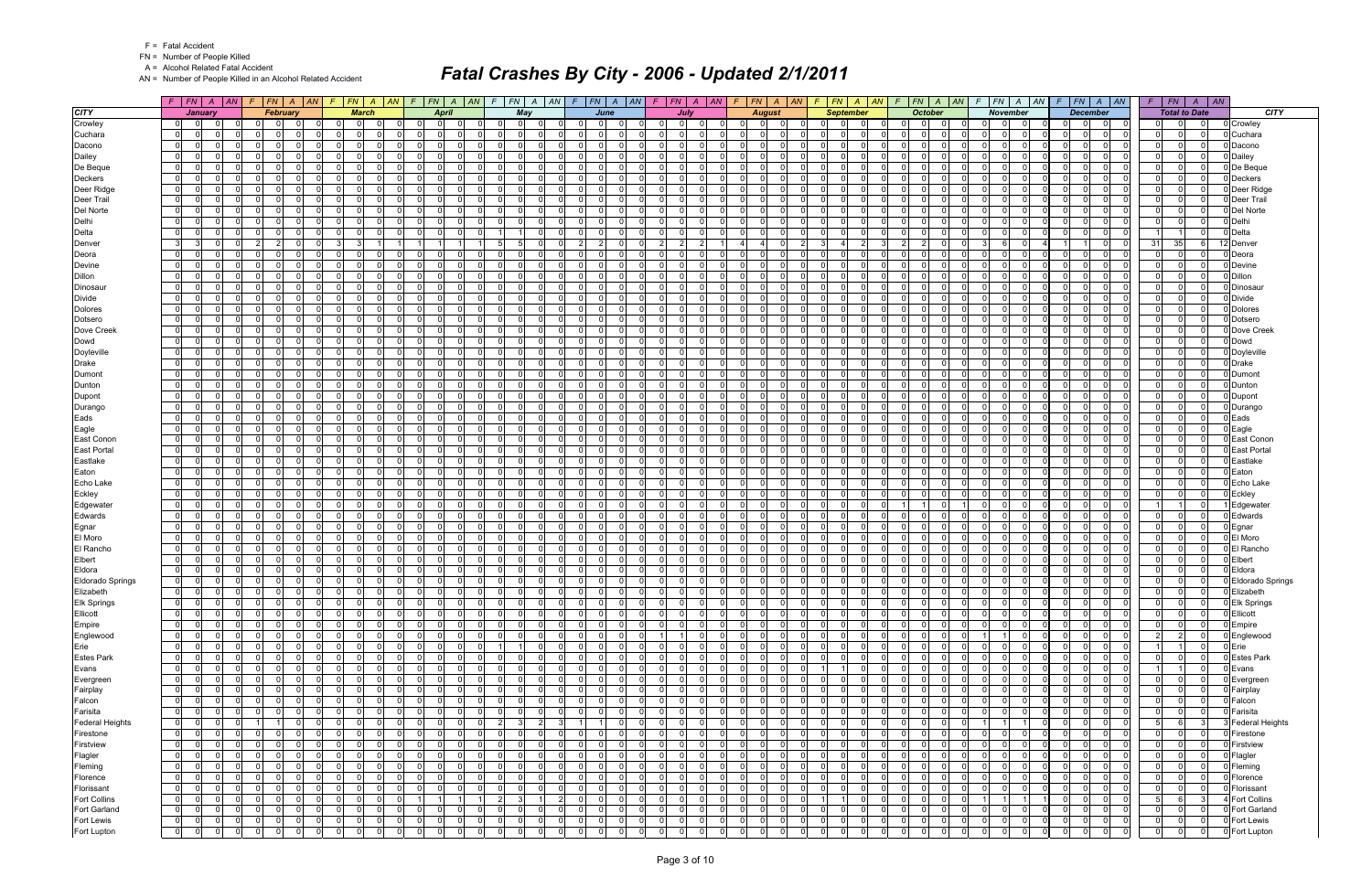FN = Number of People Killed

A = Alcohol Related Fatal Accident

AN = Number of People Killed in an Alcohol Related Accident

|                            | $F$ $FN$ $A$ $AN$                                            | F N   A   AN<br>F.                                            | $F N$ $A$<br>AN<br>F                                                       | F N A<br>$F$ $FN$ $A$ $AN$<br> AN                                                                            | $F$ $FN$ $A$                              | AN                            | $F$ $FN$ $A$<br> AN                                                        | $FN \mid A$<br>$\mathsf{F}$<br> AN                              | $F$ $FN$ $A$ $AN$                              | $F N$ $A$ $A N$<br>F                                                    | F N A AN                                                       | FN A AN                                                | FN<br>$A \mid AN$<br>F                                          |                         |
|----------------------------|--------------------------------------------------------------|---------------------------------------------------------------|----------------------------------------------------------------------------|--------------------------------------------------------------------------------------------------------------|-------------------------------------------|-------------------------------|----------------------------------------------------------------------------|-----------------------------------------------------------------|------------------------------------------------|-------------------------------------------------------------------------|----------------------------------------------------------------|--------------------------------------------------------|-----------------------------------------------------------------|-------------------------|
| <b>CITY</b>                | <b>January</b>                                               | <b>February</b>                                               | <b>March</b>                                                               | May<br><b>April</b>                                                                                          |                                           | June                          | July                                                                       | <b>August</b>                                                   | <b>September</b>                               | <b>October</b>                                                          | <b>November</b>                                                | <b>December</b>                                        | <b>Total to Date</b>                                            | <b>CITY</b>             |
| Crowley                    | 0 I<br>$\overline{0}$<br>$\Omega$                            | $\mathbf 0$<br>$\overline{0}$<br>01                           | - 0 l<br>$\Omega$                                                          | $\overline{0}$<br>$\mathbf{0}$<br>$\Omega$<br>$\Omega$<br>- Ol<br>$\Omega$                                   | $\overline{0}$<br>$\Omega$                |                               | $\Omega$<br>$\Omega$<br>$\Omega$                                           | - O I<br>$\Omega$                                               | $\Omega$<br>$\Omega$                           | $\mathbf 0$<br>$\mathbf 0$                                              | $\Omega$<br>0 I                                                | 0 I<br>$\Omega$                                        | $\mathbf 0$<br>$\overline{0}$<br>$\Omega$                       | 0 Crowley               |
| Cuchara                    | $\Omega$<br>$\Omega$<br><sup>0</sup>                         | $\Omega$<br>$\Omega$<br>$\Omega$                              | 0<br>$\Omega$<br>$\Omega$                                                  | $\Omega$<br>- 0<br>- 0<br>-C                                                                                 | $\Omega$<br>0                             |                               | $\Omega$<br>n                                                              | $\Omega$<br>$\Omega$                                            | $\Omega$<br>$\Omega$                           | $\Omega$<br>$\Omega$                                                    | $\Omega$<br>$\Omega$                                           | $\mathbf 0$<br>$\Omega$                                | $\mathbf 0$<br>$\Omega$                                         | Cuchara                 |
| Dacono                     | $\overline{0}$<br>$\Omega$<br>- O I                          | $\overline{0}$<br>$\Omega$<br>$\Omega$                        | - Ol<br>- 0 l<br>$\Omega$                                                  | 0 I<br>$\Omega$<br>$\Omega$<br>$\Omega$<br>- Ol<br>$\Omega$                                                  | $\Omega$<br>$\Omega$                      | $\cap$                        | $\Omega$<br>$\Omega$<br>$\Omega$                                           | $\mathbf 0$<br>$\Omega$<br>$\Omega$                             | $\Omega$<br>$\Omega$                           | $\Omega$<br>$\overline{0}$<br>$\overline{0}$                            | $\Omega$<br>$\Omega$<br>$\Omega$                               | $\Omega$<br>$\Omega$<br>0 I                            | $\overline{0}$<br>$\overline{0}$<br>$\Omega$                    | 0 Dacono                |
| Dailey                     | $\mathbf 0$<br>$\Omega$<br>- O I                             | 0<br>$\Omega$                                                 | $\Omega$<br>0                                                              | $\Omega$<br>$\Omega$<br>$\Omega$<br>$\Omega$                                                                 | $\Omega$<br>$\Omega$                      |                               | $\Omega$<br>$\Omega$                                                       | $\Omega$<br>$\Omega$                                            | $\overline{0}$<br>$\Omega$                     | $\Omega$<br>$\mathbf 0$                                                 | $\Omega$<br>$\Omega$                                           | $\Omega$<br>.0                                         | $\overline{0}$<br>$\mathbf 0$                                   | 0 Dailey                |
| De Beque                   | $\Omega$<br>$\Omega$<br>- O I                                | <sup>0</sup><br>- 0                                           | $\Omega$<br>$\Omega$<br>$\Omega$                                           | 0 I<br>$\overline{0}$<br>$\Omega$<br>-01<br>$\Omega$<br>$\Omega$                                             | - 01<br>$\Omega$                          |                               | $\Omega$<br>$\Omega$<br>$\Omega$                                           | $\Omega$<br>$\Omega$                                            | $\Omega$<br>$\Omega$                           | $\Omega$<br>$\Omega$<br>$\mathbf 0$                                     | $\Omega$<br>$\Omega$<br>$\Omega$                               | $\Omega$<br>$\Omega$<br>$\Omega$                       | $\Omega$<br>$\overline{0}$                                      | 0 De Beque              |
| Deckers                    | $\overline{0}$<br>- O I<br>$\Omega$                          | $\Omega$<br>- 0                                               | $\Omega$<br>$\Omega$<br>$\Omega$                                           | 0 I<br>$\Omega$<br>$\Omega$<br>$\Omega$<br>$\Omega$<br>0                                                     | $\Omega$<br>$\Omega$                      |                               | $\Omega$<br>$\Omega$                                                       | - O I<br>$\Omega$                                               | $\Omega$<br>$\Omega$                           | $\mathbf 0$<br>$\Omega$<br>$\mathbf 0$                                  | $\Omega$<br>$\Omega$<br><sup>n</sup>                           | $\Omega$<br>0                                          | $\mathbf 0$<br>$\overline{0}$                                   | 0 Deckers               |
| Deer Ridge                 | $\mathbf 0$<br>$\Omega$<br>- O I                             | $\Omega$<br>$\Omega$<br>$\Omega$                              | $\Omega$<br>$\Omega$<br>$\Omega$                                           | $\Omega$<br>$\Omega$<br>$\Omega$<br>$\Omega$<br>$\Omega$                                                     | $\Omega$<br><sup>0</sup>                  |                               | $\Omega$<br>$\Omega$                                                       | $\Omega$<br>$\Omega$                                            | $\Omega$<br>$\Omega$                           | $\Omega$<br>$\Omega$<br>$\Omega$                                        | $\Omega$<br>$\Omega$<br>$\Omega$                               | $\Omega$<br>0                                          | $\mathbf 0$<br>$\overline{0}$                                   | Deer Ridge              |
| Deer Trail                 | $\overline{0}$<br>$\Omega$<br>$\Omega$                       | <sup>0</sup><br>$\Omega$<br>$\Omega$                          | $\Omega$<br>$\Omega$<br>$\Omega$                                           | 0 I<br>$\Omega$<br>$\Omega$<br>$\Omega$<br>$\overline{0}$<br>$\Omega$                                        | $\Omega$<br>$\Omega$                      |                               | $\Omega$<br>$\Omega$                                                       | $\Omega$<br>$\Omega$                                            | $\Omega$<br>$\mathbf 0$                        | $\Omega$<br>$\Omega$<br>$\mathbf 0$                                     | $\Omega$<br><sup>0</sup><br>$\Omega$                           | $\Omega$<br>.0                                         | $\mathbf 0$<br>$\overline{0}$                                   | 0 Deer Trail            |
| Del Norte                  | $\mathbf 0$<br>$\Omega$<br>- O I                             | $\Omega$<br>$\Omega$                                          | $\Omega$<br>n l                                                            | 0 I<br>$\Omega$<br>$\Omega$<br>$\Omega$<br>$\Omega$<br>$\Omega$                                              | $\Omega$<br>$\Omega$                      |                               | $\Omega$<br>$\Omega$                                                       | - O I<br>$\Omega$                                               | $\Omega$<br>$\Omega$                           | $\Omega$<br>$\Omega$<br>$\Omega$                                        | $\Omega$<br>$\Omega$<br>$\Omega$                               | $\Omega$<br>- Ol                                       | $\mathbf 0$<br>$\overline{0}$                                   | 0 Del Norte             |
| Delhi                      | $\Omega$<br>$\Omega$<br>$\Omega$                             | $\Omega$<br>$\Omega$<br>- 0                                   | $\Omega$<br>$\Omega$<br>$\Omega$                                           | $\overline{0}$<br>$\Omega$<br>$\Omega$<br>$\overline{0}$<br>- 0                                              | $\Omega$<br>$\Omega$                      |                               | $\Omega$<br>$\Omega$<br>$\Omega$                                           | $\Omega$<br>$\Omega$                                            | $\Omega$<br>$\mathbf 0$                        | $\Omega$<br><sup>n</sup><br>$\mathbf 0$                                 | $\Omega$<br>$\Omega$                                           | $\Omega$<br>$\mathbf 0$                                | $\mathbf 0$<br>$\mathbf{0}$                                     | 0 Delhi                 |
| Delta                      | $\Omega$<br>- Ol<br>$\Omega$                                 | $\Omega$<br>$\Omega$<br>$\Omega$                              | $\Omega$<br>n l<br>$\Omega$                                                | 0 I<br>$\Omega$<br>$\Omega$<br>$\vert$ 1<br>$\Omega$                                                         | $\Omega$<br>$\Omega$                      | $\cap$                        | $\Omega$<br>$\Omega$                                                       | $\Omega$<br>$\Omega$<br>$\Omega$                                | $\Omega$<br>$\Omega$                           | $\Omega$<br>$\Omega$<br>$\Omega$                                        | $\Omega$<br>$\Omega$<br>$\Omega$                               | $\Omega$<br>$\Omega$<br>$\Omega$                       | 1                                                               | 0 Delta                 |
| Denver                     | $\mathbf{3}$<br>3 <sup>l</sup><br>$\Omega$                   | $\overline{2}$<br>-2<br>- 0                                   | 3<br>3                                                                     | -51<br>-51<br>$\Omega$                                                                                       | $\overline{2}$<br>$\overline{2}$          |                               | $\overline{2}$<br>2 <sup>1</sup><br>2                                      |                                                                 | -3<br>$\overline{2}$                           | 2<br>$\overline{2}$<br>$\mathbf 0$                                      | 3<br>6<br>$\Omega$                                             | $\Omega$                                               | 35<br>31                                                        | 12 Denver               |
| Deora                      | $\overline{0}$<br>- O I<br>$\Omega$                          | 0 I<br>$\Omega$                                               | $\Omega$<br>$\Omega$<br>$\Omega$                                           | 0 I<br>$\overline{0}$<br>$\Omega$<br>$\Omega$<br>$\overline{0}$<br>$\Omega$                                  | - 01<br>$\Omega$                          |                               | $\Omega$<br>$\Omega$                                                       | - O I<br>$\Omega$                                               | $\Omega$<br>$\mathbf 0$                        | $\Omega$<br>$\Omega$<br>$\mathbf 0$                                     | $\Omega$<br>$\Omega$<br>$\Omega$                               | $\mathbf 0$<br>$\Omega$                                | $\mathbf 0$<br>$\Omega$                                         | 0 Deora                 |
| Devine                     | $\Omega$<br>0<br>$\Omega$                                    | $\Omega$<br>$\Omega$                                          | $\Omega$<br>$\Omega$<br>$\Omega$                                           | $\Omega$<br>$\Omega$<br><sup>n</sup><br>n I<br>$\Omega$                                                      | $\Omega$<br>$\Omega$                      |                               | $\Omega$<br>$\Omega$                                                       | $\Omega$<br>$\Omega$                                            | $\overline{0}$<br>$\Omega$                     | $\Omega$<br>$\Omega$                                                    | $\Omega$<br>$\Omega$                                           | $\Omega$<br>0                                          | $\mathbf 0$<br>$\overline{0}$                                   | 0 Devine                |
| <b>Dillon</b>              | $\overline{0}$<br>$\Omega$<br>$\Omega$                       | $\Omega$<br>$\Omega$<br>$\Omega$                              | $\Omega$<br>$\Omega$<br>$\Omega$                                           | 0 I<br>$\overline{0}$<br>$\Omega$<br>$\overline{0}$<br>$\Omega$                                              | $\Omega$<br>$\Omega$                      |                               | $\Omega$<br>$\Omega$<br>$\Omega$                                           | $\Omega$<br>$\Omega$                                            | $\Omega$<br>$\Omega$                           | $\Omega$<br>$\Omega$<br>$\mathbf 0$                                     | $\Omega$<br>$\Omega$                                           | $\Omega$<br>$\Omega$                                   | $\mathbf 0$<br>$\overline{0}$                                   | 0 Dillon                |
| Dinosaur                   | $\Omega$<br>$\Omega$<br>$\Omega$                             | $\Omega$<br>$\Omega$                                          | $\Omega$<br>$\Omega$<br>$\Omega$                                           | $\Omega$<br>$\Omega$<br>$\Omega$<br>$\Omega$<br>$\Omega$                                                     | $\Omega$<br>$\Omega$                      |                               | $\Omega$<br>$\Omega$                                                       | $\Omega$<br>$\Omega$                                            | $\Omega$<br>$\Omega$                           | $\Omega$<br>$\Omega$                                                    | $\Omega$<br>$\Omega$<br>$\Omega$                               | $\Omega$<br>0                                          | $\mathbf 0$<br>$\Omega$                                         | Dinosaur                |
| <b>Divide</b>              | $\overline{0}$<br>$\Omega$<br>- O I                          | $\Omega$<br>0                                                 | $\Omega$                                                                   | 0 I<br>$\Omega$<br>$\Omega$<br>$\Omega$<br>$\overline{0}$<br>$\Omega$                                        | $\Omega$<br>$\Omega$                      |                               | $\Omega$<br>$\Omega$                                                       | - O I<br>$\Omega$                                               | $\Omega$<br>$\mathbf 0$                        | $\Omega$<br>$\mathbf 0$                                                 | $\Omega$<br>$\Omega$                                           | $\Omega$<br>.0                                         | $\mathbf 0$<br>$\overline{0}$                                   | 0 Divide                |
| <b>Dolores</b>             | $\Omega$<br>$\Omega$<br>$\Omega$                             | $\Omega$<br>$\Omega$                                          | $\Omega$<br>$\Omega$                                                       | $\Omega$<br>$\Omega$<br>$\Omega$<br>$\Omega$<br>$\Omega$                                                     | $\Omega$<br>$\Omega$                      |                               | $\Omega$<br>$\Omega$                                                       | $\Omega$<br>$\Omega$                                            | $\Omega$<br>$\Omega$                           | $\Omega$<br>0                                                           | $\Omega$<br>$\Omega$                                           | $\Omega$<br>$\Omega$                                   | $\mathbf 0$<br>$\Omega$                                         | 0 Dolores               |
| Dotsero                    | $\mathbf 0$<br>- O I<br>$\Omega$                             | $\Omega$<br>$\Omega$                                          | $\Omega$<br>$\Omega$<br>$\Omega$                                           | 0 I<br>$\overline{0}$<br>$\Omega$<br>$\Omega$<br>$\Omega$<br>$\Omega$                                        | $\Omega$<br>$\Omega$                      |                               | $\Omega$<br>$\Omega$<br>$\Omega$                                           | $\overline{0}$<br>$\Omega$                                      | $\Omega$<br>$\Omega$                           | $\Omega$<br>$\Omega$<br>$\mathbf 0$                                     | $\Omega$<br>$\Omega$<br>$\Omega$                               | $\Omega$<br>$\Omega$                                   | $\mathbf 0$<br>$\overline{0}$                                   | 0 Dotsero               |
| Dove Creek                 | $\Omega$<br>$\mathbf 0$<br>$\Omega$<br>$\Omega$              | $\Omega$<br>$\Omega$<br>$\Omega$                              | $\Omega$<br>$\Omega$<br>$\Omega$<br>$\Omega$                               | 0 <br>$\Omega$<br>$\Omega$<br>$\Omega$<br>$\Omega$<br>$\Omega$<br>$\Omega$                                   | $\Omega$<br>$\Omega$                      |                               | $\Omega$<br>$\Omega$<br>$\Omega$                                           | $\Omega$<br>$\Omega$                                            | $\mathbf 0$<br>$\Omega$                        | $\mathbf{0}$<br>$\Omega$                                                | $\Omega$<br>$\Omega$<br><sup>0</sup>                           | $\Omega$<br>.0                                         | $\overline{0}$<br>$\mathbf 0$                                   | 0 Dove Creek            |
| Dowd                       | $\Omega$<br>- O I<br>$\Omega$<br>$\Omega$<br>$\Omega$        | $\Omega$<br>$\Omega$<br>- 0                                   | $\Omega$<br>n l<br>$\Omega$<br>$\Omega$                                    | 0 I<br>-01<br>$\overline{0}$<br>$\Omega$<br>$\Omega$<br>$\Omega$<br>$\Omega$<br>$\Omega$<br>$\Omega$         | $\Omega$<br>$\Omega$<br>- 0 l<br>$\Omega$ | $\Omega$                      | $\Omega$<br>$\Omega$<br>$\Omega$                                           | $\Omega$<br>$\Omega$<br>$\Omega$                                | $\Omega$<br>$\mathbf 0$<br>$\mathbf 0$<br>- Ol | $\Omega$<br>$\Omega$<br>$\mathbf 0$<br>$\Omega$<br>$\Omega$<br>$\Omega$ | $\Omega$<br>$\Omega$<br>$\Omega$<br>$\Omega$<br>$\Omega$       | $\Omega$<br>$\Omega$<br>$\Omega$<br>$\Omega$           | $\Omega$<br>$\overline{0}$<br>$\mathbf 0$<br>$\overline{0}$     | 0 Dowd                  |
| Doyleville<br><b>Drake</b> | $\overline{0}$<br>- O I<br>$\Omega$                          | $\Omega$<br>$\Omega$<br>$\Omega$                              | $\Omega$<br>0<br>$\Omega$                                                  | 0 <br>$\overline{0}$<br>$\Omega$<br>$\overline{0}$<br>$\Omega$                                               | $\Omega$<br>$\Omega$                      |                               | $\Omega$<br>$\Omega$                                                       | - O I<br>$\Omega$<br>$\Omega$                                   | $\Omega$<br>$\Omega$                           | $\Omega$<br>$\mathbf 0$                                                 | $\Omega$<br>$\Omega$<br><sup>0</sup>                           | $\Omega$<br>$\Omega$                                   | $\mathbf 0$<br>$\overline{0}$                                   | 0 Doyleville<br>0 Drake |
| Dumont                     | $\mathbf 0$<br>$\Omega$<br>$\Omega$                          | $\Omega$<br>$\Omega$                                          | $\Omega$<br>$\Omega$<br>$\Omega$                                           | $\Omega$<br>$\Omega$<br>$\Omega$<br>$\Omega$<br>$\Omega$                                                     | $\Omega$<br>$\Omega$                      |                               | $\Omega$<br>$\Omega$                                                       | $\Omega$<br>$\Omega$                                            | $\Omega$<br>$\Omega$                           | U<br>$\Omega$<br>$\Omega$                                               | $\Omega$<br>$\Omega$<br>$\Omega$                               | $\Omega$<br>$\Omega$                                   | $\mathbf 0$<br>$\Omega$                                         | 0 Dumont                |
| Dunton                     | $\overline{0}$<br>- O I<br>$\Omega$                          | $\Omega$<br>0                                                 | $\Omega$<br>$\Omega$<br>$\Omega$                                           | 01<br>$\overline{0}$<br>$\Omega$<br>$\Omega$<br>$\overline{0}$<br>$\Omega$                                   | $\Omega$<br>$\Omega$                      |                               | $\Omega$<br>$\Omega$                                                       | - O I<br>$\Omega$                                               | $\overline{0}$<br>$\mathbf 0$                  | $\mathbf 0$<br>$\mathbf 0$                                              | $\Omega$<br>$\Omega$<br>0                                      | $\Omega$<br>$\Omega$                                   | $\mathbf 0$<br>$\overline{0}$                                   | 0 Dunton                |
| Dupont                     | $\Omega$<br>$\Omega$<br>$\Omega$                             | $\Omega$<br>$\Omega$                                          | $\Omega$                                                                   | $\Omega$<br>$\Omega$<br>$\Omega$<br>$\Omega$<br>$\Omega$                                                     | $\Omega$<br>0                             |                               | $\Omega$<br>$\Omega$                                                       | $\Omega$<br>$\Omega$                                            | $\Omega$<br>- Ol                               | $\Omega$<br>- Ol                                                        | $\Omega$<br>$\Omega$                                           | $\Omega$<br>$\Omega$                                   | $\Omega$<br>$\Omega$                                            | 0 Dupont                |
| Durango                    | $\overline{0}$<br>- O I<br>$\Omega$                          | $\Omega$<br>- 0                                               | $\Omega$<br>$\Omega$<br>$\Omega$                                           | 0 I<br>$\Omega$<br>$\Omega$<br>$\Omega$<br>$\Omega$                                                          | $\Omega$<br>$\Omega$                      |                               | $\Omega$<br>$\Omega$                                                       | $\Omega$<br>$\Omega$                                            | $\Omega$<br>$\mathbf 0$                        | $\Omega$<br>$\Omega$<br>$\mathbf 0$                                     | $\Omega$<br>$\Omega$<br><sup>0</sup>                           | $\Omega$<br>.0                                         | $\mathbf 0$<br>$\overline{0}$                                   | 0 Durango               |
| Eads                       | $\mathbf 0$<br>$\Omega$<br>- O I                             | $\Omega$<br>$\Omega$<br>$\Omega$                              | $\Omega$<br>$\Omega$<br>$\Omega$                                           | 0 I<br>$\Omega$<br>$\Omega$<br>-01<br>$\Omega$                                                               | $\Omega$<br>$\Omega$                      |                               | $\Omega$<br>$\Omega$                                                       | $\Omega$<br>$\Omega$                                            | $\Omega$<br>$\Omega$                           | <sup>0</sup><br>$\Omega$<br>$\Omega$                                    | $\Omega$<br>$\Omega$<br>$\Omega$                               | $\Omega$<br>$\Omega$<br>- Ol                           | $\mathbf 0$<br>$\overline{0}$                                   | D Eads                  |
| Eagle                      | $\Omega$<br><sup>0</sup><br>$\Omega$                         | $\Omega$                                                      | 0                                                                          | $\Omega$<br>$\Omega$<br>O<br>$\Omega$<br>$\Omega$                                                            | $\Omega$<br>0                             |                               | $\Omega$                                                                   | $\Omega$<br>$\Omega$                                            | $\Omega$<br>$\Omega$                           | $\Omega$<br>$\Omega$                                                    | $\Omega$<br>$\Omega$                                           | $\Omega$<br>$\Omega$                                   | $\mathbf 0$<br>$\Omega$                                         | D Eagle                 |
| East Conon                 | $\mathbf 0$<br>$\Omega$<br>- O I                             | 0 I<br>$\Omega$<br>$\Omega$                                   | $\Omega$<br>0 I<br>$\Omega$                                                | 0 I<br>-01<br>$\Omega$<br>-01<br>- Ol<br>$\Omega$                                                            | $\overline{0}$<br>$\Omega$                | $\Omega$                      | $\Omega$<br>$\Omega$<br>$\Omega$                                           | - O I<br>$\Omega$<br>$\Omega$                                   | $\mathbf 0$<br>$\mathbf 0$                     | - Ol<br>- 0 l<br>$\Omega$                                               | $\Omega$<br>$\Omega$<br>$\Omega$                               | $\Omega$<br>$\Omega$<br>0 I                            | $\mathbf 0$<br>$\overline{0}$<br>$\Omega$                       | 0 East Conon            |
| East Portal                | $\Omega$<br>$\Omega$<br>$\Omega$                             | $\Omega$<br>- 0                                               | $\Omega$<br>$\Omega$<br>$\Omega$                                           | $\Omega$<br>- 0<br>$\Omega$<br>$\Omega$<br>- 0                                                               | $\Omega$<br>$\Omega$                      |                               | $\Omega$<br>$\Omega$                                                       | $\Omega$<br>$\Omega$                                            | $\Omega$<br>0                                  | $\Omega$<br>$\mathbf 0$                                                 | $\Omega$<br>$\Omega$                                           | $\Omega$<br>0                                          | $\mathbf 0$<br>$\Omega$                                         | 0 East Portal           |
| Eastlake                   | $\mathbf 0$<br>$\Omega$<br>- O I                             | $\overline{0}$<br>$\Omega$<br>$\Omega$                        | - Ol<br>- 0 l<br>$\Omega$                                                  | 0 I<br>$\Omega$<br>$\Omega$<br>$\Omega$<br>- Ol<br>$\Omega$                                                  | $\Omega$<br>$\Omega$                      | $\cap$                        | $\Omega$<br>$\Omega$<br>$\Omega$                                           | $\overline{0}$<br>$\Omega$<br>$\Omega$                          | $\Omega$<br>$\Omega$                           | $\Omega$<br>$\overline{0}$<br>$\Omega$                                  | $\Omega$<br>$\Omega$<br>$\Omega$                               | $\Omega$<br>$\Omega$<br>0 I                            | $\overline{0}$<br>$\overline{0}$<br>$\Omega$                    | 0 Eastlake              |
| Eaton                      | $\mathbf 0$<br>$\Omega$<br>- O I                             | $\Omega$<br>$\Omega$                                          | $\Omega$<br>$\Omega$<br>$\Omega$                                           | $\Omega$<br>$\Omega$<br>$\Omega$<br>$\Omega$<br>$\Omega$<br>$\Omega$                                         | $\Omega$<br>$\Omega$                      |                               | $\Omega$<br>$\Omega$                                                       | $\Omega$<br>$\Omega$                                            | $\overline{0}$<br>$\Omega$                     | $\mathbf{0}$<br>$\mathbf 0$                                             | $\Omega$<br>$\Omega$<br><sup>0</sup>                           | $\Omega$<br>.0                                         | $\Omega$<br>$\mathbf 0$                                         | Eaton                   |
| Echo Lake                  | $\Omega$<br>$\Omega$<br>- O I                                | $\Omega$<br>- 0                                               | $\Omega$<br>$\Omega$<br>$\Omega$                                           | 0 I<br>$\Omega$<br>$\Omega$<br>$\Omega$<br>$\Omega$<br>$\Omega$                                              | $\Omega$<br>$\Omega$                      | $\cap$                        | $\Omega$<br>$\Omega$<br>$\Omega$                                           | $\Omega$<br>$\Omega$                                            | $\Omega$<br>$\Omega$                           | $\Omega$<br>$\Omega$<br>$\Omega$                                        | $\Omega$<br>$\Omega$<br>$\Omega$                               | $\Omega$<br>$\Omega$<br>$\Omega$                       | $\mathbf 0$<br>$\Omega$                                         | 0 Echo Lake             |
| Eckley                     | $\overline{0}$<br>- O I<br>$\Omega$                          | $\Omega$<br>$\Omega$                                          | $\Omega$<br>$\Omega$<br>$\Omega$                                           | 0 I<br>$\Omega$<br>$\Omega$<br>$\Omega$<br>$\Omega$<br>0                                                     | $\Omega$<br>$\Omega$                      |                               | $\Omega$<br>$\Omega$<br>$\Omega$                                           | $\Omega$<br>$\Omega$                                            | $\Omega$<br>$\Omega$                           | $\Omega$<br>$\mathbf 0$<br>$\Omega$                                     | $\Omega$<br>$\Omega$<br>$\Omega$                               | - Ol<br>$\Omega$                                       | $\mathbf 0$<br>$\overline{0}$                                   | 0 Eckley                |
| Edgewater                  | $\mathbf 0$<br>$\Omega$<br>- O I                             | $\Omega$<br>$\Omega$<br>$\Omega$                              | $\Omega$<br>$\Omega$<br>$\Omega$                                           | 0 I<br>$\Omega$<br>$\Omega$<br>$\Omega$<br>$\Omega$                                                          | $\Omega$<br>$\Omega$                      | $\cap$                        | $\Omega$<br>$\Omega$                                                       | $\Omega$<br>$\Omega$                                            | $\Omega$<br>$\Omega$                           | $\Omega$                                                                | $\Omega$<br>$\Omega$<br>$\Omega$                               | $\Omega$<br>$\Omega$<br>- Ol                           | 1                                                               | Edgewater               |
| Edwards                    | $\overline{0}$<br>- O I<br>$\Omega$                          | <sup>0</sup><br>$\Omega$<br>- 0                               | $\Omega$<br>$\Omega$<br>$\Omega$                                           | 0 I<br>$\overline{0}$<br>$\Omega$<br>- Ol<br>$\overline{0}$<br>$\Omega$                                      | $\Omega$<br>$\Omega$                      |                               | $\Omega$<br>$\Omega$                                                       | $\Omega$<br>$\Omega$                                            | $\mathbf 0$<br>$\mathbf 0$                     | $\Omega$<br>$\Omega$<br>$\mathbf 0$                                     | $\Omega$<br>$\Omega$<br>0                                      | $\Omega$<br>.0                                         | $\overline{0}$<br>$\mathbf 0$                                   | 0 Edwards               |
| Egnar                      | $\overline{0}$<br>- O I<br>$\Omega$                          | $\Omega$<br>$\Omega$                                          | $\Omega$<br>$\Omega$<br>$\Omega$                                           | 0 I<br>$\Omega$<br>$\overline{0}$<br>$\Omega$<br>$\overline{0}$<br>$\Omega$                                  | $\Omega$<br>$\Omega$                      |                               | $\Omega$<br>$\Omega$                                                       | - O I<br>$\Omega$                                               | $\Omega$<br>$\mathbf 0$                        | $\Omega$<br>$\Omega$<br>$\mathbf 0$                                     | $\Omega$<br>$\Omega$<br>0                                      | $\Omega$<br>$\Omega$                                   | $\mathbf 0$<br>$\overline{0}$                                   | 0 Egnar                 |
| El Moro                    | - 01<br>0<br>$\Omega$                                        | $\Omega$                                                      | 0                                                                          | $\Omega$<br>$\Omega$<br>$\Omega$<br>$\Omega$<br>-0                                                           | $\Omega$<br>0                             |                               | $\Omega$                                                                   | $\Omega$<br>n                                                   | $\Omega$<br>$\Omega$                           | $\Omega$<br>0                                                           | $\Omega$<br>$\Omega$                                           | $\Omega$<br>$\Omega$                                   | $\Omega$<br>n l                                                 | 0 El Moro               |
| El Rancho                  | $\mathbf 0$<br>- O I<br>$\Omega$                             | $\Omega$<br>$\Omega$                                          | $\Omega$<br>$\Omega$<br>$\Omega$                                           | 0 I<br>$\overline{0}$<br>$\Omega$<br>$\overline{0}$<br>$\Omega$<br>0                                         | $\Omega$<br>$\Omega$                      |                               | $\Omega$<br>$\Omega$<br>$\Omega$                                           | - O I<br>$\Omega$                                               | $\Omega$<br>$\mathbf 0$                        | $\Omega$<br>$\Omega$<br>$\mathbf 0$                                     | $\Omega$<br>$\Omega$<br>$\Omega$                               | $\Omega$<br>$\mathbf 0$<br>$\Omega$                    | $\mathbf 0$<br>$\overline{0}$                                   | 0 El Rancho             |
| Elbert                     | $\mathbf 0$<br>$\Omega$<br>$\Omega$                          | 0<br>$\Omega$                                                 | $\Omega$                                                                   | $\Omega$<br>$\Omega$<br>$\Omega$<br>$\Omega$<br>$\Omega$                                                     | $\Omega$<br>$\Omega$                      |                               | $\Omega$<br>$\Omega$                                                       | $\Omega$<br>$\Omega$                                            | $\Omega$<br>$\Omega$                           | $\Omega$<br>$\Omega$                                                    | $\Omega$<br>$\Omega$                                           | $\Omega$<br>$\Omega$                                   | $\Omega$<br>$\overline{0}$                                      | Elbert                  |
| Eldora                     | $\Omega$<br>$\overline{0}$<br>- O I                          | $\Omega$<br>$\Omega$                                          | $\Omega$<br>$\Omega$<br>$\Omega$                                           | 0 I<br>$\overline{0}$<br>$\Omega$<br>- Ol<br>$\overline{0}$<br>$\Omega$                                      | $\Omega$<br>$\Omega$                      |                               | $\Omega$<br>$\Omega$<br>$\Omega$                                           | - O I<br>$\Omega$                                               | $\Omega$<br>$\mathbf 0$                        | $\Omega$<br>$\Omega$<br>$\mathbf 0$                                     | $\Omega$<br>$\Omega$<br>$\Omega$                               | $\Omega$<br>$\mathbf 0$                                | $\Omega$<br>$\Omega$                                            | 0 Eldora                |
| <b>Eldorado Springs</b>    | $\Omega$<br>$\mathbf 0$<br>- O I                             | $\Omega$<br>- 0                                               | $\Omega$<br>$\Omega$<br>$\Omega$                                           | $\Omega$<br>$\overline{0}$<br>$\Omega$<br>0<br>$\Omega$<br>$\Omega$                                          | 0 <br>$\Omega$                            |                               | $\Omega$<br>$\Omega$                                                       | - O I<br>$\Omega$                                               | $\mathbf 0$<br>- Ol                            | $\mathbf 0$<br>$\Omega$<br>$\Omega$                                     | $\overline{0}$<br>$\Omega$                                     | $\Omega$<br>$\Omega$<br>0                              | $\mathbf 0$<br>$\overline{0}$                                   | Eldorado Springs        |
| Elizabeth                  | $\overline{0}$<br> 0 <br>- 01                                | $\Omega$<br>$\Omega$<br>$\Omega$                              | $\Omega$<br>$\Omega$<br>$\Omega$                                           | 0 I<br> 0 <br>$\Omega$<br>$\Omega$<br>$\overline{0}$<br>$\Omega$                                             | $\Omega$<br>$\Omega$                      |                               | $\Omega$<br>$\Omega$<br>$\Omega$                                           | $\overline{0}$<br>$\Omega$                                      | $\Omega$<br>$\Omega$                           | $\Omega$<br>$\Omega$<br>$\mathbf 0$                                     | $\Omega$<br>$\Omega$<br>$\Omega$                               | $\Omega$<br>$\mathbf 0$<br>$\Omega$                    | $\mathbf 0$<br>$\overline{0}$                                   | 0 Elizabeth             |
| Elk Springs                | $\Omega$                                                     | 0<br>0<br>$\Omega$                                            | 0<br>0                                                                     | 0<br>0                                                                                                       | 01                                        |                               | 0.                                                                         |                                                                 |                                                | $\Omega$<br>- 0 I                                                       |                                                                | 0                                                      |                                                                 | 0 Elk Springs           |
| Ellicott                   | $\mathbf 0$<br>$\Omega$<br>- O I                             | - 0 l<br>$\Omega$<br>$\overline{0}$                           | 0 <br>$\overline{0}$                                                       | $\overline{0}$<br> 0 <br>$\Omega$<br>$\Omega$<br>$\overline{0}$<br>$\Omega$                                  | $\mathbf 0$<br>$\overline{0}$             |                               | $\Omega$<br>$\Omega$<br>$\Omega$                                           | - O I<br>$\Omega$                                               | $\mathbf 0$<br>$\mathbf 0$                     | $\mathbf 0$<br>0 I<br>$\Omega$                                          | $\Omega$<br>$\overline{0}$<br>$\Omega$                         | -01<br>01                                              | $\mathbf 0$<br> 0                                               | 0 Ellicott              |
| Empire                     | $\mathbf 0$<br>$\overline{0}$<br>- O I                       | $\Omega$<br>$\Omega$<br>- 0                                   | $\Omega$<br>$\Omega$<br>$\mathbf 0$                                        | 0 I<br> 0 <br>$\Omega$<br>$\mathbf 0$<br>$\overline{0}$                                                      | - 01<br>$\overline{0}$                    | $\Omega$                      | $\overline{0}$<br>$\Omega$<br>$\Omega$                                     | $\overline{0}$<br>$\Omega$                                      | $\mathbf 0$<br>$\mathbf 0$                     | 0 <br>$\Omega$<br>$\mathbf 0$                                           | $\Omega$<br>$\Omega$<br>$\overline{0}$                         | $\overline{0}$<br>$\Omega$<br>$\mathbf 0$              | $\overline{0}$<br>$\overline{0}$                                | 0 Empire                |
| Englewood                  | $\overline{0}$<br>$\mathbf{0}$<br>0 I                        | $\overline{0}$<br>$\mathbf 0$<br>$\overline{0}$               | $\Omega$<br> 0 <br>- O I                                                   | $\overline{0}$<br>$\overline{\mathbf{0}}$<br>$\overline{0}$<br>- O I<br>$\overline{0}$<br>$\overline{0}$     | - 0 l<br>$\mathbf 0$                      | $\Omega$                      | $\Omega$                                                                   | $\overline{0}$<br>0 I<br>$\Omega$                               | $\mathbf 0$<br>$\mathbf 0$                     | $\overline{0}$<br>$\Omega$<br>$\mathbf 0$                               | 0                                                              | 0 <br>$\Omega$<br>0 I                                  | $\vert$ 2<br>$\vert$ 2                                          | 0 Englewood             |
| Erie                       | $\mathbf 0$<br>$\Omega$<br>$\overline{0}$                    | $\mathbf 0$<br>$\mathbf 0$<br>0                               | 0 <br>$\mathbf{0}$                                                         | 0 <br> 0 <br>$\mathbf 0$<br>0<br>11                                                                          | $\mathbf 0$<br>$\overline{0}$             |                               | $\overline{0}$<br>$\overline{0}$                                           | - O I<br>$\Omega$                                               | $\mathbf 0$<br>$\Omega$                        | $\overline{0}$<br> 0 <br>0                                              | $\mathbf 0$<br>$\Omega$<br>$\Omega$                            | $\overline{0}$<br> 0                                   | 0 Erie<br>$1 \vert$<br>11                                       |                         |
| <b>Estes Park</b>          | $\mathbf 0$<br>- 0 l<br>0 I<br>$\mathbf 0$<br>$\overline{0}$ | $\overline{0}$<br>- 0 l<br>$\Omega$<br>$\Omega$               | $\Omega$<br>$\overline{0}$<br>$\mathbf 0$<br>$\Omega$<br>- 0 l<br>$\Omega$ | $\overline{0}$<br> 0 <br>$\overline{0}$<br> 0 <br> 0 <br>$\Omega$<br>$\Omega$<br>-01<br>$\Omega$<br>$\Omega$ | 0 <br> 0 <br>- 0 l                        | $\Omega$<br>$\Omega$          | $\overline{0}$<br>$\Omega$<br>$\Omega$<br>$\Omega$<br>$\Omega$<br>$\Omega$ | $\overline{0}$<br>$\mathbf 0$<br>$\Omega$                       | $\mathbf 0$<br>- 0 l<br>$\overline{1}$         | $\Omega$<br>$\overline{0}$<br>$\overline{0}$<br>$\Omega$                | $\overline{0}$<br>- 0 l<br> 0 <br>$\Omega$<br>$\Omega$         | $\Omega$<br> 0 <br>01                                  | $\overline{0}$<br>$\overline{0}$                                | 0 Estes Park            |
| Evans                      | - O I<br>$\mathbf 0$<br>$\overline{0}$<br>$\mathbf 0$        | 0 I<br>$\Omega$<br>$\Omega$<br> 0 <br>$\Omega$                | 0 <br>0l<br>$\mathbf 0$                                                    | $\overline{0}$<br> 0 <br> 0 <br>$\overline{0}$<br>$\Omega$<br>$\Omega$<br> 0 <br>0                           | 0 <br>$\mathbf 0$<br> 0                   | - 01                          | $\overline{0}$<br>$\Omega$<br>$\Omega$                                     | - O I<br>$\mathbf 0$<br>0 I<br>0                                | $\mathbf 0$<br>$\mathbf 0$<br>$\mathbf 0$      | 0 <br>$\mathbf 0$<br>$\Omega$<br>$\mathbf 0$<br> 0                      | $\overline{0}$<br>$\overline{0}$<br>$\Omega$<br>$\overline{0}$ | $\overline{0}$<br>0 I<br>$\Omega$<br>01<br>$\mathbf 0$ | $1 \vert$<br>$\overline{1}$<br>$\overline{0}$<br>$\overline{0}$ | 0 Evans<br>0 Evergreen  |
| Evergreen<br>Fairplay      | $\mathbf 0$<br>0 I<br>$\mathbf{0}$                           | 0 <br>- 0 l<br>-01                                            | $\overline{0}$<br>0 I<br>$\mathbf 0$                                       | $\overline{0}$<br> 0 <br>$\mathbf 0$<br>$\overline{0}$<br>-01<br>$\Omega$                                    | - 0 l<br>$\mathbf{0}$                     | $\Omega$                      | $\overline{0}$<br>$\Omega$<br>$\Omega$                                     | $\mathbf 0$<br>$\Omega$<br>$\Omega$                             | $\mathbf 0$<br>- 0 l                           | $\Omega$<br>$\overline{0}$<br>$\overline{0}$                            | 0 <br>$\overline{0}$<br> 0                                     | $\Omega$<br>$\mathbf{0}$<br>0 I                        | $\overline{0}$<br>$\overline{0}$                                | 0 Fairplay              |
|                            | $\mathbf{0}$                                                 | $\mathbf{0}$                                                  | 0 <br>0                                                                    | 0<br>$\mathbf 0$                                                                                             | $\mathbf 0$                               | - 0                           | $\mathbf{0}$<br>$\overline{0}$<br>0                                        | $\mathbf 0$                                                     | $\mathbf 0$                                    | $\overline{0}$                                                          | $\mathbf 0$<br>$\mathbf 0$<br>$\overline{0}$                   | $\Omega$                                               | 0                                                               | 0 Falcon                |
| Falcon<br>Farisita         | $\mathbf 0$<br>0 I<br>$\overline{0}$<br>0 I<br> 0            | 0 <br>0<br>$\overline{0}$<br>$\overline{0}$<br>$\overline{0}$ | $\mathbf 0$<br>ol<br>$\overline{0}$<br>$\mathbf 0$                         | $\overline{0}$<br> 0 <br> 0 <br> 0 <br>$\overline{0}$<br> 0 <br>$\mathbf 0$<br> 0 <br> 0 <br>$\overline{0}$  | 0 <br>$\overline{0}$<br>$\overline{0}$    | $\mathbf 0$                   | $\overline{0}$<br>$\Omega$<br> 0                                           | $\mathbf 0$<br>$\mathbf 0$<br>$\overline{0}$<br>$\Omega$        | 0 <br>$\mathbf 0$<br>- 0 l                     | $\overline{0}$<br> 0 <br>$\mathbf 0$<br>$\Omega$<br>$\overline{0}$      | 0 <br>$\overline{0}$<br>$\overline{0}$                         | $\mathbf 0$<br>0 I<br>$\Omega$<br> 0 <br>01            | 0<br>$\overline{0}$<br>$\overline{0}$                           | 0 Farisita              |
| <b>Federal Heights</b>     | $\overline{0}$<br>$\overline{0}$<br> 0                       | $\overline{0}$                                                | 0 <br>01<br>$\mathbf 0$                                                    | $\overline{2}$<br>3<br>$\overline{2}$<br>01<br>$\overline{0}$<br>$\mathbf 0$                                 | 11<br>11                                  | $\overline{0}$                | 0 <br>$\Omega$<br>$\overline{0}$                                           | $\mathbf 0$<br>0 I<br>0                                         | $\mathbf 0$<br>$\mathbf 0$                     | $\Omega$<br>$\overline{0}$<br>$\mathbf 0$                               | $\overline{1}$                                                 | $\Omega$<br>01<br>$\mathbf 0$                          | $5\overline{)}$<br>6<br>-3                                      | 3 Federal Heights       |
| Firestone                  | $\overline{0}$<br>$\overline{0}$<br>$\overline{0}$           | $\overline{0}$<br> 0 <br>-01                                  | $\Omega$<br> 0 <br>$\overline{0}$                                          | $\overline{0}$<br> 0 <br>$\Omega$<br> 0 <br> 0 <br>$\overline{0}$                                            | $\overline{0}$<br>$\mathbf{0}$            | $\mathbf 0$                   | $\overline{0}$<br>$\Omega$<br>$\overline{0}$                               | $\overline{0}$<br>$\overline{0}$<br>$\Omega$                    | $\mathbf 0$<br>- 0 l                           | $\Omega$<br>$\overline{0}$<br>$\overline{0}$                            | 0 <br>$\overline{0}$<br> 0                                     | $\Omega$<br>0 I<br>$\mathbf{0}$                        | $\overline{0}$<br>$\overline{0}$                                | 0 Firestone             |
| Firstview                  | $\mathbf 0$<br>$\Omega$<br>- O I                             | $\overline{0}$<br>$\mathbf 0$<br>$\Omega$                     | $\mathbf 0$<br> 0 <br>0                                                    | 0 <br> 0 <br>$\Omega$<br>$\Omega$<br> 0 <br>0                                                                | 0 <br>$\mathbf 0$                         | - 0                           | $\overline{0}$<br>$\Omega$<br>0                                            | $\Omega$<br>$\Omega$                                            | $\mathbf 0$<br> 0                              | $\mathbf 0$<br> 0 <br>$\Omega$                                          | $\mathbf 0$<br>$\Omega$<br>$\overline{0}$                      | $\overline{0}$<br> 0                                   | $\mathbf 0$<br>$\overline{0}$                                   | 0 Firstview             |
| Flagler                    | $\overline{0}$<br>$\mathbf{0}$<br>0 I                        | $\overline{0}$<br>- 0 l<br>$\overline{0}$                     | $\mathbf 0$<br>$\overline{0}$<br>$\overline{0}$                            | $\overline{0}$<br> 0 <br>$\overline{0}$<br> 0 <br> 0 <br>$\overline{0}$                                      | 0 <br>$\overline{0}$                      | $\overline{0}$                | $\overline{0}$<br> 0 <br>$\Omega$                                          | $\overline{0}$<br>- O I<br>$\Omega$                             | $\mathbf 0$<br>- 0 l                           | $\Omega$<br>$\overline{0}$<br>$\overline{0}$                            | 0 I<br> 0 <br> 0                                               | $\Omega$<br> 0 <br>01                                  | $\overline{0}$<br>$\overline{0}$<br>$\Omega$                    | 0 Flagler               |
| Fleming                    | $\mathbf 0$<br>- O I<br>$\mathbf{0}$                         | $\Omega$<br>$\mathbf 0$<br>$\Omega$                           | $\overline{0}$<br> 0 <br>$\mathbf 0$                                       | $\overline{0}$<br>$\overline{0}$<br>$\mathbf 0$<br>$\Omega$<br> 0 <br>$\Omega$                               | $\Omega$<br>$\mathbf 0$                   | - 01                          | $\Omega$<br>$\Omega$<br>$\Omega$                                           | $\overline{0}$<br>0 I<br>0                                      | $\mathbf 0$<br>$\mathbf 0$                     | $\mathbf 0$<br>$\Omega$<br> 0                                           | $\Omega$<br>$\overline{0}$<br>$\overline{0}$                   | $\Omega$<br>0 I<br>$\mathbf 0$                         | $\mathbf 0$<br> 0                                               | 0 Fleming               |
| Florence                   | $\overline{0}$<br>$\mathbf{0}$<br>0 I                        | 0 <br>$\overline{0}$<br>$\overline{0}$                        | $\overline{0}$<br>$\overline{0}$<br>$\overline{0}$                         | $\overline{0}$<br>$\overline{0}$<br>$\overline{0}$<br> 0 <br> 0 <br>$\overline{0}$                           | 0 <br>$\mathbf{0}$                        | $\mathbf 0$                   | 0 <br>$\Omega$<br> 0                                                       | $\overline{0}$<br>0 I<br>$\Omega$                               | 0 <br>$\mathbf 0$                              | $\Omega$<br>$\overline{0}$<br>$\overline{0}$                            | $\overline{0}$<br>0 I<br> 0                                    | $\Omega$<br>$\mathbf{0}$<br>0 I                        | $\overline{0}$<br>$\overline{0}$                                | 0 Florence              |
| Florissant                 | $\mathbf 0$<br>$\overline{0}$<br>$\Omega$                    | $\overline{0}$<br>$\mathbf 0$<br>$\Omega$                     | 0 <br>0<br>$\mathbf{0}$                                                    | 0 <br> 0 <br>$\overline{0}$<br>$\Omega$<br> 0 <br>$\Omega$                                                   | 0 <br> 0                                  |                               | $\mathbf{0}$<br>$\overline{0}$<br>0                                        | $\mathbf 0$<br>$\Omega$                                         | $\mathbf 0$<br>$\mathbf 0$                     | $\overline{0}$<br>$\Omega$<br> 0                                        | $\overline{0}$<br>$\mathbf 0$<br>$\Omega$                      | $\Omega$<br>01<br>$\mathbf{0}$                         | $\overline{0}$<br>$\mathbf 0$                                   | 0 Florissant            |
| <b>Fort Collins</b>        | $\mathbf 0$<br>$\overline{0}$<br>- O I                       | $\overline{0}$<br>$\Omega$<br>$\Omega$                        | $\Omega$<br>0 I<br>- O I                                                   | 2 <br>3<br>$\vert$ 1<br>11<br>11<br>-1                                                                       | $\overline{0}$<br> 0                      | $\Omega$                      | $\overline{0}$<br>$\Omega$<br>$\overline{0}$                               | - O I<br>0 I<br>$\Omega$                                        | $\overline{1}$<br>$\mathbf 0$                  | $\Omega$<br>$\overline{0}$<br>0 I                                       | $\overline{1}$<br>11                                           | $\Omega$<br>$\mathbf{0}$<br>0 I                        | 5 <sup>1</sup><br>6                                             | 4 Fort Collins          |
| Fort Garland               | $\overline{0}$<br>$\Omega$<br>- O I                          | 0 <br>0<br>0                                                  | 0<br> 0 <br> 0                                                             | 01<br> 0 <br>$\mathbf 0$<br>$\overline{0}$<br> 0 <br>0                                                       | 0 <br> 0                                  | - 01                          | $\mathbf 0$<br>0<br>$\Omega$                                               | $\mathbf 0$<br>$\Omega$                                         | $\mathbf 0$<br>$\mathbf 0$                     | 0 <br>$\Omega$<br> 0                                                    | 0 <br>$\mathbf{0}$<br>$\Omega$                                 | $\mathbf 0$<br>$\Omega$<br>- OI                        | $\mathbf 0$<br>$\overline{0}$                                   | 0 Fort Garland          |
| Fort Lewis                 | $\mathbf 0$<br> 0 <br>01                                     | 0 <br> 0 <br> 0                                               | $\overline{0}$<br> 0 <br>$\mathbf 0$                                       | $\overline{0}$<br> 0 <br> 0 <br>$\overline{0}$<br> 0 <br>$\mathbf 0$                                         | 0 <br> 0                                  | $\overline{0}$                | 0 <br>$\Omega$<br>$\overline{0}$                                           | $\mathbf 0$<br>0 I<br>$\Omega$                                  | $\mathbf 0$<br>$\mathbf 0$                     | $\Omega$<br>$\overline{0}$<br>$\mathbf 0$                               | $\overline{0}$<br>$\overline{0}$<br> 0                         | $\overline{0}$<br> 0 <br>01                            | $\overline{0}$<br>$\overline{0}$<br>$\Omega$                    | 0 Fort Lewis            |
| Fort Lupton                | $\overline{0}$<br> 0 <br>$\overline{0}$                      | $\overline{0}$<br> 0 <br> 0                                   | $\overline{0}$<br> 0 <br>$\mathbf 0$                                       | $\overline{0}$<br>$\overline{0}$<br> 0 <br>$\overline{0}$<br> 0 <br>$\overline{0}$<br>0                      | 0 <br> 0                                  | $\mathbf 0$<br>$\overline{0}$ | $\overline{0}$<br>$\mathbf 0$<br>$\overline{0}$                            | $\mathbf 0$<br>$\overline{0}$<br>$\overline{0}$<br>$\mathbf{0}$ | 0 <br> 0 <br>$\Omega$                          | $\overline{0}$<br>$\overline{0}$<br>$\overline{0}$                      | 0 <br>$\overline{0}$<br>$\overline{0}$                         | $\overline{0}$<br>$\overline{0}$<br> 0                 | $\overline{0}$<br> 0 <br>$\overline{0}$                         | 0 Fort Lupton           |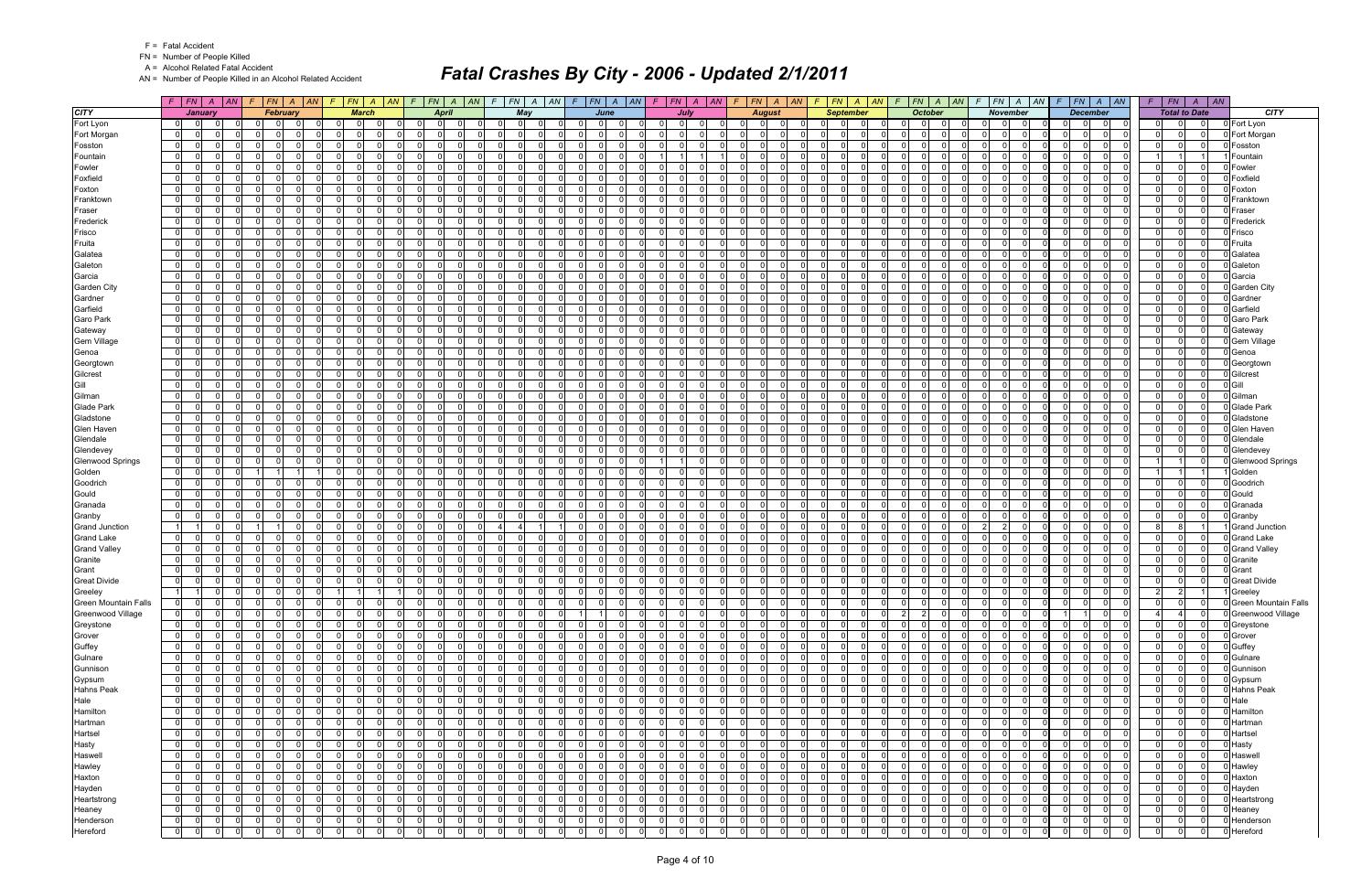FN = Number of People Killed

A = Alcohol Related Fatal Accident

AN = Number of People Killed in an Alcohol Related Accident

|                         | $F$   $FN$   A                                                     | AN<br>F. | $FN \mid A \mid AN$                       | $F N$ $A$                        |                      | AN<br>$\sqrt{2}$ | $FN \mid A$          | AN                   | $\mathcal{F}$ | $FN \mid A \mid AN$                          | $F$ $FN$ $A$                                 | $\parallel$ AN | FN <br>F.                               | AN <br>$\boldsymbol{A}$ | F.                   | $FN \mid A$                      | AN | $F$ $FN$ $A$ $AN$     |                      | F                    | $FN$ $A$             | AN       | $F_N$                            | $A \mid AN$          | F                    | FN A AN                                 | $\vert$ FN $\vert$<br>$\sqrt{ }$ |                       | $A \mid AN$            |
|-------------------------|--------------------------------------------------------------------|----------|-------------------------------------------|----------------------------------|----------------------|------------------|----------------------|----------------------|---------------|----------------------------------------------|----------------------------------------------|----------------|-----------------------------------------|-------------------------|----------------------|----------------------------------|----|-----------------------|----------------------|----------------------|----------------------|----------|----------------------------------|----------------------|----------------------|-----------------------------------------|----------------------------------|-----------------------|------------------------|
| <b>CITY</b>             | <b>January</b>                                                     |          | <b>February</b>                           | <b>March</b>                     |                      |                  | April                |                      |               | May                                          | June                                         |                |                                         | July                    |                      | <b>August</b>                    |    | <b>September</b>      |                      |                      | <b>October</b>       |          | <b>November</b>                  |                      |                      | <b>December</b>                         |                                  | <b>Total to Date</b>  | <b>CITY</b>            |
| Fort Lyon               | $\overline{0}$<br>- O I                                            |          | $\Omega$<br>$\Omega$<br>$\mathbf 0$       | - 0 l<br>$\Omega$                | $\Omega$             | $\Omega$         | $\overline{0}$       | $\overline{0}$       |               | $\mathbf{0}$<br>$\Omega$                     | $\mathbf{0}$<br>$\Omega$                     | $\Omega$       | -01<br>0                                | $\Omega$                | 0 I                  | $\Omega$<br>$\Omega$             |    | 0 <br>$\Omega$        | $\Omega$             | $\Omega$             | $\Omega$             |          | $\Omega$                         | $\mathbf 0$          | $\Omega$             | 0 I<br>$\Omega$                         | $\overline{0}$                   | $\Omega$<br>$\Omega$  | 0 Fort Lyon            |
| Fort Morgan             | $\Omega$<br>$\Omega$<br><sup>0</sup>                               |          | $\Omega$<br>$\Omega$                      | $\Omega$<br>0                    | $\Omega$             | $\Omega$         | $\Omega$             | $\Omega$             |               | $\Omega$<br>$\Omega$                         | $\Omega$<br>$\Omega$                         |                | $\Omega$<br>$\Omega$                    | <sup>n</sup>            | - 0 l                | $\Omega$                         |    | 0                     | $\Omega$             | $\Omega$             | $\Omega$             |          | $\Omega$                         | $\Omega$             | $\Omega$             | $\Omega$<br>$\Omega$                    | 0                                | 0<br>- C              | Fort Morgan            |
| Fosston                 | $\overline{0}$<br>n l<br>- O I                                     |          | $\Omega$<br>$\Omega$<br>$\Omega$          | $\Omega$<br>$\Omega$             | -01                  | 0 I              | $\Omega$             | $\Omega$             |               | $\mathbf{0}$<br>$\overline{0}$               | - 0 l<br>$\Omega$                            | $\Omega$       | 0 I<br>$\Omega$                         | $\Omega$                | 0 I                  | $\Omega$<br>$\Omega$             |    | 0                     | $\Omega$             | $\Omega$             | $\Omega$             |          | $\Omega$<br>$\Omega$             | $\Omega$             | $\Omega$             | n l<br>$\Omega$                         | $\overline{0}$                   | $\Omega$<br>$\Omega$  | Fosston                |
| Fountain                | $\mathbf 0$<br>0<br>$\Omega$                                       |          | $\Omega$<br>$\Omega$                      | $\Omega$<br>0                    | $\Omega$             | $\Omega$         | $\Omega$             | $\Omega$             |               | $\mathbf 0$<br>$\Omega$                      | 0<br>$\Omega$                                |                |                                         |                         | $\Omega$             | $\Omega$                         |    | $\overline{0}$        | $\Omega$             | $\Omega$             | $\Omega$             |          | $\Omega$                         | $\Omega$             | $\Omega$             | 0<br>$\Omega$                           | $1 \vert$                        |                       | Fountain               |
| Fowler                  | $\Omega$<br>n l<br>$\Omega$                                        |          | $\Omega$<br>$\Omega$                      | $\Omega$<br>n l                  | $\Omega$             | 0 I              | - 0 l                | $\Omega$             |               | - 0 l<br>$\Omega$                            | - Ol<br>-01                                  | $\Omega$       | n l<br>$\Omega$                         | $\Omega$                | - 0 l                | $\Omega$<br>$\Omega$             |    | -ol                   | $\Omega$             | $\Omega$             | $\Omega$             |          | $\Omega$                         | $\Omega$             | $\Omega$             | n l<br>$\Omega$                         | $\overline{0}$                   | $\Omega$<br>- 0       | 0 Fowler               |
| Foxfield                | $\overline{0}$<br>$\Omega$<br>$\Omega$                             |          | $\Omega$<br>$\Omega$                      | $\Omega$<br>$\Omega$             | $\Omega$             | $\Omega$         | $\Omega$             | $\Omega$             |               | $\mathbf 0$<br>$\Omega$                      | $\Omega$<br>$\Omega$                         | $\Omega$       | $\Omega$<br>$\Omega$                    | $\Omega$                | - 0 l                | $\Omega$<br>0                    |    | 0                     | $\Omega$             | $\Omega$             | $\Omega$             |          | $\Omega$                         | $\Omega$             | $\Omega$             | $\Omega$<br>$\Omega$                    | 0                                | $\Omega$<br>- 0       | 0 Foxfield             |
| Foxton                  | $\overline{0}$<br>n l<br>$\Omega$                                  |          | $\Omega$<br>$\Omega$                      | $\Omega$<br>$\Omega$             | $\Omega$             | - Ol             | $\Omega$             | $\Omega$             |               | $\Omega$<br>$\Omega$                         | $\Omega$<br>$\Omega$                         | $\Omega$       | n l<br>$\Omega$                         | $\Omega$                | - 0 l                | $\Omega$                         |    | 0                     | $\Omega$             | $\Omega$             | $\Omega$             |          | $\Omega$                         | $\Omega$             | $\Omega$             | n l<br>$\Omega$                         | $\overline{0}$                   | $\Omega$<br>$\cap$    | 0 Foxton               |
| Franktown               | $\mathbf 0$<br>$\Omega$<br>- Ol                                    |          | $\Omega$<br>$\Omega$                      | $\Omega$<br>$\Omega$             | $\Omega$             | $\overline{0}$   | $\Omega$             | $\Omega$             |               | $\mathbf 0$<br>$\Omega$                      | $\Omega$<br>$\Omega$                         | $\Omega$       | $\Omega$<br>$\Omega$                    | $\Omega$                | $\mathbf 0$          | $\Omega$                         |    | 0                     | $\Omega$             | $\Omega$             | $\Omega$             |          | $\mathbf 0$                      | $\Omega$             | $\Omega$             | 0<br>$\Omega$                           | 0                                | $\Omega$<br>- 0       | 0 Franktowr            |
| Fraser                  | $\overline{0}$<br>n l<br>- O I                                     |          | $\Omega$<br>$\Omega$                      | $\Omega$<br>n l                  | $\Omega$             | $\overline{0}$   | $\Omega$             | $\Omega$             |               | - 0 l<br>$\Omega$                            | $\Omega$<br>$\Omega$                         | $\Omega$       | n l<br>$\Omega$                         | $\Omega$                | - 0 l                | $\Omega$                         |    | -ol                   | $\Omega$             | $\Omega$             | $\Omega$             |          | $\Omega$                         | $\Omega$             | $\Omega$             | n l<br>$\Omega$                         | 0                                | $\Omega$<br>$\Omega$  | 0 Fraser               |
| Frederick               | - O I<br>$\Omega$<br>$\Omega$                                      |          | $\Omega$<br>$\Omega$                      | $\Omega$<br>$\Omega$             | $\overline{0}$       | $\Omega$         | $\Omega$             | $\Omega$             |               | $\mathbf 0$<br>$\Omega$                      | $\Omega$<br>$\Omega$                         | $\Omega$       | $\Omega$<br>$\Omega$                    | $\Omega$                | $\mathbf 0$          | $\Omega$<br>$\Omega$             |    | 0                     | $\Omega$             | $\Omega$             | $\Omega$             |          | $\Omega$                         | $\Omega$             | $\Omega$             | $\Omega$<br>$\Omega$                    | 0                                | $\Omega$<br>- C       | 0 Frederick            |
| Frisco                  | $\overline{0}$<br>- Ol<br>n l                                      |          | $\Omega$<br>$\Omega$<br>$\Omega$          | $\Omega$<br>n l                  | $\Omega$             | 0 I              | $\Omega$             | $\Omega$             |               | $\Omega$<br>$\Omega$                         | $\Omega$<br>$\Omega$                         | $\Omega$       | $\Omega$<br>$\Omega$                    | $\Omega$                | 0 I                  | $\Omega$<br>$\Omega$             |    | -ol                   | $\Omega$             | $\Omega$             | $\Omega$             |          | $\Omega$<br>$\Omega$             | $\Omega$             | $\Omega$             | nl<br>$\Omega$                          | $\overline{0}$                   | $\Omega$<br>$\Omega$  | 0 Frisco               |
| Fruita                  | $\mathbf 0$<br>$\Omega$<br>$\Omega$                                |          | $\Omega$<br>$\Omega$                      | $\Omega$<br>0                    | $\Omega$             | $\Omega$         | $\Omega$             | $\Omega$             |               | $\mathbf 0$<br>0                             | 0<br>$\mathbf{0}$                            | - 0            | $\Omega$<br>$\Omega$                    | $\Omega$                | 0                    | $\Omega$                         |    | 0                     | $\Omega$             | $\Omega$             | $\mathbf 0$          |          | 0                                | $\mathbf{0}$         | $\Omega$             | $\Omega$<br>$\Omega$                    | 0                                | $\Omega$<br>- 0       | 0 Fruita               |
| Galatea                 | $\mathbf 0$<br>- O I<br>- Ol                                       |          | $\Omega$<br>$\Omega$                      | $\Omega$<br>$\Omega$             | $\Omega$             | 0 I              | $\mathbf 0$          | $\Omega$             |               | $\mathbf 0$<br>$\Omega$                      | - Ol<br>$\Omega$                             | $\Omega$       | n l<br>$\Omega$                         | $\Omega$                | $\mathbf 0$          | $\Omega$                         |    | 0                     | 0 I                  | $\Omega$             | $\Omega$             |          | $\Omega$                         | $\Omega$             | - O I                | $\Omega$<br>- Ol                        | 0                                | $\Omega$<br>- 0       | 0 Galatea              |
| Galeton                 | $\mathbf 0$<br><sup>0</sup><br>$\Omega$                            |          | $\Omega$<br>$\Omega$                      | $\Omega$<br>$\Omega$             | $\Omega$             | - Ol             | $\Omega$             | $\Omega$             |               | $\Omega$<br>$\Omega$                         | $\Omega$<br>$\Omega$                         | $\Omega$       | $\Omega$<br>$\Omega$                    | $\Omega$                | - 0 l                | $\Omega$                         |    | 0                     | $\Omega$             | $\Omega$             | $\Omega$             |          | $\Omega$                         | $\Omega$             | $\Omega$             | $\Omega$<br>$\Omega$                    | 0                                | $\Omega$<br>- 0       | 0 Galeton              |
| Garcia                  | $\mathbf 0$<br>$\Omega$<br>$\Omega$                                |          | $\Omega$<br>$\Omega$                      | $\Omega$<br>0                    | $\overline{0}$       | 0 I              | $\Omega$             | $\Omega$             |               | - 0 l<br>- 0                                 | $\Omega$<br>$\Omega$                         | $\Omega$       | n l<br>$\Omega$                         | $\Omega$                | - 0 l                | $\Omega$                         |    | 0                     | $\Omega$             | $\Omega$             | $\Omega$             |          | $\Omega$                         | $\Omega$             | $\Omega$             | $\Omega$<br>$\Omega$                    | $\overline{0}$                   | $\Omega$<br>$\cap$    | 0 Garcia               |
| Garden City             | $\mathbf 0$<br>$\Omega$<br>$\Omega$                                |          | $\Omega$<br>$\Omega$                      | $\Omega$<br>$\Omega$             | $\Omega$             | $\Omega$         | $\Omega$             | $\Omega$             |               | $\Omega$<br>$\Omega$                         | $\Omega$<br>$\Omega$                         | $\Omega$       | n<br>$\Omega$                           | $\Omega$                | -ol                  | $\Omega$                         |    | -ol                   | $\Omega$             | $\Omega$             | $\Omega$             |          | $\Omega$                         | $\Omega$             | $\Omega$             | $\Omega$<br>$\Omega$                    | 0                                | $\Omega$              | 0 Garden City          |
| Gardner                 | - O I<br>$\Omega$<br>$\Omega$                                      |          | $\Omega$<br>$\Omega$                      | $\Omega$<br>$\Omega$             | $\Omega$             | $\overline{0}$   | $\Omega$             | $\Omega$             |               | - 0 l<br>$\Omega$                            | $\Omega$<br>$\Omega$                         | $\Omega$       | $\Omega$<br>$\Omega$                    | $\Omega$                | - 0 l                | $\Omega$                         |    | 0                     | $\Omega$             | $\Omega$             | $\Omega$             |          | $\Omega$                         | $\Omega$             | $\Omega$             | $\Omega$<br>$\Omega$                    | 0                                | $\Omega$<br>- 0       | 0 Gardner              |
| Garfield                | $\Omega$<br>$\Omega$<br>$\Omega$                                   |          | $\Omega$<br>$\Omega$                      | $\Omega$<br>0                    | $\Omega$             | $\Omega$         | $\Omega$             | $\Omega$             |               | $\Omega$<br>$\Omega$                         | $\Omega$<br>$\Omega$                         | $\Omega$       | n l<br>$\Omega$                         | $\Omega$                | - 0 l                | $\Omega$                         |    | -ol                   | $\Omega$             | $\Omega$             | $\Omega$             |          | $\Omega$                         | $\Omega$             | $\Omega$             | 0<br>$\Omega$                           | 0                                | $\Omega$              | 0 Garfield             |
| Garo Park               | $\overline{0}$<br>n l<br>$\Omega$                                  |          | $\Omega$<br>$\Omega$                      | $\Omega$<br>$\Omega$             | $\overline{0}$       | 0 I              | $\Omega$             | $\Omega$             |               | - 0 l<br>$\Omega$                            | $\Omega$<br>$\overline{0}$                   | $\Omega$       | n l<br>$\Omega$                         | $\Omega$                | - 0 l                | $\Omega$<br>$\Omega$             |    | -01                   | $\Omega$             | $\Omega$             | $\Omega$             |          | $\Omega$                         | $\Omega$             | $\Omega$             | $\Omega$<br>- Ol                        | $\overline{0}$                   | $\Omega$<br>- 0       | 0 Garo Park            |
| Gateway                 | $\mathbf 0$<br>n l<br>$\Omega$                                     |          | $\Omega$<br>$\Omega$                      | $\Omega$<br>$\Omega$             | -01                  | $\Omega$         | $\Omega$             | $\Omega$             |               | - 0 l<br>$\Omega$                            | $\Omega$<br>$\Omega$                         | $\Omega$       | $\Omega$<br>$\Omega$                    | $\Omega$                | $\Omega$             | $\Omega$                         |    | 0                     | $\Omega$             | $\Omega$             | $\Omega$             |          | $\Omega$                         | $\mathbf 0$          | $\Omega$             | $\Omega$<br>$\Omega$                    | 0                                | $\Omega$              | 0 Gateway              |
| Gem Village             | $\overline{0}$<br>$\Omega$<br>$\Omega$                             |          | $\Omega$<br>$\Omega$                      | $\Omega$<br>n l                  | $\Omega$             | - Ol             | - 0 l                | $\Omega$             |               | - 0 l<br>$\Omega$                            | $\Omega$<br>$\Omega$                         | $\Omega$       | n l<br>$\Omega$                         | $\Omega$                | - 0 l                | $\Omega$                         |    | -01                   | $\Omega$             | $\Omega$             | $\Omega$             |          | $\Omega$                         | $\Omega$             | $\Omega$             | $\Omega$<br>$\Omega$                    | 0                                | $\Omega$<br>- 0       | 0 Gem Village          |
| Genoa                   | $\overline{0}$<br>n l<br>$\Omega$                                  |          | $\Omega$<br>$\Omega$                      | $\Omega$<br>n l                  | $\Omega$             | - Ol             | $\Omega$             | $\Omega$             |               | $\Omega$<br>$\Omega$                         | $\Omega$<br>$\Omega$                         | $\Omega$       | $\Omega$<br>$\Omega$                    | $\Omega$                | - 0 l                | $\Omega$                         |    | 0                     | $\Omega$             | $\Omega$             | $\overline{0}$       |          | $\Omega$                         | $\Omega$             | $\Omega$             | n l<br>$\Omega$                         | 0                                | $\Omega$<br>$\Omega$  | 0 Genoa                |
| Georgtown               | $\overline{0}$<br>$\Omega$<br>- Ol                                 |          | $\Omega$<br>$\Omega$                      | $\Omega$<br>0                    | $\overline{0}$       | $\Omega$         | $\Omega$             | $\Omega$             |               | - 0 l<br>$\Omega$                            | $\Omega$<br>$\Omega$                         | $\Omega$       | n l<br>$\Omega$                         | $\Omega$                | - 0 l                | $\Omega$                         |    | 0                     | $\Omega$             | $\Omega$             | $\Omega$             |          | $\Omega$                         | $\Omega$             | $\Omega$             | $\Omega$<br>- Ol                        | $\overline{0}$                   | $\Omega$              | 0 Georgtown            |
| Gilcrest                | $\mathbf 0$<br>nl<br>$\Omega$                                      |          | $\Omega$<br>$\Omega$                      | $\Omega$<br>$\Omega$             | $\Omega$             | $\Omega$         | $\Omega$             | $\Omega$             |               | $\Omega$<br>$\Omega$                         | $\Omega$<br>$\Omega$                         | $\Omega$       | $\Omega$<br>$\Omega$                    | $\Omega$                | -ol                  | $\Omega$                         |    | -ol                   | $\Omega$             | $\Omega$             | $\Omega$             |          | $\Omega$                         | $\Omega$             | $\Omega$             | $\Omega$<br>$\Omega$                    | 0                                | $\Omega$              | 0 Gilcrest             |
| Gill                    | $\overline{0}$<br>n l<br>- O I                                     |          | $\Omega$<br>$\Omega$                      | $\Omega$<br>$\Omega$             | $\Omega$             | 0 I              | - 0 l                | $\Omega$             |               | - 0 l<br>$\Omega$                            | $\mathbf 0$<br>$\Omega$                      | $\Omega$       | $\Omega$<br>$\Omega$                    | $\Omega$                | 0                    | $\Omega$                         |    | 0                     | 0 I                  | $\Omega$             | $\Omega$             |          | $\mathbf 0$                      | $\mathbf 0$          | $\Omega$             | $\Omega$<br>$\Omega$                    | 0                                | $\Omega$<br>0         | 0 Gill                 |
| Gilman                  | $\overline{0}$<br>$\Omega$<br>$\Omega$                             |          | $\Omega$<br>$\Omega$                      | $\Omega$<br>$\Omega$             | $\Omega$             | $\Omega$         | $\Omega$             | $\Omega$             |               | - 0 l<br>$\Omega$                            | $\Omega$<br>$\Omega$                         | $\Omega$       | n l<br>$\Omega$                         | $\Omega$                | $\Omega$             | $\Omega$                         |    | $\Omega$              | $\Omega$             | $\Omega$             | $\Omega$             |          | $\Omega$                         | $\Omega$             | $\Omega$             | $\Omega$<br>$\Omega$                    | 0                                | $\Omega$              | 0 Gilman               |
| <b>Glade Park</b>       | $\overline{0}$<br>$\Omega$<br>$\Omega$                             |          | $\Omega$<br>$\Omega$                      | $\Omega$<br>$\Omega$             | $\Omega$             | - O I            | $\Omega$             | $\Omega$             |               | $\mathbf 0$<br>$\Omega$                      | $\Omega$<br>$\overline{0}$                   | $\Omega$       | $\Omega$<br>$\Omega$                    | $\Omega$                | $\mathbf 0$          | $\Omega$                         |    | $\overline{0}$        | $\Omega$             | $\Omega$             | $\Omega$             |          | $\Omega$                         | $\Omega$             | $\Omega$             | $\Omega$<br>$\Omega$                    | 0                                | $\Omega$<br>- 0       | <b>Glade Park</b>      |
| Gladstone               | $\overline{0}$<br>n l<br>- O I                                     |          | $\Omega$<br>$\Omega$                      | $\Omega$<br>$\Omega$             | $\Omega$             | 0 I              | $\Omega$             | $\Omega$             |               | - 0 l<br>$\Omega$                            | $\Omega$<br>$\Omega$                         | $\Omega$       | n l<br>$\Omega$                         | $\Omega$                | - 0 l                | $\Omega$                         |    | 0                     | $\Omega$             | $\Omega$             | $\Omega$             |          | $\Omega$                         | $\Omega$             | $\Omega$             | n l<br>$\Omega$                         | 0                                | $\Omega$<br>- 0       | 0 Gladstone            |
| Glen Haven              | $\mathbf 0$<br>$\Omega$<br>$\Omega$                                |          | $\Omega$<br>$\Omega$                      | $\Omega$<br>0                    | $\Omega$             | $\Omega$         | $\Omega$             | $\Omega$             |               | $\Omega$<br>$\Omega$                         | $\Omega$<br>$\Omega$                         |                | $\Omega$<br>$\Omega$                    | U                       | $\Omega$             | $\Omega$                         |    | $\Omega$              | $\Omega$             | $\Omega$             | $\Omega$             |          | $\Omega$                         | $\Omega$             | $\Omega$             | $\Omega$<br>$\Omega$                    | 0                                | <sup>n</sup>          | 0 Glen Haven           |
| Glendale                | $\mathbf 0$<br>n l<br>- O I                                        |          | $\overline{0}$<br>$\Omega$<br>$\mathbf 0$ | $\Omega$<br>0 I                  | -01                  | 0 I              | - 0 l                | $\Omega$             |               | $\mathbf{0}$<br>$\mathbf 0$                  | - Ol<br>$\mathbf{0}$                         | $\Omega$       | $\overline{0}$<br>$\Omega$              | <sup>0</sup>            | 0 I                  | $\Omega$<br>$\Omega$             |    | 0 <br>- 0             | $\Omega$             | $\overline{0}$       | $\mathbf 0$          |          | $\Omega$<br>$\Omega$             | $\Omega$             | $\mathbf 0$          | n l<br>0 I                              | 0                                | $\Omega$<br>$\Omega$  | 0 Glendale             |
| Glendevey               | $\Omega$<br>$\Omega$<br>$\Omega$                                   |          | $\Omega$<br>$\Omega$                      | $\Omega$<br>0                    | $\overline{0}$       | $\Omega$         | $\Omega$             | $\Omega$             |               | $\mathbf 0$<br>$\Omega$                      | $\Omega$<br>$\Omega$                         | $\Omega$       | n l<br>$\Omega$                         | $\Omega$                | - 0 l                | $\Omega$<br>$\Omega$             |    | -01                   | $\Omega$             | $\Omega$             | $\Omega$             |          | $\Omega$<br>$\Omega$             | $\Omega$             | $\Omega$             | 0<br>$\Omega$                           | 0                                | $\Omega$<br>- 0       | 0 Glendevey            |
| <b>Glenwood Springs</b> | $\overline{0}$<br>n l<br>- O I                                     |          | $\Omega$<br>$\Omega$<br>$\Omega$          | $\Omega$<br>$\Omega$             | -01                  | 0 I              | $\Omega$             | $\Omega$             |               | $\mathbf{0}$<br>$\overline{0}$               | $\Omega$<br>$\mathbf{0}$                     | n I            |                                         | $\Omega$                | 0 I                  | $\Omega$                         |    | $\mathbf{0}$          | $\Omega$             | $\Omega$             | $\overline{0}$       | $\Omega$ | $\Omega$                         | $\overline{0}$       | $\Omega$             | n l<br>$\Omega$                         | 11                               | $\Omega$              | 0 Glenwood Springs     |
| Golden                  | $\mathbf 0$<br>$\Omega$<br>$\Omega$<br>$\Omega$<br>n l<br>$\Omega$ |          | $\Omega$<br>$\Omega$                      | $\Omega$<br>0<br>$\Omega$<br>n l | $\Omega$<br>$\Omega$ | $\Omega$<br>0 I  | $\Omega$<br>$\Omega$ | $\Omega$<br>$\Omega$ |               | $\mathbf 0$<br>$\Omega$<br>- 0 l<br>$\Omega$ | $\Omega$<br>$\Omega$<br>$\Omega$<br>$\Omega$ | $\Omega$       | $\Omega$<br>$\Omega$<br>n l<br>$\Omega$ | $\Omega$<br>$\Omega$    | $\mathbf 0$<br>- 0 l | $\Omega$<br>$\Omega$<br>$\Omega$ |    | 0 <br>-ol             | $\Omega$<br>$\Omega$ | $\Omega$<br>$\Omega$ | $\Omega$<br>$\Omega$ |          | 0<br>$\Omega$                    | $\Omega$<br>$\Omega$ | $\Omega$<br>$\Omega$ | $\Omega$<br>$\Omega$<br>n l<br>$\Omega$ | $1 \vert$<br>$\overline{0}$      | $\Omega$<br>$\cap$    | Golden                 |
| Goodrich                | $\overline{0}$<br>$\Omega$<br>$\Omega$                             |          | $\Omega$<br>$\Omega$                      | $\Omega$<br>$\Omega$             | $\Omega$             | - Ol             | $\Omega$             | $\Omega$             |               | $\mathbf 0$<br>$\Omega$                      | $\Omega$<br>$\Omega$                         | $\Omega$       | $\Omega$<br>$\Omega$                    | $\Omega$                | - 0 l                | $\Omega$<br>0                    |    | 0                     | $\Omega$             | $\Omega$             | $\Omega$             |          | $\Omega$                         | $\Omega$             | $\Omega$             | - Ol<br>$\Omega$                        | 0                                | $\Omega$<br>- 0       | 0 Goodrich<br>0 Gould  |
| Gould                   | $\overline{0}$<br>n l<br>$\Omega$                                  |          | $\Omega$<br>$\Omega$<br>$\Omega$          | $\Omega$<br>$\Omega$             | $\Omega$             | - Ol             | $\Omega$             | $\Omega$             |               | $\Omega$<br>$\Omega$                         | $\Omega$<br>$\Omega$                         | $\Omega$       | n l<br>$\Omega$                         | $\Omega$                | - 0 l                | $\Omega$<br>$\Omega$             |    | 0                     | $\Omega$             | $\Omega$             | $\Omega$             |          | $\Omega$                         | $\Omega$             | $\Omega$             | n l<br>$\Omega$                         | $\overline{0}$                   | $\Omega$<br>- 0       | 0 Granada              |
| Granada<br>Granby       | $\mathbf 0$<br>$\Omega$<br>- Ol                                    |          | $\Omega$<br>$\Omega$                      | $\Omega$<br>$\Omega$             | $\overline{0}$       | $\Omega$         | $\Omega$             | $\Omega$             |               | - 0 l<br>$\Omega$                            | $\Omega$<br>$\Omega$                         | $\Omega$       | $\Omega$<br>$\Omega$                    | $\Omega$                | - 0 l                | $\Omega$                         |    | 0                     | $\Omega$             | $\Omega$             | $\Omega$             |          | $\mathbf 0$<br><sup>0</sup>      | $\Omega$             | $\Omega$             | $\Omega$<br>$\Omega$                    | 0                                | $\Omega$              | 0 Granby               |
| <b>Grand Junction</b>   | n l<br>$\vert$ 1                                                   |          | $\Omega$                                  | $\Omega$<br>$\Omega$             | $\Omega$             | $\overline{0}$   | $\Omega$             | $\Omega$             |               | $\overline{4}$                               | $\Omega$<br>$\Omega$                         | $\Omega$       | $\Omega$<br>$\Omega$                    | $\Omega$                | - 0 l                | $\Omega$                         |    | 0                     | 0 I                  | $\Omega$             | $\Omega$             |          | $\overline{2}$<br>$\overline{2}$ | $\Omega$             | $\Omega$             | n l<br>$\Omega$                         | 8                                | $\mathsf{R}$          | Grand Junction         |
| <b>Grand Lake</b>       | -01<br><sup>0</sup><br>0                                           |          | $\Omega$<br>n                             | <sup>0</sup>                     | $\Omega$             | $\Omega$         | $\Omega$             | $\Omega$             |               | n I<br>- 0                                   | $\Omega$<br>$\Omega$                         | - 0            | $\Omega$<br>$\Omega$                    | <sup>n</sup>            | $\Omega$             | $\Omega$                         |    | $\Omega$              | $\Omega$             | $\Omega$             | $\Omega$             |          | $\Omega$                         | $\Omega$             | $\Omega$             |                                         | 0                                |                       | 0 Grand Lake           |
| <b>Grand Valley</b>     | $\overline{0}$<br>- O I<br>- Ol                                    |          | $\Omega$<br>$\mathbf 0$                   | $\Omega$<br>$\Omega$             | $\overline{0}$       | 0 I              | $\Omega$             | $\Omega$             |               | $\mathbf{0}$<br>$\Omega$                     | $\Omega$<br>$\Omega$                         | $\Omega$       | $\Omega$<br>$\Omega$                    | $\Omega$                | - 0 l                | $\Omega$<br>$\Omega$             |    | -01                   | 0 I                  | $\Omega$             | $\Omega$             |          | $\Omega$                         | $\Omega$             | $\Omega$             | $\Omega$<br>- Ol                        | $\overline{0}$                   | $\Omega$<br>- 0       | 0 Grand Valley         |
| Granite                 | $\Omega$<br>$\mathbf 0$<br>$\Omega$                                |          | $\Omega$<br>$\Omega$                      | $\Omega$                         | $\Omega$             | $\Omega$         | $\Omega$             | $\Omega$             |               | $\Omega$<br>$\Omega$                         | $\Omega$<br>$\Omega$                         |                | $\Omega$<br>$\Omega$                    | $\Omega$                | $\Omega$             | $\Omega$                         |    | $\mathbf{0}$          | $\Omega$             | $\Omega$             | $\Omega$             |          | $\Omega$                         | $\Omega$             | $\Omega$             | $\Omega$                                | 0                                | $\Omega$              | 0 Granite              |
| Grant                   | n l<br>- O I<br>$\Omega$                                           |          | $\Omega$<br>$\Omega$                      | $\Omega$<br>$\Omega$             | -01                  | 0 I              | - 0 l                | $\Omega$             |               | $\mathbf{0}$<br>$\Omega$                     | $\Omega$<br>$\Omega$                         | $\Omega$       | n l<br>$\Omega$                         | $\Omega$                | 0 I                  | $\Omega$                         |    | 0                     | 0 I                  | $\Omega$             | $\Omega$             |          | $\Omega$                         | $\Omega$             | - O I                | n l<br>$\Omega$                         | 0                                | $\Omega$<br>- 0       | 0 Grant                |
| <b>Great Divide</b>     | $\Omega$<br>- O I<br>$\Omega$                                      |          | $\Omega$<br>$\Omega$                      | $\Omega$<br>$\Omega$             | $\Omega$             | $\Omega$         | $\Omega$             | $\Omega$             |               | $\Omega$<br>$\Omega$                         | $\mathbf 0$<br>$\Omega$                      | $\Omega$       | $\Omega$<br>$\Omega$                    | $\Omega$                | 0                    | $\Omega$                         |    | 0                     | $\Omega$             | $\overline{0}$       | $\Omega$             |          | $\mathbf 0$                      | $\mathbf 0$          | $\Omega$             | 0<br>$\Omega$                           | 0                                | $\Omega$<br>- 0       | <b>Great Divide</b>    |
| Greeley                 | $\overline{0}$<br>11                                               |          | $\Omega$<br>$\Omega$                      |                                  |                      | 0 I              | $\overline{0}$       | $\Omega$             |               | - 0 l<br>$\Omega$                            | $\Omega$<br>$\Omega$                         | $\Omega$       | n l<br>$\Omega$                         | $\Omega$                | - 0 l                | $\Omega$                         |    | 0 <br>- 0             | $\Omega$             | $\Omega$             | $\Omega$             |          | $\Omega$                         | $\Omega$             | $\Omega$             | $\Omega$                                | $\overline{2}$                   | $\overline{2}$        | Greeley                |
| Green Mountain Falls    | - O I                                                              |          | 0<br>$\Omega$                             | 0                                | 0                    | 01               |                      | 0                    |               | 0                                            | 0<br>01                                      |                |                                         | 0                       |                      |                                  |    | 0                     |                      | 0                    | 0                    |          |                                  | $\Omega$             |                      |                                         | $\overline{0}$                   |                       | 0 Green Mountain Falls |
| Greenwood Village       | $\mathbf 0$<br>- 0 l<br>$\overline{0}$                             |          | $\Omega$<br>$\mathbf 0$                   | 0l                               | 0                    | - O I            | 01                   | $\mathbf 0$          |               | 0 <br>$\mathbf 0$                            | 11                                           | $\Omega$       | $\overline{0}$<br>$\Omega$              | $\Omega$                | 0                    | $\Omega$                         |    | 0                     | $\Omega$             | $\overline{2}$       | $\overline{2}$       |          | $\mathbf 0$                      | $\Omega$             |                      | $\Omega$                                | $\vert$ 4                        | $\overline{4}$<br>- 0 | 0 Greenwood Village    |
| Greystone               | $\overline{0}$<br> 0 <br>- O I                                     |          | $\Omega$<br>$\Omega$<br>$\Omega$          | $\Omega$<br>$\Omega$             | 0                    | $\overline{0}$   | 0                    | $\Omega$             |               | $\mathbf 0$<br>$\mathbf 0$                   | $\Omega$<br>$\mathbf 0$                      | -01            | n l<br>$\Omega$                         | $\Omega$                | - 0 l                | $\Omega$                         |    | 0                     | $\Omega$             | $\overline{0}$       | $\mathbf 0$          |          | $\mathbf 0$                      | $\mathbf 0$          | $\Omega$             | $\Omega$<br>$\Omega$                    | 0                                | $\Omega$              | 0 Greystone            |
| Grover                  | $\overline{0}$<br>0 I<br>$\overline{0}$                            |          | $\Omega$<br>$\mathbf 0$<br>$\Omega$       | $\Omega$<br> 0                   | $\overline{0}$       | 0 I              | $\overline{0}$       | $\overline{0}$       |               | $\overline{0}$<br>$\mathbf{0}$               | 0 <br>$\overline{0}$                         | - O I          | 0 I<br>$\overline{0}$                   | $\Omega$                | $\overline{0}$       | $\Omega$<br>$\Omega$             |    | $\overline{0}$<br>- 0 | 0 I                  | $\overline{0}$       | - O I                |          | $\Omega$                         | $\mathbf 0$          | - O I                | 0 I<br>0 I                              | $\overline{0}$                   | $\overline{0}$<br>- 0 | 0 Grover               |
| Guffey                  | $\Omega$<br>$\mathbf 0$<br>$\Omega$                                |          | $\mathbf{0}$<br>$\Omega$<br>$\Omega$      | 0l                               | 0                    | 0                | $\overline{0}$       | $\mathbf 0$          |               | 0 <br>$\mathbf 0$                            | 0<br>$\mathbf 0$                             | - 0            | 0 <br>0                                 | $\mathbf{0}$            | 0                    | $\mathbf 0$                      |    | 0                     | $\Omega$             | $\overline{0}$       | $\mathbf 0$          |          | 0                                | $\mathbf 0$          | $\mathbf 0$          | 0 <br>$\Omega$                          | 0                                | $\overline{0}$        | 0 Guffey               |
| Gulnare                 | $\overline{0}$<br>$\Omega$<br>- O I                                |          | $\overline{0}$<br>$\Omega$<br>$\mathbf 0$ | $\Omega$<br>01                   | 0                    | $\overline{0}$   | $\overline{0}$       | $\mathbf 0$          |               | 0 <br>$\mathbf 0$                            | 0 <br>$\overline{0}$                         | - O I          | $\overline{0}$<br> 0                    | $\Omega$                | $\overline{0}$       | $\Omega$                         |    | 0                     | 0 I                  | $\overline{0}$       | $\mathbf 0$          |          | $\overline{0}$<br>$\Omega$       | $\mathbf 0$          | $\overline{0}$       | - 0 l<br>0 I                            | $\overline{0}$                   | $\Omega$<br>- 0       | 0 Gulnare              |
| Gunnison                | $\overline{0}$<br>$\Omega$<br>- O I                                |          | $\Omega$<br>$\Omega$                      | $\Omega$<br>$\Omega$             | $\Omega$             | $\overline{0}$   | 0                    | $\overline{0}$       |               | $\mathbf 0$<br>$\mathbf 0$                   | $\Omega$<br>$\mathbf 0$                      | - 0            | $\Omega$<br>$\Omega$                    | 0 I                     | 0                    | $\Omega$                         |    | 0                     | 0 I                  | $\Omega$             | - O I                |          | 0                                | $\mathbf 0$          | - O I                | $\Omega$<br>$\Omega$                    | $\overline{0}$                   | $\Omega$              | 0 Gunnison             |
| Gypsum                  | $\mathbf 0$<br>0l<br>0 I                                           |          | $\Omega$<br>$\mathbf 0$<br>$\Omega$       | 0<br>0l                          | 0                    | $\overline{0}$   | 0                    | $\mathbf 0$          |               | $\mathbf 0$<br>$\mathbf 0$                   | 0<br>$\mathbf 0$                             | - O I          | $\Omega$<br>$\mathbf 0$                 | $\Omega$                | 0                    | $\mathbf 0$<br>0                 |    | 0                     | 0 I                  | $\overline{0}$       | $\mathbf 0$          |          | 0                                | $\mathbf 0$          | - O I                | 0l<br>$\Omega$                          | $\overline{0}$                   | $\Omega$              | 0 Gypsum               |
| <b>Hahns Peak</b>       | $\mathbf 0$<br>0 I<br>- O I                                        |          | $\overline{0}$<br>$\Omega$<br>- 0 l       | $\Omega$<br>$\Omega$             | -01                  | 0 I              | $\overline{0}$       | $\overline{0}$       |               | $\mathbf{0}$<br> 0                           | 0 <br>$\overline{0}$                         | $\Omega$       | $\overline{0}$<br>-01                   | $\Omega$                | 0 I                  | $\overline{0}$<br>$\Omega$       |    | 0 <br>$\Omega$        | 0 I                  | $\overline{0}$       | $\overline{0}$       |          | $\Omega$                         | $\mathbf 0$          | $\Omega$             | $\overline{0}$<br>$\Omega$              | $\overline{0}$                   | $\Omega$<br>- 0       | 0 Hahns Peak           |
| Hale                    | $\mathbf 0$<br>$\Omega$<br>0 I                                     |          | $\mathbf{0}$<br>$\Omega$<br>0             | 0<br>0l                          | 0                    | 0                | $\mathbf 0$          | $\mathbf 0$          |               | 0 <br>$\mathbf 0$                            | 0<br> 0                                      | -01            | 0l<br>0                                 | $\overline{0}$          | 0                    | $\mathbf 0$                      |    | 0                     | $\Omega$             | $\overline{0}$       | $\mathbf 0$          |          | $\mathbf 0$                      | $\mathbf 0$          | 0                    | 0l<br>$\mathbf{0}$                      | $\overline{0}$                   | $\overline{0}$<br>- 0 | 0 Hale                 |
| Hamilton                | 0l<br>$\overline{0}$<br>0 I                                        |          | $\overline{0}$<br>$\Omega$<br>$\mathbf 0$ | $\Omega$<br>0 I                  | 0                    | 0 I              | $\overline{0}$       | 0                    |               | 0 <br> 0                                     | 0 <br>$\overline{0}$                         | $\mathbf 0$    | $\overline{0}$<br> 0                    | $\overline{0}$          | $\overline{0}$       | $\mathbf{0}$<br>$\Omega$         |    | $\overline{0}$<br>-01 | $\overline{0}$       | 0                    | $\mathbf 0$          |          | $\overline{0}$<br>$\Omega$       | $\overline{0}$       | $\mathbf 0$          | 0 I<br>0 I                              | $\overline{0}$                   | $\Omega$<br>$\Omega$  | 0 Hamilton             |
| Hartman                 | $\overline{0}$<br> 0 <br>- O I                                     |          | $\mathbf 0$<br>$\mathbf 0$<br>$\Omega$    | 0<br> 0                          | $\mathbf{0}$         | $\overline{0}$   | $\mathbf 0$          | $\overline{0}$       |               | $\mathbf 0$<br>$\overline{0}$                | 0<br>$\overline{0}$                          | - O I          | 0 <br>0                                 | $\mathbf 0$             | 01                   | $\mathbf 0$<br>0                 |    | 0 <br>- 0             | 0 I                  | $\overline{0}$       | $\mathbf 0$          | - 01     | $\mathbf 0$<br>$\Omega$          | $\mathbf 0$          | - O I                | 0 <br>$\Omega$                          | $\overline{0}$                   | $\Omega$<br>- 0       | 0 Hartman              |
| Hartsel                 | $\mathbf 0$<br>$\overline{0}$<br>- O I                             |          | $\Omega$<br>$\overline{0}$<br>$\mathbf 0$ | $\Omega$<br> 0                   | -01                  | 0 I              | $\overline{0}$       | $\overline{0}$       |               | 0 <br>$\mathbf 0$                            | $\mathbf 0$<br>$\overline{0}$                | $\overline{0}$ | $\overline{0}$<br>-01                   | $\Omega$                | 0 I                  | $\overline{0}$<br>$\Omega$       |    | 0 <br>- 0             | $\overline{0}$       | $\overline{0}$       | $\overline{0}$       |          | $\Omega$                         | $\mathbf 0$          | $\overline{0}$       | $\overline{0}$<br>0 I                   | $\overline{0}$                   | $\Omega$              | 0 Hartsel              |
| Hasty                   | $\mathbf 0$<br>$\Omega$<br>$\Omega$                                |          | $\Omega$<br>$\Omega$                      | $\Omega$<br>0l                   | 0                    | 0                | $\overline{0}$       | $\Omega$             |               | $\mathbf 0$<br>$\mathbf 0$                   | $\mathbf 0$<br> 0                            | - O I          | $\Omega$<br>0                           | $\Omega$                | 0                    | $\Omega$                         |    | 0                     | $\Omega$             | $\Omega$             | $\mathbf 0$          |          | $\mathbf 0$                      | $\mathbf 0$          | - O I                | $\Omega$<br>$\Omega$                    | $\overline{0}$                   | $\Omega$              | 0 Hasty                |
| Haswell                 | $\overline{0}$<br>0 I<br>- OI                                      |          | 0 I<br>$\Omega$<br>$\mathbf 0$            | $\mathbf 0$<br>$\overline{0}$    | 0                    | 0 I              | $\overline{0}$       | $\overline{0}$       |               | 0 <br> 0                                     | 0 <br>$\overline{0}$                         | - O I          | $\overline{0}$<br> 0                    | $\overline{0}$          | 01                   | $\mathbf{0}$<br>$\Omega$         |    | 0 <br>- 0             | 0 I                  | $\overline{0}$       | $\mathbf 0$          |          | $\overline{0}$<br>$\Omega$       | $\mathbf 0$          | $\mathbf 0$          | 0 I<br>0 I                              | 0                                | $\overline{0}$<br>0   | 0 Haswell              |
| Hawley                  | - O I<br>$\Omega$<br>$\Omega$                                      |          | $\Omega$<br>$\mathbf 0$<br>$\Omega$       | 0<br>0l                          | 0                    | $\overline{0}$   | 0                    | $\mathbf 0$          |               | $\mathbf 0$<br>$\mathbf 0$                   | $\Omega$<br>$\mathbf 0$                      | - O I          | $\Omega$<br>$\mathbf 0$                 | $\Omega$                | 0                    | $\Omega$<br>0                    |    | 0 <br>- 0             | 0 I                  | $\Omega$             | $\mathbf 0$          |          | $\mathbf 0$                      | $\mathbf 0$          | - O I                | 0l<br>$\Omega$                          | 0                                | $\Omega$              | 0 Hawley               |
| Haxton                  | $\mathbf 0$<br>0 I<br>- O I                                        |          | $\overline{0}$<br>- O I<br>$\mathbf 0$    | $\Omega$<br> 0                   | 0                    | 0 I              | $\overline{0}$       | $\overline{0}$       |               | 0 <br> 0                                     | 0 <br>$\overline{0}$                         | - O I          | $\overline{0}$<br> 0                    | 0 I                     | $\overline{0}$       | $\overline{0}$<br>$\Omega$       |    | $\overline{0}$<br>- 0 | 0 I                  | $\overline{0}$       | $\overline{0}$       | - 01     | $\mathbf 0$<br>$\Omega$          | $\overline{0}$       | - O I                | 0 I<br>0 I                              | $\overline{0}$                   | $\Omega$<br>- 0       | 0 Haxton               |
| Hayden                  | $\mathbf 0$<br>$\Omega$<br>- O I                                   |          | $\mathbf{0}$<br>$\Omega$                  | 0<br>0l                          | 0                    | $\overline{0}$   | 01                   | $\Omega$             |               | 0 <br>$\mathbf 0$                            | 0<br>$\mathbf 0$                             | $\Omega$       | 0l<br>$\Omega$                          | $\overline{0}$          | 0                    | $\Omega$                         |    | 0                     | $\Omega$             | $\overline{0}$       | $\mathbf 0$          |          | $\mathbf 0$                      | $\mathbf{0}$         | 0                    | $\Omega$<br>$\Omega$                    | $\overline{0}$                   | $\Omega$              | 0 Hayden               |
| Heartstrong             | $\overline{0}$<br>- O I<br>$\Omega$                                |          | 0 I<br>$\Omega$                           | $\Omega$<br>$\Omega$             | $\overline{0}$       | 0 I              | $\mathbf 0$          | $\overline{0}$       |               | $\mathbf 0$<br>$\mathbf 0$                   | - Ol<br>$\mathbf 0$                          | - O I          | 0 <br>$\Omega$                          | $\Omega$                | 0                    | $\Omega$<br>$\Omega$             |    | 0 <br>- 0             | 0 I                  | $\overline{0}$       | $\overline{0}$       |          | $\Omega$<br>$\Omega$             | $\mathbf 0$          | - O I                | 0 I<br>$\Omega$                         | $\overline{0}$                   | $\Omega$<br>- 0       | 0 Heartstrong          |
| Heaney                  | $\overline{0}$<br>- O I<br>.0                                      |          | $\mathbf{0}$<br>$\Omega$                  | 0<br>- 0 I                       | $\mathbf{0}$         | $\overline{0}$   | 01                   | $\mathbf 0$          |               | $\mathbf{0}$<br>- 0                          | 0<br>$\overline{0}$                          | -01            | 01<br> 0                                | $\Omega$                | 0                    | $\Omega$<br>0                    |    | 0 <br>- 0             | 0 I                  | $\overline{0}$       | 0                    |          | 0                                | $\mathbf 0$          | -01                  | $\Omega$<br>.0                          | $\overline{0}$                   | $\overline{0}$<br>- 0 | 0 Heaney               |
| Henderson               | $\mathbf 0$<br>$\overline{0}$<br>0 I                               |          | $\mathbf{0}$<br> 0 <br>$\Omega$           | $\mathbf 0$<br>0l                | 0                    | $\overline{0}$   | $\overline{0}$       | $\mathbf 0$          |               | 0 <br>$\mathbf 0$                            | $\mathbf 0$<br>$\mathbf 0$                   | $\mathbf 0$    | $\overline{0}$<br> 0                    | $\mathbf{0}$            | 0                    | $\overline{0}$<br>$\Omega$       |    | 0 <br>- 0             | 0 I                  | $\overline{0}$       | $\mathbf 0$          |          | $\mathbf 0$<br>$\Omega$          | $\mathbf 0$          | $\mathbf 0$          | 0 <br>$\Omega$                          | $\overline{0}$                   | 0 I<br>- 0            | 0 Henderson            |
| Hereford                | $\overline{0}$<br> 0 <br>$\overline{0}$                            |          | $\overline{0}$<br> 0                      | $\mathbf 0$<br> 0                | $\mathbf 0$          | $\overline{0}$   | $\overline{0}$       | $\mathbf 0$          |               | 0 <br>$\mathbf 0$                            | 0 <br> 0                                     | $\mathbf 0$    | 0 <br>$\mathbf 0$                       | $\mathbf 0$             | 0                    | $\mathbf 0$                      |    | 0 <br>$\overline{0}$  | $\overline{0}$       | 0                    | $\mathbf 0$          |          | $\mathbf 0$<br>$\mathbf 0$       | $\mathbf 0$          | $\mathbf 0$          | $\Omega$<br>$\mathbf 0$                 | 0                                | 0 <br>$\Omega$        | 0 Hereford             |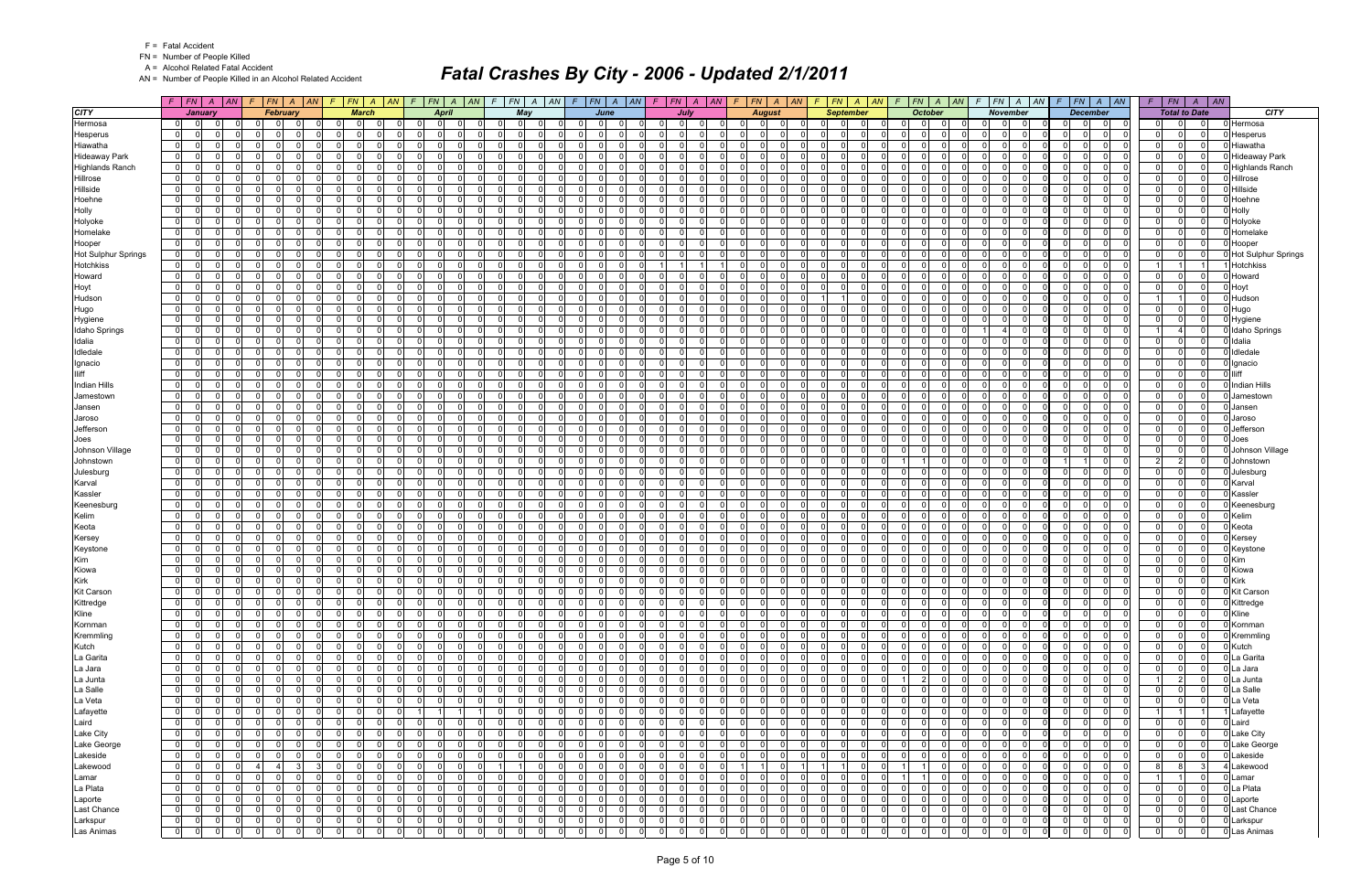| <b>Fatal Accident</b> |  |
|-----------------------|--|
|-----------------------|--|

A = Alcohol Related Fatal Accident

AN = Number of People Killed in an Alcohol Related Accident

|                            |                                  | $F$   $FN$   $A$   $AN$                               | F.                          | $FN \mid A \mid AN$            |          | F.                   | $FN \mid A \mid AN$                         | $F$   $FN$   $A$                                         | AN                      | $\mathcal{F}$  | $FN \mid A \mid AN$                                |                | $F$ $FN$ $A$ $AN$    |                                              |                         |                                                    | $F$   $FN$   $A$   $AN$                            | F.                   | $FN \mid A \mid AN$        |                                  | $F$ $ FN $ $A$ $ AN$                |                       | F.                          | $FN \mid A \mid AN$           |                            | F                                           |                            | $ FN $ A $ AN $ F $ FN $ A $ AN$        |                               | $\mathcal{F}$ |                                              | FN A AN              |                              |
|----------------------------|----------------------------------|-------------------------------------------------------|-----------------------------|--------------------------------|----------|----------------------|---------------------------------------------|----------------------------------------------------------|-------------------------|----------------|----------------------------------------------------|----------------|----------------------|----------------------------------------------|-------------------------|----------------------------------------------------|----------------------------------------------------|----------------------|----------------------------|----------------------------------|-------------------------------------|-----------------------|-----------------------------|-------------------------------|----------------------------|---------------------------------------------|----------------------------|-----------------------------------------|-------------------------------|---------------|----------------------------------------------|----------------------|------------------------------|
| <b>CITY</b>                |                                  | January                                               |                             | February                       |          |                      | <b>March</b>                                | <b>April</b>                                             |                         |                | May                                                |                |                      | June                                         |                         |                                                    | July                                               |                      | <b>August</b>              |                                  | <b>September</b>                    |                       |                             | <b>October</b>                |                            | <b>November</b>                             |                            |                                         | <b>December</b>               |               |                                              | <b>Total to Date</b> | <b>CITY</b>                  |
| Hermosa                    | - O I                            | 0 <br>$\Omega$                                        | $\Omega$                    | $\mathbf 0$<br>- 0             |          | $\Omega$             | $\overline{0}$<br>$\Omega$                  | $\overline{0}$<br>$\mathbf 0$                            | $\Omega$                | $\Omega$       | $\mathbf{0}$                                       | $\overline{0}$ | $\Omega$             | $\overline{0}$<br>റ                          |                         | $\Omega$                                           | 0 <br>0 I                                          | 0 I                  | $\overline{0}$             | $\Omega$                         | 01<br>-01                           | 0 I                   | $\Omega$                    | $\mathbf 0$                   | - 01                       | 01<br>$\Omega$                              | $\overline{0}$             | $\overline{0}$<br>$\Omega$              | $\Omega$                      |               | $\overline{0}$<br>$\Omega$                   | $\overline{0}$       | Hermosa                      |
| Hesperus                   | $\overline{0}$                   | $\Omega$<br>n                                         | $\Omega$                    | $\Omega$                       |          | $\Omega$             | $\Omega$                                    | $\Omega$<br>- 0                                          |                         |                | n I<br>n                                           |                | $\Omega$             | $\Omega$                                     |                         | n l<br>$\Omega$                                    | <sup>n</sup>                                       | $\mathbf 0$          | $\Omega$                   |                                  | -ol                                 | $\Omega$              | $\Omega$                    | $\Omega$                      |                            | -01                                         | $\Omega$                   | $\Omega$                                |                               |               | $\Omega$<br>n                                | - 0                  | Hesperus                     |
| Hiawatha                   | $\overline{0}$                   | $\Omega$<br>$\mathbf{0}$                              | 0                           | $\mathbf 0$<br>$\Omega$        |          | $\overline{0}$       | -01<br>$\Omega$                             | $\overline{0}$<br>$\overline{0}$                         | $\Omega$                | - Ol           | -01<br>$\Omega$                                    |                | $\Omega$             | $\mathbf{0}$<br>$\Omega$                     |                         | 0 I<br>$\Omega$                                    | $\Omega$                                           | 0 I                  | $\mathbf{0}$               | $\Omega$                         | 0 I<br>- 0                          | $\Omega$              | $\Omega$                    | $\overline{0}$                | $\Omega$                   | 0 <br>$\Omega$                              | $\Omega$                   | -01<br>$\Omega$                         | <sup>0</sup>                  |               | $\overline{0}$<br>$\Omega$                   | $\Omega$             | Hiawatha                     |
| <b>Hideaway Park</b>       | $\mathbf 0$                      | $\Omega$<br>$\Omega$                                  | $\Omega$                    | $\Omega$                       |          | $\Omega$             | $\Omega$                                    | $\Omega$<br>$\Omega$                                     | $\Omega$                |                | $\Omega$<br>$\Omega$                               |                | $\Omega$             | $\Omega$                                     |                         | $\Omega$<br>$\Omega$                               | $\Omega$                                           | n l                  | $\Omega$                   |                                  | 0                                   | $\Omega$              | $\Omega$                    | $\Omega$                      |                            | $\Omega$                                    | $\Omega$                   | $\Omega$                                |                               |               | $\Omega$<br>$\Omega$                         | $\Omega$             | <b>Hideaway Park</b>         |
| <b>Highlands Ranch</b>     | $\overline{0}$                   | $\Omega$<br>$\mathbf 0$<br>$\Omega$                   | 0 <br>$\Omega$              | - 0 l                          |          | $\Omega$<br>$\Omega$ | $\Omega$<br>$\Omega$<br>$\Omega$            | 0 I<br>-01                                               | $\Omega$<br>$\Omega$    | $\Omega$       | -01<br>$\Omega$                                    |                | $\Omega$<br>$\Omega$ | $\Omega$<br>$\Omega$<br>$\Omega$             |                         | n l<br>$\Omega$<br>$\Omega$<br>$\Omega$            | $\Omega$                                           | 0 I                  | $\Omega$<br>$\Omega$       |                                  | 0 I                                 | $\Omega$<br>$\Omega$  | $\Omega$<br>$\Omega$        | $\Omega$                      |                            | -01<br><sup>0</sup><br>$\Omega$             | $\Omega$<br>$\Omega$       | -01<br>$\Omega$                         | 0                             |               | $\Omega$<br>U<br>$\Omega$<br>$\Omega$        | $\Omega$<br>$\Omega$ | Highlands Ranch              |
| Hillrose<br>Hillside       | $\overline{0}$<br>$\overline{0}$ | $\Omega$<br>$\mathbf 0$<br>$\Omega$                   | $\Omega$                    | $\Omega$<br>റ<br>$\mathbf 0$   |          | $\Omega$             | $\Omega$                                    | $\overline{0}$<br>$\Omega$<br>0 I<br>$\Omega$            | $\Omega$                |                | $\Omega$<br>$\Omega$<br>$\overline{0}$<br>$\Omega$ |                | $\Omega$             | $\Omega$<br>$\Omega$<br>$\Omega$             |                         | n l                                                | $\Omega$<br>$\Omega$<br>$\Omega$                   | -ol<br>- 0 l         | $\Omega$                   |                                  | -ol<br>- 0<br>$\overline{0}$<br>- 0 | $\Omega$              | $\Omega$                    | $\overline{0}$<br>$\Omega$    | $\Omega$                   | -ol<br>-01                                  | $\Omega$                   | -01<br>$\Omega$<br>-01<br>$\Omega$      | $\Omega$                      |               | $\Omega$                                     | $\Omega$             | O Hillrose<br>J Hillside     |
| Hoehne                     | $\Omega$                         | $\Omega$<br>$\Omega$                                  | $\Omega$                    | $\Omega$                       |          | $\Omega$             | $\Omega$                                    | n<br>$\Omega$                                            | $\Omega$                |                | $\Omega$<br>$\Omega$                               |                | $\Omega$             | $\Omega$                                     |                         | $\Omega$<br>$\Omega$                               | $\Omega$                                           | n                    | $\Omega$                   |                                  | -ol                                 | $\Omega$              | $\Omega$                    | $\Omega$                      |                            | $\Omega$                                    | $\Omega$                   | $\Omega$<br>$\Omega$                    |                               |               | $\Omega$                                     | $\Omega$             | Hoehne                       |
| Holly                      | $\Omega$                         | $\Omega$<br>$\mathbf 0$                               | $\Omega$                    | $\mathbf 0$                    |          | $\Omega$             | $\Omega$                                    | $\overline{0}$<br>$\Omega$                               | $\Omega$                | $\Omega$       | -01<br>$\Omega$                                    |                | $\mathbf 0$          | $\overline{0}$<br>$\Omega$                   |                         | $\Omega$                                           | $\Omega$<br>$\Omega$                               | 0                    | $\Omega$                   |                                  | 0 <br>- 0                           | $\Omega$              | $\Omega$                    | $\Omega$                      |                            | $\overline{0}$<br>$\Omega$                  | $\Omega$                   | 0 <br>$\Omega$                          |                               |               | $\Omega$<br>$\Omega$                         | $\Omega$             | 0 Holly                      |
| Holyoke                    | $\Omega$                         | $\Omega$<br>$\Omega$                                  | $\Omega$                    | - 0 l                          |          | $\Omega$             | $\Omega$                                    | $\Omega$<br>$\Omega$                                     | $\Omega$                |                | $\Omega$<br>$\Omega$                               |                | $\Omega$             | $\Omega$<br>$\Omega$                         |                         | n<br>$\Omega$                                      | $\Omega$                                           | -ol                  | $\Omega$                   |                                  | -ol                                 | $\Omega$              | $\Omega$                    | $\Omega$                      |                            | $\Omega$                                    | $\Omega$                   | -ol<br>$\Omega$                         |                               |               | $\Omega$                                     | $\Omega$             | J Holyoke                    |
| Homelake                   | $\overline{0}$                   | $\Omega$<br>$\mathbf 0$                               | $\Omega$                    | $\mathbf 0$<br>- 0             |          | $\Omega$             | $\Omega$<br>$\Omega$                        | 0 I<br>$\Omega$                                          | $\Omega$                | $\Omega$       | -01<br>$\Omega$                                    |                | $\Omega$             | $\overline{0}$<br>$\Omega$                   |                         | $\Omega$                                           | $\Omega$<br>$\Omega$                               | 0 I                  | $\Omega$                   | $\Omega$                         | 0 I<br>- 0                          | $\Omega$              | $\Omega$                    | $\overline{0}$                | $\Omega$                   | - Ol<br>$\Omega$                            | $\Omega$                   | -01<br>$\Omega$                         | $\Omega$                      |               | $\Omega$<br>$\Omega$                         | $\Omega$             | Homelake                     |
| Hooper                     | $\overline{0}$                   | - 0 l<br>$\Omega$                                     | $\Omega$                    | $\Omega$                       |          | $\Omega$             | $\Omega$                                    | $\overline{0}$<br>$\Omega$                               | $\Omega$                |                | $\Omega$<br>$\Omega$                               |                | $\Omega$             | $\Omega$                                     |                         | $\Omega$<br>$\Omega$                               | $\Omega$                                           | -ol                  | $\Omega$                   |                                  | 0                                   | $\Omega$              | $\Omega$                    | $\Omega$                      |                            | $\Omega$                                    | $\Omega$                   | $\Omega$<br>n                           |                               |               | $\Omega$                                     | $\Omega$             | Hooper                       |
| <b>Hot Sulphur Springs</b> | $\mathbf{0}$                     | $\Omega$<br>$\Omega$                                  | $\Omega$                    | $\Omega$                       |          | $\Omega$             | $\Omega$                                    | n<br>$\Omega$                                            | $\Omega$                |                | $\Omega$<br>$\Omega$                               |                | $\Omega$             | $\Omega$                                     |                         | $\Omega$<br>$\Omega$                               | $\Omega$                                           | - 0 l                | $\Omega$                   |                                  | -ol                                 | $\Omega$              | $\Omega$                    | $\Omega$                      |                            | $\Omega$<br>U                               | $\Omega$                   | $\Omega$<br>$\Omega$                    |                               |               |                                              | - 0                  | 0 Hot Sulphur Springs        |
| Hotchkiss                  | $\Omega$                         | $\Omega$<br>$\mathbf 0$                               | $\Omega$                    | $\Omega$                       |          | $\Omega$             | $\Omega$                                    | 0 I<br>$\Omega$                                          | $\Omega$                |                | $\overline{0}$<br>$\Omega$                         |                | $\Omega$             | $\Omega$                                     |                         |                                                    | 1                                                  | $\mathbf 0$          | $\Omega$                   |                                  | - 0 l<br>- 0                        | $\Omega$              | $\Omega$                    | $\Omega$                      |                            | $\Omega$                                    | $\Omega$                   | -01<br>- 0                              | $\Omega$                      |               |                                              |                      | Hotchkiss                    |
| Howard                     | $\overline{0}$                   | $\Omega$<br>$\Omega$                                  | $\Omega$                    | 0                              |          | $\Omega$             | $\Omega$<br><sup>n</sup>                    | 0 <br>$\Omega$                                           | $\Omega$                |                | $\overline{0}$<br>$\Omega$                         |                | $\Omega$             | $\Omega$<br>$\Omega$                         |                         | - Ol<br>$\Omega$                                   | 0                                                  | $\mathbf 0$          | $\Omega$                   | $\Omega$                         | 0                                   | $\Omega$              | $\Omega$                    | $\Omega$                      |                            | -ol                                         | $\Omega$                   | $\overline{0}$<br>- 0                   |                               |               | $\Omega$                                     | $\Omega$             | J Howard                     |
| Hoyt                       | $\overline{0}$                   | - 0 l<br>$\Omega$                                     | $\Omega$                    | $\Omega$<br>$\Omega$           |          | $\Omega$             | $\Omega$                                    | 0l<br>$\Omega$                                           | $\Omega$                | nl             | $\Omega$<br>$\Omega$                               |                | $\Omega$             | $\Omega$<br>$\Omega$                         |                         | $\Omega$<br>$\Omega$                               | $\Omega$                                           | $\overline{0}$       | $\Omega$                   | $\Omega$                         | $\overline{0}$<br>റ                 | $\Omega$              | $\Omega$                    | $\Omega$                      | $\Omega$                   | $\Omega$<br>$\Omega$                        | $\Omega$                   | $\Omega$<br>$\Omega$                    | ΩI                            |               | $\Omega$<br>$\Omega$                         | $\Omega$             | 0 Hoyt                       |
| Hudson                     | $\overline{0}$                   | $\Omega$<br>$\Omega$                                  | $\Omega$                    | $\mathbf 0$                    |          | $\mathbf 0$          | $\Omega$                                    | $\overline{0}$<br>$\Omega$                               | $\Omega$                | $\Omega$       | $\overline{0}$<br>$\Omega$                         |                | $\mathbf 0$          | $\mathbf{0}$                                 |                         | $\Omega$                                           | $\Omega$<br>$\Omega$                               | 0                    | $\Omega$                   |                                  |                                     | $\Omega$              | $\Omega$                    | $\mathbf 0$                   |                            | $\overline{0}$<br>$\Omega$                  | $\mathbf 0$                | 0 <br>0                                 | 0                             |               |                                              | - 0                  | Hudson                       |
| Hugo                       | $\overline{0}$<br>$\overline{0}$ | - 0 l<br>$\Omega$<br>$\Omega$                         | $\Omega$<br>$\Omega$        | $\Omega$<br>- 0                |          | $\Omega$<br>$\Omega$ | $\Omega$<br>$\Omega$<br>$\Omega$            | $\overline{0}$<br>-01<br>0 I<br>$\Omega$                 | $\Omega$<br>$\Omega$    | $\Omega$       | -01<br>$\Omega$<br>$\Omega$<br>$\Omega$            |                | - ol<br>$\Omega$     | $\Omega$<br>$\Omega$<br>$\Omega$<br>$\Omega$ |                         | $\Omega$<br>$\Omega$<br>$\Omega$<br>$\Omega$       | $\Omega$<br>$\Omega$                               | 0 I<br>- 0 l         | $\Omega$<br>$\Omega$       | $\Omega$                         | $\overline{0}$<br>- 0<br> 0 <br>- 0 | $\Omega$<br>$\Omega$  | $\Omega$<br>$\Omega$        | $\Omega$                      | $\Omega$                   | $\mathbf{0}$<br>$\Omega$<br>-01<br>$\Omega$ | $\Omega$<br>$\Omega$       | -01<br>$\Omega$<br>$\Omega$             | $\Omega$<br>$\Omega$          |               | $\Omega$<br>$\Omega$<br>$\Omega$<br>$\Omega$ | $\Omega$<br>$\Omega$ | 0 Hugo                       |
| Hygiene<br>Idaho Springs   | $\overline{0}$                   | $\mathbf 0$<br>- 0 l<br>$\Omega$                      | $\Omega$                    | $\mathbf 0$<br>- 0 l           |          | $\Omega$             | $\Omega$<br>$\Omega$                        | $\overline{0}$<br>$\Omega$                               | $\Omega$                | $\Omega$       | -01<br>$\Omega$                                    |                | $\Omega$             | $\Omega$<br>$\Omega$                         |                         | n l<br>$\Omega$                                    | $\Omega$                                           | - 0 l                | $\Omega$                   |                                  | $\overline{0}$<br>റ                 | $\Omega$              | $\Omega$                    | - O I<br>$\overline{0}$       |                            |                                             | $\Omega$                   | $\overline{0}$<br>-01<br>$\Omega$       | $\Omega$                      |               |                                              | $\Omega$             | 0 Hygiene<br>0 Idaho Springs |
| Idalia                     | $\overline{0}$                   | $\mathbf 0$<br>$\Omega$                               | $\Omega$                    | $\Omega$                       |          | $\Omega$             | $\Omega$                                    | $\Omega$<br>$\Omega$                                     | $\Omega$                | $\Omega$       | $\Omega$<br>$\Omega$                               |                | $\Omega$             | $\Omega$                                     |                         | $\Omega$<br>$\Omega$                               | $\Omega$                                           | - 0 l                | $\Omega$                   |                                  | -ol                                 | $\Omega$              | $\Omega$                    | $\Omega$                      |                            | $\Omega$                                    | $\Omega$                   | $\Omega$<br>$\Omega$                    |                               |               |                                              | $\Omega$             | J Idalia                     |
| Idledale                   | $\overline{0}$                   | $\Omega$<br>$\mathbf 0$                               | 0                           | - 0 l<br>- റ                   |          | - 0 l                | -01<br>$\Omega$                             | 0 I<br>$\overline{0}$                                    | $\Omega$                | n l            | -01<br>$\Omega$                                    |                | $\overline{0}$       | $\mathbf{0}$<br>$\Omega$                     |                         | 0 <br>$\Omega$                                     | $\Omega$                                           | 0 I                  | $\overline{0}$             | $\Omega$                         | $\overline{0}$<br>- റ               | $\Omega$              | $\overline{0}$              | $\overline{0}$                | $\Omega$                   | $\mathbf{0}$<br>$\Omega$                    | $\mathbf 0$                | -01<br>$\Omega$                         | <sup>0</sup>                  |               | $\overline{0}$<br>$\Omega$                   | $\Omega$             | J Idledale                   |
| Ignacio                    | $\overline{0}$                   | $\Omega$<br>$\Omega$                                  | $\Omega$                    | $\mathbf 0$                    |          | $\Omega$             | $\Omega$                                    | $\Omega$<br>- 0                                          | $\Omega$                |                | $\Omega$<br>$\Omega$                               |                | $\Omega$             | $\Omega$                                     |                         | n l                                                | $\Omega$<br>$\Omega$                               | - 0 l                | $\Omega$                   |                                  | -ol                                 | $\Omega$              | $\Omega$                    | $\Omega$                      |                            | -ol                                         | $\Omega$                   | $\Omega$<br>n                           |                               |               | $\Omega$                                     | $\Omega$             | 0 Ignacio                    |
| <b>Illiff</b>              | $\overline{0}$                   | $\Omega$<br>$\mathbf 0$                               | $\Omega$                    | $\Omega$<br>$\Omega$           |          | $\Omega$             | $\Omega$<br>$\Omega$                        | 0l<br>$\Omega$                                           | $\Omega$                | n l            | $\Omega$<br>$\Omega$                               |                | -ol                  | $\Omega$<br>$\Omega$                         |                         | 0 I<br>$\Omega$                                    | $\Omega$                                           | 0 I                  | $\Omega$                   | $\Omega$                         | $\overline{0}$<br>റ                 | $\Omega$              | $\Omega$                    | $\Omega$                      | $\Omega$                   | $\Omega$<br>$\Omega$                        | $\Omega$                   | -01<br>$\Omega$                         | ΩI                            |               | $\Omega$<br>$\Omega$                         | $\Omega$             | 0 Iliff                      |
| <b>Indian Hills</b>        | $\overline{0}$                   | $\mathbf 0$<br>$\Omega$                               | $\Omega$                    | $\Omega$                       |          | $\Omega$             | $\Omega$                                    | 0 <br>$\Omega$                                           | <sup>0</sup>            | 0              | $\overline{0}$<br>$\Omega$                         |                | $\mathbf 0$          | $\Omega$                                     |                         | $\Omega$                                           | $\Omega$<br>$\Omega$                               | $\mathbf 0$          | $\Omega$                   |                                  | 0                                   | $\Omega$              | $\Omega$                    | $\Omega$                      |                            | $\Omega$<br>O                               | $\Omega$                   | 0 <br>$\Omega$                          |                               |               | $\overline{0}$<br>$\Omega$                   | $\Omega$             | Indian Hills                 |
| Jamestown                  | $\overline{0}$                   | $\Omega$<br>$\Omega$                                  | $\Omega$                    | - 0 l                          |          | $\Omega$             | $\Omega$                                    | 0l<br>$\Omega$                                           | $\Omega$                |                | -01<br>$\Omega$                                    |                | $\Omega$             | $\Omega$                                     |                         | n l                                                | $\Omega$<br>$\Omega$                               | - 0 l                | $\Omega$                   |                                  | -ol                                 | $\Omega$              | $\Omega$                    | $\Omega$                      |                            | $\Omega$<br><sup>0</sup>                    | $\overline{0}$             | -01<br>$\Omega$                         | <sup>0</sup>                  |               | U                                            | $\Omega$             | Jamestown                    |
| Jansen                     | $\overline{0}$                   | $\Omega$<br>$\Omega$                                  | $\Omega$                    | $\Omega$<br>- 0                |          | $\Omega$             | $\Omega$<br><sup>n</sup>                    | 0 I<br>$\Omega$                                          | $\Omega$                |                | $\Omega$<br>$\Omega$                               |                | $\Omega$             | $\Omega$<br>$\Omega$                         |                         | $\Omega$                                           | $\Omega$<br>$\Omega$                               | $\mathbf 0$          | n I                        |                                  | - 0 l<br>- 0                        | $\Omega$              | $\Omega$                    | -01                           |                            | $\overline{0}$<br>n                         | $\Omega$                   | $\overline{0}$<br><sup>0</sup>          |                               |               | $\Omega$<br><sup>n</sup>                     | - 0                  | Jansen                       |
| Jaroso                     | $\overline{0}$                   | $\mathbf 0$<br>$\Omega$                               | $\Omega$                    | $\mathbf 0$                    |          | $\Omega$             | $\Omega$                                    | 0 I<br>$\Omega$                                          | $\Omega$                |                | $\overline{0}$<br>$\Omega$                         |                | $\Omega$             | $\Omega$<br>$\Omega$                         |                         | n l                                                | $\Omega$<br>$\Omega$                               | - 0 l                | $\Omega$                   |                                  | $\overline{0}$<br>- 0               | $\Omega$              | $\Omega$                    | $\Omega$                      |                            | -01                                         | $\Omega$                   | -01<br>$\Omega$                         |                               |               | $\Omega$                                     | $\Omega$             | 0 Jaroso                     |
| Jefferson                  | $\overline{0}$                   | $\Omega$<br>$\Omega$                                  | $\Omega$                    | $\Omega$                       |          | $\Omega$             | $\Omega$                                    | n<br>$\Omega$                                            | $\Omega$                |                | $\Omega$<br>$\Omega$                               |                | $\Omega$             | $\Omega$                                     |                         | $\Omega$<br>$\Omega$                               | $\Omega$                                           | n                    | $\Omega$                   |                                  | -ol                                 | $\Omega$              | $\Omega$                    | $\Omega$                      |                            | $\Omega$                                    | $\Omega$                   | $\Omega$<br>$\Omega$                    |                               |               | $\Omega$<br>$\Omega$                         | $\Omega$             | Jefferson                    |
| Joes                       | $\overline{0}$                   | $\Omega$<br>$\mathbf 0$                               | $\Omega$                    | $\mathbf 0$                    |          | $\Omega$             | $\Omega$                                    | $\overline{0}$<br>-01                                    | $\Omega$                | $\Omega$       | -01<br>$\Omega$                                    |                | $\mathbf 0$          | $\overline{0}$                               |                         | $\Omega$                                           | $\Omega$<br>$\Omega$                               | 0                    | $\Omega$                   |                                  | 0 <br>- 0                           | $\Omega$              | $\Omega$                    | $\Omega$                      |                            | 0 <br>$\Omega$                              | $\Omega$                   | 0 <br>$\Omega$                          |                               |               | $\Omega$<br>$\Omega$                         | $\Omega$             | 0 Joes                       |
| Johnson Village            | $\Omega$                         | $\Omega$<br>$\Omega$                                  | $\Omega$                    | - 0 l                          |          | $\Omega$             | $\Omega$                                    | $\Omega$<br>$\Omega$                                     | $\Omega$                |                | $\Omega$<br>$\Omega$                               |                | $\Omega$             | $\Omega$<br>$\Omega$                         |                         | n<br>$\Omega$                                      | $\Omega$                                           | -ol                  | $\Omega$                   |                                  | -ol                                 | $\Omega$              | $\Omega$                    | $\Omega$                      |                            | $\Omega$                                    | $\Omega$                   | - Ol<br>$\Omega$                        |                               |               | $\Omega$                                     | $\Omega$             | 0 Johnson Village            |
| Johnstown                  | $\overline{0}$                   | $\Omega$<br>$\mathbf 0$<br>$\Omega$                   | $\Omega$<br>$\Omega$        | $\mathbf 0$<br>- 0<br>$\Omega$ |          | $\Omega$<br>$\Omega$ | $\Omega$<br>$\Omega$<br>$\Omega$            | 0 I<br>$\overline{0}$<br>$\Omega$                        | $\Omega$<br>$\Omega$    | n l            | -01<br>$\Omega$<br>$\Omega$<br>$\Omega$            |                | $\Omega$<br>$\Omega$ | $\overline{0}$<br>$\Omega$<br>$\Omega$       |                         | $\Omega$<br>$\Omega$<br>$\Omega$                   | $\Omega$<br>$\Omega$<br>$\Omega$                   | 0 I<br>$\Omega$      | $\Omega$<br>$\Omega$       | $\Omega$                         | 0 I<br>- 0                          | $\Omega$<br>$\Omega$  | 11<br>$\Omega$              | $\Omega$                      | $\Omega$                   | -01<br>$\Omega$<br>$\Omega$                 | $\Omega$<br>$\Omega$       | 11<br>$\Omega$<br>n                     | $\Omega$                      |               | $\overline{2}$<br>2<br>$\Omega$<br>$\Omega$  | $\Omega$<br>$\Omega$ | 0 Johnstown                  |
| Julesburg<br>Karval        | $\overline{0}$<br>$\Omega$       | $\Omega$<br>$\Omega$<br>$\Omega$                      | $\Omega$                    | $\Omega$                       |          | $\Omega$             | $\Omega$                                    | $\overline{0}$<br>$\overline{0}$<br>$\Omega$             | $\Omega$                |                | -01<br>$\Omega$                                    |                | $\Omega$             | $\Omega$                                     |                         | n l<br>$\Omega$                                    |                                                    | - 0 l                | $\Omega$                   |                                  | 0 <br>-ol                           | $\Omega$              | $\Omega$                    | $\Omega$                      |                            | $\Omega$<br>O                               | $\Omega$                   | -01<br>$\Omega$                         |                               |               | $\Omega$<br>n                                | $\Omega$             | Julesburg<br>0 Karval        |
| Kassler                    | $\overline{0}$                   | $\Omega$<br>$\mathbf 0$                               | $\Omega$                    | $\Omega$<br>റ                  |          | $\Omega$             | $\Omega$<br>$\Omega$                        | $\overline{0}$<br>$\Omega$                               | $\Omega$                |                | $\Omega$<br>$\Omega$                               |                | ol                   | $\overline{0}$<br>$\Omega$                   |                         | $\Omega$                                           | $\Omega$<br>$\Omega$                               | - 0 l                | $\Omega$                   |                                  | -ol<br>- C                          | $\Omega$              | $\Omega$                    | $\overline{0}$                |                            | -ol<br>$\Omega$                             | $\Omega$                   | -01<br>$\Omega$                         | $\Omega$                      |               | $\Omega$<br>$\Omega$                         | $\Omega$             | 0 Kassler                    |
| Keenesburg                 | $\overline{0}$                   | $\Omega$<br>$\mathbf 0$                               | $\Omega$                    | - 0 l                          |          | $\Omega$             | $\Omega$                                    | 0 I<br>$\Omega$                                          | $\Omega$                |                | -01<br>$\Omega$                                    |                | $\Omega$             | $\Omega$<br>$\Omega$                         |                         | n l                                                | $\Omega$<br>$\Omega$                               | - 0 l                | $\Omega$                   |                                  | -ol                                 | $\Omega$              | $\Omega$                    | $\Omega$                      |                            | -ol                                         | $\Omega$                   | -01<br>$\Omega$                         |                               |               | $\overline{0}$<br>$\Omega$                   | $\Omega$             | 0 Keenesburg                 |
| Kelim                      | $\overline{0}$                   | $\Omega$<br>$\mathbf 0$                               | $\Omega$                    | - 0 l                          |          | $\Omega$             | $\Omega$                                    | $\overline{0}$<br>$\Omega$                               | $\Omega$                | nl             | $\Omega$<br>$\Omega$                               |                | $\Omega$             | $\Omega$<br>$\Omega$                         |                         | n                                                  | $\Omega$<br>$\Omega$                               | -ol                  | $\Omega$                   |                                  | 0                                   | $\Omega$              | $\Omega$                    | $\overline{0}$                |                            | -ol<br>$\Omega$                             | $\Omega$                   | -ol<br>$\Omega$                         | $\Omega$                      |               | $\Omega$<br>$\Omega$                         | $\Omega$             | 0 Kelim                      |
| Keota                      | $\overline{0}$                   | 0 <br>$\Omega$                                        | $\overline{0}$              | $\Omega$                       |          | 0                    | $\Omega$<br>0                               | $\overline{0}$<br>$\overline{0}$                         | $\Omega$                | $\Omega$       | $\overline{0}$<br>0                                |                | $\mathbf 0$          | $\overline{0}$<br>$\Omega$                   |                         | 0l                                                 | $\Omega$<br>$\overline{0}$                         | 0                    | $\Omega$                   |                                  | 0                                   | $\Omega$              | $\overline{0}$              | $\mathbf 0$                   |                            | $\overline{0}$<br>$\Omega$                  | $\mathbf 0$                | 0 <br>$\Omega$                          | $\Omega$                      |               | $\overline{0}$<br>$\Omega$                   | $\Omega$             | Keota                        |
| Kersey                     | $\Omega$                         | $\Omega$<br>$\Omega$                                  | $\Omega$                    | $\Omega$                       |          | $\Omega$             | $\Omega$                                    | $\overline{0}$<br>$\Omega$                               | $\Omega$                |                | $\Omega$<br>$\Omega$                               |                | $\Omega$             | $\Omega$                                     |                         | n l<br>$\Omega$                                    | $\Omega$                                           | - 0 l                | $\Omega$                   |                                  | -ol                                 | $\Omega$              | $\Omega$                    | $\Omega$                      |                            | $\Omega$                                    | $\Omega$                   | $\Omega$<br>$\Omega$                    |                               |               | $\Omega$                                     | $\Omega$             | Kersey                       |
| Keystone                   | $\overline{0}$                   | $\mathbf 0$<br>$\Omega$                               | $\Omega$                    | $\mathbf 0$<br>- 0             |          | $\Omega$             | $\Omega$<br>$\Omega$                        | 0 I<br>- 01                                              | $\Omega$                | - Ol           | $\overline{0}$<br>$\Omega$                         |                | $\Omega$             | $\Omega$                                     | $\Omega$                | $\Omega$<br>$\Omega$                               | $\Omega$                                           | 0 I                  | $\Omega$                   | $\Omega$                         | 0 <br>- 0                           | $\Omega$              | $\overline{0}$              | - O I                         | <u>ິດ</u>                  | -ol<br>$\Omega$                             | $\Omega$                   | $\overline{0}$<br>$\Omega$              | $\Omega$                      |               | $\overline{0}$<br>$\Omega$                   | $\Omega$             | 0 Keystone                   |
| Kim                        | $\overline{0}$                   | - 0 l<br>$\Omega$                                     | $\Omega$                    | - 0 l                          |          | $\Omega$             | $\Omega$<br>$\Omega$                        | $\overline{0}$<br>$\Omega$                               | $\Omega$                | $\Omega$       | -01<br>$\Omega$                                    |                | -ol                  | $\Omega$<br>$\Omega$                         |                         | $\Omega$<br>$\Omega$                               | $\Omega$                                           | 0 I                  | $\Omega$                   | $\Omega$                         | $\overline{0}$<br>റ                 | $\Omega$              | $\overline{0}$              | $\overline{0}$                |                            | 0 <br>$\Omega$                              | $\Omega$                   | -ol<br>$\Omega$                         | $\Omega$                      |               | $\overline{0}$<br>$\Omega$                   | $\Omega$             | 0 Kim                        |
| Kiowa                      | $\Omega$                         | $\Omega$<br>$\Omega$                                  | $\Omega$                    | - 0 l                          |          | $\Omega$             | $\Omega$                                    | $\Omega$<br>$\Omega$                                     | $\Omega$                | $\Omega$       | $\Omega$<br>$\Omega$                               |                | $\Omega$             | $\Omega$<br>$\Omega$                         |                         | $\Omega$                                           | $\Omega$<br>$\Omega$                               | - 0 l                | $\Omega$                   |                                  | -ol                                 | $\Omega$              | $\Omega$                    | $\Omega$                      |                            | $\Omega$<br>U                               | $\Omega$                   | $\Omega$<br>$\Omega$                    | 0                             |               | $\Omega$                                     | $\Omega$             | 0 Kiowa                      |
| Kirk                       | $\overline{0}$                   | $\Omega$<br>$\mathbf 0$                               | $\Omega$                    | - 0 l<br>$\Omega$              |          | - 0 l                | -01<br>$\Omega$                             | $\overline{0}$<br> 0                                     | $\Omega$                | $\Omega$       | -01<br>$\Omega$                                    |                | 0                    | $\overline{0}$<br>$\Omega$                   |                         | $\Omega$<br>$\Omega$                               | $\Omega$                                           | $\overline{0}$       | $\Omega$                   | $\Omega$                         | 0 <br>$\Omega$                      | $\Omega$              | $\overline{0}$              | $\overline{0}$                |                            | 0 <br>$\Omega$                              | $\Omega$                   | -01<br>$\Omega$                         | $\Omega$                      |               | $\overline{0}$<br>$\Omega$                   | -01                  | 0 Kirk                       |
| Kit Carson                 | $\overline{0}$                   | $\mathbf 0$<br>$\Omega$                               | $\Omega$                    | 0                              |          | $\Omega$             | $\Omega$                                    | $\overline{0}$<br> 0                                     | $\Omega$                | $\Omega$       | -01<br>$\Omega$                                    |                | $\Omega$             | $\Omega$                                     |                         | $\Omega$<br>$\Omega$                               | $\Omega$                                           | $\overline{0}$       | $\Omega$                   |                                  | 0 <br>- 0                           | $\Omega$              | $\overline{0}$              | $\Omega$                      |                            | -ol<br>$\Omega$                             | $\Omega$                   | $\Omega$                                |                               |               |                                              | $\Omega$             | 0 Kit Carson                 |
| Kittredge<br>Kline         | $\mathbf 0$<br>$\overline{0}$    | 0 <br>$\Omega$<br>$\Omega$                            | $\mathbf{0}$                | 0 <br>$\Omega$<br> 0           |          | $\Omega$             | 0<br>$\Omega$<br>$\overline{0}$<br>$\Omega$ | $\Omega$<br>- 0 I                                        | $\Omega$                | $\Omega$       | $\Omega$<br>$\Omega$                               |                | 0                    | $\overline{0}$                               |                         | $\Omega$<br>$\Omega$                               | $\Omega$<br>0<br>$\Omega$                          | $\Omega$             | $\Omega$<br>$\overline{0}$ |                                  | 0 <br> 0                            | $\Omega$<br>$\Omega$  | 0<br>$\mathbf{0}$           | $\overline{0}$                |                            | $\mathbf{0}$<br>$\Omega$                    | $\mathbf 0$<br>$\mathbf 0$ | $\Omega$<br> 0 <br>$\Omega$             | $\Omega$                      |               | $\overline{0}$<br>$\Omega$                   | $\Omega$             | 0 Kittredge<br>0 Kline       |
| Kornman                    | $\overline{0}$                   | 0 <br>$\mathbf{0}$<br>$\overline{0}$                  | 0 <br>$\overline{0}$        | 0 <br>$\Omega$                 |          | 0                    | 0 <br>$\mathbf 0$                           | $\overline{0}$<br> 0 <br>$\overline{0}$<br> 0            | 0                       | 0              | 0 <br>$\mathbf 0$<br> 0                            | 0              | 0 <br> 0             | 0 <br>$\overline{0}$                         | $\mathbf 0$             | 0 I<br>$\overline{\mathbf{0}}$                     | $\overline{0}$                                     | 0 <br>$\overline{0}$ | 0                          | $\Omega$                         | $\overline{0}$<br>- O I             | $\overline{0}$        | 0                           | $\mathbf 0$<br>$\overline{0}$ | $\Omega$                   | 0 <br>$\Omega$                              | $\mathbf 0$                | $\mathbf{0}$<br>$\Omega$                | $\overline{0}$                |               | $\overline{0}$<br>$\Omega$                   | -01                  | 0 Kornman                    |
| Kremmling                  | $\mathbf 0$                      | 0 <br>$\Omega$                                        | 0                           | 0 <br>$\Omega$                 |          | $\overline{0}$       | 0 <br>$\mathbf 0$                           | $\overline{0}$<br>$\overline{0}$                         | $\mathbf 0$             | $\overline{0}$ | 0 <br>$\mathbf 0$                                  |                | 0                    | 0                                            | - O I                   | $\overline{0}$                                     | $\overline{0}$<br> 0                               | $\overline{0}$       | $\mathbf 0$                | 0                                | $\overline{0}$<br>$\overline{0}$    | 0 I                   | $\overline{0}$              | $\overline{0}$                | - 0                        | 0 <br>$\Omega$                              | $\mathbf 0$                | $\mathbf 0$<br>$\mathbf 0$              | 0                             |               | $\overline{0}$<br>$\Omega$                   | $\Omega$             | 0 Kremmling                  |
| Kutch                      | $\overline{0}$                   | $\mathbf{0}$<br>$\Omega$                              | $\overline{0}$              | 0 <br>$\Omega$                 |          | - ol                 | -01<br>$\Omega$                             | $\overline{0}$<br> 0                                     | $\Omega$                | $\Omega$       | $\mathbf{0}$<br>$\mathbf 0$                        |                | 0                    | 0                                            | $\overline{0}$          | $\overline{0}$                                     | -01<br>$\Omega$                                    | 0 I                  | $\mathbf{0}$               | $\Omega$                         | $\overline{0}$<br>- O I             | $\Omega$              | $\overline{0}$              | $\overline{0}$                | <u>ິດ</u>                  | 0 <br>$\Omega$                              | $\Omega$                   | 0 <br>$\Omega$                          | $\Omega$                      |               | $\overline{0}$<br>$\Omega$                   | -01                  | 0 Kutch                      |
| La Garita                  | $\overline{0}$                   | $\overline{0}$<br>$\mathbf 0$                         | 0                           | $\overline{0}$<br>- 0          |          | 0                    | 0 <br>$\Omega$                              | $\overline{0}$<br> 0                                     | $\mathbf 0$             | 0              | 0 <br>$\mathbf 0$                                  |                | $\overline{0}$       | $\overline{0}$                               | $\mathbf 0$             | 0                                                  | $\overline{0}$<br> 0                               | $\overline{0}$       | 0                          | 0                                | $\overline{0}$<br>- 0               | 0                     | $\overline{0}$              | $\overline{0}$                | - 01                       | $\overline{0}$<br>$\Omega$                  | $\mathbf 0$                | 0 <br> 0                                | $\overline{0}$                |               | $\overline{0}$<br>$\Omega$                   | $\Omega$             | 0 La Garita                  |
| La Jara                    | $\overline{0}$                   | $\overline{0}$<br>$\mathbf 0$                         | 0                           | 0 <br>- O I                    |          | 0                    | 0 <br>$\Omega$                              | $\overline{0}$<br>$\overline{0}$                         | $\mathbf 0$             | $\overline{0}$ | 0                                                  | 0              | 0                    | $\overline{0}$                               | $\overline{0}$          | 0                                                  | 0 <br> 0                                           | $\overline{0}$       | 0                          | 0                                | $\overline{0}$<br>$\mathbf 0$       | $\overline{0}$        | 0                           | $\mathbf 0$                   | $\overline{0}$             | $\overline{0}$<br>$\overline{0}$            | $\mathbf 0$                | 0 <br> 0                                | $\Omega$                      |               | $\overline{0}$<br>$\overline{0}$             | 0                    | 0 La Jara                    |
| La Junta                   | $\overline{0}$                   | $\mathbf 0$<br>$\Omega$                               | $\Omega$                    | 0 <br>- 0                      |          | $\Omega$             | $\mathbf 0$<br>$\Omega$                     | 0 <br> 0                                                 | $\mathbf 0$             | 0              | 0 <br>0                                            |                | $\mathbf 0$          | $\overline{0}$                               | -01                     | $\Omega$<br>$\Omega$                               | $\Omega$                                           | - 0 l                | $\overline{0}$             | 0                                | $\overline{0}$<br>- 0               | 0 I                   | $1 \vert$                   | $\overline{2}$                |                            | $\overline{0}$<br>0                         | $\mathbf 0$                | -01<br>$\Omega$                         |                               |               | 2                                            | $\Omega$             | 0 La Junta                   |
| La Salle                   | $\overline{0}$                   | $\Omega$<br>$\mathbf{0}$                              | $\overline{0}$              | 0 <br>$\Omega$                 |          | $\overline{0}$       | 0 <br>$\Omega$                              | 0 <br> 0                                                 | $\overline{0}$          | $\overline{0}$ | 0 <br>$\mathbf 0$                                  |                | 0                    | 0                                            | - O I                   | 0 I                                                | -01<br>0 I                                         | $\overline{0}$       | $\overline{0}$             | $\Omega$                         | 0 <br>- O I                         | 0 I                   | $\overline{0}$              | $\overline{0}$                | - 0                        | 0 <br>$\Omega$                              | $\mathbf 0$                | $\mathbf{0}$<br>$\Omega$                | $\Omega$                      |               | 0 I<br>$\Omega$                              | $\Omega$             | 0 La Salle                   |
| La Veta                    | $\overline{0}$                   | 0 <br>$\Omega$                                        | $\overline{0}$              | 0                              |          | $\mathbf 0$          | $\mathbf{0}$<br>$\Omega$                    | $\overline{0}$<br> 0                                     | $\Omega$                | $\Omega$       | 0 <br>$\mathbf 0$                                  |                | $\mathbf 0$          | $\overline{0}$                               | $\mathbf 0$             | 0 <br>$\mathbf 0$                                  | 0                                                  | 0                    | $\overline{0}$             |                                  | $\overline{0}$<br>- 0               | $\Omega$              | $\overline{0}$              | $\mathbf 0$                   |                            | $\mathbf{0}$<br>$\Omega$                    | $\mathbf 0$                | 0 <br>$\Omega$                          | $\Omega$                      |               | 0 <br>$\Omega$                               | $\Omega$             | 0 La Veta                    |
| Lafayette                  | $\overline{0}$                   | $\Omega$<br>$\mathbf 0$                               | $\overline{0}$              | $\overline{0}$<br>$\Omega$     |          | 0                    | 0 <br>$\Omega$                              | $1 \vert$<br>11                                          | $\overline{1}$          | 0              | 0 <br>$\mathbf 0$                                  |                | 0                    | $\overline{0}$                               | - O I                   | $\overline{0}$                                     | 0 <br>$\overline{0}$                               | $\overline{0}$       | 0                          | $\Omega$                         | 0 <br>$\mathbf 0$                   | $\overline{0}$        | $\overline{0}$              | $\mathbf 0$                   | $\overline{0}$             | 0 <br>$\Omega$                              | $\mathbf 0$                | 0 <br>$\Omega$                          | $\overline{0}$                |               |                                              |                      | Lafayette                    |
| Laird                      | $\overline{0}$                   | 0 <br>$\overline{0}$                                  | $\overline{0}$              | 0 <br>$\Omega$                 |          | $\mathbf 0$          | 0 <br>$\overline{0}$                        | $\overline{0}$<br> 0                                     | $\mathbf 0$             | n l            | -ol<br>$\mathbf 0$                                 |                | 0                    | $\overline{0}$                               | $\Omega$                | 0 <br>$\Omega$                                     | $\overline{0}$                                     | $\overline{0}$       | $\overline{0}$             | $\mathbf 0$                      | $\overline{0}$<br>$\Omega$          | $\overline{0}$        | 0                           | $\mathbf 0$                   | - 0                        | 0 <br>$\Omega$                              | $\mathbf 0$                | 0 <br>$\mathbf 0$                       | $\Omega$                      |               | $\overline{0}$<br>$\Omega$                   | -01                  | 0 Laird                      |
| Lake City                  | $\overline{0}$                   | 0 <br>$\overline{0}$                                  | $\overline{0}$              | 0 <br>$\Omega$                 |          | - ol                 | -01<br>$\Omega$                             | $\overline{0}$<br>$\overline{0}$                         | $\overline{0}$          | $\Omega$       | 0 <br>$\overline{0}$                               |                | 0                    | 0                                            | - O I                   | 0                                                  | -01<br>$\Omega$                                    | 0 I                  | $\mathbf{0}$               | $\Omega$                         | $\overline{0}$<br>- O I             | $\overline{0}$        | $\overline{0}$              | $\mathbf 0$                   | - 0                        | 0 <br>$\Omega$                              | $\mathbf 0$                | $\mathbf{0}$<br>$\Omega$                | $\Omega$                      |               | $\overline{0}$<br>$\Omega$                   | $\Omega$             | 0 Lake City                  |
| Lake George                | $\overline{0}$<br>$\overline{0}$ | $\overline{0}$<br> 0                                  | $\overline{0}$              | $\overline{0}$<br>- 0          |          | 0                    | 0 <br>$\Omega$                              | $\overline{0}$<br> 0                                     | $\mathbf 0$<br>$\Omega$ | $\Omega$       | 0 <br>$\mathbf 0$                                  |                | 0                    | 0                                            | $\overline{0}$          | $\overline{0}$                                     | $\overline{0}$<br>$\overline{0}$                   | $\overline{0}$       | $\overline{0}$             | $\mathbf 0$                      | $\overline{0}$<br>- 0               | $\overline{0}$        | $\overline{0}$              | $\mathbf 0$                   | - 0                        | 0 <br>0                                     | $\mathbf 0$                | 0 <br>$\Omega$                          | 0                             |               | $\overline{0}$<br>$\Omega$<br>$\Omega$       | $\Omega$             | 0 Lake George                |
| Lakeside                   | $\overline{0}$                   | $\overline{0}$<br>$\mathbf 0$<br>$\overline{0}$<br> 0 | $\overline{0}$<br>$\vert$ 4 | 0 <br>- 0<br>4 <br>- 3         |          | 0 <br>$\mathbf 0$    | 0 <br>$\Omega$<br> 0 <br>$\overline{0}$     | $\overline{0}$<br>$\overline{0}$<br>$\overline{0}$<br> 0 | $\mathbf 0$             | $\overline{0}$ | 0 <br>$1 \vert$<br>$\mathbf 0$                     | 0              | 0 <br> 0             | $\overline{0}$<br> 0                         | - O I<br>$\overline{0}$ | $\overline{0}$<br>$\overline{0}$<br>$\overline{0}$ | $\overline{0}$<br>$\overline{0}$<br>$\overline{0}$ | $\overline{0}$<br>11 | $\overline{0}$<br>11       | $\Omega$<br>$\Omega$             | $\overline{0}$<br>-01<br>1          | 0 I<br>$\overline{0}$ | $\overline{0}$<br>$1 \vert$ | $\mathbf 0$<br>$\vert$ 1      | - 0                        | 0 <br>$\Omega$<br> 0 <br>$\mathbf 0$        | $\mathbf 0$<br>$\mathbf 0$ | 0 <br>$\overline{0}$<br> 0 <br>$\Omega$ | $\Omega$<br> 0                |               | $\overline{0}$<br>8<br>8                     | 0 <br> 3             | 0 Lakeside<br>4 Lakewood     |
| Lakewood<br>Lamar          | $\overline{0}$                   | $\overline{0}$<br>$\mathbf 0$                         | 0                           | $\overline{0}$<br>$\Omega$     |          | $\overline{0}$       | 0 <br>$\Omega$                              | $\overline{0}$<br> 0                                     | $\overline{0}$          | $\overline{0}$ | 0                                                  | 0              | 0                    | $\overline{0}$                               | - O I                   | $\overline{0}$                                     | $\Omega$<br>0 I                                    | $\overline{0}$       | $\overline{0}$             | $\Omega$                         | 0 <br>- O I                         | 0 I                   | 11                          | 11                            | $\overline{0}$             | 0 <br>$\Omega$                              | $\mathbf 0$                | 0 <br>$\overline{0}$                    | $\Omega$                      |               |                                              | -01                  | 0 Lamar                      |
| La Plata                   | $\overline{0}$                   | $\Omega$<br>- 0 l                                     | $\overline{0}$              | 0 <br>- 0                      |          | $\mathbf 0$          | $\Omega$<br>$\Omega$                        | $\overline{0}$<br> 0                                     | $\mathbf 0$             | $\Omega$       | -ol<br>$\mathbf 0$                                 |                | $\mathbf 0$          | $\overline{0}$                               | $\overline{0}$          | 0 <br>$\mathbf 0$                                  | 0                                                  | $\overline{0}$       | $\overline{0}$             |                                  | $\overline{0}$<br>$\Omega$          | $\Omega$              | $\overline{0}$              | $\mathbf 0$                   |                            | $\mathbf{0}$<br>$\Omega$                    | $\mathbf 0$                | 0 <br>$\Omega$                          | $\Omega$                      |               | $\overline{0}$<br>$\Omega$                   | $\Omega$             | J La Plata                   |
| Laporte                    | $\overline{0}$                   | $\mathbf 0$<br> 0                                     | $\overline{0}$              | $\overline{0}$<br>- 0          |          | 0                    | 0 <br>$\mathbf 0$                           | $\overline{0}$<br> 0                                     | $\mathbf 0$             | 01             | 0                                                  | $\mathbf 0$    | $\mathbf{0}$         | 0                                            | $\mathbf 0$             | $\overline{0}$                                     | 0 <br> 0                                           | 01                   | $\mathbf 0$                | 0                                | $\overline{0}$<br> 0                | 0                     | $\overline{0}$              | $\mathbf 0$                   | - 01                       | $\overline{0}$<br>$\mathbf 0$               | $\overline{0}$             | 0 <br> 0                                | 0 I<br><sup>n</sup>           |               | $\overline{0}$<br>$\Omega$                   | $\mathbf{0}$         | 0 Laporte                    |
| Last Chance                | $\overline{0}$                   | $\mathbf{0}$<br>$\overline{0}$                        | 0                           | 0 <br>- O I                    |          | 0                    | 0 <br>$\mathbf 0$                           | $\overline{0}$<br>$\overline{0}$                         | $\mathbf 0$             | 0 I            | 0                                                  | 0              | 0                    | $\overline{0}$                               | $\mathbf 0$             | 0 I                                                | 0 <br>$\overline{0}$                               | $\overline{0}$       | $\overline{0}$             | $\Omega$                         | $\overline{0}$<br>- O I             | $\overline{0}$        | 0                           | $\mathbf 0$                   | - 0                        | 0 <br>$\Omega$                              | $\mathbf 0$                | 0 <br>$\overline{0}$                    | $\overline{0}$                |               | $\overline{0}$<br>$\Omega$                   | $\mathbf{0}$         | 0 Last Chance                |
| Larkspur                   | $\overline{0}$                   | 0 <br>$\overline{0}$                                  | 0                           | 0 <br>- 0                      |          | $\overline{0}$       | 0 <br>$\mathbf 0$                           | $\overline{0}$<br>$\overline{0}$                         | 0                       | 0 I            | 0 <br>$\mathbf 0$                                  |                | 0                    | $\overline{0}$                               | - O I                   | $\overline{0}$                                     | 0 <br> 0                                           | $\overline{0}$       | $\mathbf 0$                | 0                                | 0 <br>$\overline{0}$                | 0 I                   | $\overline{0}$              | $\mathbf 0$                   | - 01                       | 0 <br>$\mathbf 0$                           | $\mathbf 0$                | 0 <br>$\mathbf 0$                       | $\overline{0}$                |               | $\overline{0}$<br>$\Omega$                   | $\mathbf{0}$         | 0 Larkspur                   |
| Las Animas                 | $\overline{0}$                   | 0 <br> 0                                              | 0                           | $\overline{0}$<br>$\mathbf 0$  | $\Omega$ | 0                    | 0 <br>$\mathbf 0$                           | $\overline{0}$<br>$\overline{\mathbf{0}}$                | $\overline{0}$<br>0     | $\overline{0}$ | $\overline{0}$                                     | 0              | $\overline{0}$       | $\overline{0}$<br> 0                         | $\mathbf 0$             | 0                                                  | $\overline{0}$<br> 0                               | $\overline{0}$       | 0                          | $\overline{0}$<br>$\overline{0}$ | 0 <br>$\overline{0}$                | 0                     | 0 <br>$\overline{0}$        | $\overline{0}$                | $\overline{0}$<br>$\Omega$ | 0 <br> 0                                    | $\overline{0}$             | 0 <br>$\overline{0}$                    | $\overline{0}$<br>$\mathbf 0$ |               | $\overline{0}$<br>$\overline{0}$             | 0                    | 0 Las Animas                 |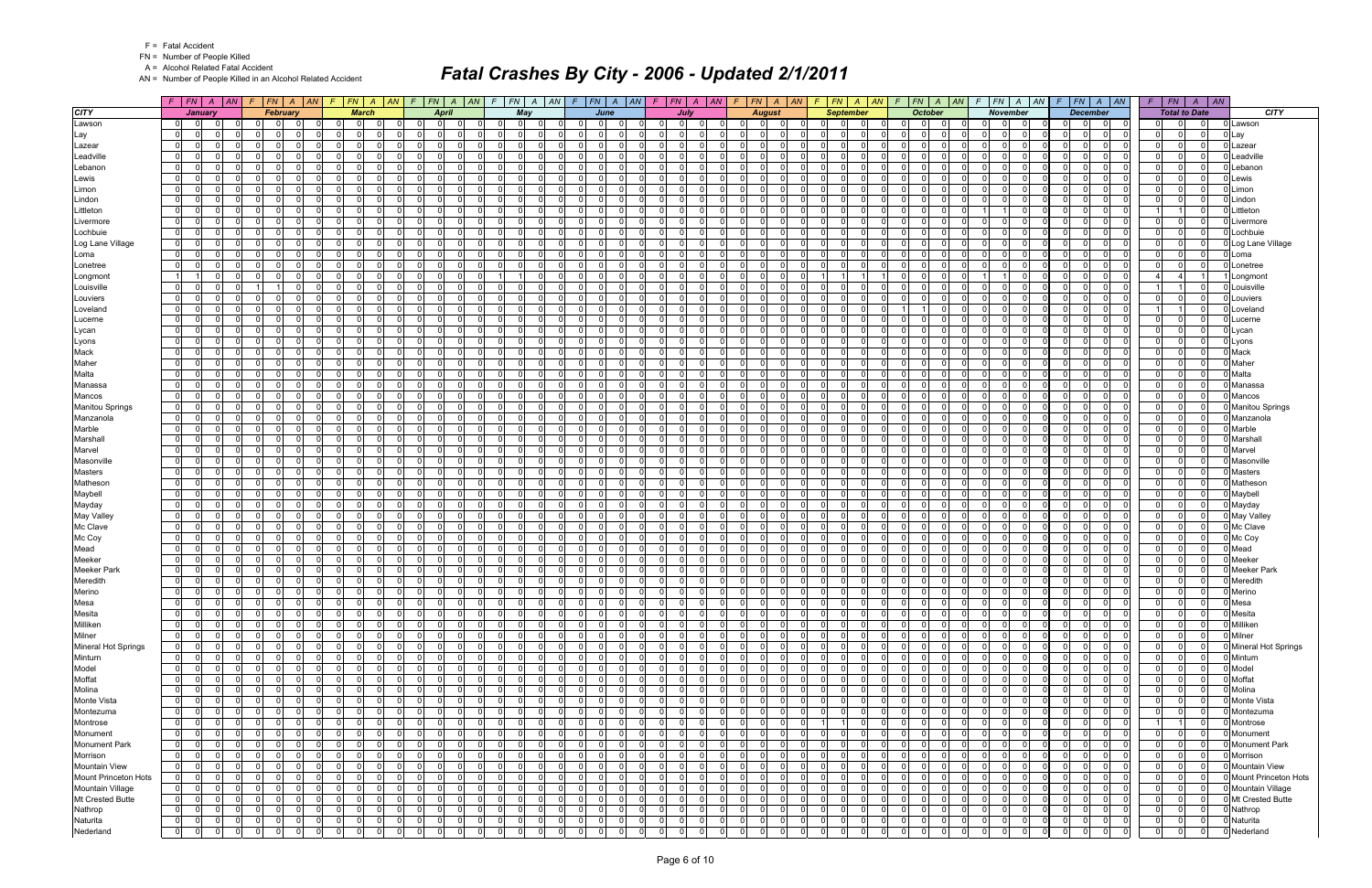|  | <b>Fatal Accident</b> |
|--|-----------------------|
|--|-----------------------|

A = Alcohol Related Fatal Accident

AN = Number of People Killed in an Alcohol Related Accident

|                            | $F$ $ FN $ $A$ $ AN $                                        |                                           | $F$   FN   A   AN   F   FN   A   AN                                                                 | $F$ $FN$ $A$ $AN$<br>$F$ $ FN $ $A$ $ AN$                 |                                                                                                                      | $F$   FN   A   AN   F   FN   A   AN   F   FN   A   AN                  | $F$ $ FN $ $A$ $ AN $                                             | $F$ $FN$ $A$ $AN$<br>$F$ $ FN $ $A$ $ AN $ $F$ $ FN $ $A$ $ AN $                                  | $F$ $FN$ $A$ $AN$                                  |                        |
|----------------------------|--------------------------------------------------------------|-------------------------------------------|-----------------------------------------------------------------------------------------------------|-----------------------------------------------------------|----------------------------------------------------------------------------------------------------------------------|------------------------------------------------------------------------|-------------------------------------------------------------------|---------------------------------------------------------------------------------------------------|----------------------------------------------------|------------------------|
| <b>CITY</b>                | January                                                      | <b>February</b>                           | <b>March</b>                                                                                        | April<br>May                                              | July<br>June                                                                                                         | <b>August</b>                                                          | <b>September</b><br><b>October</b>                                | <b>November</b><br><b>December</b>                                                                | <b>Total to Date</b>                               | <b>CITY</b>            |
| Lawson                     | - O I<br>-01                                                 | $\Omega$<br>$\mathbf 0$<br>0 I            | $\overline{0}$<br>$\overline{0}$<br>0<br> 0 <br>$\Omega$                                            | 0 <br> 0 <br>- O I<br>$\Omega$                            | 0 <br>$\overline{0}$<br>$\Omega$<br>- 0<br>.0                                                                        | $\Omega$<br> 0 <br>$\Omega$<br>$\Omega$                                | $\mathbf 0$<br>$\Omega$<br>$\Omega$<br>0 I<br>$\Omega$<br>- 0     | $\mathbf 0$<br>$\mathbf 0$<br>$\Omega$<br>0 I<br>.0                                               | $\overline{0}$<br>$\Omega$<br>0                    | 0 Lawson               |
| Lay                        | $\Omega$<br><sup>0</sup><br>$\Omega$                         | $\Omega$<br>- 0                           | $\Omega$<br>0 I<br>$\Omega$<br>$\Omega$                                                             | - 0 l<br>$\Omega$<br>$\Omega$                             | $\Omega$<br>$\Omega$<br>$\Omega$<br>$\Omega$                                                                         | - 0 l<br>$\Omega$<br>$\Omega$                                          | -ol<br>$\Omega$<br>$\Omega$<br>$\Omega$                           | $\Omega$<br>$\Omega$<br>n l<br>$\Omega$<br>$\Omega$                                               | 0 <br>- 0                                          | Lay                    |
| Lazear                     | $\overline{0}$<br>- O I<br>$\Omega$                          | $\Omega$<br>$\Omega$                      | $\mathbf 0$<br>0 I<br>$\mathbf 0$<br>$\overline{0}$<br>$\Omega$                                     | $\Omega$<br>$\mathbf 0$<br>$\Omega$                       | $\Omega$<br>$\Omega$<br>$\overline{0}$<br>$\Omega$<br>$\Omega$                                                       | 0 I<br>$\Omega$<br>$\Omega$<br>$\Omega$                                | 0 <br>$\Omega$<br>0 I<br>$\Omega$                                 | $\Omega$<br>$\Omega$<br>$\Omega$<br>$\Omega$<br>$\Omega$<br>$\Omega$                              | 0 <br>$\Omega$<br>- 0                              | Lazear                 |
| Leadville                  | $\mathbf 0$<br>nl<br>$\Omega$                                | $\Omega$<br>$\Omega$                      | $\Omega$<br>$\Omega$<br>$\Omega$<br>$\Omega$<br>$\Omega$                                            | $\Omega$<br>$\Omega$<br>$\Omega$                          | $\Omega$<br>n l<br>$\Omega$<br>$\Omega$<br>$\Omega$                                                                  | - 0 l<br>$\Omega$<br>$\Omega$                                          | -ol<br>$\Omega$<br>$\Omega$<br>$\Omega$                           | $\Omega$<br>$\Omega$<br>$\Omega$<br>n l<br>$\Omega$                                               | $\overline{0}$<br>$\Omega$<br>$\Omega$             | Leadville              |
| Lebanon                    | $\mathbf 0$<br>$\Omega$<br>$\Omega$                          | $\Omega$<br>$\Omega$                      | $\Omega$<br>$\Omega$<br>$\overline{0}$<br>$\Omega$<br>$\Omega$                                      | $\Omega$<br> 0 <br>0                                      | $\Omega$<br>$\Omega$<br>$\Omega$<br>$\Omega$<br>$\Omega$                                                             | $\Omega$<br>$\mathbf 0$<br>$\Omega$                                    | 0 <br>$\Omega$<br>$\Omega$<br>$\Omega$                            | $\mathbf 0$<br>$\Omega$<br>$\Omega$<br>$\Omega$<br>ŋ<br>$\Omega$                                  | 0 <br>$\Omega$<br>0                                | 0 Lebanon              |
| Lewis                      | $\overline{0}$<br>n l<br>- O I                               | $\Omega$<br>$\Omega$                      | $\Omega$<br>$\Omega$<br>$\Omega$<br>0 I<br>0 I                                                      | $\Omega$<br>- 0 l<br>$\Omega$                             | $\Omega$<br>$\Omega$<br>$\Omega$<br>$\Omega$<br>$\Omega$                                                             | <sup>0</sup><br>0 I<br>$\Omega$<br>$\Omega$                            | -ol<br>$\Omega$<br>$\overline{0}$<br>$\Omega$                     | $\Omega$<br>$\Omega$<br>$\Omega$<br>n l<br>$\Omega$                                               | 0 <br>$\overline{0}$<br>$\Omega$                   | 0 Lewis                |
| Limon                      | - O I<br>0<br>- 0                                            | $\Omega$<br>$\Omega$                      | $\Omega$<br>0<br>$\overline{0}$<br>$\Omega$<br>$\Omega$                                             | $\Omega$<br>$\mathbf 0$<br>$\Omega$                       | $\Omega$<br>$\Omega$<br>$\Omega$<br>$\Omega$<br>$\Omega$                                                             | $\mathbf 0$<br>$\Omega$<br>0<br>$\Omega$                               | 0 <br>$\Omega$<br>$\Omega$<br>$\Omega$                            | $\Omega$<br>$\Omega$<br>$\Omega$<br>$\Omega$<br>$\Omega$                                          | 0 <br>$\Omega$<br>- 0                              | Limon                  |
| Lindon                     | $\mathbf 0$<br>- Ol<br>nl                                    | $\Omega$<br>$\Omega$<br>$\Omega$          | $\Omega$<br>n l<br>$\Omega$<br>0 I<br>$\Omega$                                                      | $\Omega$<br>$\mathbf{0}$<br>$\Omega$                      | $\Omega$<br>$\Omega$<br>$\Omega$<br>$\Omega$<br>$\Omega$                                                             | $\Omega$<br>0 I<br>$\Omega$<br>$\Omega$                                | -ol<br>$\Omega$<br>$\Omega$<br>$\Omega$                           | $\Omega$<br>$\Omega$<br>$\Omega$<br>n l<br>$\Omega$                                               | $\overline{0}$<br>$\Omega$<br>- 0                  | 0 Lindon               |
| Littleton                  | $\mathbf 0$<br>$\Omega$<br>$\Omega$                          | $\Omega$<br>$\Omega$                      | $\Omega$<br>0<br>$\Omega$<br>$\Omega$<br>$\Omega$                                                   | $\Omega$<br>$\mathbf 0$<br>0                              | $\Omega$<br>$\Omega$<br>$\Omega$<br>$\Omega$                                                                         | $\Omega$<br>$\Omega$<br>$\Omega$                                       | 0 <br>$\Omega$<br>$\Omega$<br>$\Omega$                            | $\mathbf 0$<br>$\Omega$<br>$\Omega$<br>$\Omega$                                                   | - 0<br>11                                          | Littleton              |
| Livermore                  | $\overline{0}$<br>n l<br>- O I                               | $\Omega$<br>$\Omega$<br>$\Omega$          | $\Omega$<br> 0 <br>-01<br>0 I<br>$\overline{0}$                                                     | $\Omega$<br>$\mathbf{0}$<br>$\overline{0}$                | - Ol<br>$\mathbf{0}$<br>$\Omega$<br>$\Omega$<br>$\Omega$                                                             | <sup>0</sup><br>0 I<br>$\Omega$<br>$\Omega$                            | 0 <br>$\Omega$<br>$\Omega$<br>$\overline{0}$                      | $\overline{0}$<br>$\Omega$<br>$\Omega$<br>n l<br>$\Omega$                                         | $\overline{0}$<br>$\Omega$<br>$\Omega$             | 0 Livermore            |
| Lochbuie                   | $\overline{0}$<br>$\Omega$<br>$\Omega$                       | $\Omega$<br>$\Omega$                      | $\Omega$<br>$\Omega$<br>$\overline{0}$<br>$\Omega$<br>$\Omega$                                      | $\Omega$<br>$\mathbf 0$<br>$\Omega$                       | $\Omega$<br>$\overline{0}$<br>$\Omega$<br>$\Omega$<br>$\Omega$                                                       | - 0 l<br>$\Omega$<br>$\Omega$<br>0                                     | 0 <br>$\Omega$<br>$\Omega$<br>- O I<br>റ                          | $\Omega$<br>$\Omega$<br>$\Omega$<br>$\Omega$<br>$\Omega$                                          | 0 <br>$\Omega$<br>- 0                              | Lochbuie               |
| Log Lane Village           | $\mathbf 0$<br>n l<br>- O I                                  | $\Omega$<br>$\Omega$<br>$\Omega$          | $\Omega$<br>$\Omega$<br>-01<br>0 I<br>$\Omega$                                                      | $\Omega$<br>$\mathbf{0}$<br>$\Omega$                      | $\Omega$<br>$\Omega$<br>$\Omega$<br>n l<br>$\Omega$                                                                  | $\Omega$<br>- 0 l<br>$\Omega$<br>$\Omega$                              | 0 <br>$\Omega$<br>$\Omega$<br>$\Omega$                            | $\Omega$<br>$\Omega$<br>$\Omega$<br>n l<br>$\Omega$                                               | $\overline{0}$<br>$\Omega$<br>- 0                  | 0 Log Lane Village     |
| Loma                       | $\mathbf 0$<br>$\Omega$<br>$\Omega$                          | $\Omega$<br>$\Omega$                      | $\Omega$<br>$\Omega$<br>0<br>$\Omega$                                                               | $\Omega$<br>$\Omega$<br>$\Omega$                          | $\Omega$<br>$\Omega$<br>$\Omega$<br>$\Omega$                                                                         | $\Omega$<br>$\Omega$<br>$\Omega$                                       | $\Omega$<br>$\Omega$<br>$\Omega$<br>$\Omega$                      | $\Omega$<br>$\Omega$<br>$\Omega$                                                                  | 0 <br>$\cap$                                       | 0 Loma                 |
| Lonetree                   | - O I<br>- Ol<br>- O I                                       | $\Omega$<br>$\Omega$                      | $\Omega$<br>$\Omega$<br>$\Omega$<br>- O I<br>$\mathbf 0$                                            | $\Omega$<br>$\mathbf 0$<br>$\Omega$                       | $\Omega$<br>$\overline{0}$<br>$\Omega$<br>$\Omega$<br>$\Omega$                                                       | $\Omega$<br>$\mathbf 0$<br>$\Omega$                                    | 0 <br>$\Omega$<br>0 I<br>$\Omega$                                 | $\Omega$<br>n l<br>$\Omega$<br>- O I<br>$\Omega$                                                  | 0 <br>$\Omega$<br>- 0                              | Lonetree               |
| Longmont                   | $\Omega$<br>$\overline{1}$                                   | $\Omega$<br>$\Omega$                      | $\Omega$<br>$\Omega$<br>$\Omega$<br>- Ol<br>$\Omega$                                                | $\Omega$<br>$\Omega$                                      | $\Omega$<br>n l<br>$\Omega$<br>$\Omega$<br>$\Omega$                                                                  | - 0 l<br>$\Omega$<br>$\Omega$                                          | $\Omega$<br>$\Omega$                                              | $\Omega$<br>n l<br>$\Omega$<br>$\Omega$                                                           | $\vert$ 4<br>4                                     | Longmont               |
| Louisville                 | $\overline{0}$<br>n l<br>- O I                               | $\mathbf 0$                               | $\Omega$<br>$\Omega$<br>0 I<br>$\overline{0}$<br>$\overline{0}$                                     | $\Omega$<br>- 0 l<br>$\Omega$                             | $\Omega$<br>n l<br>$\Omega$<br>$\overline{0}$<br>$\Omega$                                                            | 0 I<br>$\Omega$<br>$\Omega$<br>$\Omega$                                | $\mathbf{0}$<br>$\Omega$<br>$\Omega$<br>0 I                       | $\Omega$<br>$\Omega$<br>n l<br>$\Omega$<br>$\Omega$                                               | 11<br>- 0                                          | Louisville             |
| Louviers                   | $\mathbf 0$<br>n l<br>$\Omega$                               | $\Omega$<br>$\Omega$                      | $\Omega$<br>$\Omega$<br>$\Omega$<br>$\Omega$<br>$\Omega$                                            | $\Omega$<br>- 0 l<br>$\Omega$                             | $\Omega$<br>$\Omega$<br>$\Omega$<br>$\Omega$<br>$\Omega$                                                             | $\Omega$<br>$\Omega$<br>$\Omega$                                       | 0 <br>$\Omega$<br>$\Omega$<br>$\Omega$                            | $\Omega$<br>$\mathbf 0$<br>$\Omega$<br>$\Omega$<br>$\Omega$                                       | 0 <br>$\Omega$                                     | Louviers               |
| Loveland                   | $\overline{0}$<br>n l<br>$\Omega$                            | $\Omega$<br>$\Omega$                      | $\Omega$<br>$\Omega$<br>-01<br>0 I<br>- 0 l                                                         | $\Omega$<br>- 0 l<br>$\Omega$                             | $\Omega$<br>$\Omega$<br>n l<br>$\Omega$<br>$\Omega$                                                                  | $\Omega$<br>- 0 l<br>$\Omega$                                          | -01<br>$\Omega$<br>11<br>$\overline{1}$                           | $\Omega$<br>$\Omega$<br>n l<br>$\Omega$<br>$\Omega$                                               | 11<br>- 0                                          | 0 Loveland             |
| Lucerne                    | $\overline{0}$<br>n l<br>$\Omega$                            | $\Omega$<br>$\Omega$                      | $\Omega$<br>n l<br>$\Omega$<br>- Ol<br>$\Omega$                                                     | $\Omega$<br>- 0 l<br>$\Omega$                             | $\Omega$<br>$\Omega$<br>$\Omega$<br>$\Omega$<br>$\Omega$                                                             | $\Omega$<br>- 0 l<br>$\Omega$                                          | 0 <br>$\Omega$<br>$\Omega$<br>$\Omega$                            | $\Omega$<br>$\Omega$<br>n l<br>$\Omega$<br>$\Omega$                                               | 0 <br>$\Omega$<br>$\Omega$                         | Lucerne                |
| Lycan                      | $\overline{0}$<br>- O I<br>- Ol                              | $\Omega$<br>$\mathbf 0$<br>$\Omega$       | $\Omega$<br>0 I<br>0<br>$\overline{0}$<br>$\mathbf 0$                                               | $\Omega$<br>$\mathbf{0}$<br>$\Omega$                      | $\Omega$<br>n l<br>$\Omega$<br>$\Omega$<br>$\Omega$                                                                  | - 0 l<br>$\Omega$<br>$\Omega$<br>$\Omega$                              | 0 <br>$\Omega$<br>$\Omega$<br>$\Omega$                            | $\Omega$<br>$\Omega$<br>$\Omega$<br>$\Omega$<br>- Ol                                              | $\overline{0}$<br>$\Omega$<br>- 0                  | 0 Lycan                |
| Lyons                      | $\mathbf 0$<br>$\Omega$<br>$\Omega$                          | $\Omega$<br>$\Omega$                      | $\Omega$<br>$\Omega$<br>$\Omega$<br>$\Omega$<br>$\Omega$                                            | $\Omega$<br>$\Omega$<br>$\Omega$                          | $\Omega$<br>n<br>$\Omega$<br>$\Omega$<br>$\Omega$                                                                    | $\Omega$<br>$\Omega$<br>$\Omega$                                       | -ol<br>$\Omega$<br>$\Omega$<br>$\Omega$                           | $\Omega$<br>$\Omega$<br>$\Omega$<br>$\Omega$<br>$\Omega$                                          | 0 <br>$\Omega$<br>$\Omega$                         | 0 Lyons                |
| Mack                       | n l<br>- O I<br>- O I                                        | $\Omega$<br>$\mathbf 0$                   | $\Omega$<br>- 0 l<br>$\Omega$<br>$\overline{0}$<br>0 I                                              | $\Omega$<br>- 0 l<br>$\Omega$                             | $\mathbf 0$<br>$\Omega$<br>$\Omega$<br>$\Omega$<br>$\Omega$                                                          | $\Omega$<br> 0 <br>$\Omega$                                            | 0 <br>$\Omega$<br>0 I<br>$\Omega$                                 | $\mathbf 0$<br>$\Omega$<br>$\Omega$<br>- O I<br>$\Omega$                                          | $\overline{0}$<br>$\Omega$<br>- 0                  | 0 Mack                 |
| Maher                      | $\Omega$<br>$\Omega$<br>$\Omega$                             | $\Omega$<br>$\Omega$                      | $\Omega$<br>$\Omega$<br>$\Omega$<br>$\Omega$<br>$\Omega$                                            | $\Omega$<br>$\Omega$<br>$\Omega$                          | $\Omega$<br>n<br>$\Omega$<br>$\Omega$<br>$\Omega$                                                                    | n l<br>$\Omega$<br>$\Omega$                                            | -ol<br>$\Omega$<br>$\Omega$<br>$\Omega$                           | $\Omega$<br>$\Omega$<br>$\Omega$<br>n l<br>$\Omega$                                               | 0 <br>$\Omega$                                     | 0 Maher                |
| Malta                      | $\overline{0}$<br>- O I<br>- Ol                              | $\Omega$<br>$\mathbf 0$                   | $\Omega$<br>0 I<br>$\Omega$<br>$\overline{0}$<br>$\Omega$                                           | $\Omega$<br>$\mathbf 0$<br>$\Omega$                       | $\Omega$<br>n l<br>$\overline{0}$<br>$\Omega$<br>$\Omega$                                                            | - 0 l<br>$\Omega$<br>$\Omega$<br>$\Omega$                              | $\mathbf{0}$<br>$\Omega$<br>$\Omega$<br>$\Omega$                  | $\Omega$<br>$\Omega$<br>$\Omega$<br>$\Omega$<br>- Ol                                              | $\overline{0}$<br>$\Omega$<br>- 0                  | 0 Malta                |
| Manassa                    | $\Omega$<br>$\Omega$<br>$\Omega$                             | $\Omega$<br>$\Omega$                      | $\Omega$<br>$\Omega$<br>$\Omega$<br>$\Omega$                                                        | $\Omega$<br>$\Omega$<br>$\Omega$                          | $\Omega$<br>$\Omega$<br>$\Omega$<br>$\Omega$                                                                         | $\Omega$<br>n l<br>$\Omega$                                            | $\mathbf{0}$<br>$\Omega$<br>$\Omega$<br>$\Omega$                  | $\Omega$<br>$\Omega$<br>$\Omega$<br>$\Omega$<br>$\Omega$                                          | 0 <br>$\Omega$                                     | Manassa                |
| Mancos                     | $\mathbf 0$<br>$\Omega$<br>$\Omega$                          | $\Omega$<br>$\Omega$                      | $\Omega$<br>$\Omega$<br>$\Omega$<br>$\Omega$<br>$\Omega$                                            | $\Omega$<br>$\mathbf 0$<br>$\Omega$                       | n l<br>$\Omega$<br>$\Omega$<br>$\Omega$<br>$\Omega$                                                                  | $\Omega$<br>$\mathbf 0$<br>$\Omega$                                    | $\Omega$<br>$\Omega$<br>$\Omega$<br>$\Omega$                      | $\Omega$<br>$\Omega$<br>$\Omega$<br>0<br>$\Omega$                                                 | 0 <br>$\Omega$<br>- 0                              | 0 Mancos               |
| <b>Manitou Springs</b>     | $\mathbf 0$<br>n l<br>- O I                                  | $\Omega$<br>$\mathbf 0$                   | $\Omega$<br>$\Omega$<br>- 0 l<br>$\Omega$<br>- O I                                                  | $\Omega$<br>- 0 l<br>$\Omega$                             | $\Omega$<br>$\overline{0}$<br>$\Omega$<br>$\Omega$<br>$\Omega$                                                       | - 0 l<br>$\Omega$<br><sup>0</sup><br>$\Omega$                          | 0 <br>$\overline{0}$<br>$\mathbf 0$<br>$\Omega$<br>- 0            | $\Omega$<br>$\Omega$<br>$\Omega$<br>$\Omega$<br>$\Omega$                                          | 0 <br>$\Omega$<br>$\Omega$                         | 0 Manitou Springs      |
| Manzanola                  | - O I<br>$\Omega$<br>0                                       | $\Omega$<br>$\Omega$                      | $\Omega$<br>0<br>$\Omega$<br>$\Omega$<br>$\Omega$                                                   | $\Omega$<br>$\mathbf 0$<br>$\Omega$                       | $\Omega$<br>$\Omega$<br>$\Omega$<br>$\Omega$<br>$\Omega$                                                             | $\Omega$<br>$\mathbf 0$<br>$\Omega$                                    | 0 <br>$\Omega$<br>$\Omega$<br>$\Omega$                            | $\Omega$<br>$\Omega$<br>$\Omega$<br>0<br>$\Omega$                                                 | 0 <br>$\Omega$                                     | 0 Manzanola            |
| Marble                     | $\overline{0}$<br>n l<br>- O I                               | $\Omega$<br>$\Omega$<br>$\Omega$          | $\Omega$<br>n l<br>$\Omega$<br>0 I<br>$\Omega$                                                      | $\Omega$<br>- 0 l<br>$\overline{0}$                       | $\Omega$<br>$\Omega$<br>n l<br>0 I<br>$\Omega$                                                                       | $\Omega$<br>- 0 l<br>$\Omega$<br>$\Omega$                              | 0 <br>$\Omega$<br>$\Omega$<br>$\Omega$<br>$\cap$                  | $\Omega$<br>$\Omega$<br>$\Omega$<br>n l<br>$\Omega$                                               | $\overline{0}$<br>$\Omega$<br>$\Omega$             | 0 Marble               |
| Marshall                   | $\mathbf 0$<br>$\Omega$<br>$\Omega$                          | $\Omega$<br>$\Omega$                      | $\Omega$<br>0<br>$\Omega$<br>$\Omega$<br>$\Omega$                                                   | $\Omega$<br> 0 <br>$\Omega$                               | 0<br>$\Omega$<br>$\Omega$<br>$\Omega$<br>$\Omega$                                                                    | $\Omega$<br>$\mathbf 0$<br>$\Omega$                                    | 0 <br>$\Omega$<br>$\Omega$<br>$\Omega$                            | $\mathbf 0$<br>0<br>$\Omega$<br>$\Omega$<br>$\Omega$                                              | 0 <br>$\Omega$<br>- 0                              | 0 Marshall             |
| Marvel                     | $\overline{0}$<br>n l<br>$\Omega$                            | $\Omega$<br>$\Omega$                      | $\Omega$<br>n l<br>$\Omega$<br>0 I<br>- 0 l                                                         | $\Omega$<br>- 0 l<br>$\Omega$                             | $\Omega$<br>$\Omega$<br>n l<br>$\Omega$<br>$\Omega$                                                                  | $\Omega$<br>- 0 l<br>$\Omega$                                          | -ol<br>$\Omega$<br>$\Omega$<br>$\Omega$                           | $\Omega$<br>$\Omega$<br>$\Omega$<br>n l<br>$\Omega$                                               | 0 <br>$\Omega$<br>- 0                              | 0 Marvel               |
| Masonville                 | $\overline{0}$<br>$\Omega$<br>$\Omega$                       | $\Omega$<br>$\Omega$                      | $\mathbf 0$<br>$\Omega$<br>$\Omega$<br>$\Omega$<br>$\Omega$                                         | $\Omega$<br>$\mathbf 0$<br>$\Omega$                       | $\Omega$<br>$\Omega$<br>$\Omega$<br>$\Omega$<br>$\Omega$                                                             | $\Omega$<br>$\mathbf 0$<br>$\Omega$<br>$\Omega$                        | 0 <br>0 I<br>$\Omega$<br>$\Omega$                                 | $\Omega$<br>$\Omega$<br>$\Omega$<br>$\Omega$<br>$\Omega$                                          | 0 <br>$\Omega$<br>- 0                              | Masonville             |
| <b>Masters</b>             | $\overline{0}$<br>n l<br>$\Omega$                            | $\Omega$<br>$\Omega$<br>$\Omega$          | $\Omega$<br>$\Omega$<br>$\Omega$<br>- Ol<br>$\Omega$                                                | $\Omega$<br>$\Omega$<br>$\Omega$                          | $\Omega$<br>$\Omega$<br>n l<br>$\Omega$<br>$\Omega$                                                                  | - 0 l<br>$\Omega$<br>$\Omega$                                          | 0 <br>$\Omega$<br>$\Omega$<br>$\Omega$                            | $\Omega$<br>$\Omega$<br>$\Omega$<br>n l<br>$\Omega$                                               | $\overline{0}$<br>$\Omega$<br>- 0                  | 0 Masters              |
| Matheson                   | $\mathbf 0$<br>$\Omega$<br>- Ol                              | $\Omega$<br>$\Omega$                      | $\Omega$<br>$\Omega$<br>$\Omega$<br>$\overline{0}$<br>$\Omega$                                      | $\Omega$<br>$\mathbf 0$<br>$\Omega$                       | $\Omega$<br>$\Omega$<br>$\Omega$<br>$\Omega$<br>$\Omega$                                                             | $\Omega$<br>$\mathbf 0$<br>$\Omega$                                    | 0 <br>$\Omega$<br>$\Omega$<br>$\Omega$                            | $\mathbf 0$<br>$\Omega$<br>$\Omega$<br>$\Omega$<br>ŋ<br>$\Omega$                                  | 0 <br>$\Omega$                                     | 0 Mathesor             |
| Maybell                    | $\overline{0}$<br>n l<br>- O I                               | $\Omega$<br>$\Omega$                      | $\Omega$<br>$\Omega$<br>$\Omega$<br>$\overline{0}$<br>- 0 l                                         | $\Omega$<br>- 0 l<br>$\Omega$                             | $\Omega$<br>$\overline{0}$<br>$\Omega$<br>n l<br>$\Omega$                                                            | <sup>0</sup><br>0 I<br>$\Omega$<br>$\Omega$                            | -ol<br>$\Omega$<br>$\overline{0}$<br>$\Omega$                     | $\Omega$<br>$\Omega$<br>$\Omega$<br>$\Omega$<br>$\Omega$                                          | 0 <br>$\Omega$<br>$\Omega$                         | 0 Maybell              |
| Mayday                     | - O I<br>$\Omega$<br>$\Omega$                                | $\Omega$<br>$\Omega$<br>$\Omega$          | $\Omega$<br>$\Omega$<br>$\overline{0}$<br>$\Omega$<br>$\Omega$                                      | $\Omega$<br>$\mathbf 0$<br>$\Omega$                       | $\Omega$<br>$\Omega$<br>$\Omega$<br>$\Omega$<br>$\Omega$                                                             | $\Omega$<br>$\mathbf 0$<br>$\Omega$<br>0                               | 0 <br>$\Omega$<br>$\Omega$<br>$\Omega$                            | $\Omega$<br>$\Omega$<br>$\Omega$<br>$\Omega$<br>$\Omega$                                          | 0 <br>$\Omega$                                     | 0 Mayday               |
| May Valley                 | $\mathbf 0$<br>- Ol<br>n l                                   | $\Omega$<br>$\Omega$<br>$\Omega$          | $\Omega$<br>0l<br>n l<br>$\Omega$<br>0 I                                                            | $\Omega$<br>$\mathbf{0}$<br>$\Omega$                      | $\Omega$<br>$\Omega$<br>$\Omega$<br>$\Omega$<br>$\Omega$                                                             | $\Omega$<br>0 I<br>$\Omega$<br>$\Omega$                                | 0 <br>$\Omega$<br>$\Omega$<br>$\Omega$                            | $\Omega$<br>$\Omega$<br>$\Omega$<br>$\Omega$<br>n l<br>$\Omega$                                   | $\overline{0}$<br>$\Omega$<br>$\Omega$             | 0 May Valley           |
| Mc Clave                   | $\mathbf 0$<br>$\Omega$<br>$\Omega$<br>- Ol                  | $\Omega$<br>$\Omega$                      | $\Omega$<br>$\Omega$<br>0<br>$\Omega$<br>$\Omega$                                                   | $\Omega$<br>- 0 l<br>$\Omega$<br>$\Omega$                 | $\Omega$<br>$\Omega$<br>$\Omega$<br>$\Omega$                                                                         | $\Omega$<br>$\Omega$<br>$\Omega$<br>$\Omega$                           | 0 <br>$\Omega$<br>$\Omega$<br>$\Omega$<br>$\Omega$<br>$\Omega$    | $\Omega$<br>$\Omega$<br>0<br>$\Omega$<br>$\Omega$<br>$\Omega$<br>$\Omega$                         | 0 <br>$\Omega$<br>$\Omega$<br>$\Omega$             | 0 Mc Clave             |
| Mc Coy                     | $\overline{0}$<br>- O I<br>$\overline{0}$<br>n l<br>$\Omega$ | 0 I<br>$\Omega$<br>$\Omega$<br>$\Omega$   | 0 I<br>$\Omega$<br>$\overline{0}$<br>$\mathbf 0$<br>$\Omega$<br>n l<br>- Ol<br>$\Omega$<br>$\Omega$ | $\mathbf{0}$<br>- O I<br>$\Omega$<br>$\Omega$<br>$\Omega$ | - Ol<br> 0 <br>$\overline{0}$<br>- O I<br>$\Omega$<br>$\Omega$<br>$\overline{0}$<br>$\Omega$<br>$\Omega$<br>$\Omega$ | $\Omega$<br>0 I<br>$\overline{0}$<br><sup>0</sup><br>- 0 l<br>$\Omega$ | 0 <br>0 I<br> 0 <br>$\Omega$<br>$\Omega$<br>$\Omega$              | $\mathbf 0$<br>- O I<br>0 I<br>$\Omega$<br>$\Omega$<br>$\mathbf 0$<br>n l<br>$\Omega$<br>$\Omega$ | $\overline{0}$<br> 0 <br>$\Omega$<br>$\Omega$      | 0 Mc Coy<br>0 Mead     |
| Mead<br>Meeker             | $\overline{0}$<br>$\Omega$<br>$\Omega$                       | $\Omega$<br>$\Omega$                      | $\Omega$<br>0 I<br>$\Omega$<br>0<br>$\overline{0}$                                                  | $\Omega$<br>- 0 l<br>$\Omega$                             | $\Omega$<br>n l<br>$\Omega$<br>$\Omega$<br>$\Omega$                                                                  | - 0 l<br>$\Omega$<br>$\Omega$<br>$\Omega$                              | 0 <br>$\Omega$<br>$\Omega$<br>$\Omega$                            | $\Omega$<br>$\Omega$<br>$\Omega$<br>$\Omega$<br>$\Omega$                                          | 0 <br>$\Omega$                                     | Meeker                 |
| <b>Meeker Park</b>         | $\mathbf 0$<br>n<br>$\Omega$                                 | $\Omega$<br>$\Omega$                      | $\Omega$<br>$\Omega$<br>$\Omega$<br>-01<br>$\Omega$                                                 | $\Omega$<br>- 0 l<br>$\Omega$                             | $\Omega$<br>$\Omega$<br>$\Omega$<br>$\Omega$<br>$\Omega$                                                             | -ol<br>$\Omega$<br>$\Omega$                                            | 0 <br>$\Omega$<br>$\Omega$<br>$\Omega$                            | $\Omega$<br>$\Omega$<br>$\Omega$<br>n l<br>$\Omega$                                               | 0 <br>$\Omega$                                     | Meeker Park            |
| Meredith                   | $\mathbf 0$<br>0<br>$\Omega$                                 | $\Omega$<br>$\Omega$                      | $\Omega$<br>$\Omega$<br>$\Omega$<br>$\Omega$<br>$\Omega$                                            | $\Omega$<br>- 0 l<br>$\Omega$                             | $\mathbf 0$<br>$\Omega$<br>$\Omega$<br>$\Omega$                                                                      | $\Omega$<br> 0 <br>$\Omega$                                            | 0 <br>$\overline{0}$<br>$\overline{0}$<br>$\Omega$                | $\mathbf 0$<br>$\mathbf 0$<br>$\Omega$<br>0<br>$\Omega$                                           | 0 <br>$\Omega$<br>0                                | Meredith               |
| Merino                     | $\overline{0}$<br>n l<br>- O I                               | $\Omega$                                  | $\overline{0}$<br>$\Omega$<br>n l<br>$\Omega$<br>- 0 l                                              | $\Omega$<br>$\Omega$<br>$\Omega$                          | $\Omega$<br>n<br>$\Omega$<br>$\Omega$                                                                                | - 0 l<br>$\Omega$<br>$\Omega$                                          | 0 <br>$\overline{0}$<br>$\Omega$<br>$\Omega$                      | $\Omega$<br>$\Omega$<br>$\Omega$<br>n l<br>$\Omega$                                               | 0                                                  | 0 Merino               |
| Mesa                       | - O I<br>$\Omega$                                            | 0<br>$\Omega$<br>$\Omega$                 | 0<br>$\mathbf{0}$<br>$\Omega$<br>$\Omega$                                                           | 0<br>$\mathbf{0}$<br>$\Omega$                             | 0<br>$\mathbf{0}$<br>$\Omega$<br>$\Omega$                                                                            | $\Omega$<br>0<br>0                                                     | $\mathbf{0}$<br>$\Omega$<br>0                                     | $\Omega$<br>0                                                                                     | $\overline{0}$<br>$\Omega$                         | 0 Mesa                 |
| Mesita                     | $\mathbf 0$<br> 0 <br>$\Omega$                               | $\mathbf 0$<br>$\Omega$<br>$\Omega$       | 0 <br> 0 <br>$\overline{0}$<br> 0                                                                   | $\mathbf 0$<br> 0 <br>0                                   | 0<br>$\mathbf 0$<br>$\mathbf 0$<br>$\Omega$<br>0                                                                     | 0 <br>$\mathbf 0$<br>$\mathbf{0}$                                      | 0 <br>$\overline{0}$<br>$\Omega$<br>$\mathbf 0$                   | 0<br> 0 <br>$\mathbf{0}$<br>$\Omega$<br>$\Omega$                                                  | 0 <br>$\overline{0}$                               | 0 Mesita               |
| Milliken                   | 0 <br>- O I<br>- O I                                         | $\Omega$<br>$\Omega$<br>$\Omega$          | $\Omega$<br> 0 <br>0 I<br>$\overline{0}$<br>0 I                                                     | $\overline{0}$<br> 0 <br> 0                               | 0 <br>$\overline{0}$<br> 0 <br>-01<br>- O I                                                                          | $\overline{0}$<br>$\overline{0}$<br>$\Omega$<br>$\Omega$               | 0 <br>$\overline{0}$<br>$\mathbf 0$<br>0 I<br>$\Omega$            | $\overline{0}$<br>$\mathbf 0$<br>0 I<br>$\Omega$<br>- O I<br>0 I                                  | $\overline{0}$<br>$\Omega$<br>- 0                  | 0 Milliken             |
| Milner                     | $\overline{0}$<br>$\Omega$<br>- O I                          | $\Omega$<br>$\Omega$                      | 0 <br>0<br>0l<br> 0 <br>$\overline{0}$                                                              | $\mathbf 0$<br> 0 <br>$\mathbf 0$                         | $\mathbf 0$<br> 0 <br>$\mathbf 0$<br>$\Omega$<br>0                                                                   | 0 <br>0 I<br>$\Omega$                                                  | 0 <br>$\overline{0}$<br>$\Omega$<br>- O I<br>- 0                  | $\mathbf 0$<br>$\mathbf 0$<br>- O I<br>0l<br>$\Omega$                                             | 0 <br>$\Omega$<br>$\Omega$                         | 0 Milner               |
| <b>Mineral Hot Springs</b> | $\mathbf 0$<br>- O I<br>$\overline{0}$                       | $\Omega$<br>$\mathbf 0$<br>- O I          | $\Omega$<br>0 I<br>0l<br> 0 <br>$\mathbf 0$                                                         | $\overline{0}$<br>$\overline{0}$<br>$\mathbf 0$           | $\Omega$<br> 0 <br>$\mathbf 0$<br>- O I<br>$\Omega$                                                                  | 0 <br>$\Omega$<br>$\overline{0}$<br>$\Omega$                           | 0 <br>$\Omega$<br>0 I<br>$\Omega$                                 | $\Omega$<br>$\mathbf{0}$<br>- O I<br>0 I<br>$\overline{0}$                                        | $\overline{0}$<br>$\Omega$                         | 0 Mineral Hot Springs  |
| Minturn                    | $\overline{0}$<br>$\overline{0}$<br>$\Omega$                 | $\Omega$<br>$\Omega$                      | $\Omega$<br>$\Omega$<br>-01<br>$\Omega$<br>$\overline{0}$                                           | $\Omega$<br>- 0 l<br>$\mathbf 0$                          | $\Omega$<br>$\mathbf{0}$<br>$\Omega$<br>$\Omega$<br>$\Omega$                                                         | $\Omega$<br>- 0 l<br>$\Omega$                                          | 0 <br>$\Omega$<br>$\Omega$<br>$\Omega$                            | $\mathbf 0$<br>$\mathbf 0$<br>$\Omega$<br>$\Omega$<br>$\Omega$                                    | $\overline{0}$<br>$\Omega$<br>- 0                  | 0 Minturn              |
| Model                      | $\overline{0}$<br> 0 <br>0 I                                 | 0 <br>- O I<br>$\mathbf 0$                | 0<br> 0 <br>01<br>$\mathbf{0}$<br>$\mathbf{0}$                                                      | $\mathbf{0}$<br> 0 <br> 0 <br>$\Omega$                    | 0 <br> 0 <br> 0 <br>$\mathbf 0$<br> 0                                                                                | $\mathbf{0}$<br>$\overline{0}$<br> 0                                   | 0 <br>$\overline{0}$<br>$\mathbf 0$<br> 0                         | 0 <br>$\overline{0}$<br> 0 <br> 0 <br> 0                                                          | $\overline{0}$<br>$\overline{0}$<br>- 0            | 0 Model                |
| Moffat                     | $\mathbf 0$<br>$\Omega$<br>- O I                             | $\overline{0}$<br>$\Omega$<br>$\mathbf 0$ | $\Omega$<br>$\Omega$<br>-01<br> 0 <br>$\overline{0}$                                                | $\mathbf 0$<br> 0 <br>$\mathbf 0$                         | $\Omega$<br> 0 <br>$\Omega$<br>$\Omega$<br>- O I                                                                     | - 0 l<br>$\Omega$<br>$\Omega$<br>$\Omega$                              | 0 <br>$\overline{0}$<br>$\mathbf 0$<br>0 I<br>$\Omega$            | $\mathbf 0$<br>$\mathbf 0$<br>$\mathbf 0$<br>$\Omega$<br>0 I                                      | $\overline{0}$<br>$\Omega$<br>$\Omega$             | 0 Moffat               |
| Molina                     | $\overline{0}$<br>$\Omega$<br>- O I                          | $\mathbf 0$<br>$\mathbf 0$<br>$\Omega$    | 0<br> 0 <br> 0 <br>0 I<br> 0                                                                        | - O I<br>$\mathbf 0$<br>$\mathbf 0$                       | 0<br>$\mathbf 0$<br>- O I<br> 0 <br>$\Omega$                                                                         | $\Omega$<br>01<br>$\Omega$<br>$\Omega$                                 | 0 <br>0 I<br>01<br>- O I<br>- 0<br>$\Omega$                       | $\mathbf 0$<br>$\mathbf 0$<br>- O I<br>$\Omega$<br>$\Omega$                                       | 0 <br>$\Omega$<br>- 0                              | 0 Molina               |
| Monte Vista                | $\mathbf 0$<br>$\Omega$<br>- O I                             | $\Omega$<br>$\Omega$<br>$\mathbf 0$       | $\Omega$<br> 0 <br> 0 <br>0 I<br>$\overline{0}$                                                     | $\overline{0}$<br> 0 <br>$\mathbf 0$                      | $\mathbf 0$<br>$\mathbf{0}$<br>$\overline{0}$<br> 0 <br>$\Omega$                                                     | - 0 l<br>$\overline{0}$<br>$\Omega$<br>$\Omega$                        | 0 <br>$\overline{0}$<br>$\Omega$<br>- O I<br>- 0                  | $\Omega$<br>$\mathbf 0$<br>$\overline{0}$<br> 0 <br>$\Omega$                                      | 0 <br>$\Omega$<br>- 0                              | 0 Monte Vista          |
| Montezuma                  | $\mathbf 0$<br>- O I<br>$\Omega$                             | $\Omega$<br>$\Omega$<br>$\Omega$          | $\mathbf 0$<br> 0 <br>0l<br> 0 <br>01                                                               | $\overline{0}$<br> 0 <br>$\mathbf 0$                      | $\mathbf 0$<br> 0 <br> 0 <br>- O I<br>0                                                                              | 0 <br>$\Omega$<br>$\Omega$                                             | 0 <br>$\Omega$<br>$\Omega$<br>$\mathbf 0$                         | $\mathbf 0$<br>$\mathbf 0$<br>$\Omega$<br>$\Omega$<br>$\Omega$                                    | $\overline{0}$<br>$\Omega$<br>- 0                  | 0 Montezuma            |
| Montrose                   | $\overline{0}$<br>0 I<br>- O I                               | 0 I<br>$\Omega$<br>$\mathbf 0$            | $\mathbf 0$<br>0 I<br>-01<br>$\overline{0}$<br>0 I                                                  | $\overline{0}$<br> 0 <br> 0                               | 0 <br>$\overline{0}$<br> 0 <br>-01<br>- O I                                                                          | $\mathbf{0}$<br>$\overline{0}$<br>01<br>$\Omega$                       | $\overline{0}$<br>$\overline{0}$<br>11<br>0 I<br>$\Omega$         | $\mathbf 0$<br> 0 <br>0 I<br>$\Omega$<br>- O I<br>0 I                                             | $\overline{1}$<br>$\overline{1}$<br>$\overline{0}$ | 0 Montrose             |
| Monument                   | $\mathbf 0$<br>- O I<br>$\Omega$                             | $\Omega$<br>$\mathbf 0$<br>$\Omega$       | 0<br>$\Omega$<br> 0 <br>$\overline{0}$<br> 0                                                        | - O I<br>$\mathbf 0$<br>$\mathbf 0$                       | $\Omega$<br>$\Omega$<br>$\mathbf 0$<br>$\Omega$<br>$\Omega$                                                          | 0 <br>$\Omega$<br>$\Omega$<br>0                                        | 0 <br>$\Omega$<br>$\Omega$<br>$\Omega$                            | $\Omega$<br>$\mathbf 0$<br>$\Omega$<br>$\Omega$<br>$\Omega$                                       | $\overline{0}$<br>$\Omega$<br>- C                  | 0 Monument             |
| <b>Monument Park</b>       | 0l<br>0 I<br>- O I                                           | $\overline{0}$<br>$\Omega$<br>$\mathbf 0$ | $\Omega$<br>0 I<br>$\overline{0}$<br>$\mathbf 0$<br>$\overline{0}$                                  | $\mathbf 0$<br>$\mathbf{0}$<br>$\mathbf 0$                | 0 <br>0 I<br>-01<br>$\overline{0}$<br>$\Omega$                                                                       | 0 I<br>0 I<br>$\overline{0}$<br>$\Omega$                               | 0 <br>$\overline{0}$<br>$\mathbf 0$<br>0 I<br>- 0<br>$\Omega$     | $\Omega$<br>$\overline{0}$<br>0 I<br>$\Omega$<br>$\Omega$<br>0 I                                  | $\overline{0}$<br>$\Omega$<br>- 0                  | 0 Monument Park        |
| Morrison                   | $\mathbf 0$<br>$\Omega$<br>0 I                               | $\mathbf{0}$<br>$\Omega$<br>$\Omega$      | 0<br>0l<br> 0 <br> 0 <br>01                                                                         | $\Omega$<br>$\mathbf 0$<br>$\mathbf 0$                    | 0<br>$\mathbf 0$<br>0l<br>0<br>-01                                                                                   | $\overline{0}$<br> 0 <br>$\mathbf 0$                                   | 0 <br>$\overline{0}$<br>$\mathbf 0$<br>$\Omega$                   | $\mathbf 0$<br>$\mathbf 0$<br>$\Omega$<br> 0 <br>$\Omega$                                         | $\overline{0}$<br>$\overline{0}$<br>- 0            | 0 Morrison             |
| <b>Mountain View</b>       | $\overline{0}$<br>0 I<br>- O I                               | $\overline{0}$<br>$\Omega$<br>$\mathbf 0$ | $\Omega$<br>0 I<br> 0 <br>0 I<br>$\overline{0}$                                                     | 0 <br> 0 <br>$\overline{0}$                               | - Ol<br> 0 <br>$\overline{0}$<br> 0 <br>$\Omega$                                                                     | $\overline{0}$<br>$\overline{0}$<br>0 I<br>$\Omega$                    | 0 <br>$\overline{0}$<br>$\overline{0}$<br>0 I<br>- റ              | $\Omega$<br> 0 <br>$\overline{0}$<br>0 I<br>$\Omega$<br>0 I                                       | $\overline{0}$<br>$\Omega$<br>$\Omega$             | 0 Mountain View        |
| Mount Princeton Hots       | - O I<br>$\overline{0}$<br>$\Omega$                          | $\mathbf 0$<br>$\mathbf 0$<br>-0          | $\mathbf 0$<br> 0 <br>0 I<br> 0 <br>$\mathbf{0}$                                                    | - O I<br>$\mathbf 0$<br>$\mathbf 0$                       | 0<br>$\mathbf 0$<br>- O I<br>0l<br>$\Omega$                                                                          | $\Omega$<br>01<br>$\Omega$<br>0                                        | 0 <br>0 I<br>01<br>$\mathbf 0$<br>- 0                             | $\mathbf 0$<br>$\mathbf 0$<br>- O I<br>0l<br>$\Omega$                                             | 0 <br>$\Omega$<br>- 0                              | 0 Mount Princeton Hots |
| Mountain Village           | $\mathbf 0$<br> 0 <br>- O I                                  | $\Omega$<br>$\Omega$<br>$\mathbf 0$       | $\Omega$<br>$\Omega$<br>-01<br>0 I<br>$\overline{0}$                                                | $\mathbf 0$<br>$\mathbf{0}$<br>$\Omega$                   | $\Omega$<br>$\Omega$<br>$\Omega$<br>$\Omega$<br>$\overline{0}$                                                       | - 0 l<br>$\Omega$<br>$\Omega$<br>$\Omega$                              | 0 <br>$\overline{0}$<br>$\Omega$<br>$\Omega$<br>- 0               | $\Omega$<br>$\mathbf 0$<br>$\Omega$<br> 0 <br>$\Omega$                                            | 0 <br>$\Omega$<br>- 0                              | 0 Mountain Village     |
| Mt Crested Butte           | $\mathbf 0$<br>0l<br>0 I                                     | 0 <br>$\mathbf 0$<br>$\Omega$             | 0<br>01<br>01<br>- 0 I<br>$\mathbf{0}$                                                              | $\mathbf{0}$<br>$\mathbf 0$<br>0                          | 0 <br>0l<br>$\overline{0}$<br>-01<br>0                                                                               | 0 <br>0<br>0                                                           | 0 <br>$\overline{0}$<br>0 I<br>$\mathbf{0}$                       | 0<br>$\overline{0}$<br>0l<br>-01<br>0 I                                                           | 0 <br>$\overline{0}$                               | 0 Mt Crested Butte     |
| Nathrop                    | $\overline{0}$<br>01<br>$\overline{0}$                       | 0 <br>$\mathbf 0$                         | $\Omega$<br> 0 <br> 0 <br>01<br>01                                                                  | - O I<br>$\mathbf 0$<br>$\mathbf 0$                       | $\mathbf 0$<br> 0 <br>- O I<br>$\Omega$<br>$\overline{0}$                                                            | $\overline{0}$<br>01<br>$\overline{0}$<br>$\Omega$                     | 0 <br>$\overline{0}$<br>0 I<br>$\mathbf 0$<br>0                   | $\overline{0}$<br>$\mathbf 0$<br> 0 <br>$\Omega$<br>- O I<br>0 I                                  | $\overline{0}$<br> 0 <br>$\Omega$                  | 0 Nathrop              |
| Naturita                   | 0 <br>- O I<br>$\Omega$                                      | $\Omega$<br>$\Omega$                      | 0<br>0 I<br> 0 <br>0l<br> 0                                                                         | $\mathbf 0$<br> 0 <br>$\mathbf 0$                         | $\mathbf 0$<br> 0 <br>$\overline{0}$<br>$\mathbf 0$<br>- O I                                                         | 0 <br>$\Omega$<br>$\Omega$                                             | 0 <br>$\overline{0}$<br>$\Omega$<br>$\mathbf 0$<br>- 0            | 0<br>$\mathbf 0$<br>$\overline{0}$<br> 0 <br>$\Omega$                                             | 0 <br>$\Omega$<br>- 0                              | 0 Naturita             |
| Nederland                  | $\overline{0}$<br> 0 <br>$\overline{0}$                      | $\overline{0}$<br>- 0 l<br>$\Omega$       | 0 <br>$\overline{0}$<br> 0 <br>$\overline{0}$<br> 0                                                 | $\mathbf 0$<br> 0 <br>$\Omega$<br>- O I                   | 0 <br>$\overline{0}$<br>$\overline{0}$<br>$\mathbf 0$<br>- O I                                                       | $\overline{0}$<br>$\Omega$<br>$\mathbf{0}$<br>$\mathbf{0}$             | 0 <br>$\overline{0}$<br>$\overline{0}$<br>$\mathbf 0$<br>$\Omega$ | $\mathbf 0$<br>$\mathbf 0$<br>$\overline{0}$<br>$\Omega$<br>$\Omega$<br>0 I                       | 0 <br>$\Omega$<br>0                                | 0 Nederland            |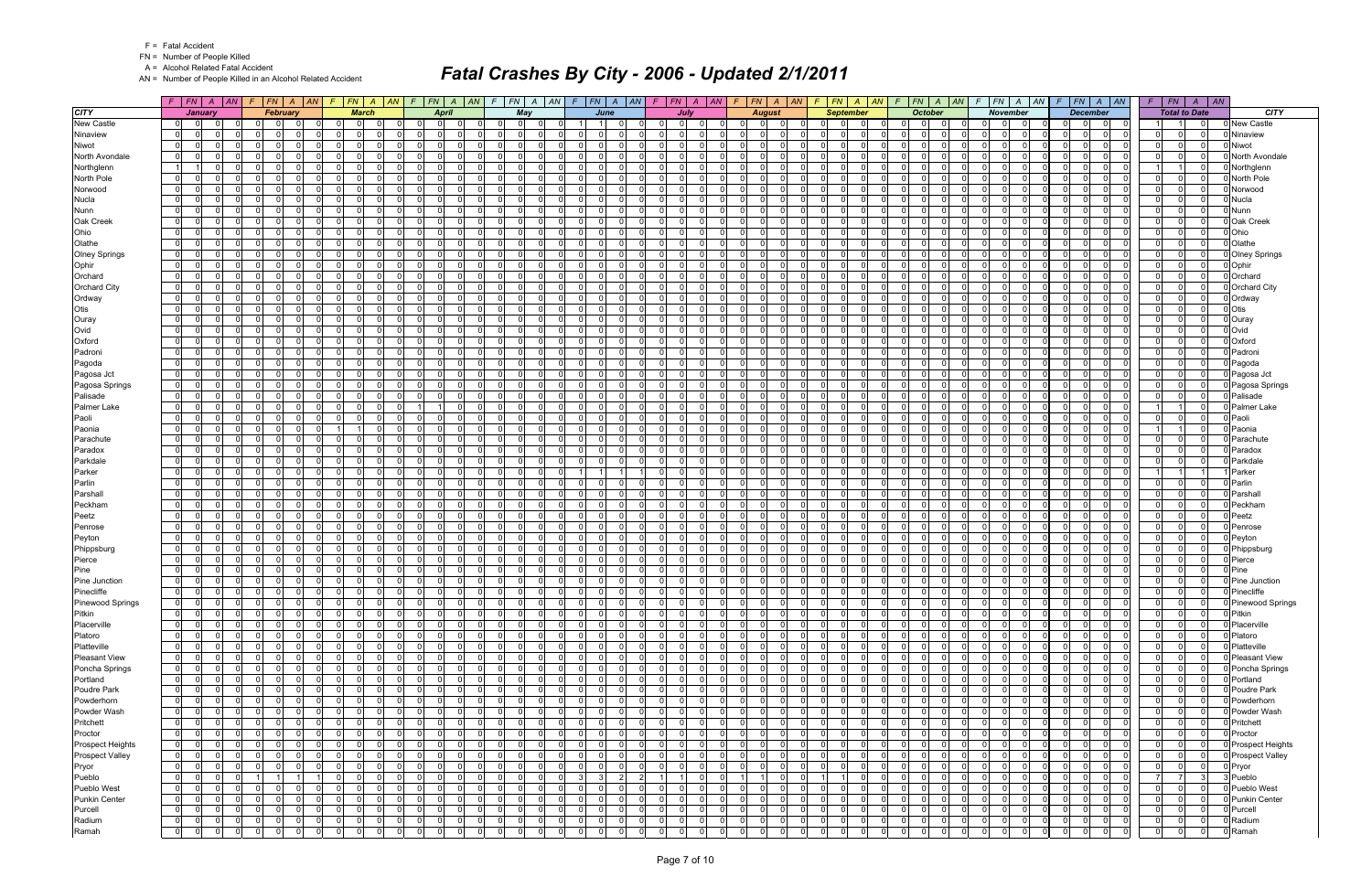|  | <b>Fatal Accident</b> |
|--|-----------------------|
|--|-----------------------|

A = Alcohol Related Fatal Accident

AN = Number of People Killed in an Alcohol Related Accident

|                                        | $F$   $FN$   $A$   $AN$                         | $F   FN   A   AN   F   FN   A   AN   F   FN   A$                                                   |                                                                | $ AN $ F $ FN $ A $ AN $                                                    |                                           |                         | $F$   FN   A   AN   F   FN   A   AN   F   FN   A   AN          |                                                        | $F$ $ FN $ $A$ $ AN $<br>F.                           | $ FN $ A $ AN $ F $ FN $ A $ AN $                         |                                     | $F$ $FN$ $A$ $AN$                                       |                                                    | $F$ $FN$ $A$ $AN$                                       |
|----------------------------------------|-------------------------------------------------|----------------------------------------------------------------------------------------------------|----------------------------------------------------------------|-----------------------------------------------------------------------------|-------------------------------------------|-------------------------|----------------------------------------------------------------|--------------------------------------------------------|-------------------------------------------------------|-----------------------------------------------------------|-------------------------------------|---------------------------------------------------------|----------------------------------------------------|---------------------------------------------------------|
| <b>CITY</b>                            | January                                         | <b>February</b><br><b>March</b>                                                                    | <b>April</b>                                                   | May                                                                         |                                           | June                    | July                                                           | <b>August</b>                                          | <b>September</b>                                      | <b>October</b>                                            | <b>November</b>                     | <b>December</b>                                         |                                                    | <b>Total to Date</b><br><b>CITY</b>                     |
| <b>New Castle</b>                      | $\mathbf 0$<br>- 01<br>$\Omega$                 | 0 <br>$\Omega$<br>$\Omega$<br>0<br>$\Omega$                                                        | $\overline{0}$<br>$\overline{0}$                               | $\overline{0}$<br>$\overline{0}$<br>0 I                                     | -11<br>-1                                 |                         | $\Omega$<br>$\overline{0}$<br>0                                | 0 <br>$\Omega$                                         | 0 <br>- O I<br>$\Omega$                               | $\mathbf 0$<br>$\mathbf{0}$                               | $\mathbf 0$                         | $\Omega$<br>$\Omega$<br>$\Omega$                        |                                                    | <b>New Castle</b><br>$\Omega$                           |
| Ninaview                               | 0 <br>$\Omega$                                  | $\Omega$<br>$\Omega$                                                                               | $\Omega$<br>n                                                  | $\Omega$<br>$\Omega$                                                        | $\Omega$<br>0                             |                         | $\Omega$<br>$\Omega$                                           | $\overline{0}$<br>$\Omega$                             | $\Omega$<br>$\Omega$<br>$\Omega$                      | $\Omega$<br>$\Omega$                                      | $\Omega$                            | $\Omega$<br>n                                           | $\overline{0}$                                     | 0 Ninaview<br>$\Omega$                                  |
| Niwot                                  | $\overline{0}$<br>$\Omega$<br>- 0               | 0 <br>$\Omega$<br>$\Omega$<br>$\Omega$<br><sup>n</sup>                                             | -01<br>$\Omega$<br>$\Omega$                                    | $\Omega$<br>$\Omega$<br>$\Omega$                                            | $\Omega$<br>$\Omega$                      |                         | $\Omega$<br>$\Omega$<br>$\Omega$                               | $\overline{0}$<br>$\Omega$<br>0                        | 0 <br>$\Omega$<br>$\Omega$                            | $\Omega$<br>$\Omega$                                      | $\Omega$<br><sup>n</sup>            | $\overline{0}$<br>$\Omega$<br>- 0                       | $\overline{0}$<br>$\Omega$                         | 0 Niwot<br>$\Omega$                                     |
| North Avondale                         | 0 <br>$\Omega$                                  | $\Omega$<br>$\Omega$                                                                               | - Ol<br>$\cap$                                                 | ΩI<br>$\Omega$                                                              | $\Omega$<br><sup>0</sup>                  |                         | $\Omega$<br>$\Omega$                                           | $\Omega$<br>$\Omega$                                   | $\Omega$<br>$\Omega$<br>$\Omega$                      | $\Omega$<br>$\Omega$                                      | $\Omega$                            | $\Omega$<br>∩                                           | $\overline{0}$<br>$\Omega$                         | 0 North Avondale<br>$\Omega$                            |
| Northglenn                             | $\Omega$<br>$1 \mid$                            | $\mathbf{0}$<br>$\Omega$<br>U<br><sup>n</sup><br><sup>0</sup>                                      | $\Omega$<br>$\Omega$<br>$\Omega$                               | $\Omega$<br>$\Omega$                                                        | $\Omega$<br>$\Omega$                      |                         | $\Omega$<br>$\Omega$                                           | $\Omega$<br>$\Omega$                                   | $\overline{0}$<br>$\Omega$<br>$\Omega$                | $\mathbf 0$<br>$\Omega$                                   | $\Omega$                            | $\overline{0}$<br>$\Omega$<br>$\Omega$                  |                                                    | 0 Northglenn<br>0                                       |
| North Pole                             | 0 <br>$\Omega$<br>- 0                           | $\Omega$<br>$\Omega$<br>$\overline{0}$<br>$\Omega$<br>$\Omega$                                     | 0 <br>$\Omega$<br>$\Omega$                                     | $\overline{0}$<br>$\Omega$<br>0 I                                           | $\Omega$<br>$\Omega$                      |                         | $\Omega$<br>$\Omega$<br>$\Omega$                               | -01<br>$\Omega$<br>$\Omega$                            | 0 <br>- Ol<br>$\overline{0}$                          | $\Omega$<br>$\overline{0}$                                | $\Omega$                            | -01<br>$\Omega$<br>$\Omega$                             | $\overline{0}$<br>$\Omega$                         | 0 North Pole<br>$\Omega$                                |
| Norwood                                | 0 <br>$\Omega$                                  | $\Omega$<br>$\Omega$<br><sup>n</sup><br>U                                                          | $\Omega$<br>-0                                                 | $\Omega$<br>$\Omega$                                                        | $\Omega$<br>0                             |                         | $\Omega$<br>$\Omega$                                           | $\Omega$<br>$\Omega$                                   | -01<br>$\Omega$<br>$\Omega$                           | $\Omega$<br>$\Omega$                                      | $\Omega$                            | $\Omega$<br>n                                           | $\overline{0}$<br>∩                                | 0 Norwood<br>$\Omega$                                   |
| Nucla                                  | 0 <br>$\Omega$                                  | 0 <br>$\Omega$<br>$\Omega$<br>$\Omega$<br>$\Omega$                                                 | $\Omega$<br>$\Omega$<br>$\Omega$                               | $\Omega$<br>$\Omega$<br>$\Omega$                                            | $\Omega$<br>$\Omega$                      | $\Omega$                | $\Omega$<br>$\Omega$<br>$\Omega$                               | -01<br>$\Omega$                                        | -01<br>- Ol<br>$\Omega$                               | $\Omega$<br>$\Omega$                                      | $\Omega$<br>$\Omega$                | $\Omega$<br>$\Omega$<br>$\Omega$                        | $\overline{0}$<br>$\Omega$                         | $\Omega$<br>0 Nucla                                     |
| Nunn                                   | 0 <br>$\Omega$                                  | $\mathbf{0}$<br>$\Omega$                                                                           | $\Omega$<br>$\Omega$                                           | $\overline{0}$<br>$\Omega$                                                  | $\Omega$<br>$\Omega$                      |                         | $\Omega$<br>$\Omega$                                           | $\Omega$<br>$\Omega$                                   | $\overline{0}$<br>$\Omega$<br>$\Omega$                | $\Omega$<br>$\Omega$                                      | $\Omega$                            | $\Omega$                                                | $\mathbf 0$<br>$\Omega$                            | - 0<br>0 Nunn                                           |
| Oak Creek                              | 0 <br>$\Omega$                                  | $\Omega$<br>$\Omega$<br>$\mathbf{0}$<br>$\Omega$<br>$\Omega$                                       | 0 <br>$\Omega$<br>$\Omega$                                     | $\overline{0}$<br>$\Omega$<br>$\Omega$                                      | $\Omega$<br>$\Omega$                      |                         | $\Omega$<br>$\Omega$<br>$\Omega$                               | -01<br>$\Omega$<br>$\Omega$                            | -ol<br>$\Omega$<br>- Ol                               | $\Omega$<br>$\Omega$                                      | $\Omega$<br>$\Omega$                | -01<br>$\Omega$<br>$\Omega$                             | $\overline{0}$                                     | $\Omega$<br>0 Oak Creek                                 |
| Ohio                                   | 0 <br>$\Omega$                                  | -ol<br>$\Omega$<br>$\Omega$<br>$\Omega$<br>$\Omega$                                                | $\Omega$<br>$\Omega$<br>$\Omega$                               | $\Omega$<br>$\Omega$<br>$\cap$                                              | $\Omega$<br>$\Omega$                      |                         | $\Omega$<br>$\Omega$<br>$\Omega$                               | -01<br>$\Omega$<br>$\Omega$                            | -01<br>$\Omega$<br>- O I                              | $\Omega$<br>$\Omega$                                      | $\Omega$<br>∩                       | $\Omega$<br>$\Omega$<br>$\Omega$                        | $\overline{0}$<br>$\Omega$                         | 0 Ohio<br>$\Omega$                                      |
| Olathe                                 | 0 <br>$\Omega$                                  | -ol<br>$\Omega$<br>$\Omega$<br>$\Omega$<br>$\Omega$                                                | -ol<br>$\Omega$<br>$\Omega$                                    | $\Omega$<br>$\Omega$<br>$\Omega$                                            | $\Omega$<br>ΩI                            |                         | $\Omega$<br>$\Omega$                                           | -01<br>$\Omega$                                        | 0 <br>- Ol<br>$\Omega$                                | $\Omega$<br>$\Omega$                                      | $\Omega$                            | $\Omega$<br>$\Omega$<br>$\Omega$                        | $\overline{0}$<br>$\Omega$                         | 0 Olathe<br>$\Omega$                                    |
| <b>Olney Springs</b>                   | 0 <br>0I                                        | $\Omega$<br>$\overline{0}$<br>$\Omega$<br><sup>n</sup><br><sup>0</sup>                             | $\Omega$<br>n                                                  | $\Omega$<br>$\Omega$                                                        | $\Omega$<br>$\Omega$                      |                         | 0<br>$\Omega$                                                  | $\Omega$<br>$\Omega$                                   | $\overline{0}$<br>$\Omega$<br>$\Omega$                | $\overline{0}$<br>$\Omega$                                | $\Omega$<br>U                       | $\Omega$<br>n                                           | $\overline{0}$<br>U                                | 0 Olney Springs<br>$\mathbf{0}^{\mathsf{T}}$            |
| Ophir                                  | 0 <br>$\Omega$                                  | $\Omega$<br>$\Omega$<br>U<br>0<br>O                                                                | -01<br>$\Omega$                                                | $\overline{0}$<br>$\Omega$                                                  | $\Omega$<br>$\Omega$                      |                         | $\Omega$<br>$\Omega$                                           | $\overline{0}$<br>$\Omega$                             | 0 <br>$\Omega$<br>$\Omega$                            | $\Omega$<br>$\overline{0}$                                | $\Omega$<br>U                       | -01<br>$\Omega$                                         | $\Omega$<br>$\Omega$                               | 0 Ophir<br>$\Omega$                                     |
| Orchard                                | 0 <br>$\Omega$                                  | $\Omega$<br>$\Omega$<br>$\Omega$                                                                   | $\Omega$<br>$\Omega$                                           | $\Omega$<br>റ<br>$\Omega$                                                   | $\Omega$<br>0                             |                         | $\Omega$<br>$\Omega$                                           | $\Omega$<br>$\Omega$                                   | -ol<br>$\Omega$<br>$\Omega$                           | $\Omega$<br>$\Omega$                                      | $\Omega$                            | $\Omega$                                                | $\Omega$                                           | 0 Orchard<br>$\Omega$                                   |
| <b>Orchard City</b>                    | 0 <br>$\Omega$                                  | $\Omega$<br>$\mathbf{0}$<br><sup>n</sup><br>$\Omega$<br>U                                          | $\mathbf{0}$<br>$\Omega$<br>$\Omega$                           | $\Omega$<br>$\Omega$<br>0 I                                                 | $\Omega$<br>ΩI                            |                         | $\Omega$<br>$\Omega$<br>$\Omega$                               | -01<br>$\Omega$                                        | -01<br>$\Omega$<br>- O I                              | $\Omega$<br>$\Omega$                                      | $\Omega$                            | -01<br>$\Omega$                                         | $\overline{0}$<br>$\Omega$                         | 0 Orchard City<br>$\Omega$                              |
| Ordway                                 | 0 <br>$\Omega$                                  | $\Omega$<br>$\Omega$                                                                               | $\Omega$<br>C                                                  | $\Omega$<br>$\Omega$                                                        | $\Omega$<br>U                             |                         | $\Omega$<br>$\Omega$                                           | $\Omega$<br>$\Omega$                                   | $\mathbf{0}$<br>$\Omega$<br>$\Omega$                  | $\Omega$<br>$\Omega$                                      | $\Omega$                            | $\Omega$                                                | $\Omega$<br>$\Omega$                               | 0 Ordway<br>$\Omega$                                    |
| Otis                                   | 0 <br>$\Omega$                                  | $\Omega$<br>$\Omega$<br>U                                                                          | -01<br>$\Omega$                                                | $\Omega$<br>$\Omega$                                                        | $\Omega$<br>0                             |                         | $\Omega$<br>$\Omega$                                           | $\overline{0}$<br>$\Omega$                             | $\Omega$<br>$\Omega$<br>$\Omega$                      | $\Omega$<br>$\Omega$                                      | $\Omega$                            | -01<br>$\Omega$                                         | $\Omega$<br>U                                      | 0 Otis<br>$\Omega$                                      |
| Ouray                                  | 0 <br>$\Omega$                                  | $\Omega$<br>$\overline{0}$<br>$\Omega$<br>$\Omega$<br>$\Omega$                                     | -ol<br>$\Omega$                                                | $\Omega$<br>$\Omega$<br>$\cap$                                              | $\Omega$<br>$\Omega$                      |                         | $\Omega$<br>$\Omega$                                           | -01<br>$\Omega$                                        | -ol<br>$\Omega$<br>$\Omega$                           | $\Omega$<br>$\Omega$                                      | $\Omega$                            | -01<br>$\Omega$                                         | $\overline{0}$<br>$\Omega$                         | $\Omega$<br>0 Ouray                                     |
| Ovid                                   | 0 <br>$\Omega$                                  | -ol<br>$\Omega$<br>U                                                                               | -01<br>$\Omega$                                                | $\Omega$<br>$\Omega$<br>$\cap$                                              | $\Omega$<br>U                             |                         | $\Omega$<br>$\Omega$                                           | $\Omega$<br>$\Omega$                                   | -01<br>$\Omega$<br>$\Omega$                           | $\Omega$<br>$\Omega$                                      | $\Omega$                            | -01<br>n                                                | $\overline{0}$<br>$\Omega$                         | $\Omega$<br>0 Ovid                                      |
| Oxford                                 | 0 <br>$\Omega$                                  | $\Omega$<br>$\overline{0}$<br>$\Omega$<br>$\Omega$                                                 | $\Omega$<br>$\Omega$                                           | $\Omega$<br>$\Omega$                                                        | $\Omega$<br>$\Omega$                      |                         | $\Omega$<br>$\Omega$                                           | $\Omega$<br>$\Omega$                                   | $\mathbf{0}$<br>$\Omega$<br>$\Omega$                  | $\Omega$<br>$\Omega$                                      | $\Omega$                            | - Ol<br>n                                               | $\Omega$<br>$\Omega$                               | 0 Oxford<br>$\Omega$                                    |
| Padroni                                | 0 <br>$\Omega$                                  | $\Omega$<br>$\overline{0}$<br>O                                                                    | -01<br>$\Omega$                                                | $\Omega$<br>$\Omega$                                                        | $\Omega$<br>$\Omega$                      |                         | $\Omega$<br>$\Omega$                                           | $\overline{0}$<br>$\Omega$                             | $\overline{0}$<br>$\Omega$<br>$\Omega$                | $\Omega$<br>$\Omega$                                      | $\Omega$                            | -01<br>$\Omega$                                         | $\overline{0}$<br>$\Omega$                         | $\Omega$<br>Padroni                                     |
| Pagoda                                 | 0 <br>$\Omega$                                  | $\Omega$<br>$\Omega$<br>$\Omega$<br>$\Omega$                                                       | $\Omega$<br>റ                                                  | $\Omega$<br>$\Omega$                                                        | $\Omega$<br>$\Omega$                      |                         | $\Omega$<br>$\Omega$                                           | $\Omega$<br>$\Omega$                                   | -ol<br>$\Omega$<br>$\Omega$                           | $\Omega$<br>$\Omega$                                      | $\Omega$                            | $\Omega$<br>n                                           | $\Omega$                                           | 0 Pagoda<br>- 0                                         |
| Pagosa Jct                             | 0 <br>$\Omega$                                  | 0 <br>$\Omega$<br><sup>n</sup><br>$\Omega$<br>O                                                    | $\Omega$<br>$\Omega$<br>$\Omega$                               | $\Omega$<br>$\Omega$<br>$\Omega$                                            | $\Omega$<br>ΩI                            |                         | $\Omega$<br>$\Omega$<br>$\Omega$                               | -01<br>$\Omega$<br>$\Omega$                            | -01<br>$\Omega$<br>- O I                              | $\Omega$<br>$\Omega$                                      | $\Omega$<br><sup>n</sup>            | $\Omega$<br>$\Omega$<br>$\Omega$                        | $\overline{0}$<br>$\Omega$                         | $\Omega$<br>D Pagosa Jct                                |
| Pagosa Springs                         | 0 <br>$\Omega$                                  | $\Omega$<br>$\Omega$<br>O                                                                          | $\Omega$<br>$\Omega$                                           | $\overline{0}$<br>$\Omega$                                                  | $\Omega$<br>$\Omega$                      |                         | $\Omega$<br>$\Omega$                                           | $\Omega$<br>$\Omega$                                   | $\mathbf{0}$<br>$\Omega$<br>$\Omega$                  | $\Omega$<br>$\Omega$                                      | $\Omega$                            | $\Omega$<br>n                                           | $\mathbf 0$<br>$\Omega$                            | 0 Pagosa Springs<br>$\Omega$                            |
| Palisade                               | 0 <br>$\Omega$                                  | $\Omega$<br>$\overline{0}$<br>$\Omega$<br>$\Omega$<br>$\Omega$                                     | 0 <br>$\Omega$<br>$\Omega$                                     | $\overline{0}$<br>$\Omega$<br>$\Omega$                                      | $\Omega$<br>$\Omega$                      | $\cap$                  | $\mathbf{0}$<br>$\Omega$<br>$\Omega$                           | $\overline{0}$<br>$\Omega$                             | 0 <br>$\Omega$<br>- O I                               | $\overline{0}$<br>$\Omega$                                | $\Omega$<br>$\Omega$                | -01<br>$\Omega$<br>$\Omega$                             | $\overline{0}$<br>$\Omega$                         | 0 Palisade<br>$\Omega$                                  |
| Palmer Lake                            | 0 <br>$\Omega$                                  | $\Omega$<br>$\overline{0}$<br>$\Omega$<br>$\Omega$                                                 | $1 \vert$                                                      | $\overline{0}$<br>$\Omega$                                                  | $\Omega$<br>$\Omega$                      |                         | $\Omega$<br>$\Omega$                                           | -01<br>$\Omega$                                        | -01<br>- Ol<br>$\Omega$                               | $\Omega$<br>$\Omega$                                      | $\Omega$                            | -01<br>$\Omega$<br>$\Omega$                             |                                                    | Palmer Lake<br>$\Omega$                                 |
| Paoli                                  | 0 <br>$\Omega$                                  | $\Omega$<br>$\Omega$<br><sup>n</sup><br>U                                                          | $\Omega$<br>- C                                                | $\Omega$<br>$\Omega$                                                        | $\Omega$<br><sup>n</sup>                  |                         | $\Omega$<br>$\Omega$                                           | $\Omega$<br>$\Omega$                                   | -01<br>$\Omega$<br>$\Omega$                           | $\Omega$<br>$\Omega$                                      | $\Omega$                            | $\Omega$<br>n                                           | $\Omega$                                           | 0 Paoli<br>$\Omega$                                     |
| Paonia                                 | 0 <br>$\Omega$                                  | $\Omega$<br>$\Omega$<br>$\Omega$                                                                   | $\Omega$<br>$\Omega$<br>$\Omega$                               | $\Omega$<br>$\Omega$<br>$\Omega$                                            | $\Omega$<br>$\Omega$                      | $\Omega$                | $\Omega$<br>$\Omega$                                           | -01<br>$\Omega$                                        | $\Omega$<br>- Ol<br>$\Omega$                          | $\Omega$<br>$\Omega$                                      | $\Omega$<br>$\Omega$                | -01<br>$\Omega$<br>$\Omega$                             |                                                    | $\Omega$<br>0 Paonia                                    |
| Parachute                              | 0 <br>$\Omega$                                  | $\Omega$<br>$\overline{0}$                                                                         | $\Omega$                                                       | $\overline{0}$<br>$\Omega$                                                  | $\Omega$<br>0                             |                         | $\Omega$<br>$\Omega$                                           | $\Omega$<br>$\Omega$                                   | $\overline{0}$<br>$\Omega$<br>$\Omega$                | $\Omega$<br>$\Omega$                                      | $\Omega$                            | $\Omega$                                                | $\Omega$<br>U                                      | Parachute<br>- 0                                        |
| Paradox                                | 0 <br>$\Omega$                                  | 0 <br>$\Omega$<br>$\Omega$<br>$\Omega$<br>$\Omega$                                                 | 0 <br>$\Omega$<br>$\Omega$                                     | $\overline{0}$<br>$\Omega$<br>$\Omega$                                      | $\Omega$<br>$\Omega$                      |                         | $\Omega$<br>$\Omega$<br>$\Omega$                               | -01<br>$\Omega$<br>$\Omega$                            | -ol<br>$\Omega$<br>- Ol                               | $\Omega$<br>$\Omega$                                      | $\Omega$<br>$\Omega$                | -01<br>$\Omega$<br>$\Omega$                             | $\overline{0}$<br>$\Omega$                         | $\Omega$<br>0 Paradox                                   |
| Parkdale                               | 0 <br>$\Omega$                                  | -ol<br>$\Omega$<br>$\Omega$<br>$\Omega$<br>$\Omega$                                                | $\Omega$<br>$\Omega$<br>$\Omega$                               | $\Omega$<br>$\Omega$<br>$\cap$                                              | $\Omega$<br>$\Omega$                      |                         | $\Omega$<br>$\Omega$<br>$\Omega$                               | -01<br>$\Omega$<br>$\Omega$                            | -01<br>$\Omega$<br>$\Omega$                           | $\Omega$<br>$\Omega$                                      | $\Omega$<br>U                       | $\Omega$<br>$\Omega$<br>$\Omega$                        | $\overline{0}$<br>$\Omega$                         | Parkdale<br>$\Omega$                                    |
| Parker                                 | 0 <br>$\Omega$                                  | -ol<br>$\Omega$<br>$\Omega$<br>$\Omega$<br>$\Omega$                                                | -ol<br>$\Omega$<br>$\Omega$                                    | $\Omega$<br>$\Omega$<br>$\Omega$                                            |                                           |                         | $\Omega$<br>$\Omega$<br>$\Omega$                               | -01<br>$\Omega$                                        | 0 <br>- Ol<br>$\Omega$                                | $\Omega$<br>$\Omega$                                      | $\Omega$<br>$\Omega$                | $\Omega$<br>$\Omega$<br>$\Omega$                        |                                                    | Parker                                                  |
| Parlin                                 | 0 <br>$\Omega$                                  | $\Omega$<br>$\Omega$<br><sup>n</sup><br>U<br><sup>n</sup>                                          | $\Omega$<br>$\Omega$                                           | $\Omega$<br>$\Omega$                                                        | $\Omega$<br>$\Omega$                      |                         | $\Omega$<br>$\Omega$                                           | $\Omega$<br>$\Omega$                                   | $\overline{0}$<br>$\Omega$<br>$\Omega$                | $\Omega$<br>$\Omega$                                      | $\Omega$                            | $\Omega$<br>$\Omega$                                    | $\Omega$<br>U                                      | 0 Parlin<br>$\Omega$                                    |
| Parshall                               | 0 <br>$\Omega$                                  | $\Omega$<br>$\mathbf{0}$<br>$\Omega$<br>$\Omega$<br>$\Omega$                                       | -01<br>$\Omega$<br>$\Omega$                                    | $\overline{0}$<br>$\Omega$<br>$\Omega$                                      | $\Omega$<br>$\Omega$                      |                         | $\Omega$<br>$\Omega$<br>$\Omega$                               | -01<br>$\Omega$                                        | -ol<br>- Ol<br>$\Omega$                               | $\Omega$<br>$\Omega$                                      | $\Omega$<br>$\Omega$                | -01<br>$\Omega$<br>$\Omega$                             | $\overline{0}$<br>$\Omega$                         | $\overline{0}$<br>Parshall                              |
| Peckham                                | 0 <br>$\Omega$                                  | $\Omega$<br>$\Omega$<br>$\Omega$<br>ŋ<br><sup>0</sup>                                              | -01<br>- 0<br>$\Omega$                                         | $\Omega$<br>$\Omega$                                                        | $\Omega$<br>0                             |                         | $\Omega$<br>$\Omega$<br>$\Omega$                               | $\Omega$<br>$\Omega$                                   | 0 <br>$\Omega$<br>$\Omega$                            | $\Omega$<br>$\Omega$                                      | $\Omega$                            | $\Omega$<br>$\Omega$                                    | $\Omega$<br>$\Omega$                               | 0 Peckham<br>$\Omega$                                   |
| Peetz                                  | 0 <br>$\Omega$                                  | $\Omega$<br>$\Omega$<br>$\Omega$<br>$\Omega$<br>$\Omega$                                           | $\Omega$<br>$\cap$<br>$\Omega$                                 | $\Omega$<br>$\Omega$<br>$\Omega$                                            | $\Omega$<br>ΩI                            | $\Omega$                | $\Omega$<br>$\Omega$<br>$\Omega$                               | $\Omega$<br>$\Omega$<br>$\Omega$                       | -ol<br>$\Omega$<br>- Ol                               | $\Omega$<br>$\Omega$                                      | $\Omega$<br>$\Omega$                | $\Omega$<br>$\cap$<br>$\Omega$                          | $\Omega$<br>$\Omega$                               | $\Omega$<br>0 Peetz                                     |
| Penrose                                | 0 <br>$\Omega$                                  | $\mathbf{0}$<br>$\Omega$<br><sup>0</sup>                                                           | $\Omega$                                                       | $\overline{0}$<br>$\Omega$                                                  | $\mathbf 0$<br>0                          |                         | $\Omega$<br>$\Omega$                                           | $\Omega$<br>$\Omega$                                   | $\mathbf 0$<br>$\Omega$<br>$\Omega$                   | $\Omega$<br>0                                             | $\Omega$                            | $\Omega$                                                | $\mathbf 0$<br>$\Omega$                            | J Penrose<br>$\Omega$                                   |
| Peyton                                 | 0 <br>$\Omega$                                  | $\Omega$<br>$\mathbf{0}$<br>$\Omega$<br><sup>0</sup><br>$\Omega$                                   | $\mathbf{0}$<br>$\Omega$<br><sup>0</sup>                       | $\Omega$<br>$\Omega$<br>$\Omega$                                            | $\Omega$<br>$\Omega$                      |                         | $\Omega$<br>$\Omega$<br>$\Omega$                               | $\overline{0}$<br>$\Omega$                             | 0 <br>$\Omega$<br>- O I                               | $\Omega$<br>$\overline{0}$                                | $\Omega$<br><sup>0</sup>            | -01<br>$\Omega$<br>$\Omega$                             | $\overline{0}$<br>$\Omega$                         | 0 Peyton<br>$\Omega$                                    |
| Phippsburg                             | 0 <br>$\Omega$                                  | $\Omega$<br>$\overline{0}$<br>$\Omega$<br>$\Omega$<br>$\Omega$                                     | -ol<br>$\Omega$                                                | $\Omega$<br>$\Omega$<br>റ                                                   | $\Omega$<br>$\Omega$                      |                         | $\Omega$<br>$\Omega$                                           | -01<br>$\Omega$                                        | 0 <br>$\Omega$<br>$\Omega$                            | $\Omega$<br>$\Omega$                                      | $\Omega$                            | -01<br>$\Omega$                                         | $\overline{0}$<br>$\Omega$                         | $\Omega$<br>0 Phippsburg                                |
| Pierce                                 | 0 <br>$\Omega$                                  | -ol<br>$\Omega$<br>$\Omega$<br>$\Omega$<br>U                                                       | -01<br>$\Omega$<br><sup>0</sup>                                | $\Omega$<br>$\Omega$<br>$\Omega$                                            | $\Omega$<br>0                             |                         | $\Omega$<br>$\Omega$<br>$\Omega$                               | -01<br>$\Omega$                                        | 0 <br>$\Omega$<br>$\Omega$                            | $\Omega$<br>$\Omega$                                      | $\Omega$                            | -01<br>- 0                                              | $\overline{0}$                                     | D Pierce<br>$\Omega$                                    |
| Pine                                   | 0 <br>$\Omega$                                  | $\Omega$<br>$\overline{0}$<br>$\Omega$<br>U                                                        | $\Omega$<br>$\Omega$                                           | $\Omega$<br>$\Omega$                                                        | $\Omega$<br>$\Omega$                      |                         | $\Omega$<br>$\Omega$                                           | $\Omega$<br>$\Omega$                                   | $\mathbf{0}$<br>$\Omega$<br>$\Omega$                  | $\Omega$<br>$\Omega$                                      | $\Omega$                            | -ol<br>$\Omega$                                         | $\Omega$<br>$\Omega$                               | D Pine<br>$\Omega$                                      |
| Pine Junction                          | 0 <br>$\Omega$                                  | $\Omega$<br>$\overline{0}$<br>0                                                                    | 0 <br>$\Omega$                                                 | $\overline{0}$<br>$\Omega$                                                  | $\mathbf 0$<br>$\Omega$                   |                         | $\Omega$<br>$\Omega$                                           | 0 <br>$\Omega$                                         | $\overline{0}$<br>$\Omega$<br>$\Omega$                | $\overline{0}$<br>$\Omega$                                | $\mathbf 0$                         | 0 <br>0                                                 | $\Omega$                                           | $\Omega$<br>Pine Junction                               |
| Pinecliffe                             | $\overline{0}$<br>$\Omega$<br>- 0               | 0 <br> 0 <br>$\Omega$<br>$\Omega$<br>$\Omega$                                                      | -ol<br>$\Omega$                                                | $\overline{0}$<br>$\Omega$                                                  | $\Omega$<br>$\Omega$                      |                         | $\Omega$<br>$\Omega$                                           | $\Omega$<br>$\Omega$                                   | 0 <br>$\overline{0}$<br>$\Omega$                      | $\Omega$<br>$\Omega$                                      | $\Omega$<br>$\Omega$                | -ol<br>$\Omega$                                         | $\overline{0}$<br>$\Omega$                         | 0 Pinecliffe<br>$\Omega$                                |
| <b>Pinewood Springs</b>                | $\mathbf 0$<br>$\Omega$<br>$\overline{0}$       | 0<br>$\Omega$<br>$\Omega$<br>$\Omega$<br>$\mathbf{0}$                                              | $\Omega$<br>$\Omega$                                           | $\Omega$                                                                    | $\Omega$<br>0                             |                         | $\overline{0}$                                                 | $\Omega$<br>$\Omega$                                   | $\overline{0}$<br>$\Omega$<br>$\Omega$                | $\Omega$                                                  | $\overline{0}$                      | $\Omega$<br>$\Omega$                                    | $\Omega$                                           | 0 Pinewood Springs                                      |
| Pitkin                                 | 0 <br>$\overline{0}$                            | $\mathbf{0}$<br>$\mathbf{0}$<br>$\mathbf 0$<br>0<br>$\mathbf 0$                                    | $\mathbf{0}$<br>0                                              | $\overline{0}$<br>$\Omega$                                                  | $\mathbf 0$<br>$\overline{0}$             |                         | $\overline{0}$<br>$\overline{0}$                               | $\overline{0}$<br>$\mathbf 0$                          | 0 <br>$\overline{0}$<br>$\Omega$                      | $\mathbf{0}$<br>$\mathbf 0$                               | $\mathbf 0$                         | 0 <br>0                                                 | $\overline{0}$<br>$\Omega$                         | 0 Pitkin<br>$\mathbf 0$                                 |
| Placerville                            | 0 <br>$\overline{0}$                            | $\overline{0}$<br>$\Omega$<br>$\overline{0}$<br>$\Omega$<br>$\Omega$                               | 0 <br>$\overline{0}$<br>$\Omega$                               | $\overline{0}$<br>- O I<br> 0                                               | $\overline{0}$<br>$\Omega$                | $\Omega$                | $\overline{0}$<br>$\Omega$<br>$\Omega$                         | 0 <br>$\overline{0}$<br>$\Omega$                       | 0 <br>$\overline{0}$<br>- O I                         | $\mathbf 0$<br>$\overline{0}$                             | $\Omega$<br>$\mathbf 0$             | 0 <br>$\Omega$<br>$\Omega$                              | $\overline{0}$<br>$\Omega$                         | 0 Placerville<br>$\Omega$                               |
| Platoro                                | 0 <br>$\overline{0}$<br>- 0                     | 0 <br>$\overline{0}$<br>$\overline{0}$<br>$\Omega$<br>$\Omega$                                     | 0 <br>$\Omega$<br>$\mathbf 0$                                  | $\overline{0}$<br>$\Omega$<br>$\Omega$                                      | $\overline{0}$<br>$\Omega$                | $\Omega$                | $\overline{0}$<br>$\Omega$<br>$\Omega$                         | 0 <br>$\Omega$                                         | 0 <br>$\overline{0}$<br>- O I                         | $\mathbf 0$<br>$\overline{0}$                             | $\mathbf 0$<br>$\Omega$             | 0 <br>$\Omega$<br>$\Omega$                              | $\overline{0}$<br>$\Omega$                         | $\Omega$<br>D Platoro                                   |
| Platteville                            | $\overline{0}$<br>0 I<br>- 0<br>$\Omega$        | 0 <br>$\Omega$<br>$\Omega$<br>$\Omega$<br>$\Omega$<br>$\Omega$<br>$\Omega$<br>$\Omega$<br>$\Omega$ | 0 <br>$\Omega$<br>$\Omega$<br>$\Omega$<br>$\Omega$<br>$\Omega$ | $\overline{0}$<br>$\Omega$<br>0 I<br>$\overline{0}$<br>$\Omega$<br>$\Omega$ | 0 <br>$\Omega$<br>$\mathbf 0$<br>$\Omega$ | $\Omega$<br>$\Omega$    | $\overline{0}$<br>$\Omega$<br>$\Omega$<br>$\Omega$<br>$\Omega$ | 0 <br>$\Omega$<br>-ol<br>$\Omega$                      | 0 <br>$\overline{0}$<br>- O I<br>$\Omega$<br>$\Omega$ | $\overline{0}$<br>$\mathbf 0$<br>$\mathbf{0}$<br>$\Omega$ | $\mathbf 0$<br>$\Omega$<br>$\Omega$ | $\mathbf{0}$<br>$\Omega$<br>$\Omega$<br>-ol<br>$\Omega$ | $\overline{0}$<br>$\Omega$<br>$\Omega$<br>$\Omega$ | 0 Platteville<br>- 0<br>$\Omega$                        |
| <b>Pleasant View</b><br>Poncha Springs | 0 <br> 0 <br> 0 <br>- 0                         | $\overline{0}$<br>$\overline{0}$<br> 0 <br>$\mathbf 0$<br>0<br>$\mathbf{0}$                        | 0 <br>$\mathbf 0$                                              | $\overline{0}$<br>- 0<br> 0                                                 | $\mathbf 0$<br> 0                         | $\Omega$                | $\overline{0}$<br> 0 <br>0                                     | 0 <br>$\mathbf 0$                                      | 0 <br> 0 <br>$\overline{0}$<br>- O I                  | $\mathbf 0$<br>$\overline{0}$                             | $\mathbf 0$<br>0                    | 0 <br>$\Omega$<br>$\Omega$                              | $\overline{0}$<br>$\Omega$                         | <b>Pleasant View</b><br>0 Poncha Springs<br>$\mathbf 0$ |
| Portland                               | 0 <br>$\overline{0}$<br>- 0                     | 0 <br>$\mathbf{0}$<br>$\overline{0}$<br>$\Omega$<br>$\Omega$                                       | 0 <br>$\Omega$<br>$\Omega$                                     | $\overline{0}$<br>$\overline{0}$<br>- O I                                   | $\overline{0}$<br>$\overline{0}$          | $\Omega$                | $\overline{0}$<br>$\Omega$<br> 0                               | -01<br>$\overline{0}$<br>$\Omega$                      | 0 <br>$\overline{0}$<br>- O I                         | $\mathbf 0$<br>$\overline{0}$                             | $\Omega$<br>$\mathbf 0$             | -01<br>$\Omega$<br>$\Omega$                             | $\overline{0}$<br>$\Omega$                         | $\Omega$<br>0 Portland                                  |
| Poudre Park                            | 0 <br>0 I<br>- 0                                | 0 <br>$\overline{0}$<br>$\Omega$<br>$\Omega$<br>$\Omega$                                           | 0 <br>$\Omega$<br>$\Omega$                                     | $\overline{0}$<br>$\Omega$<br>0 I                                           | $\overline{0}$<br>$\Omega$                | $\Omega$                | $\overline{0}$<br>$\Omega$<br>$\Omega$                         | 0 <br>$\Omega$<br>0                                    | 0 <br>$\overline{0}$<br>- O I                         | $\overline{0}$<br>$\mathbf 0$<br>$\Omega$                 | $\mathbf 0$<br>$\Omega$             | 0 <br>$\Omega$<br>$\Omega$                              | $\overline{0}$<br>$\Omega$                         | Poudre Park<br>- 0                                      |
| Powderhorn                             | 0 <br>$\overline{0}$<br>- 0                     | 0 <br>$\overline{0}$<br>$\Omega$<br>$\Omega$<br>$\Omega$                                           | 0 <br>$\Omega$<br>$\Omega$                                     | $\overline{0}$<br>$\Omega$<br>$\Omega$                                      | $\mathbf 0$<br>$\Omega$                   | $\Omega$                | $\overline{0}$<br>$\Omega$<br>$\overline{0}$                   | -01<br>$\Omega$<br>$\Omega$                            | 0 <br>$\overline{0}$<br>$\overline{0}$                | $\mathbf 0$<br>$\overline{0}$                             | $\Omega$<br>$\mathbf 0$             | -01<br>$\Omega$<br>$\Omega$                             | $\overline{0}$<br>$\Omega$                         | 0 Powderhorn<br>$\Omega$                                |
| Powder Wash                            | 0 <br>$\overline{0}$                            | $\overline{0}$<br> 0 <br>$\mathbf 0$<br>$\Omega$<br>$\Omega$                                       | 0 <br>$\mathbf 0$<br>$\Omega$                                  | $\overline{0}$<br> 0 <br>- 0                                                | 0 <br>$\overline{0}$                      | $\Omega$                | $\overline{0}$<br>$\Omega$<br>$\Omega$                         | 0 <br>$\Omega$                                         | 0 <br>$\overline{0}$<br>- O I                         | $\mathbf 0$<br>$\overline{0}$                             | $\mathbf 0$<br>$\Omega$             | 0 <br>$\Omega$<br>$\Omega$                              | $\overline{0}$<br>$\Omega$                         | 0 Powder Wash<br>$\Omega$                               |
| Pritchett                              | 0 <br>$\overline{0}$<br>- 0                     | 0 <br> 0 <br>$\Omega$<br>$\Omega$<br>$\Omega$                                                      | 0 <br>$\Omega$<br>$\Omega$                                     | $\overline{0}$<br>$\Omega$<br>0 I                                           | 0 <br>$\overline{0}$                      | $\Omega$                | $\overline{0}$<br> 0 <br>$\Omega$                              | 0 <br>$\overline{0}$<br>$\Omega$                       | 0 <br>$\overline{0}$<br> 0 <br>- 0                    | $\mathbf 0$<br> 0 <br>$\Omega$                            | $\Omega$<br> 0                      | -01<br>$\Omega$<br>$\Omega$                             | $\overline{0}$<br>$\overline{0}$                   | $\overline{0}$<br>0 Pritchett                           |
| Proctor                                | 0 <br>0 I<br>- 0                                | 0 <br>$\Omega$<br>$\Omega$<br>$\Omega$<br>$\Omega$                                                 | 0 <br>$\Omega$<br>$\Omega$                                     | $\overline{0}$<br>$\Omega$<br>- 0                                           | $\Omega$<br>$\Omega$                      | $\Omega$                | $\mathbf{0}$<br>$\Omega$<br>$\Omega$                           | 0 <br>$\Omega$<br>0                                    | 0 <br>$\Omega$<br>- O I                               | $\overline{0}$<br>$\mathbf 0$                             | $\mathbf 0$<br>$\Omega$             | $\overline{0}$<br>$\Omega$<br>$\Omega$                  | $\overline{0}$<br>$\Omega$                         | D Proctor<br>$\Omega$                                   |
| <b>Prospect Heights</b>                | 0 <br>$\Omega$<br>- 0                           | 0 <br>$\overline{0}$<br>$\Omega$<br>$\Omega$<br>$\Omega$                                           | 0 <br>$\Omega$<br>$\Omega$                                     | $\overline{0}$<br>$\Omega$<br>$\overline{0}$                                | -01<br>$\Omega$                           | $\Omega$                | $\Omega$<br>$\Omega$<br>$\Omega$                               | -01<br>$\Omega$<br>$\Omega$                            | 0 <br>$\overline{0}$<br>- Ol                          | $\overline{0}$<br>$\Omega$<br>$\Omega$                    | $\Omega$<br>$\Omega$                | -01<br>$\Omega$<br>$\Omega$                             | $\overline{0}$<br>$\Omega$                         | 0 Prospect Heights<br>$\Omega$                          |
| <b>Prospect Valley</b>                 | 0 <br> 0 <br>- 0                                | $\overline{0}$<br>$\overline{0}$<br>$\overline{0}$<br>$\Omega$<br>$\mathbf{0}$                     | 0 <br>0<br>$\Omega$                                            | $\overline{0}$<br>$\mathbf 0$<br>- 0                                        | $\overline{0}$<br>$\overline{0}$          | $\Omega$                | $\mathbf{0}$<br>$\overline{0}$<br>0                            | 0 <br>$\mathbf 0$                                      | 0 <br>$\overline{0}$<br>$\overline{0}$                | $\mathbf 0$<br>0                                          | $\Omega$<br>$\mathbf 0$             | 0 <br>$\mathbf{0}$<br>0                                 | $\overline{0}$<br>$\Omega$                         | 0 Prospect Valley<br>$\mathbf 0$                        |
| Pryor                                  | 0 <br>$\overline{0}$<br>$\Omega$                | $\overline{0}$<br>$\overline{0}$<br>$\overline{0}$<br>$\Omega$<br>$\Omega$                         | 0 <br>$\Omega$<br>$\Omega$                                     | $\overline{0}$<br>$\overline{0}$<br>$\overline{0}$                          | 0 <br>$\overline{0}$                      | $\Omega$                | $\overline{0}$<br>$\Omega$<br> 0                               | -01<br>$\overline{0}$<br>$\Omega$                      | 0 <br>$\overline{0}$<br>$\overline{0}$<br>$\Omega$    | $\mathbf 0$<br> 0                                         | $\mathbf 0$<br>$\Omega$             | 0 <br>$\Omega$<br>$\Omega$                              | $\overline{0}$<br>$\Omega$                         | -01<br>0 Pryor                                          |
| Pueblo                                 | 0 <br>0 I<br>- 0                                | 0 <br>11<br>$\Omega$<br>$\mathbf 0$                                                                | 0 <br>0<br>$\Omega$                                            | $\mathbf 0$<br> 0 <br>- 0                                                   | $\mathbf{3}$<br>$\mathbf{3}$              | -21                     | $\overline{0}$                                                 | 0<br>-11                                               | $\overline{0}$<br>11<br>- O I                         | 0 <br>$\mathbf 0$<br>- 01                                 | $\Omega$<br>$\mathbf 0$             | 0 <br>$\Omega$<br>$\overline{0}$                        | <b>71</b><br>$\overline{7}$                        | Pueblo<br>-3                                            |
| Pueblo West                            | 0 <br>$\overline{0}$<br>- 0                     | $\overline{0}$<br> 0 <br>$\Omega$<br>$\Omega$<br>$\Omega$                                          | 0 <br>$\Omega$<br>$\Omega$                                     | $\overline{0}$<br>$\Omega$<br>$\Omega$                                      | 0 <br>$\Omega$                            | $\Omega$                | $\overline{0}$<br>$\Omega$<br>$\Omega$                         | 0 <br>$\Omega$<br>$\Omega$                             | 0 <br>$\overline{0}$<br>$\overline{0}$                | $\overline{0}$<br>$\Omega$                                | $\mathbf 0$<br>$\Omega$             | -ol<br>$\Omega$<br>$\Omega$                             | $\overline{0}$<br>$\Omega$                         | 0 Pueblo West<br>$\Omega$                               |
| <b>Punkin Center</b>                   | 0 <br>$\Omega$                                  | $\Omega$<br>$\mathbf{0}$<br>$\Omega$<br>$\Omega$                                                   | $\Omega$<br>$\Omega$                                           | $\Omega$<br>$\Omega$                                                        | $\mathbf 0$<br>$\Omega$                   |                         | $\mathbf{0}$<br>$\Omega$                                       | $\Omega$<br>$\Omega$                                   | 0 <br>$\Omega$<br>$\Omega$                            | $\mathbf{0}$<br>$\Omega$                                  | $\mathbf 0$                         | -01<br>0                                                | $\overline{0}$                                     | Punkin Center<br>$\Omega$                               |
| Purcell                                | 0 <br>0 I<br>0                                  | $\overline{0}$<br>$\overline{0}$<br>$\Omega$<br>$\Omega$<br>$\mathbf 0$                            | 0 <br>$\mathbf 0$<br>$\Omega$                                  | 0 <br>- O I<br> 0                                                           | 0 <br> 0                                  | $\Omega$                | $\mathbf 0$<br>$\Omega$<br> 0                                  | 0 <br>$\overline{0}$<br>$\Omega$<br>$\Omega$           | 0 <br>$\overline{0}$<br>- O I<br>0                    | 0 <br>$\mathbf 0$                                         | $\mathbf 0$<br>$\Omega$             | $\mathbf 0$<br> 0 <br>$\Omega$                          | $\overline{0}$<br>$\overline{0}$                   | 0 Purcell<br> 0                                         |
| Radium                                 | 0 <br>$\Omega$                                  | 0 <br>$\overline{0}$<br>$\mathbf 0$<br>$\Omega$<br>$\mathbf 0$                                     | 0 <br>$\mathbf 0$<br>$\Omega$                                  | $\overline{0}$<br>$\Omega$<br>$\mathbf 0$                                   | $\overline{0}$<br>$\mathbf 0$             | $\Omega$                | $\mathbf{0}$<br>$\mathbf 0$<br>$\overline{0}$                  | 0 <br>$\mathbf 0$                                      | 0 <br>$\overline{0}$<br>$\Omega$                      | 0 <br>$\mathbf 0$                                         | 0 <br>0                             | 0 <br>0                                                 | $\overline{0}$<br>$\Omega$                         | $\mathbf 0$<br>0 Radium                                 |
| Ramah                                  | $\overline{0}$<br>$\overline{0}$<br>$\mathbf 0$ | $\overline{0}$<br> 0 <br>$\mathbf 0$<br>$\mathbf 0$<br>$\mathbf 0$                                 | 0 <br>$\mathbf 0$<br>$\overline{0}$                            | 0 <br>$\mathbf 0$<br>$\overline{0}$                                         | 0 <br>$\overline{0}$                      | $\mathbf 0$<br>$\Omega$ | 0 <br> 0 <br>$\mathbf 0$                                       | 0 <br>$\overline{0}$<br>$\overline{0}$<br>$\mathbf{0}$ | 0 <br> 0 <br>$\overline{0}$<br>$\mathbf 0$            | 0 <br>$\mathbf 0$                                         | $\mathbf 0$<br>$\overline{0}$       | 0 <br>$\Omega$<br>$\Omega$                              | $\overline{0}$<br>$\Omega$                         | 0 Ramah<br> 0                                           |
|                                        |                                                 |                                                                                                    |                                                                |                                                                             |                                           |                         |                                                                |                                                        |                                                       |                                                           |                                     |                                                         |                                                    |                                                         |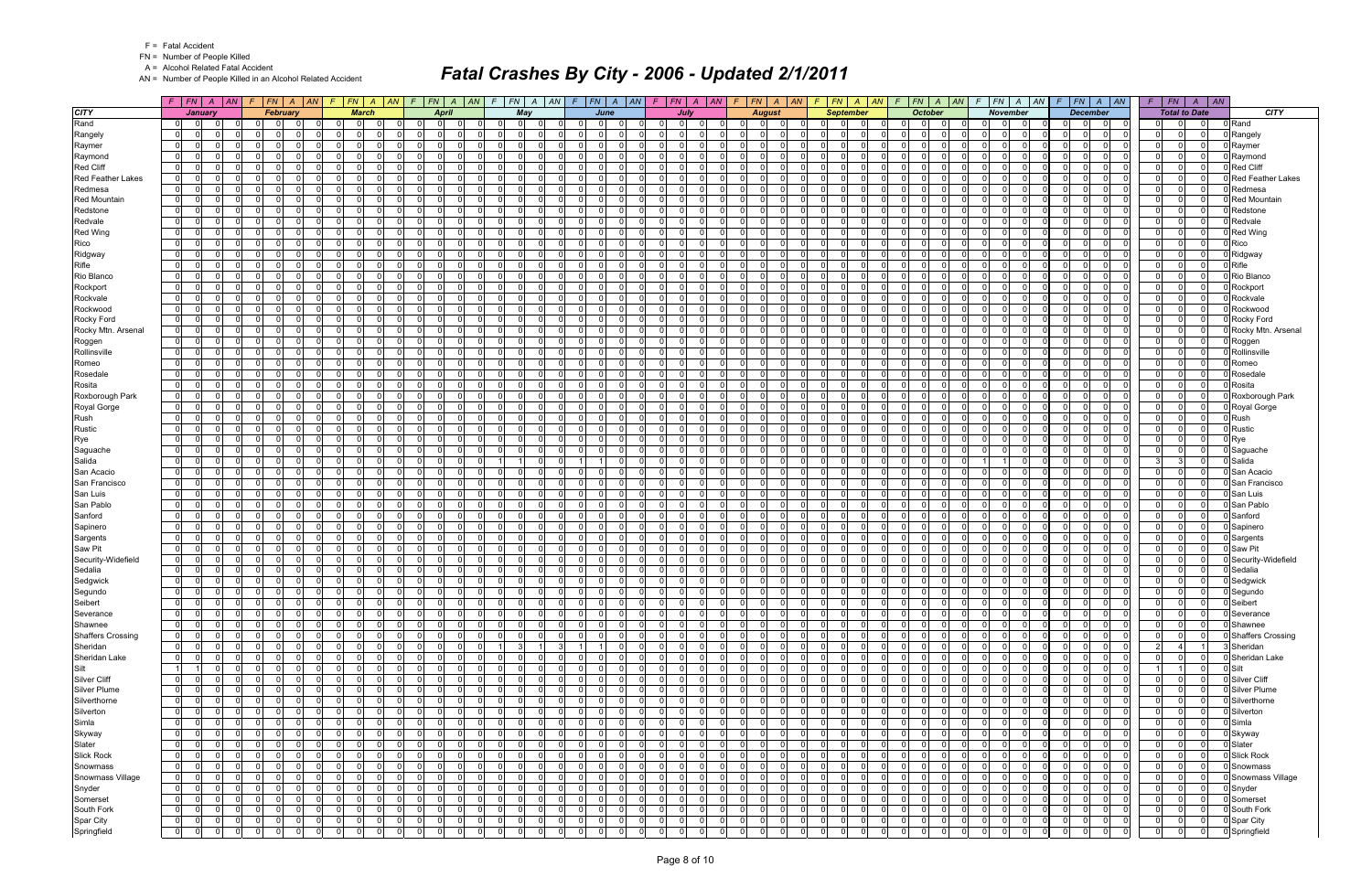FN = Number of People Killed

A = Alcohol Related Fatal Accident

AN = Number of People Killed in an Alcohol Related Accident

|                                | $F$   $FN$   $A$   $AN$                        |          |                                                    |                      | $F$   FN   A   AN   F   FN   A   AN                            | $F$   $FN$   $A$<br> AN                                              |              | F                                          |                                              |                      |                      |                            |                                  | $F$   FN   A   AN                |               |                            | $F$ $FN$ $A$ $AN$       | $\mathcal{F}$                | $FN$ $A$ $AN$                                      | $F$ $ FN$ $ A$ $ AN$                                              |                      | $F$ $FN$ $A$ $AN$                                   | $F$ $FN$ $A$ $AN$    |                            |                             |
|--------------------------------|------------------------------------------------|----------|----------------------------------------------------|----------------------|----------------------------------------------------------------|----------------------------------------------------------------------|--------------|--------------------------------------------|----------------------------------------------|----------------------|----------------------|----------------------------|----------------------------------|----------------------------------|---------------|----------------------------|-------------------------|------------------------------|----------------------------------------------------|-------------------------------------------------------------------|----------------------|-----------------------------------------------------|----------------------|----------------------------|-----------------------------|
| <b>CITY</b>                    | <b>January</b>                                 |          |                                                    | February             | <b>March</b>                                                   | <b>April</b>                                                         |              | May                                        |                                              | June                 |                      |                            | July                             | <b>August</b>                    |               |                            | <b>September</b>        |                              | <b>October</b>                                     | <b>November</b>                                                   |                      | <b>December</b>                                     |                      | <b>Total to Date</b>       | <b>CITY</b>                 |
| Rand                           | 0 <br>- Ol<br>$\Omega$                         |          | $\Omega$<br>$\Omega$                               |                      | $\Omega$<br>$\Omega$<br><sup>0</sup>                           | $\Omega$<br>-01                                                      |              | $\Omega$<br>$\Omega$                       | $\Omega$<br>$\Omega$                         | 0.                   | - 0                  | $\Omega$                   | $\Omega$<br><sup>0</sup>         | $\Omega$                         |               | $\Omega$                   | $\Omega$                |                              | $\Omega$<br>- 01                                   | $\Omega$<br>$\Omega$                                              |                      | - O I<br>$\overline{0}$                             | 0                    | 0 I<br>- റ                 | 0 Rand                      |
| Rangely                        | $\overline{0}$<br>- O I<br>- 0                 |          | $\Omega$<br>$\Omega$                               |                      | $\Omega$<br><sup>0</sup><br><sup>0</sup>                       | $\Omega$<br>- 0                                                      |              | $\Omega$                                   | $\Omega$<br>$\Omega$                         | $\Omega$             | $\Omega$             | $\Omega$                   | 0                                | $\Omega$                         | $\Omega$      | $\Omega$                   | $\Omega$                |                              | $\Omega$<br>$\Omega$                               | $\Omega$<br>$\Omega$                                              | $\cap$               | $\mathbf{0}$<br>- O I                               | $\overline{0}$       | 0 <br>- 0                  | Rangely                     |
| Raymer                         | 0 <br>$\Omega$                                 |          | $\Omega$<br>$\Omega$                               |                      | $\Omega$<br>$\Omega$                                           | $\Omega$<br>$\Omega$                                                 |              | $\Omega$                                   | $\Omega$<br>$\Omega$                         | $\Omega$             |                      | $\Omega$                   | $\Omega$                         | $\Omega$                         |               | $\Omega$                   | $\Omega$                | U                            | $\Omega$<br>$\Omega$                               | $\Omega$<br>$\Omega$                                              |                      | n l<br>$\Omega$                                     | 0                    | $\Omega$                   | 0 Raymer                    |
| Raymond                        | 0 <br>$\Omega$                                 |          | $\Omega$<br>U                                      |                      | $\Omega$<br>$\Omega$                                           | $\Omega$<br>$\Omega$                                                 |              | $\Omega$                                   | $\Omega$<br>$\Omega$                         | $\Omega$             |                      | $\Omega$                   | 0                                | $\Omega$                         |               | $\Omega$                   | $\Omega$                |                              | $\Omega$<br>$\Omega$                               | $\Omega$<br>$\Omega$                                              |                      | $\Omega$<br>$\Omega$                                | 0                    | $\Omega$<br>- 0            | 0 Raymond                   |
| <b>Red Cliff</b>               | 0 <br>- O I                                    |          | $\Omega$<br>$\Omega$                               |                      | $\Omega$<br>$\Omega$                                           | $\Omega$<br>$\Omega$                                                 |              | $\Omega$                                   | $\Omega$<br>$\Omega$                         | $\Omega$             |                      | $\Omega$                   | 0                                | $\Omega$                         |               | $\Omega$                   | - Ol                    |                              | $\Omega$<br>$\Omega$                               | $\Omega$<br>$\Omega$                                              |                      | n l<br>$\Omega$                                     | 0                    | $\Omega$                   | 0 Red Cliff                 |
| <b>Red Feather Lakes</b>       | 0 <br>- Ol                                     |          | $\Omega$<br>$\Omega$<br>$\Omega$                   |                      | $\mathbf{0}$<br><sup>n</sup><br><sup>0</sup>                   | $\Omega$<br>$\Omega$<br>$\Omega$<br>$\Omega$                         |              | $\Omega$                                   | $\Omega$<br>- O I                            | $\Omega$             | $\Omega$             | $\Omega$                   | 0                                | $\Omega$<br>$\Omega$             | $\Omega$      | $\Omega$                   | $\Omega$<br>$\Omega$    | $\Omega$                     | $\Omega$<br>$\Omega$                               | $\Omega$<br>$\Omega$<br><sup>n</sup><br>$\Omega$                  |                      | n l<br>$\Omega$                                     | 0                    | $\Omega$<br>- 0            | <b>Red Feather Lakes</b>    |
| Redmesa<br><b>Red Mountain</b> | 0 <br>- Ol<br> 0 <br>$\Omega$                  |          | $\Omega$<br>$\Omega$<br>$\Omega$                   |                      | $\mathbf{0}$<br><sup>0</sup><br>$\overline{0}$<br><sup>0</sup> | $\Omega$<br>$\Omega$<br>$\Omega$<br><sup>n</sup>                     |              | $\Omega$<br>$\Omega$                       | $\Omega$<br>$\Omega$<br>$\Omega$<br>$\Omega$ | $\Omega$<br>$\Omega$ | $\Omega$             | $\Omega$<br>$\Omega$       | 0<br>0                           | $\Omega$<br>$\Omega$             | $\Omega$      | $\mathbf 0$<br>$\Omega$    | $\mathbf 0$             | $\Omega$                     | $\Omega$<br>$\Omega$<br>$\Omega$<br>- Ol           | $\Omega$<br>$\Omega$<br>$\Omega$<br><sup>n</sup>                  |                      | $\Omega$<br>$\Omega$<br>$\Omega$<br>$\Omega$        | 0 <br> 0             | 0 <br>$\overline{0}$       | 0 Redmesa<br>0 Red Mountain |
| Redstone                       | 0 <br>$\Omega$                                 |          | $\Omega$<br>$\Omega$                               |                      | $\mathbf{0}$<br>$\Omega$                                       | $\Omega$<br>$\Omega$                                                 |              | $\Omega$                                   | $\Omega$<br>$\Omega$                         | $\Omega$             | $\Omega$             | $\Omega$                   | $\Omega$                         | $\Omega$<br>$\Omega$             |               | $\mathbf 0$                | $\Omega$                | $\Omega$                     | $\Omega$<br>$\Omega$                               | $\Omega$<br>$\Omega$                                              | $\Omega$             | n l<br>$\Omega$                                     | 0                    | 0 <br>- 0                  | 0 Redstone                  |
| Redvale                        | 0 <br>- O I                                    |          | $\Omega$<br>U                                      |                      | $\Omega$                                                       | $\Omega$<br>$\Omega$                                                 |              | $\Omega$                                   | $\Omega$<br>$\Omega$                         | $\Omega$             | $\Omega$             | $\Omega$                   | 0                                | $\Omega$                         |               | 0                          | $\Omega$                |                              | $\Omega$<br>$\Omega$                               | $\Omega$<br>$\Omega$                                              |                      | $\Omega$<br>- Ol                                    | 0                    | 0                          | 0 Redvale                   |
| <b>Red Wing</b>                | 0 <br>$\Omega$                                 |          | $\Omega$<br><sup>n</sup>                           |                      | $\Omega$                                                       | $\Omega$<br>$\Omega$                                                 |              | $\Omega$                                   | $\Omega$<br>$\Omega$                         | $\Omega$             |                      | $\Omega$                   | $\Omega$                         | $\Omega$                         |               | $\Omega$                   | $\Omega$                |                              | $\Omega$<br>$\Omega$                               | $\Omega$<br>$\Omega$                                              |                      | $\Omega$<br>$\Omega$                                | 0                    | $\Omega$                   | 0 Red Wing                  |
| Rico                           | 0 <br>$\Omega$                                 |          | $\Omega$<br>$\Omega$                               |                      | $\overline{0}$<br>$\Omega$                                     | - O I<br>$\Omega$                                                    |              | $\overline{0}$                             | - O I<br>0                                   | $\Omega$             |                      | $\Omega$                   | $\Omega$                         | 0 I<br>$\Omega$                  | $\Omega$      | $\mathbf 0$                | $\mathbf 0$             |                              | $\mathbf 0$<br>$\mathbf 0$                         | $\Omega$<br>$\Omega$                                              | $\Omega$             | $\Omega$<br>$\Omega$                                | 0                    | 0 <br>- 0                  | 0 Rico                      |
| Ridgway                        | 0 <br>$\Omega$                                 |          | $\Omega$<br>$\Omega$                               |                      | $\Omega$<br>$\Omega$                                           | $\Omega$<br>$\Omega$                                                 |              | $\Omega$                                   | $\Omega$<br>$\Omega$                         | $\Omega$             | $\Omega$             | $\Omega$                   | $\Omega$                         | $\Omega$<br>$\Omega$             |               | $\Omega$                   | - Ol                    |                              | $\Omega$<br>- Ol                                   | $\Omega$<br>$\Omega$                                              | $\Omega$             | $\Omega$<br>$\Omega$                                | 0                    | $\Omega$                   | 0 Ridgway                   |
| Rifle                          | 0 <br>$\Omega$                                 |          | $\Omega$<br>$\Omega$                               |                      | $\Omega$<br>$\Omega$                                           | $\Omega$<br>$\Omega$                                                 |              | $\Omega$                                   | $\Omega$<br>$\Omega$                         | $\Omega$             | $\Omega$             | $\Omega$                   | 0                                | $\Omega$                         |               | $\Omega$                   | $\Omega$                | <sup>n</sup>                 | $\Omega$<br>$\mathbf 0$                            | $\Omega$<br>$\Omega$                                              |                      | $\Omega$<br>$\Omega$                                | 0                    | $\Omega$<br>- 0            | 0 Rifle                     |
| Rio Blanco                     | 0 <br>- Ol                                     |          | $\Omega$<br>$\Omega$                               |                      | $\Omega$<br>$\Omega$                                           | $\Omega$<br>$\Omega$<br>$\Omega$                                     |              | $\Omega$                                   | $\Omega$<br>$\Omega$                         | $\Omega$             | $\Omega$             | $\Omega$                   | 0                                | $\Omega$<br>$\Omega$             | $\Omega$      | $\Omega$                   | $\Omega$                | $\Omega$                     | $\Omega$<br>$\Omega$                               | $\Omega$<br>$\Omega$                                              | $\cap$               | n l<br>$\Omega$                                     | 0                    | 0 <br>- 0                  | 0 Rio Blanco                |
| Rockport                       | 0 <br>$\Omega$                                 |          | $\Omega$<br>$\Omega$                               |                      | $\Omega$<br>$\Omega$                                           | $\Omega$<br>$\Omega$<br><sup>n</sup>                                 |              | $\Omega$                                   | $\Omega$<br>$\Omega$                         | $\Omega$             | $\Omega$             | $\Omega$                   | 0                                | $\Omega$                         | <sup>0</sup>  | $\Omega$                   | $\Omega$                | $\Omega$                     | $\Omega$<br>- Ol                                   | $\Omega$<br>$\Omega$                                              |                      | $\Omega$<br>$\Omega$                                | 0                    | $\Omega$                   | 0 Rockport                  |
| Rockvale                       | 0 <br>- Ol                                     |          | $\Omega$<br>$\Omega$                               |                      | $\overline{0}$<br>$\Omega$                                     | $\overline{0}$<br>$\Omega$<br>$\Omega$                               |              | $\Omega$                                   | $\Omega$<br>- O I                            | $\Omega$             | $\Omega$             | $\Omega$                   | n l                              | $\Omega$<br>$\Omega$             | $\Omega$      | $\mathbf 0$                | $\Omega$                | $\Omega$                     | $\Omega$<br>$\Omega$                               | $\Omega$<br>$\Omega$<br>$\Omega$                                  | $\Omega$             | n l<br>0I                                           | 0                    | 0 <br>- 0                  | 0 Rockvale                  |
| Rockwood                       | 0 <br>$\Omega$                                 |          | $\Omega$<br>$\Omega$                               |                      | $\Omega$<br><sup>n</sup>                                       | $\Omega$<br>$\Omega$                                                 |              | $\Omega$                                   | $\Omega$<br>$\Omega$                         | <sup>n</sup>         |                      | $\Omega$                   | 0                                | $\Omega$<br>- C                  | <sup>0</sup>  | $\Omega$                   | $\Omega$                | <sup>n</sup>                 | $\Omega$<br>$\Omega$                               | $\Omega$<br>$\Omega$                                              | $\cap$               | $\Omega$<br>$\Omega$                                | 0                    | $\Omega$                   | 0 Rockwood                  |
| Rocky Ford                     | -01<br>- Ol                                    |          | $\Omega$<br>$\Omega$                               |                      | $\Omega$<br>$\Omega$<br>$\Omega$                               | $\Omega$<br>$\cap$<br>$\Omega$                                       |              | $\Omega$                                   | - Ol<br>$\Omega$                             | $\Omega$             | $\Omega$             | $\Omega$                   | $\Omega$                         | $\Omega$<br>$\Omega$             | $\Omega$      | $\Omega$                   | $\Omega$                | U                            | $\Omega$<br>$\Omega$                               | $\Omega$<br>$\Omega$<br>$\cap$                                    | $\Omega$             | n l<br>$\Omega$                                     | 0                    | $\Omega$<br>- 0            | 0 Rocky Ford                |
| Rocky Mtn. Arsenal             | 0 <br>$\Omega$                                 |          | $\Omega$<br>0                                      |                      | $\overline{0}$<br>$\Omega$                                     | $\Omega$<br>$\Omega$<br>-0                                           |              | $\overline{0}$                             | $\Omega$<br>0                                | $\Omega$             | $\Omega$             | $\mathbf 0$                | 0                                | $\Omega$<br>- 0                  | $\Omega$      | $\mathbf 0$                | $\mathbf 0$             | 0                            | $\mathbf{0}$<br>$\mathbf 0$                        | $\mathbf 0$<br>0                                                  | $\Omega$             | $\Omega$<br>$\Omega$                                | 0                    | 0                          | 0 Rocky Mtn. Arsenal        |
| Roggen                         | -ol<br>$\Omega$                                |          | $\Omega$<br>$\Omega$                               |                      | $\overline{0}$<br>$\Omega$                                     | $\Omega$<br>$\Omega$                                                 |              | $\Omega$                                   | $\Omega$<br>$\Omega$                         | $\Omega$             | $\Omega$             | $\Omega$                   | $\Omega$                         | $\Omega$<br>$\Omega$             | $\Omega$      | $\Omega$                   | $\Omega$                | $\Omega$                     | $\Omega$<br>n l                                    | $\Omega$<br>$\Omega$                                              | $\Omega$             | n l<br>$\Omega$                                     | 0                    | 0 <br>$\Omega$             | 0 Roggen                    |
| Rollinsville                   | 0 <br>$\Omega$                                 |          | $\Omega$<br>$\Omega$                               |                      | $\overline{0}$<br>$\Omega$<br>$\Omega$                         | $\Omega$<br>$\Omega$<br>$\Omega$<br>$\Omega$                         |              | $\Omega$                                   | - O I<br>$\Omega$                            | $\Omega$             | $\Omega$             | $\Omega$                   | 0                                | $\Omega$<br>$\Omega$             | $\Omega$      | $\mathbf 0$                | $\mathbf 0$             | $\Omega$                     | $\Omega$<br>$\mathbf 0$                            | $\Omega$<br>$\Omega$                                              | $\cap$<br>$\Omega$   | $\Omega$<br>$\Omega$                                | 0                    | $\Omega$<br>- 0            | 0 Rollinsville              |
| Romeo                          | 0 <br>- Ol<br>$\Omega$                         |          | $\Omega$<br>$\Omega$<br>$\Omega$                   |                      | $\Omega$<br>$\Omega$<br>$\Omega$<br><sup>0</sup>               | $\Omega$<br>$\Omega$<br>$\Omega$<br>$\Omega$                         |              | $\Omega$<br>$\Omega$                       | $\Omega$<br>$\Omega$<br>$\Omega$<br>$\Omega$ | $\Omega$<br>$\Omega$ | $\Omega$             | $\Omega$<br>$\Omega$       | $\Omega$<br><sup>0</sup>         | $\Omega$<br>$\Omega$<br>$\Omega$ | $\Omega$      | $\Omega$<br>$\Omega$       | $\Omega$<br>$\Omega$    | <sup>0</sup><br><sup>n</sup> | $\Omega$<br>$\Omega$<br>$\Omega$<br>$\Omega$       | $\Omega$<br>$\Omega$<br>$\Omega$<br>$\Omega$                      |                      | n l<br>$\Omega$<br>$\Omega$<br>$\Omega$             | 0 <br> 0             | 0 <br>- 0<br>$\Omega$      | 0 Romeo                     |
| Rosedale<br>Rosita             | 0 <br> 0 <br>- Ol                              |          | $\Omega$<br>$\Omega$                               |                      | $\overline{0}$<br>$\Omega$<br>$\Omega$                         | $\overline{0}$<br>$\Omega$<br>$\Omega$                               |              | $\overline{0}$<br>ി                        | $\Omega$<br>- O I                            | <sup>0</sup>         | $\Omega$             | $\Omega$                   | n l                              | $\Omega$<br>$\Omega$             | $\Omega$      | $\overline{0}$             | - 0 l                   | $\Omega$                     | - Ol<br>$\Omega$                                   | $\Omega$<br>$\Omega$<br>$\Omega$                                  | $\Omega$             | $\Omega$<br>- O I                                   | 0                    | 0 <br>- 0                  | 0 Rosedale<br>0 Rosita      |
| Roxborough Park                | 0 <br>0I                                       |          | $\Omega$<br>$\Omega$                               |                      | $\Omega$                                                       | $\Omega$                                                             |              | 0                                          | $\Omega$<br>$\Omega$                         | <sup>n</sup>         |                      | $\Omega$                   | <sup>n</sup>                     | $\Omega$                         |               | $\Omega$                   | $\Omega$                |                              | $\Omega$<br>$\Omega$                               | $\Omega$<br>$\Omega$                                              |                      | 0                                                   | 0                    | $\Omega$                   | 0 Roxborough Park           |
| Royal Gorge                    | 0 <br>- O I                                    |          | $\Omega$<br>$\Omega$                               |                      | $\Omega$<br><sup>0</sup>                                       | $\Omega$<br>$\Omega$<br>$\Omega$                                     |              | $\Omega$                                   | $\Omega$<br>- O I                            | $\Omega$             | $\Omega$             | $\Omega$                   | 0                                | $\Omega$<br>$\Omega$             | $\Omega$      | $\Omega$                   | $\Omega$                | $\Omega$                     | $\Omega$<br>$\Omega$                               | $\Omega$<br>$\Omega$                                              |                      | - Ol<br>0I                                          | $\overline{0}$       | 0 <br>- 0                  | 0 Royal Gorge               |
| Rush                           | 0 <br>$\Omega$                                 |          | $\Omega$<br>$\Omega$                               |                      | $\mathbf{0}$<br>$\Omega$                                       | $\Omega$<br>$\Omega$                                                 |              | $\Omega$                                   | $\Omega$<br>$\Omega$                         | $\Omega$             |                      | $\Omega$                   | 0                                | $\Omega$                         |               | $\mathbf 0$                | $\Omega$                |                              | $\mathbf 0$<br>$\Omega$                            | $\Omega$<br>$\Omega$                                              |                      | $\Omega$<br>$\Omega$                                | 0                    | 0 <br>$\Omega$             | 0 Rush                      |
| Rustic                         | 0 <br>$\Omega$                                 |          | $\Omega$<br>$\Omega$                               |                      | $\Omega$<br><sup>0</sup>                                       | $\Omega$<br>$\Omega$<br><sup>n</sup>                                 |              | $\Omega$                                   | $\Omega$<br>$\Omega$                         | $\Omega$             | $\Omega$             | $\Omega$                   | 0                                | $\Omega$                         | <sup>0</sup>  | $\Omega$                   | $\mathbf 0$             | $\Omega$                     | $\Omega$<br>n l                                    | $\Omega$<br>$\Omega$<br>$\Omega$                                  |                      | n l<br>$\Omega$                                     | 0                    | $\Omega$                   | 0 Rustic                    |
| Rye                            | 0 <br>$\Omega$                                 |          | $\Omega$<br>$\Omega$                               |                      | $\mathbf{0}$<br>$\Omega$                                       | $\Omega$<br><sup>n</sup><br>- 0                                      |              | $\Omega$                                   | $\Omega$<br>$\Omega$                         | $\Omega$             | $\Omega$             | $\Omega$                   | $\Omega$                         | $\Omega$<br>$\Omega$             |               | $\mathbf 0$                | $\Omega$                | $\Omega$                     | $\Omega$<br>$\Omega$                               | $\Omega$<br>$\Omega$                                              | $\Omega$             | n l<br>$\Omega$                                     | 0                    | 0 <br>- 0                  | 0 Rye                       |
| Saguache                       | 0 <br>$\Omega$                                 |          | $\Omega$<br>0                                      |                      | $\Omega$<br><sup>0</sup>                                       | $\Omega$<br>$\Omega$                                                 |              | $\Omega$                                   | - O I<br>$\Omega$                            | $\Omega$             | $\Omega$             | $\Omega$                   | 0                                | $\Omega$                         | $\Omega$      | $\Omega$                   | $\Omega$                |                              | $\Omega$<br>$\Omega$                               | $\Omega$<br>$\Omega$                                              |                      | $\Omega$<br>$\Omega$                                | 0                    | $\Omega$                   | 0 Saquache                  |
| Salida                         | 0 <br>$\Omega$                                 |          | $\Omega$<br>$\Omega$                               |                      | $\Omega$<br>$\Omega$                                           | $\Omega$<br>$\Omega$                                                 |              |                                            | $\Omega$                                     |                      | $\Omega$             | $\Omega$                   | $\Omega$                         | $\Omega$                         |               | $\Omega$                   | $\Omega$                |                              | $\Omega$<br>$\Omega$                               | $\Omega$                                                          |                      | $\Omega$<br>$\Omega$                                | 3                    | 3                          | 0 Salida                    |
| San Acacio                     | 0 <br>- O I                                    |          | $\Omega$<br>$\Omega$                               |                      | $\overline{0}$<br>$\Omega$                                     | - O I<br>$\Omega$                                                    |              | 0                                          | - O I<br>0                                   | $\Omega$             | $\Omega$             | $\Omega$                   | $\Omega$                         | 0 I<br>$\Omega$                  | $\Omega$      | $\mathbf 0$                | $\mathbf 0$             | 0                            | $\Omega$<br>$\mathbf 0$                            | $\Omega$<br>$\Omega$                                              | $\Omega$             | $\Omega$<br>$\Omega$                                | 0                    | 0 <br>- 0                  | 0 San Acacio                |
| San Francisco                  | 0 <br>$\Omega$                                 |          | $\Omega$<br>$\Omega$                               |                      | $\Omega$<br><sup>0</sup>                                       | $\Omega$<br>$\Omega$                                                 |              | $\Omega$                                   | $\Omega$<br>$\Omega$                         | $\Omega$             |                      | $\Omega$                   | <sup>0</sup>                     | $\Omega$                         |               | $\Omega$                   | $\Omega$                |                              | $\Omega$<br>$\Omega$                               | $\Omega$<br>$\Omega$                                              |                      | n l<br>$\Omega$                                     | -ol                  | $\Omega$                   | 0 San Francisco             |
| San Luis                       | 0 <br>- O I                                    |          | $\Omega$<br><sup>n</sup>                           |                      | $\Omega$<br>$\Omega$                                           | $\Omega$<br>$\Omega$                                                 |              | $\Omega$                                   | $\Omega$<br>- O I                            | $\Omega$             | $\Omega$             | $\Omega$                   | 0                                | $\Omega$<br>$\Omega$             | $\Omega$      | $\Omega$                   | $\Omega$                | $\Omega$                     | $\Omega$<br>$\Omega$                               | $\Omega$<br>$\Omega$                                              | $\cap$               | - O I<br>- Ol                                       | 0                    | 0 <br>- 0                  | 0 San Luis                  |
| San Pablo                      | 0 <br>$\Omega$                                 |          | $\Omega$<br><sup>0</sup>                           |                      | $\mathbf{0}$                                                   | $\Omega$<br>$\Omega$                                                 |              | $\Omega$                                   | $\Omega$<br>$\Omega$                         | $\Omega$             |                      | $\Omega$                   | 0                                | $\Omega$                         |               | $\Omega$                   | $\Omega$                |                              | $\Omega$<br>$\Omega$                               | $\Omega$<br>$\Omega$                                              |                      | n l<br>$\Omega$                                     | 0                    | 0                          | San Pablo                   |
| Sanford                        | -01<br>$\Omega$<br> 0 <br>- O I                |          | $\Omega$<br>$\Omega$<br>$\Omega$                   |                      | $\Omega$<br><sup>0</sup><br>$\overline{0}$<br>$\Omega$         | $\Omega$<br>$\Omega$<br>- O I<br><sup>0</sup><br>- 0                 |              | $\Omega$<br>$\Omega$                       | $\Omega$<br>$\Omega$<br>$\Omega$<br>$\Omega$ | $\Omega$<br>$\Omega$ | $\Omega$             | $\Omega$<br>$\Omega$       | $\Omega$<br>$\Omega$             | $\Omega$<br>$\Omega$<br>- 0      |               | $\Omega$<br>$\overline{0}$ | $\mathbf 0$<br>$\Omega$ | $\Omega$<br>$\Omega$         | $\Omega$<br>$\Omega$<br>$\Omega$                   | $\Omega$<br>$\Omega$<br>$\Omega$<br>$\Omega$                      |                      | $\Omega$<br>$\Omega$<br>$\Omega$<br>$\Omega$        | -ol<br> 0            | $\Omega$<br> 0 <br>- 0     | 0 Sanford<br>0 Sapinero     |
| Sapinero<br>Sargents           | 0 <br>$\Omega$                                 |          | $\Omega$<br>$\Omega$                               |                      | $\Omega$<br><sup>0</sup>                                       | $\Omega$<br>-C                                                       |              | $\Omega$                                   | $\Omega$<br>$\Omega$                         | <sup>0</sup>         |                      | $\Omega$                   | <sup>0</sup>                     | $\Omega$                         |               | $\Omega$                   | $\Omega$                |                              | $\mathbf 0$<br>$\Omega$<br>$\Omega$                | $\Omega$<br>$\Omega$                                              | $\cap$               | $\Omega$<br>$\Omega$                                | 0                    | $\Omega$                   | 0 Sargents                  |
| Saw Pit                        | -01<br>- Ol                                    |          | $\Omega$<br>$\Omega$                               |                      | $\Omega$<br>$\Omega$<br>$\Omega$                               | $\Omega$<br>$\cap$<br>$\Omega$                                       |              | $\Omega$                                   | - Ol<br>$\Omega$                             | $\Omega$             | $\Omega$             | $\Omega$                   | $\Omega$                         | $\Omega$<br>$\Omega$             | $\Omega$      | $\Omega$                   | $\Omega$                | $\Omega$                     | $\Omega$<br>$\Omega$                               | $\Omega$<br>$\Omega$<br>$\Omega$                                  | $\Omega$             | n l<br>$\Omega$                                     | 0                    | $\Omega$<br>- 0            | 0 Saw Pit                   |
| Security-Widefield             | 0 <br>$\Omega$                                 |          | $\overline{0}$<br>0                                |                      | $\overline{0}$<br>$\Omega$                                     | $\mathbf 0$<br>$\Omega$<br>-0                                        |              | $\overline{0}$                             | 0<br>$\Omega$                                | $\Omega$             | $\Omega$             | $\mathbf 0$                | 0                                | $\Omega$                         | $\Omega$      | $\mathbf 0$                | $\mathbf 0$             | 0                            | $\mathbf{0}$<br>$\mathbf 0$                        | $\mathbf 0$<br>0                                                  |                      | $\Omega$<br>$\Omega$                                | 0                    | 0                          | 0 Security-Widefield        |
| Sedalia                        | -ol<br>$\Omega$                                |          | $\overline{0}$<br>$\Omega$                         |                      | $\overline{0}$<br>$\Omega$                                     | $\Omega$<br>$\Omega$<br>$\Omega$                                     |              | $\Omega$                                   | $\Omega$<br>- O I                            | $\Omega$             | $\Omega$             | $\Omega$                   | $\Omega$                         | $\Omega$<br>$\Omega$             | $\Omega$      | $\Omega$                   | $\Omega$                | $\Omega$                     | $\Omega$<br>$\Omega$                               | $\Omega$<br>$\Omega$                                              | $\Omega$             | $\Omega$<br>$\Omega$                                | 0                    | 0 <br>$\Omega$             | 0 Sedalia                   |
| Sedgwick                       | $\mathbf 0$<br>$\Omega$                        |          | $\mathbf{0}$<br>$\Omega$                           |                      | $\overline{0}$<br>$\Omega$<br>$\Omega$                         | - O I<br>$\Omega$<br>0                                               |              | $\Omega$                                   | - O I<br>$\Omega$                            | $\Omega$             | $\Omega$             | $\Omega$                   | 0                                | $\Omega$<br>0 I                  | $\Omega$      | $\mathbf 0$                | $\mathbf 0$             | 0                            | $\mathbf 0$<br>$\mathbf 0$                         | $\mathbf 0$<br>$\Omega$                                           | $\Omega$             | $\Omega$<br>- O I                                   | 0                    | $\Omega$<br>- 0            | 0 Sedgwick                  |
| Segundo                        | $\overline{0}$<br>- Ol<br>$\Omega$             |          | $\overline{0}$<br>$\Omega$                         |                      | $\Omega$                                                       | $\mathbf 0$<br>$\Omega$<br>$\Omega$                                  |              | $\Omega$                                   | $\Omega$<br>$\Omega$                         | $\Omega$             |                      | $\Omega$                   | $\Omega$                         | $\Omega$                         |               | $\Omega$                   | - Ol                    | $\Omega$                     | $\Omega$<br>n l                                    | $\Omega$<br>$\Omega$                                              |                      | n l<br>$\Omega$                                     | 0                    | 0                          | 0 Segundo                   |
| Seibert                        | $\mathbf 0$<br>$\overline{0}$                  |          | $\overline{0}$<br>$\mathbf{0}$                     |                      | $\overline{0}$<br>$\mathbf 0$<br>0                             | $\mathbf 0$<br>$\overline{0}$                                        |              | $\mathbf 0$<br>$\Omega$                    | $\overline{0}$<br>0                          | 0                    | 0                    | 01                         | 0                                | $\overline{0}$                   |               | $\overline{0}$             | $\mathbf 0$             | 0                            | $\mathbf 0$<br>01                                  | 0<br>0                                                            | $\Omega$             | $\overline{0}$<br>$\mathbf 0$                       | 0                    | 0                          | 0 Seibert                   |
| Severance                      | 0 <br>$\overline{0}$<br>$\overline{0}$         |          | $\overline{0}$<br>$\overline{0}$                   | $\Omega$             | $\overline{0}$<br>$\overline{0}$<br>$\mathbf 0$                | $\mathbf 0$<br>$\Omega$<br>0 I                                       |              | 0 <br>$\overline{0}$                       | $\overline{0}$<br>- O I                      | $\overline{0}$       | $\Omega$             | $\overline{0}$             | $\Omega$<br>0 I                  | $\overline{0}$<br>- O I          | - 0 l         | $\mathbf 0$                | - 0 l                   | $\overline{0}$               | $\overline{0}$<br>0 I                              | $\overline{0}$<br>$\overline{0}$<br> 0                            | $\Omega$             | 0 <br>0 I                                           | $\overline{0}$       | $\overline{0}$<br>$\Omega$ | 0 Severance                 |
| Shawnee                        | 0 <br>- O I<br>- 0                             |          | $\overline{0}$<br>$\Omega$                         |                      | $\mathbf{0}$<br>$\Omega$<br>$\Omega$                           | - O I<br>$\Omega$<br>$\Omega$                                        |              | $\mathbf 0$<br>- 0                         | $\overline{0}$<br>- O I                      | $\Omega$             | $\Omega$             | $\Omega$                   | $\Omega$<br>$\Omega$             | $\Omega$<br>0 I                  | $\Omega$      | $\mathbf 0$                | $\mathbf 0$             | $\Omega$                     | $\mathbf 0$<br> 0                                  | $\mathbf 0$<br>$\Omega$<br>0                                      | $\Omega$             | - O I<br>$\mathbf 0$                                | 0                    | 0                          | 0 Shawnee                   |
| <b>Shaffers Crossing</b>       | $\overline{0}$<br>0 I<br>- 01                  |          | 0 <br>$\Omega$                                     |                      | 0 <br>$\Omega$<br>$\mathbf 0$                                  | $\mathbf{0}$<br>$\Omega$<br>0 I                                      |              | $\overline{0}$<br>$\Omega$                 | $\mathbf 0$<br>- O I                         | $\Omega$             | $\overline{0}$       | $\overline{0}$             | $\Omega$<br>$\Omega$             | $\Omega$<br>0 I                  | $\mathbf 0$   | 0                          | $\mathbf 0$             | $\Omega$                     | $\overline{0}$<br>$\overline{0}$                   | $\Omega$<br>$\Omega$<br> 0                                        | $\Omega$             | 0 <br>0 I                                           | $\overline{0}$       | 0 I<br>- 0                 | 0 Shaffers Crossing         |
| Sheridan                       | 0 <br>$\overline{0}$                           |          | $\overline{0}$<br>$\Omega$                         |                      | $\overline{0}$<br>$\mathbf{0}$                                 | $\mathbf 0$<br>$\Omega$<br>$\Omega$                                  |              | $1 \mid$                                   |                                              |                      | 0                    | $\mathbf 0$                | 0l                               | 0 I                              | $\Omega$      | $\mathbf 0$                | $\mathbf 0$             | 0                            | $\mathbf 0$<br>$\mathbf 0$                         | $\mathbf 0$<br>$\mathbf 0$<br>$\Omega$                            |                      | 01<br>$\mathbf 0$                                   | $\vert$ 2            | 4 <sup>1</sup>             | <b>Sheridan</b>             |
| Sheridan Lake                  | 0 <br>0 I<br>- 0                               |          | $\mathbf{0}$<br>$\overline{0}$                     | $\Omega$             | 0 <br>$\Omega$<br>$\Omega$                                     | $\mathbf{0}$<br>$\Omega$<br>$\Omega$                                 |              | $\overline{0}$<br>$\Omega$                 | $\Omega$<br>- O I                            | $\overline{0}$       | - Ol                 | $\overline{0}$             | $\Omega$<br> 0                   | $\overline{0}$<br>- O I          | $\Omega$      | $\mathbf 0$                | $\mathbf 0$             | $\Omega$                     | $\overline{0}$<br>$\overline{0}$                   | $\Omega$<br>$\Omega$<br> 0                                        | $\Omega$             | 0 <br>0 I                                           | 0                    | $\overline{0}$<br>$\Omega$ | 0 Sheridan Lake             |
| Silt<br><b>Silver Cliff</b>    | 1<br>- O I                                     |          | $\overline{0}$<br>$\Omega$<br>$\Omega$<br>$\Omega$ |                      | 0 <br>$\Omega$<br>$\Omega$<br>$\Omega$<br>$\Omega$             | - O I<br>$\mathbf{0}$<br>0<br>$\overline{0}$<br>$\Omega$<br>$\Omega$ |              | $\mathbf 0$<br>- റ<br>$\Omega$<br>$\Omega$ | $\mathbf 0$<br>- O I<br>$\overline{0}$       | $\Omega$<br>$\Omega$ | $\Omega$<br>$\Omega$ | $\overline{0}$             | $\Omega$<br>$\Omega$<br>$\Omega$ | - 0<br>0 I<br>$\Omega$           | 0<br>$\Omega$ | $\mathbf 0$<br>$\mathbf 0$ | $\mathbf 0$             | $\Omega$<br>$\Omega$         | $\mathbf 0$<br> 0                                  | $\mathbf 0$<br>$\mathbf 0$<br>$\Omega$<br>$\mathbf 0$<br>$\Omega$ | $\Omega$<br>$\Omega$ | $\mathbf 0$<br>- O I                                | 1                    | 11<br>- 0                  | 0 Silt<br>0 Silver Cliff    |
| Silver Plume                   | $\overline{0}$<br>0 I<br> 0 <br>$\overline{0}$ |          | $\mathbf{0}$<br>$\Omega$                           |                      | 0 <br>$\overline{0}$<br>$\Omega$                               | $\Omega$<br>$\Omega$<br>$\Omega$                                     |              | $\overline{0}$                             | - O I<br>$\mathbf 0$<br>$\Omega$             | $\Omega$             | $\Omega$             | $\overline{0}$<br>$\Omega$ | $\Omega$                         | 0 I<br>$\Omega$                  | $\Omega$      | $\mathbf 0$                | $\mathbf 0$<br>- 0 l    | $\Omega$                     | $\mathbf 0$<br>$\mathbf 0$<br>$\mathbf 0$<br>- 0 l | $\mathbf 0$<br>$\Omega$                                           | $\Omega$             | - O I<br>$\mathbf{0}$<br>$\overline{0}$<br>$\Omega$ | $\overline{0}$<br> 0 | 01<br>$\Omega$             | 0 Silver Plume              |
| Silverthorne                   | 0 <br>- O I                                    |          | $\overline{0}$<br>$\Omega$                         |                      | $\overline{0}$<br>$\mathbf 0$                                  | $\mathbf 0$<br> 0 <br>$\Omega$                                       |              | 0 <br>- 0                                  | $\overline{0}$<br>$\mathbf 0$                | $\overline{0}$       | $\Omega$             | 0                          | $\Omega$<br> 0                   | 0 I<br>$\Omega$                  | $\Omega$      | $\mathbf 0$                | $\mathbf 0$             | $\Omega$                     | $\overline{0}$<br>$\mathbf 0$                      | 0 <br> 0 <br>$\Omega$                                             | $\overline{0}$       | 0 <br>01                                            | $\overline{0}$       | 0 <br>$\Omega$             | 0 Silverthorne              |
| Silverton                      | 0 <br>$\Omega$                                 |          | $\overline{0}$<br>$\Omega$                         |                      | $\overline{0}$<br>$\Omega$<br>$\Omega$                         | $\mathbf 0$<br>$\Omega$<br>$\Omega$                                  |              | $\overline{0}$<br>- 0                      | $\overline{0}$<br>- O I                      | $\overline{0}$       | $\Omega$             | $\Omega$                   | $\overline{0}$                   | $\Omega$<br>$\Omega$             | $\Omega$      | $\mathbf 0$                | - 0 l                   | $\Omega$                     | $\mathbf 0$<br>- 0 l                               | $\mathbf 0$<br>$\Omega$                                           | $\Omega$             | $\overline{0}$<br>$\Omega$                          | 0                    | $\overline{0}$<br>- 0      | 0 Silverton                 |
| Simla                          | 0 <br>0 I                                      |          | $\overline{0}$<br>$\Omega$                         |                      | 0 <br>$\Omega$<br>$\Omega$                                     | $\overline{0}$<br>$\Omega$<br>$\Omega$                               |              | $\overline{0}$<br>- 0                      | $\mathbf 0$<br>- O I                         | $\Omega$             | $\overline{0}$       | $\overline{0}$             | $\Omega$<br>$\Omega$             | - O I<br>0 I                     | $\Omega$      | $\mathbf 0$                | $\mathbf 0$             | $\Omega$                     | $\overline{0}$<br>$\overline{0}$                   | $\Omega$<br> 0 <br>$\Omega$                                       | $\Omega$             | 0 I<br>- 01                                         | $\overline{0}$       | 0 <br>- 0                  | 0 Simla                     |
| Skyway                         | 0 <br>$\Omega$                                 |          | $\overline{0}$<br>$\Omega$                         |                      | $\mathbf 0$<br>$\mathbf{0}$                                    | $\mathbf 0$<br>$\Omega$                                              |              | $\overline{0}$                             | $\overline{0}$<br>$\mathbf 0$                | $\Omega$             | $\Omega$             | $\Omega$                   | 0                                | $\Omega$                         |               | $\mathbf 0$                | - 0 l                   | $\Omega$                     | $\mathbf 0$<br>- 0 l                               | $\mathbf 0$<br>$\Omega$                                           |                      | $\overline{0}$<br>$\Omega$                          | 0                    | $\overline{0}$             | 0 Skyway                    |
| Slater                         | 0 <br>$\overline{0}$                           |          | $\mathbf{0}$<br>$\Omega$                           |                      | 0 <br>$\Omega$<br>$\Omega$                                     | $\mathbf 0$<br>$\Omega$<br>$\Omega$                                  |              | $\overline{0}$                             | $\overline{0}$<br>- O I                      | $\Omega$             | $\Omega$             | $\Omega$                   | $\Omega$                         | $\Omega$<br>0 I                  | $\Omega$      | $\mathbf 0$                | $\mathbf 0$             | $\Omega$                     | $\mathbf 0$<br>$\overline{0}$                      | $\Omega$<br> 0 <br>$\Omega$                                       | $\Omega$             | 0 <br>0 I                                           | 0                    | 0 <br>- 0                  | 0 Slater                    |
| <b>Slick Rock</b>              | 0 <br>- Ol                                     |          | $\overline{0}$<br>$\Omega$                         |                      | $\overline{0}$<br>$\Omega$<br>$\Omega$                         | $\overline{0}$<br>$\Omega$<br>$\Omega$                               |              | $\overline{0}$                             | $\overline{0}$<br>- O I                      | $\Omega$             | $\Omega$             | $\overline{0}$             | $\Omega$                         | $\Omega$<br>$\Omega$             | $\Omega$      | $\mathbf 0$                | $\mathbf 0$             | $\Omega$                     | $\mathbf 0$<br>$\mathbf 0$                         | 0 <br>$\mathbf 0$<br>$\Omega$                                     | $\Omega$             | 0 <br>- O I                                         | 0                    | 0 <br>- 0                  | 0 Slick Rock                |
| Snowmass                       | 0 <br>0 I<br>- 0                               |          | $\Omega$<br>$\Omega$                               |                      | 0 <br>$\Omega$<br>$\Omega$                                     | $\overline{0}$<br>$\Omega$<br>$\Omega$                               |              | $\Omega$                                   | $\Omega$<br>- O I                            | $\Omega$             | $\Omega$             | $\Omega$                   | $\Omega$<br>$\Omega$             | $\Omega$<br>0 I                  | $\Omega$      | $\mathbf 0$                | $\mathbf 0$             | $\Omega$                     | $\mathbf 0$<br>$\mathbf 0$                         | $\Omega$<br>$\mathbf 0$<br>$\Omega$                               | $\Omega$             | $\mathbf{0}$<br>- O I                               | $\overline{0}$       | $\overline{0}$<br>- 0      | 0 Snowmass                  |
| Snowmass Village               | 0 <br>$\overline{0}$                           |          | $\overline{0}$<br>$\mathbf 0$                      |                      | $\overline{0}$<br>$\Omega$<br>$\mathbf 0$                      | $\mathbf 0$<br>$\Omega$<br>$\Omega$                                  |              | $\overline{0}$                             | $\mathbf 0$<br>$\overline{0}$                | $\Omega$             | $\overline{0}$       | $\mathbf 0$                | 0                                | $\Omega$<br>0 I                  | $\Omega$      | $\mathbf 0$                | - 0 l                   | $\Omega$                     | $\overline{0}$<br>$\mathbf 0$                      | 0 <br>$\mathbf 0$<br>$\Omega$                                     | $\Omega$             | 0 <br>0 I                                           | 0                    | 0                          | 0 Snowmass Village          |
| Snyder                         | 0 <br>$\overline{0}$                           |          | $\overline{0}$<br>$\Omega$                         |                      | $\overline{0}$<br>$\mathbf{0}$                                 | $\mathbf 0$<br>0 I<br>$\Omega$                                       |              | 0                                          | $\overline{0}$<br>- O I                      | $\overline{0}$       | $\Omega$             | $\overline{0}$             | $\Omega$                         | $\Omega$<br>0 I                  | $\Omega$      | $\mathbf 0$                | $\mathbf 0$             | $\Omega$                     | $\mathbf 0$<br>$\mathbf 0$                         | $\mathbf 0$<br>$\mathbf 0$<br>$\Omega$                            | $\Omega$             | $\mathbf{0}$<br>0 I                                 | $\overline{0}$       | 0 <br>$\Omega$             | 0 Snyder                    |
| Somerset                       | 0 <br>- O I                                    |          | $\Omega$<br>$\Omega$                               |                      | $\Omega$<br>$\Omega$                                           | $\overline{0}$<br>$\Omega$<br>$\Omega$                               |              | $\overline{0}$                             | $\Omega$<br>$\Omega$                         | $\Omega$             | $\Omega$             | $\Omega$                   | $\Omega$                         | $\Omega$<br>$\Omega$             | $\Omega$      | $\overline{0}$             | $\mathbf 0$             | $\Omega$                     | $\Omega$<br>$\mathbf 0$                            | $\Omega$<br>$\Omega$                                              | $\Omega$             | $\overline{0}$<br>$\Omega$                          | 0                    | $\Omega$                   | 0 Somerset                  |
| South Fork                     | 0 <br>- O I                                    |          | $\overline{0}$<br>$\Omega$                         |                      | 0 <br>$\mathbf{0}$<br>$\Omega$                                 | $\mathbf 0$<br>$\mathbf 0$<br>$\mathbf{0}$                           |              | $\mathbf 0$<br>- 01                        | $\overline{0}$<br>$\mathbf 0$                | $\overline{0}$       | $\overline{0}$       | 0                          | 0 <br>0                          | - O I<br> 0                      | 0             | $\mathbf 0$                | 0                       | $\Omega$                     | $\overline{0}$<br> 0                               | $\mathbf 0$<br> 0 <br>$\Omega$                                    | - 01                 | 0 <br>0 I                                           | $\overline{0}$       | 01<br>- 0                  | 0 South Fork                |
| Spar City                      | 0 <br>$\overline{0}$                           |          | $\overline{0}$<br>$\Omega$                         | $\Omega$             | 0 <br>$\Omega$<br>$\mathbf 0$                                  | 0 <br>$\overline{0}$<br>$\Omega$                                     |              | $\overline{0}$<br>$\overline{0}$           | $\mathbf 0$<br>$\overline{0}$                | 0                    | 0                    | $\overline{0}$             | $\Omega$<br> 0                   | $\overline{0}$<br>$\overline{0}$ | - 0 l         | $\mathbf 0$                | - 0 l                   | $\overline{0}$               | $\overline{0}$<br>0 I                              | 0 <br>$\mathbf 0$<br>$\Omega$                                     | $\mathbf 0$          | $\overline{0}$<br> 0                                | 0                    | $\overline{0}$<br>- 0      | 0 Spar City                 |
| Springfield                    | 0 <br>$\overline{0}$<br>- O I                  | $\Omega$ | 0 <br>$\mathbf 0$                                  | $\Omega$<br>$\Omega$ | 0 <br>$\mathbf 0$<br>$\mathbf 0$                               | 0 <br> 0 <br>$\overline{0}$                                          | $\mathbf{0}$ | 0 <br>$\mathbf 0$                          | $\mathbf 0$<br>$\overline{0}$                | 0                    | 0 <br>- 0            | $\overline{0}$             | $\overline{0}$<br>$\mathbf 0$    | $\mathbf 0$<br>$\overline{0}$    | 0             | 0                          | 0 <br>$\Omega$          | $\overline{0}$               | $\overline{0}$<br>$\overline{0}$                   | 0 <br>$\overline{0}$<br>$\overline{0}$                            | $\mathbf 0$          | 0 <br>$\overline{0}$                                | 0                    | $\overline{0}$<br>$\Omega$ | 0 Springfield               |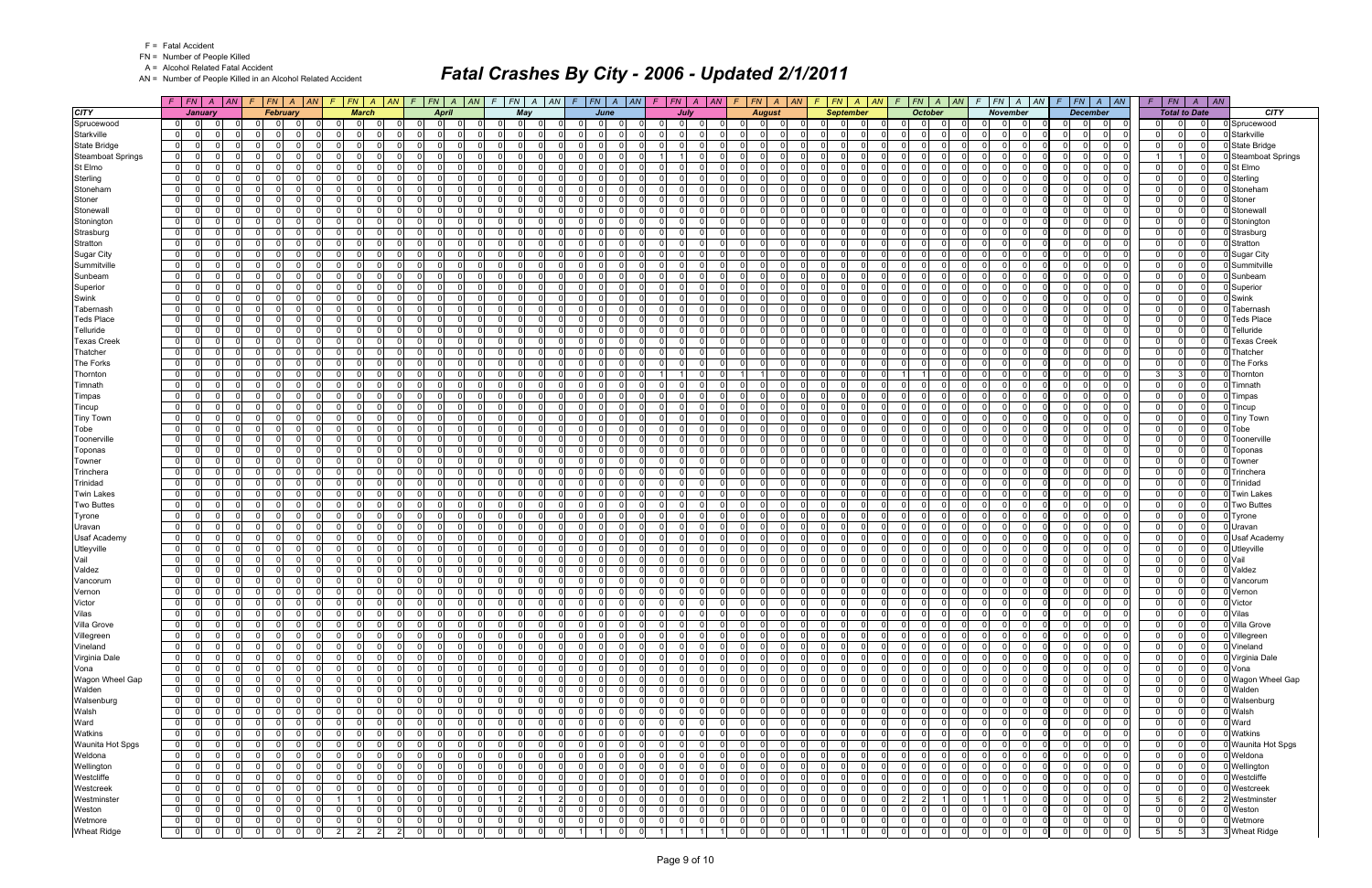|  | <b>Fatal Accident</b> |
|--|-----------------------|
|--|-----------------------|

A = Alcohol Related Fatal Accident

AN = Number of People Killed in an Alcohol Related Accident

|                          | $F$   $FN$   $A$   $AN$                                        |                                                                         | $F$   FN   A   AN   F   FN   A   AN                                                                 | $F$ $ FN $ $A$ $ AN $<br>$F$ $ FN $ $A$ $ AN$                                             | $F$ $FN$ $A$ $AN$                                                                                    | $F$   $FN$   $A$   $AN$  <br>$F$ $FN$ $A$ $AN$                         | $F$ $ FN $ $A$ $ AN $<br>F.                                                                           | $F$ $FN$ $A$ $AN$<br> FN A AN F FN A AN                                                                   | $F$ $FN$ $A$ $AN$                                   |                     |
|--------------------------|----------------------------------------------------------------|-------------------------------------------------------------------------|-----------------------------------------------------------------------------------------------------|-------------------------------------------------------------------------------------------|------------------------------------------------------------------------------------------------------|------------------------------------------------------------------------|-------------------------------------------------------------------------------------------------------|-----------------------------------------------------------------------------------------------------------|-----------------------------------------------------|---------------------|
| <b>CITY</b>              | January                                                        | February                                                                | <b>March</b>                                                                                        | April<br>May                                                                              | July<br>June                                                                                         | <b>August</b>                                                          | <b>September</b><br><b>October</b>                                                                    | <b>November</b><br><b>December</b>                                                                        | <b>Total to Date</b>                                | <b>CITY</b>         |
| Sprucewood               | - O I<br>-01                                                   | $\mathbf 0$<br>$\Omega$<br>$\Omega$                                     | $\overline{0}$<br>$\Omega$<br> 0 <br>$\Omega$                                                       | $\overline{0}$<br>$\Omega$<br>$\mathbf 0$<br>$\mathbf 0$                                  | 0 <br>$\overline{0}$<br>$\Omega$<br>- 0<br>-01                                                       | $\Omega$<br> 0 <br>$\Omega$                                            | $\mathbf 0$<br>$\Omega$<br>$\Omega$<br>$\Omega$<br>$\Omega$                                           | $\Omega$<br>$\mathbf 0$<br>0 I<br>.0<br>- 0                                                               | $\overline{0}$<br>0 I<br>- 0                        | 0 Sprucewood        |
| <b>Starkville</b>        | $\overline{0}$<br>$\Omega$<br>$\Omega$                         | $\Omega$<br>- 0                                                         | n l<br>0 I<br>$\Omega$                                                                              | $\Omega$<br>- 0 l<br>$\Omega$<br>$\Omega$                                                 | $\Omega$<br>n l<br>$\Omega$<br>$\Omega$                                                              | - 0 l<br>$\Omega$<br>$\Omega$                                          | -ol<br>$\Omega$<br>$\Omega$<br>$\Omega$                                                               | $\Omega$<br>$\Omega$<br>n l<br>$\Omega$<br>$\Omega$                                                       | 0 <br>- 0                                           | 0 Starkville        |
| <b>State Bridge</b>      | $\overline{0}$<br>- O I<br>$\Omega$                            | $\Omega$<br>$\Omega$                                                    | $\mathbf 0$<br>0 I<br>$\Omega$<br>$\overline{0}$                                                    | $\overline{0}$<br>$\Omega$<br>$\mathbf 0$<br>$\Omega$                                     | $\Omega$<br>$\Omega$<br>$\overline{0}$<br>$\Omega$<br>$\Omega$                                       | 0 I<br>$\Omega$<br>$\Omega$<br>$\Omega$                                | 0 <br>$\Omega$<br>0 I<br>- O I                                                                        | $\Omega$<br>$\Omega$<br>$\Omega$<br>$\Omega$<br>$\Omega$<br>$\Omega$                                      | 0 <br>$\Omega$<br>- 0                               | 0 State Bridge      |
| <b>Steamboat Springs</b> | $\overline{0}$<br>n l<br>$\Omega$                              | $\Omega$<br>$\Omega$                                                    | $\Omega$<br>$\Omega$<br>$\Omega$<br>$\Omega$                                                        | $\Omega$<br>$\Omega$<br>$\Omega$<br>$\Omega$                                              | $\Omega$<br>$\Omega$<br>$\Omega$                                                                     | $\Omega$<br>$\Omega$<br>$\Omega$                                       | -ol<br>$\Omega$<br>$\Omega$<br>$\Omega$                                                               | $\Omega$<br>$\Omega$<br>$\Omega$<br>n l<br>$\Omega$                                                       | 11<br>$\cap$                                        | 0 Steamboat Springs |
| St Elmo                  | $\overline{0}$<br>$\Omega$<br>$\Omega$                         | $\Omega$<br>$\Omega$                                                    | $\Omega$<br>$\overline{0}$<br>$\Omega$<br>$\overline{0}$                                            | $\Omega$<br>$\Omega$<br>$\mathbf 0$<br>$\mathbf 0$                                        | $\Omega$<br>$\Omega$<br>$\Omega$<br>$\Omega$<br>$\Omega$                                             | $\Omega$<br>$\mathbf 0$<br>$\Omega$                                    | 0 <br>$\Omega$<br>$\Omega$<br>$\Omega$                                                                | $\Omega$<br>$\mathbf 0$<br>$\Omega$<br>$\Omega$<br>ŋ<br>$\Omega$                                          | $\overline{0}$<br>$\Omega$<br>- 0                   | 0 St Elmo           |
| Sterling                 | 0l<br>n l<br>- O I                                             | $\Omega$<br>- 0 l                                                       | $\Omega$<br>$\Omega$<br>$\Omega$<br>$\overline{0}$                                                  | - 0 l<br>$\Omega$<br>- 0 l<br>$\Omega$                                                    | $\Omega$<br>$\Omega$<br>$\Omega$<br> 0 <br>$\Omega$                                                  | <sup>0</sup><br>0 I<br>$\Omega$<br>$\Omega$                            | -ol<br>$\Omega$<br>$\overline{0}$<br>$\Omega$                                                         | $\Omega$<br>$\Omega$<br>$\Omega$<br>$\Omega$<br>$\Omega$                                                  | $\overline{0}$<br>$\overline{0}$<br>$\Omega$        | 0 Sterling          |
| Stoneham                 | - O I<br>$\Omega$<br>- 0                                       | $\Omega$<br>$\Omega$                                                    | $\Omega$<br>0<br>$\overline{0}$<br>$\Omega$                                                         | $\Omega$<br>$\Omega$<br>$\mathbf 0$<br>$\Omega$                                           | $\Omega$<br>$\Omega$<br>$\Omega$<br>$\Omega$<br>$\Omega$                                             | $\Omega$<br>$\mathbf 0$<br>$\Omega$<br>$\Omega$                        | 0 <br>$\Omega$<br>$\Omega$<br>$\Omega$                                                                | $\Omega$<br>$\Omega$<br>$\Omega$<br>$\Omega$<br>$\Omega$                                                  | 0 <br>$\Omega$<br>- C                               | 0 Stoneham          |
| Stoner                   | $\overline{0}$<br>- Ol<br>n l                                  | $\Omega$<br>$\Omega$<br>$\cap$                                          | $\Omega$<br>0l<br>n l<br>$\Omega$                                                                   | $\Omega$<br>$\Omega$<br>$\Omega$<br>$\Omega$                                              | $\Omega$<br>$\Omega$<br>$\Omega$<br>n l<br>$\Omega$                                                  | $\Omega$<br>0 I<br>$\Omega$<br>$\Omega$                                | -ol<br>$\Omega$<br>$\Omega$<br>$\Omega$                                                               | $\Omega$<br>$\Omega$<br>$\Omega$<br>nl<br>$\Omega$                                                        | $\overline{0}$<br>$\Omega$<br>- 0                   | 0 Stoner            |
| Stonewall                | $\mathbf 0$<br>0<br>$\Omega$                                   | $\Omega$<br>$\Omega$                                                    | $\Omega$<br>0<br>$\Omega$<br>$\Omega$                                                               | $\Omega$<br>$\Omega$<br>$\mathbf 0$<br>0                                                  | $\Omega$<br>$\Omega$<br>$\Omega$<br>$\Omega$<br>$\Omega$                                             | $\Omega$<br>$\mathbf 0$<br>$\Omega$                                    | 0 <br>$\Omega$<br>$\Omega$<br>$\Omega$                                                                | $\mathbf 0$<br>0<br>$\Omega$<br>$\Omega$<br>$\Omega$                                                      | 0 <br>$\Omega$<br>- 0                               | 0 Stonewall         |
| Stonington               | $\overline{0}$<br>n l<br>- O I                                 | $\Omega$<br>$\Omega$<br>$\Omega$                                        | $\Omega$<br>n l<br>-01<br>0 I                                                                       | $\overline{0}$<br>$\Omega$<br>$\mathbf{0}$<br>$\overline{0}$                              | - Ol<br>-01<br>$\Omega$<br>$\Omega$<br>$\Omega$                                                      | <sup>0</sup><br>0 I<br>$\Omega$<br>$\Omega$                            | 0 <br>$\Omega$<br>$\Omega$<br>$\Omega$                                                                | $\Omega$<br>$\Omega$<br>$\Omega$<br>n l<br>$\Omega$                                                       | 0 <br>$\Omega$<br>$\Omega$                          | 0 Stonington        |
| Strasburg                | $\overline{0}$<br>$\Omega$<br>$\Omega$                         | $\Omega$<br>$\Omega$                                                    | $\Omega$<br>$\Omega$<br>$\overline{0}$<br>$\Omega$                                                  | $\Omega$<br>$\Omega$<br>$\mathbf 0$<br>$\Omega$                                           | $\Omega$<br>$\Omega$<br>$\Omega$<br>$\Omega$<br>$\Omega$                                             | - 0 l<br>$\Omega$<br>$\Omega$<br>$\Omega$                              | -01<br>$\Omega$<br>$\Omega$<br>- O I<br>$\Omega$                                                      | $\Omega$<br>$\Omega$<br>$\Omega$<br>$\Omega$<br>$\Omega$                                                  | 0 <br>$\Omega$<br>- 0                               | 0 Strasburg         |
| Stratton                 | $\overline{0}$<br>n l<br>$\Omega$                              | $\Omega$<br>$\Omega$<br>$\Omega$                                        | $\Omega$<br>$\Omega$<br>-01<br>0 I                                                                  | $\Omega$<br>$\Omega$<br>- 0 l<br>$\Omega$                                                 | $\Omega$<br>$\Omega$<br>$\Omega$<br>n l<br>$\Omega$                                                  | $\Omega$<br>- 0 l<br>$\Omega$<br>$\Omega$                              | 0 <br>$\Omega$<br>$\Omega$<br>$\Omega$                                                                | $\Omega$<br>$\Omega$<br>$\Omega$<br>n l<br>$\Omega$                                                       | 0 <br>$\Omega$<br>- 0                               | 0 Stratton          |
| <b>Sugar City</b>        | $\mathbf 0$<br>$\Omega$<br>$\Omega$                            | $\Omega$<br>$\Omega$                                                    | $\Omega$<br>$\Omega$<br>$\Omega$                                                                    | $\Omega$<br>$\Omega$<br>$\Omega$<br>$\Omega$                                              | $\Omega$<br>$\Omega$<br>$\Omega$<br>$\Omega$                                                         | n l<br>$\Omega$<br>$\Omega$                                            | $\Omega$<br>$\Omega$<br>$\Omega$<br>$\Omega$                                                          | $\Omega$<br>$\Omega$<br>$\Omega$                                                                          | 0                                                   | 0 Sugar City        |
| Summitville              | - O I<br>- Ol<br>- O I                                         | $\Omega$<br>$\Omega$                                                    | $\Omega$<br>$\Omega$<br>$\Omega$<br>- O I                                                           | $\Omega$<br>- 0 l<br>$\mathbf 0$<br>$\Omega$                                              | $\Omega$<br>$\mathbf{0}$<br>$\Omega$<br>$\Omega$<br>$\Omega$                                         | $\Omega$<br>$\mathbf 0$<br>$\Omega$                                    | 0 <br>$\Omega$<br>$\Omega$<br>0 I                                                                     | $\Omega$<br>$\Omega$<br>- O I<br>- Ol<br>$\Omega$                                                         | 0 <br>$\Omega$<br>- 0                               | 0 Summitville       |
| Sunbeam                  | $\Omega$<br>n l<br>$\Omega$                                    | $\Omega$<br>$\Omega$                                                    | $\Omega$<br>- Ol<br>$\Omega$<br>$\Omega$                                                            | $\Omega$<br>$\Omega$<br>$\Omega$<br>$\Omega$                                              | $\Omega$<br>n l<br>$\Omega$<br>$\Omega$<br>$\Omega$                                                  | $\Omega$<br>$\Omega$<br>$\Omega$                                       | -ol<br>$\Omega$<br>$\Omega$<br>$\Omega$                                                               | $\Omega$<br>$\Omega$<br>$\Omega$<br>$\Omega$<br>$\Omega$                                                  | 0 <br>$\Omega$                                      | 0 Sunbeam           |
| Superior                 | $\overline{0}$<br>n l<br>- O I                                 | $\Omega$<br>$\Omega$<br>$\mathbf 0$                                     | $\Omega$<br>n l<br>0 I<br>$\overline{0}$                                                            | $\Omega$<br>$\Omega$<br>- 0 l<br>$\overline{0}$                                           | $\Omega$<br>n l<br>$\Omega$<br>$\overline{0}$<br>$\Omega$                                            | 0 I<br>$\Omega$<br>$\Omega$<br>$\Omega$                                | -01<br>$\Omega$<br>$\Omega$<br>$\Omega$                                                               | $\Omega$<br>$\Omega$<br>n l<br>ŋ<br>$\Omega$<br>$\Omega$                                                  | $\overline{0}$<br>$\Omega$<br>- 0                   | 0 Superior          |
| Swink                    | $\mathbf 0$<br>n l<br>$\Omega$                                 | $\Omega$<br>$\Omega$                                                    | $\Omega$<br>$\Omega$<br>$\Omega$<br>$\Omega$                                                        | $\Omega$<br>$\Omega$<br>- 0 l<br>$\Omega$                                                 | $\Omega$<br>$\Omega$<br>$\Omega$<br>$\Omega$<br>$\Omega$                                             | <sup>0</sup><br>$\Omega$<br>$\Omega$                                   | 0 <br>$\Omega$<br>$\Omega$<br>$\Omega$                                                                | $\Omega$<br>$\Omega$<br>$\Omega$<br>n l<br>$\Omega$                                                       | 0 <br>$\Omega$<br>- 0                               | 0 Swink             |
| Tabernash                | $\mathbf 0$<br>n l<br>$\Omega$                                 | $\Omega$<br>$\Omega$                                                    | $\Omega$<br>n l<br>-01<br>0 I                                                                       | $\Omega$<br>$\Omega$<br>- 0 l<br>$\Omega$                                                 | $\Omega$<br>$\Omega$<br>n l<br>$\Omega$<br>$\Omega$                                                  | $\Omega$<br>- 0 l<br>$\Omega$                                          | -ol<br>$\Omega$<br>$\Omega$<br>$\Omega$                                                               | $\Omega$<br>$\Omega$<br>$\Omega$<br>n l<br>$\Omega$                                                       | 0 <br>$\Omega$<br>- 0                               | 0 Tabernash         |
| <b>Teds Place</b>        | $\mathbf 0$<br>n l<br>$\Omega$                                 | $\Omega$<br>$\Omega$                                                    | $\Omega$<br>n l<br>$\Omega$<br>- Ol                                                                 | 0 <sup>1</sup><br>$\Omega$<br>$\Omega$<br>$\Omega$                                        | $\Omega$<br>$\Omega$<br>$\Omega$<br>$\Omega$<br>$\Omega$                                             | <sup>0</sup><br>- 0 l<br>$\Omega$                                      | -ol<br>$\Omega$<br>$\Omega$<br>$\Omega$                                                               | $\Omega$<br>$\Omega$<br>n l<br>$\Omega$<br>$\Omega$                                                       | 0 <br>$\Omega$<br>$\Omega$                          | 0 Teds Place        |
| Telluride                | $\mathbf 0$<br>$\Omega$<br>- Ol                                | $\Omega$<br>$\mathbf 0$<br>$\Omega$                                     | $\Omega$<br>0 I<br>0<br>$\overline{0}$                                                              | $\Omega$<br>- 0 l<br>$\Omega$<br>$\Omega$                                                 | $\Omega$<br>n l<br>$\Omega$<br>$\Omega$<br>$\Omega$                                                  | - 0 l<br>$\Omega$<br>$\Omega$<br>$\Omega$                              | 0 <br>$\Omega$<br>$\Omega$<br>$\Omega$                                                                | $\Omega$<br>$\Omega$<br>$\Omega$<br>$\Omega$<br>- Ol                                                      | $\overline{0}$<br>$\Omega$<br>- 0                   | Telluride           |
| <b>Texas Creek</b>       | $\mathbf 0$<br>$\Omega$<br>$\Omega$                            | $\Omega$<br>$\Omega$                                                    | $\Omega$<br>$\Omega$<br>$\Omega$<br>$\Omega$                                                        | $\Omega$<br>$\Omega$<br>$\Omega$<br>$\Omega$                                              | $\Omega$<br>n<br>$\Omega$<br>$\Omega$<br>$\Omega$                                                    | $\Omega$<br>$\Omega$<br>$\Omega$                                       | -ol<br>$\Omega$<br>$\Omega$<br>$\Omega$                                                               | $\Omega$<br>$\Omega$<br>$\Omega$<br>$\Omega$<br>$\Omega$                                                  | 0 <br>$\cap$<br>$\Omega$                            | <b>Texas Creek</b>  |
| Thatcher                 | - O I<br>- O I<br>- Ol                                         | $\Omega$<br>$\mathbf 0$                                                 | $\Omega$<br>0 I<br>$\Omega$<br>$\overline{0}$                                                       | - 0 l<br>$\Omega$<br>- 0 l<br>$\Omega$                                                    | $\Omega$<br>$\Omega$<br>$\Omega$<br>$\Omega$<br>$\Omega$                                             | $\Omega$<br>$\Omega$<br> 0                                             | 0 <br>$\Omega$<br>$\Omega$<br>0 I                                                                     | $\mathbf 0$<br>$\Omega$<br>$\Omega$<br>- O I<br>$\Omega$                                                  | 0 <br>$\Omega$<br>- 0                               | 0 Thatcher          |
| The Forks                | $\Omega$<br>$\Omega$<br>$\Omega$                               | $\Omega$<br>$\Omega$                                                    | $\Omega$<br>$\Omega$<br>$\Omega$<br>$\Omega$                                                        | $\Omega$<br>$\Omega$<br>$\Omega$<br>$\Omega$                                              | $\Omega$<br>n<br>$\Omega$<br>$\Omega$<br>$\Omega$                                                    | $\Omega$<br>$\Omega$<br>$\Omega$                                       | -ol<br>$\Omega$<br>$\Omega$<br>$\Omega$                                                               | $\Omega$<br>$\Omega$<br>$\Omega$<br>$\Omega$<br>$\Omega$                                                  | 0 <br>$\Omega$                                      | 0 The Forks         |
| Thornton                 | $\overline{0}$<br>- O I<br>- Ol                                | $\Omega$<br>$\mathbf 0$                                                 | $\Omega$<br>0 I<br>$\Omega$<br>$\overline{0}$                                                       | - 0 l<br>$\Omega$<br>$\Omega$<br>$\Omega$                                                 | $\Omega$<br>$\overline{0}$<br>$\Omega$                                                               | $\Omega$<br>11<br>$\Omega$                                             | $\mathbf{0}$<br>0 I<br>1                                                                              | $\Omega$<br>$\Omega$<br>$\Omega$<br>$\Omega$<br>- Ol                                                      | $3 \mid$<br>3<br>- 0                                | 0 Thornton          |
| Timnath                  | $\mathbf 0$<br>$\Omega$<br>$\Omega$                            | $\Omega$<br>$\Omega$                                                    | $\Omega$<br>$\Omega$<br>$\Omega$                                                                    | $\Omega$<br>$\Omega$<br>$\Omega$<br>$\Omega$                                              | $\Omega$<br>$\Omega$<br>$\Omega$                                                                     | $\Omega$<br>n l<br>$\Omega$                                            | $\mathbf{0}$<br>$\Omega$<br>$\Omega$<br>$\Omega$                                                      | $\Omega$<br>$\Omega$<br>$\Omega$<br>$\Omega$<br>$\Omega$                                                  | 0 <br>$\Omega$                                      | Timnath             |
| Timpas                   | $\overline{0}$<br>$\Omega$<br>$\Omega$                         | $\Omega$<br>$\Omega$                                                    | $\Omega$<br>$\Omega$<br>$\Omega$<br>$\Omega$                                                        | $\Omega$<br>- 0 l<br>$\Omega$<br>$\Omega$                                                 | $\Omega$<br>$\Omega$<br>n l<br>$\Omega$<br>$\Omega$                                                  | - 0 l<br>$\Omega$<br>$\Omega$                                          | -ol<br>$\Omega$<br>$\Omega$<br>$\Omega$                                                               | $\Omega$<br>$\Omega$<br>$\Omega$<br>$\Omega$<br>$\Omega$                                                  | 0 <br>$\Omega$<br>$\cap$                            | Timpas              |
| Tincup                   | $\overline{0}$<br>n l<br>$\Omega$                              | $\overline{0}$<br>$\mathbf 0$                                           | $\Omega$<br>$\Omega$<br>$\overline{0}$<br>$\Omega$                                                  | $\Omega$<br>$\Omega$<br>- 0 l<br>$\Omega$                                                 | $\Omega$<br>$\overline{0}$<br>$\Omega$<br>$\Omega$<br>$\Omega$                                       | <sup>0</sup><br>- 0 l<br>$\Omega$<br>$\Omega$                          | -01<br>$\overline{0}$<br>$\overline{0}$<br>$\Omega$<br>- 0                                            | $\Omega$<br>$\Omega$<br>n l<br>$\Omega$<br>$\Omega$                                                       | $\overline{0}$<br>$\Omega$<br>$\Omega$              | 0 Tincup            |
| <b>Tiny Town</b>         | $\Omega$<br>0<br>$\Omega$                                      | $\Omega$<br>$\Omega$                                                    | $\Omega$<br>0<br>$\Omega$<br>$\Omega$                                                               | $\Omega$<br>$\Omega$<br>$\Omega$<br>$\Omega$                                              | $\Omega$<br>$\Omega$<br>$\Omega$<br>$\Omega$<br>$\Omega$                                             | - 0 l<br>$\Omega$<br>$\Omega$                                          | -ol<br>$\Omega$<br>$\Omega$<br>$\Omega$                                                               | $\Omega$<br>$\Omega$<br>$\Omega$<br>0<br>$\Omega$                                                         | 0 <br>$\Omega$                                      | 0 Tiny Town         |
| Tobe                     | $\overline{0}$<br>nl<br>- O I                                  | $\Omega$<br>$\Omega$<br>$\cap$                                          | $\Omega$<br>n l<br>$\Omega$<br>0 I                                                                  | $\Omega$<br>$\Omega$<br>- 0 l<br>$\Omega$                                                 | $\Omega$<br>$\Omega$<br>n l<br>0 I<br>$\Omega$                                                       | $\Omega$<br>0 I<br>$\Omega$<br>$\Omega$                                | 0 <br>$\Omega$<br>$\Omega$<br>$\Omega$<br>$\cap$                                                      | $\Omega$<br>$\Omega$<br>$\Omega$<br>$\Omega$<br>n l<br>$\Omega$                                           | $\overline{0}$<br>$\Omega$<br>$\Omega$              | 0 Tobe              |
| Toonerville              | $\mathbf 0$<br>$\Omega$<br>$\Omega$                            | $\Omega$<br>$\Omega$                                                    | $\Omega$<br>0<br>$\Omega$<br>$\Omega$                                                               | $\Omega$<br>- 0 l<br>$\Omega$<br>$\Omega$                                                 | 0<br>$\Omega$<br>$\Omega$<br>$\Omega$<br>$\Omega$                                                    | $\Omega$<br>$\mathbf 0$<br>$\Omega$                                    | 0 <br>$\Omega$<br>$\Omega$<br>$\Omega$                                                                | $\mathbf 0$<br>$\mathbf 0$<br>$\Omega$<br>$\Omega$<br>$\Omega$                                            | 0 <br>$\Omega$<br>- 0                               | Toonerville         |
| Toponas                  | $\Omega$<br>n l<br>$\Omega$                                    | $\Omega$<br>$\Omega$                                                    | $\Omega$<br>n l<br>$\Omega$<br>0 I                                                                  | $\Omega$<br>$\Omega$<br>- 0 l<br>$\Omega$                                                 | $\Omega$<br>$\Omega$<br>$\Omega$<br>n l<br>$\Omega$                                                  | $\Omega$<br>- 0 l<br>$\Omega$                                          | -ol<br>$\Omega$<br>$\Omega$<br>$\Omega$                                                               | $\Omega$<br>$\Omega$<br>$\Omega$<br>n l<br>$\Omega$                                                       | 0 <br>$\Omega$<br>$\Omega$                          | Toponas             |
| Towner                   | $\overline{0}$<br>$\Omega$<br>$\Omega$                         | $\Omega$<br>$\Omega$                                                    | $\Omega$<br>$\Omega$<br>$\Omega$<br>$\Omega$                                                        | $\Omega$<br>$\Omega$<br>$\mathbf 0$<br>$\Omega$                                           | $\Omega$<br>$\Omega$<br>$\Omega$<br>$\Omega$<br>$\Omega$                                             | - 0 l<br>$\Omega$<br>$\Omega$<br>$\Omega$                              | 0 <br>$\Omega$<br>$\Omega$<br>$\Omega$                                                                | $\Omega$<br>$\Omega$<br>$\Omega$<br>$\Omega$<br>$\Omega$                                                  | 0 <br>$\Omega$<br>- 0                               | Towner              |
| Trinchera                | $\overline{0}$<br>n l<br>$\Omega$                              | $\Omega$<br>$\Omega$<br>$\cap$                                          | $\Omega$<br>$\Omega$<br>$\Omega$<br>- Ol                                                            | $\Omega$<br>$\Omega$<br>$\Omega$<br>$\Omega$                                              | $\Omega$<br>$\Omega$<br>$\Omega$<br>n l<br>$\Omega$                                                  | $\Omega$<br>- 0 l<br>$\Omega$                                          | -ol<br>$\Omega$<br>$\Omega$<br>$\Omega$                                                               | $\Omega$<br>$\Omega$<br>$\Omega$<br>n l<br>$\Omega$                                                       | $\overline{0}$<br>$\Omega$<br>$\cap$                | 0 Trinchera         |
| Trinidad                 | $\mathbf 0$<br>$\Omega$<br>$\Omega$                            | $\Omega$<br>$\Omega$                                                    | $\Omega$<br>$\Omega$<br>$\Omega$<br>$\Omega$                                                        | $\Omega$<br>$\Omega$<br>$\mathbf 0$<br>$\Omega$                                           | $\Omega$<br>$\Omega$<br>$\Omega$<br>$\Omega$<br>$\Omega$                                             | $\Omega$<br>$\mathbf 0$<br>$\Omega$                                    | 0 <br>$\Omega$<br>$\Omega$<br>$\Omega$                                                                | $\mathbf 0$<br>$\Omega$<br>$\Omega$<br>$\Omega$<br>n<br>$\Omega$                                          | 0 <br>$\Omega$<br>- 0                               | 0 Trinidad          |
| <b>Twin Lakes</b>        | $\overline{0}$<br>n l<br>- O I                                 | $\Omega$<br>$\Omega$                                                    | $\Omega$<br>n l<br>$\Omega$<br>$\overline{0}$                                                       | - 0 l<br>$\Omega$<br>- 0 l<br>$\overline{0}$                                              | $\Omega$<br>$\overline{0}$<br>$\Omega$<br>$\Omega$<br>$\Omega$                                       | <sup>0</sup><br>- 0 l<br>$\Omega$<br>$\Omega$                          | -ol<br>$\Omega$<br>$\overline{0}$<br>$\Omega$                                                         | $\Omega$<br>$\Omega$<br>$\Omega$<br>n l<br>$\Omega$                                                       | 0 <br>$\Omega$<br>$\Omega$                          | 0 Twin Lakes        |
| <b>Two Buttes</b>        | - O I<br>$\Omega$<br>$\Omega$                                  | $\Omega$<br>$\Omega$<br>$\Omega$                                        | $\Omega$<br>$\Omega$<br> 0 <br>$\Omega$                                                             | $\Omega$<br>$\Omega$<br>$\mathbf 0$<br>$\Omega$                                           | $\Omega$<br>$\Omega$<br>$\Omega$<br>- Ol<br>$\Omega$                                                 | $\Omega$<br>$\mathbf 0$<br>$\Omega$<br>0                               | 0 <br>$\Omega$<br>$\Omega$<br>$\Omega$                                                                | $\Omega$<br>$\Omega$<br>$\Omega$<br>$\Omega$<br>$\Omega$                                                  | 0 <br>$\Omega$<br>$\cap$                            | 0 Two Buttes        |
| Tyrone                   | $\overline{0}$<br>- Ol<br>nl                                   | $\Omega$<br>$\Omega$<br>$\Omega$                                        | $\Omega$<br>n l<br>$\Omega$<br>0 I                                                                  | $\Omega$<br>$\Omega$<br>$\Omega$<br>$\Omega$                                              | $\Omega$<br>$\Omega$<br>$\Omega$<br>$\Omega$<br>$\Omega$                                             | <sup>0</sup><br>0 I<br>$\Omega$<br>$\Omega$                            | -ol<br>$\Omega$<br>$\Omega$<br>$\Omega$                                                               | $\Omega$<br>$\Omega$<br>$\Omega$<br>$\Omega$<br>nl<br>$\Omega$                                            | $\overline{0}$<br>$\Omega$<br>$\Omega$              | 0 Tyrone            |
| Uravan                   | $\Omega$<br>$\Omega$<br>$\Omega$                               | $\Omega$<br>$\Omega$                                                    | $\Omega$<br>0<br>$\Omega$                                                                           | $\Omega$<br>$\Omega$<br>$\Omega$<br>$\Omega$                                              | $\Omega$<br>$\Omega$<br>$\Omega$<br>$\Omega$                                                         | $\Omega$<br>$\Omega$<br>$\Omega$                                       | 0 <br>$\Omega$<br>$\Omega$<br>$\Omega$                                                                | $\Omega$<br>$\Omega$<br>$\Omega$<br>- 0                                                                   | 0 <br>$\Omega$                                      | Uravan              |
| <b>Usaf Academy</b>      | $\overline{0}$<br>- O I<br>- Ol                                | $\Omega$<br>$\Omega$                                                    | $\Omega$<br>0 I<br>$\Omega$<br>$\overline{0}$                                                       | $\Omega$<br>$\mathbf 0$<br>$\mathbf{0}$<br>- O I                                          | - Ol<br>$\Omega$<br>$\overline{0}$<br>$\Omega$<br>$\Omega$                                           | $\Omega$<br>$\mathbf 0$<br>$\overline{0}$<br>$\Omega$                  | -01<br>$\Omega$<br>$\Omega$<br>0 I                                                                    | $\Omega$<br>$\Omega$<br>$\Omega$<br>- O I<br>$\Omega$<br>$\Omega$                                         | $\overline{0}$<br>$\Omega$<br>$\Omega$              | 0 Usaf Academy      |
| Utleyville               | $\overline{0}$<br>n l<br>$\Omega$                              | $\Omega$<br>$\Omega$                                                    | $\Omega$<br>n l<br>$\Omega$<br>- Ol                                                                 | $\Omega$<br>$\Omega$<br>$\Omega$<br>$\Omega$                                              | $\Omega$<br>$\Omega$<br>$\overline{0}$<br>$\Omega$<br>$\Omega$                                       | <sup>0</sup><br>- 0 l<br>$\Omega$                                      | 0 <br>$\Omega$<br>$\overline{0}$<br>$\Omega$                                                          | $\Omega$<br>$\Omega$<br>n l<br>$\Omega$<br>$\Omega$                                                       | $\overline{0}$<br>$\Omega$<br>$\Omega$              | Utleyville          |
| Vail                     | $\overline{0}$<br>$\Omega$<br>$\Omega$                         | $\Omega$<br>$\Omega$                                                    | $\Omega$<br>- Ol<br>0<br>$\overline{0}$                                                             | $\Omega$<br>$\Omega$<br>- 0 l<br>$\Omega$                                                 | $\Omega$<br>n l<br>$\Omega$<br>$\Omega$<br>$\Omega$                                                  | - 0 l<br>$\Omega$<br>$\Omega$<br>$\Omega$                              | -01<br>$\Omega$<br>$\Omega$<br>$\Omega$                                                               | $\Omega$<br>$\Omega$<br>$\Omega$<br>$\Omega$<br>$\Omega$                                                  | $\overline{0}$<br>$\Omega$<br>- 0                   | Vail                |
| Valdez                   | n<br>$\overline{0}$<br>$\Omega$                                | $\Omega$<br>$\Omega$                                                    | $\Omega$<br>$\Omega$<br>$\Omega$<br>$\Omega$                                                        | $\Omega$<br>$\Omega$<br>- 0 l<br>$\Omega$                                                 | $\Omega$<br>n<br>$\Omega$<br>$\Omega$<br>$\Omega$                                                    | -ol<br>$\Omega$<br>$\Omega$                                            | 0 <br>$\Omega$<br>$\Omega$<br>$\Omega$                                                                | $\Omega$<br>$\Omega$<br>$\Omega$<br>$\Omega$<br>$\Omega$                                                  | 0 <br>$\Omega$                                      | Valdez              |
| Vancorum                 | - O I<br>0<br>$\Omega$<br>$\overline{0}$<br>$\Omega$           | $\Omega$<br>$\Omega$<br>$\Omega$<br>$\Omega$                            | $\Omega$<br>$\Omega$<br>$\Omega$<br>$\overline{0}$<br>$\overline{0}$<br>$\Omega$<br>n l<br>$\Omega$ | $\Omega$<br>$\Omega$<br>$\Omega$<br>$\Omega$<br>$\Omega$<br>- 0 l<br>$\Omega$<br>$\Omega$ | $\mathbf 0$<br>$\Omega$<br>$\Omega$<br>$\Omega$<br>$\Omega$<br>n<br>$\Omega$<br>$\Omega$<br>$\Omega$ | $\Omega$<br> 0 <br>$\Omega$<br>-ol<br>$\Omega$<br>$\Omega$             | 0 <br>$\Omega$<br>$\Omega$<br>$\Omega$<br> 0 <br>$\overline{0}$<br>$\Omega$<br>$\Omega$               | $\mathbf 0$<br>$\mathbf 0$<br>$\Omega$<br>$\Omega$<br>$\Omega$<br>$\Omega$<br>$\Omega$<br>n l<br>$\Omega$ | 0 <br>$\Omega$<br>- 0<br> 0                         | Vancorum            |
| Vernon                   | - O I                                                          |                                                                         |                                                                                                     |                                                                                           |                                                                                                      |                                                                        |                                                                                                       |                                                                                                           |                                                     | 0 Vernon            |
| Victor<br>Vilas          | - O I<br>$\Omega$<br>$\mathbf 0$<br>$\Omega$<br>$\overline{0}$ | 0<br>$\mathbf{0}$<br>$\mathbf 0$<br>$\mathbf 0$<br>$\Omega$<br>$\Omega$ | 0<br> 0 <br>$\Omega$<br> 0 <br> 0 <br>$\overline{0}$                                                | $\Omega$<br>$\overline{0}$<br>$\mathbf{0}$<br>$\Omega$<br> 0 <br>$\mathbf 0$<br> 0 <br>0  | 0<br>$\mathbf{0}$<br>$\Omega$<br>$\Omega$<br>$\mathbf 0$<br> 0 <br> 0 <br>$\mathbf 0$<br>$\Omega$    | $\Omega$<br>$\Omega$<br>$\Omega$<br> 0 <br>$\mathbf 0$<br>$\mathbf{0}$ | $\mathbf{0}$<br>$\Omega$<br>$\overline{0}$<br>.OI<br> 0 <br>$\overline{0}$<br>$\Omega$<br>$\mathbf 0$ | $\overline{0}$<br>0<br>$\mathbf 0$<br>$\mathbf 0$<br> 0 <br>$\Omega$<br>$\Omega$                          | $\overline{0}$<br>$\Omega$<br> 0 <br>$\overline{0}$ | 0 Victor<br>0 Vilas |
| Villa Grove              | $\mathbf 0$<br> 0 <br>- O I                                    | $\Omega$<br>$\Omega$<br>$\mathbf 0$                                     | $\Omega$<br> 0 <br>$\overline{0}$<br> 0                                                             | $\overline{0}$<br>$\mathbf 0$<br> 0 <br> 0                                                | 0 <br>$\overline{0}$<br> 0 <br>-01<br>- O I                                                          | $\overline{0}$<br>$\overline{0}$<br>$\Omega$<br>$\Omega$               | 0 <br>$\overline{0}$<br>$\mathbf 0$<br>0 I<br>$\Omega$                                                | $\overline{0}$<br>$\mathbf 0$<br>$\mathbf 0$<br>0 I<br>$\Omega$<br>0 I                                    | $\overline{0}$<br>$\Omega$                          | 0 Villa Grove       |
| Villegreen               | $\overline{0}$<br> 0 <br>- O I                                 | $\Omega$<br>$\mathbf 0$                                                 | $\mathbf 0$<br> 0 <br> 0 <br> 0                                                                     | 0 <br>$\mathbf 0$<br> 0 <br>$\mathbf 0$                                                   | $\mathbf 0$<br> 0 <br> 0 <br>$\overline{0}$<br>- O I                                                 | 0 <br>$\Omega$<br> 0                                                   | 0 <br>$\overline{0}$<br>$\mathbf 0$<br>0 I<br>- 0                                                     | $\mathbf 0$<br>$\mathbf 0$<br>$\overline{0}$<br>- O I<br>0 I                                              | 0 <br>$\Omega$<br>- 0                               | 0 Villegreen        |
| Vineland                 | $\mathbf 0$<br>- O I<br>$\overline{0}$                         | $\Omega$<br>- O I<br>$\mathbf 0$                                        | $\Omega$<br> 0 <br>0l<br> 0                                                                         | $\mathbf 0$<br> 0 <br>$\mathbf 0$<br>$\mathbf 0$                                          | $\mathbf 0$<br>$\overline{0}$<br>$\mathbf 0$<br>- O I<br> 0                                          | $\overline{0}$<br>$\Omega$<br>$\overline{0}$<br>$\Omega$               | $\overline{0}$<br>$\Omega$<br>0 I<br>$\mathbf 0$<br>- 0                                               | $\mathbf 0$<br>$\mathbf 0$<br>- O I<br>0 I<br>$\overline{0}$                                              | $\overline{0}$<br>$\Omega$                          | 0 Vineland          |
| Virginia Dale            | $\mathbf 0$<br>$\Omega$<br>$\overline{0}$                      | $\mathbf 0$<br>$\Omega$                                                 | $\Omega$<br> 0 <br> 0 <br> 0                                                                        | 0 <br>$\overline{0}$<br>$\mathbf 0$<br>$\mathbf 0$                                        | $\mathbf 0$<br>$\Omega$<br> 0 <br>$\overline{0}$<br>$\mathbf 0$                                      | -ol<br>$\mathbf 0$<br>$\Omega$                                         | 0 <br>$\overline{0}$<br>$\Omega$<br>$\Omega$                                                          | $\mathbf 0$<br>$\mathbf 0$<br>$\Omega$<br>$\Omega$<br>$\Omega$                                            | 0 <br>$\Omega$                                      | 0 Virginia Dale     |
| Vona                     | $\mathbf 0$<br>01<br>0 I                                       | $\overline{0}$<br>0 I<br>$\mathbf 0$                                    | 0<br> 0 <br> 0 <br>$\overline{0}$                                                                   | $\overline{0}$<br>$\mathbf{0}$<br> 0 <br> 0 <br>$\Omega$                                  | 0 <br> 0 <br> 0 <br>0<br> 0                                                                          | 0 <br>$\overline{0}$<br> 0                                             | 0 <br>$\overline{0}$<br>$\mathbf 0$<br> 0                                                             | 0 <br>$\overline{0}$<br>$\mathbf 0$<br> 0 <br> 0                                                          | $\overline{0}$<br>$\overline{0}$<br>- 0             | 0 Vona              |
| Wagon Wheel Gap          | $\mathbf 0$<br>$\Omega$<br>- O I                               | $\overline{0}$<br>$\Omega$<br>$\mathbf 0$                               | $\Omega$<br>$\Omega$<br> 0 <br> 0                                                                   | $\overline{0}$<br>$\mathbf 0$<br> 0 <br> 0                                                | $\mathbf 0$<br> 0 <br>$\Omega$<br>$\Omega$<br>- O I                                                  | $\Omega$<br>- 0 l<br>$\Omega$<br>$\Omega$                              | 0 <br>$\overline{0}$<br>$\mathbf 0$<br>0 I<br>$\Omega$                                                | $\mathbf 0$<br>$\mathbf 0$<br>$\mathbf 0$<br>$\overline{0}$<br>0 I                                        | $\overline{0}$<br>$\Omega$                          | 0 Wagon Wheel Gap   |
| Walden                   | $\overline{0}$<br>- O I<br> 0                                  | $\mathbf 0$<br>$\mathbf 0$<br>$\Omega$                                  | $\mathbf 0$<br>0l<br> 0 <br>$\overline{0}$                                                          | 0 <br>$\mathbf 0$<br>$\mathbf 0$<br>$\mathbf 0$                                           | $\mathbf 0$<br> 0 <br>- O I<br>01<br>$\Omega$                                                        | $\overline{0}$<br>$\overline{0}$<br>$\Omega$<br>$\Omega$               | 0 <br>$\overline{0}$<br>0 I<br>$\mathbf 0$<br>- 0                                                     | $\mathbf 0$<br>$\mathbf 0$<br>- O I<br>0l<br>$\Omega$                                                     | $\overline{0}$<br>$\Omega$<br>$\Omega$              | 0 Walden            |
| Walsenburg               | $\mathbf 0$<br>$\overline{0}$<br>- O I                         | $\Omega$<br>$\Omega$<br>$\mathbf 0$                                     | $\Omega$<br> 0 <br> 0 <br> 0                                                                        | $\overline{0}$<br>$\mathbf 0$<br> 0 <br>$\mathbf 0$                                       | 0<br> 0 <br>$\mathbf 0$<br>$\overline{0}$<br>$\overline{0}$                                          | $\Omega$<br>- 0 l<br>$\overline{0}$<br>$\Omega$                        | 0 <br>$\overline{0}$<br>$\overline{0}$<br>$\mathbf 0$<br>- 0                                          | $\Omega$<br>$\mathbf 0$<br>$\mathbf 0$<br>$\overline{0}$<br>0 I                                           | $\overline{0}$<br>$\Omega$<br>- 0                   | 0 Walsenburg        |
| Walsh                    | $\mathbf 0$<br>$\Omega$<br>- O I                               | $\overline{0}$<br>$\Omega$<br>$\mathbf 0$                               | $\mathbf 0$<br> 0 <br>0l<br> 0                                                                      | $\overline{0}$<br>$\mathbf 0$<br> 0 <br>$\mathbf 0$                                       | $\mathbf 0$<br> 0 <br> 0 <br>$\mathbf 0$<br>0                                                        | $\overline{0}$<br>$\mathbf{0}$<br>$\mathbf 0$                          | 0 <br>$\overline{0}$<br>$\Omega$<br>$\mathbf 0$                                                       | $\mathbf 0$<br>$\mathbf 0$<br>$\mathbf 0$<br>$\Omega$<br>$\Omega$                                         | $\overline{0}$<br>$\Omega$<br>- 0                   | 0 Walsh             |
| Ward                     | $\overline{0}$<br>0 I<br>- O I                                 | $\overline{0}$<br>$\Omega$<br>$\mathbf 0$                               | $\mathbf 0$<br>$\overline{0}$<br> 0 <br>0 I                                                         | $\overline{0}$<br>$\overline{0}$<br> 0 <br> 0                                             | 0 <br>$\overline{0}$<br>$\overline{0}$<br>$\overline{0}$<br> 0                                       | $\overline{0}$<br>$\overline{0}$<br>$\mathbf{0}$<br>$\Omega$           | 0 <br>$\overline{0}$<br>$\mathbf 0$<br>0 I<br>- 0<br>$\Omega$                                         | $\overline{0}$<br> 0 <br>$\overline{0}$<br>0 I<br>$\Omega$<br>0 I                                         | 0 <br>0 I<br>- 0                                    | 0 Ward              |
| Watkins                  | $\overline{0}$<br>- O I<br>$\Omega$                            | $\Omega$<br>$\mathbf 0$<br>$\Omega$                                     | 0<br> 0 <br>$\Omega$<br> 0                                                                          | 0 <br>$\overline{0}$<br> 0 <br>$\mathbf 0$                                                | $\Omega$<br>$\Omega$<br>$\mathbf 0$<br>- O I<br>$\mathbf 0$                                          | 0 <br>$\Omega$<br>$\Omega$<br>$\Omega$                                 | 0 <br>$\Omega$<br>$\Omega$<br>$\mathbf 0$<br>- 0                                                      | $\Omega$<br>$\mathbf 0$<br>- O I<br>$\Omega$<br>$\Omega$                                                  | 0 <br>$\Omega$                                      | 0 Watkins           |
| Waunita Hot Spgs         | $\overline{0}$<br>0 I<br>- O I                                 | $\overline{0}$<br>$\Omega$<br>$\mathbf 0$                               | $\Omega$<br> 0 <br>0 I<br> 0                                                                        | $\overline{0}$<br>$\overline{0}$<br>$\mathbf{0}$<br>$\mathbf 0$                           | 0 <br>$\overline{0}$<br>0 I<br>-01<br>- O I                                                          | $\overline{0}$<br>0 I<br>$\overline{0}$<br>$\Omega$                    | 0 <br>$\overline{0}$<br>$\overline{0}$<br>0 I<br>$\Omega$<br>$\Omega$                                 | $\Omega$<br>$\overline{0}$<br>$\overline{0}$<br>0 I<br>$\Omega$<br>0 I                                    | $\overline{0}$<br>$\Omega$<br>- 0                   | 0 Waunita Hot Spgs  |
| Weldona                  | $\mathbf 0$<br>$\Omega$<br>0 I                                 | $\mathbf{0}$<br>$\Omega$<br>$\mathbf 0$                                 | 0<br>0l<br> 0 <br> 0                                                                                | 0 <br>01<br>$\Omega$<br>$\mathbf 0$                                                       | 0<br>$\mathbf 0$<br>0l<br>0<br>-01                                                                   | $\overline{0}$<br> 0 <br>$\mathbf 0$                                   | 0 <br>$\overline{0}$<br>$\mathbf 0$<br>$\Omega$                                                       | $\mathbf 0$<br>$\mathbf 0$<br>0l<br>0<br>0 I                                                              | $\overline{0}$<br>$\Omega$<br>- 0                   | 0 Weldona           |
| Wellington               | $\overline{0}$<br>$\overline{0}$<br>- O I                      | $\overline{0}$<br>$\Omega$<br>$\mathbf 0$                               | $\Omega$<br>0 I<br> 0 <br>0 I                                                                       | $\overline{0}$<br> 0 <br> 0 <br> 0                                                        | $\Omega$<br>$\overline{0}$<br>$\overline{0}$<br>$\overline{0}$<br>$\Omega$                           | $\overline{0}$<br>$\overline{0}$<br>$\mathbf{0}$<br>$\Omega$           | 0 <br>$\overline{0}$<br>$\overline{0}$<br>$\mathbf 0$<br>- 0                                          | $\mathbf 0$<br>$\Omega$<br>$\mathbf 0$<br>$\overline{0}$<br>0 I<br>0 I                                    | 0 <br>$\Omega$<br>$\Omega$                          | 0 Wellington        |
| Westcliffe               | $\overline{0}$<br>- O I<br>$\Omega$                            | $\mathbf 0$<br>$\mathbf 0$<br>-0                                        | $\mathbf 0$<br> 0 <br> 0 <br>$\overline{0}$                                                         | $\mathbf 0$<br>$\mathbf 0$<br>$\mathbf 0$<br>$\mathbf 0$                                  | 0<br>$\mathbf 0$<br>- O I<br>0l<br>$\Omega$                                                          | $\overline{0}$<br>$\mathbf{0}$<br>$\Omega$<br>0                        | 0 <br>$\overline{0}$<br>0 I<br>$\mathbf 0$<br>- 0                                                     | $\mathbf 0$<br>$\mathbf 0$<br>- O I<br>0l<br>0 I                                                          | $\overline{0}$<br>$\Omega$<br>- 0                   | Westcliffe          |
| Westcreek                | $\mathbf 0$<br>$\overline{0}$<br>- O I                         | $\Omega$<br>$\Omega$<br>$\mathbf 0$                                     | $\Omega$<br> 0 <br>-01<br> 0                                                                        | $\overline{0}$<br>$\mathbf 0$<br>$\mathbf{0}$<br>$\Omega$                                 | $\mathbf 0$<br>$\Omega$<br>$\Omega$<br>$\Omega$<br>$\overline{0}$                                    | - 0 l<br>$\overline{0}$<br>$\Omega$<br>$\Omega$                        | 0 <br>$\overline{0}$<br>$\Omega$<br>$\Omega$<br>- 0                                                   | $\Omega$<br>$\mathbf 0$<br>$\Omega$<br>$\overline{0}$<br>$\Omega$                                         | 0 <br>$\Omega$<br>- 0                               | 0 Westcreek         |
| Westminster              | $\mathbf 0$<br>0l<br>- O I                                     | 0 <br>$\Omega$<br>$\mathbf 0$                                           | $\mathbf{1}$<br>01<br> 0 <br>$1 \vert$                                                              | $\overline{0}$<br>$\mathbf 0$<br>2                                                        | 0 <br> 0 <br> 0 <br> 0 <br>0                                                                         | 0 <br>$\mathbf 0$<br>01                                                | 0 <br>2 <br>$\overline{2}$<br> 0                                                                      | $\overline{0}$<br>0l<br> 0 <br>0 I                                                                        | $5 \vert$<br>6                                      | Westminster         |
| Weston                   | $\mathbf 0$<br>$\overline{0}$<br>$\Omega$                      | $\overline{0}$<br>$\mathbf 0$                                           | $\mathbf 0$<br>$\overline{0}$<br> 0 <br> 0                                                          | $\mathbf 0$<br> 0 <br>01<br>$\mathbf 0$                                                   | $\mathbf 0$<br>$\Omega$<br> 0 <br> 0 <br>- O I                                                       | $\overline{0}$<br>01<br> 0 <br>$\Omega$                                | 0 <br>$\overline{0}$<br>$\mathbf 0$<br>0 I<br>$\Omega$                                                | $\overline{0}$<br>$\mathbf 0$<br> 0 <br>$\Omega$<br>$\mathbf 0$<br>0 I                                    | $\overline{0}$<br> 0 <br>$\overline{0}$             | 0 Weston            |
| Wetmore                  | $\overline{0}$<br> 0 <br>$\Omega$                              | $\Omega$<br>$\Omega$<br>$\mathbf 0$                                     | $\overline{0}$<br> 0 <br> 0 <br>$\overline{0}$                                                      | 0 <br>$\mathbf 0$<br> 0 <br>$\mathbf 0$                                                   | $\mathbf 0$<br> 0 <br> 0 <br>$\mathbf 0$<br>$\overline{0}$                                           | 0 <br>$\mathbf 0$<br>$\mathbf{0}$                                      | 0 <br>$\overline{0}$<br>$\mathbf 0$<br>0 I<br>- 0<br>$\Omega$                                         | $\mathbf 0$<br>$\mathbf 0$<br>$\mathbf 0$<br> 0 <br>$\Omega$<br>$\Omega$                                  | 0 <br>$\overline{0}$<br>- 0                         | 0 Wetmore           |
| <b>Wheat Ridge</b>       | $\overline{0}$<br>- 0 l<br>$\overline{0}$                      | $\overline{0}$<br>- 0 l<br>$\Omega$                                     | $\vert$ 2<br>$\overline{0}$<br>$\overline{2}$<br>$\vert$ 2                                          | 0 <br>$\overline{0}$<br>$\mathbf 0$<br>$\Omega$<br>$\Omega$                               | $\mathbf 0$                                                                                          | $\overline{0}$<br>$\Omega$<br>$\mathbf{0}$                             | $\overline{0}$<br>$\overline{0}$<br>$\mathbf 0$                                                       | 0 <br>$\mathbf 0$<br>$\Omega$<br>$\mathbf 0$<br>$\overline{0}$<br>$\Omega$                                | 5 <sup>5</sup><br>5 <sup>1</sup><br>- 3             | <b>Wheat Ridge</b>  |